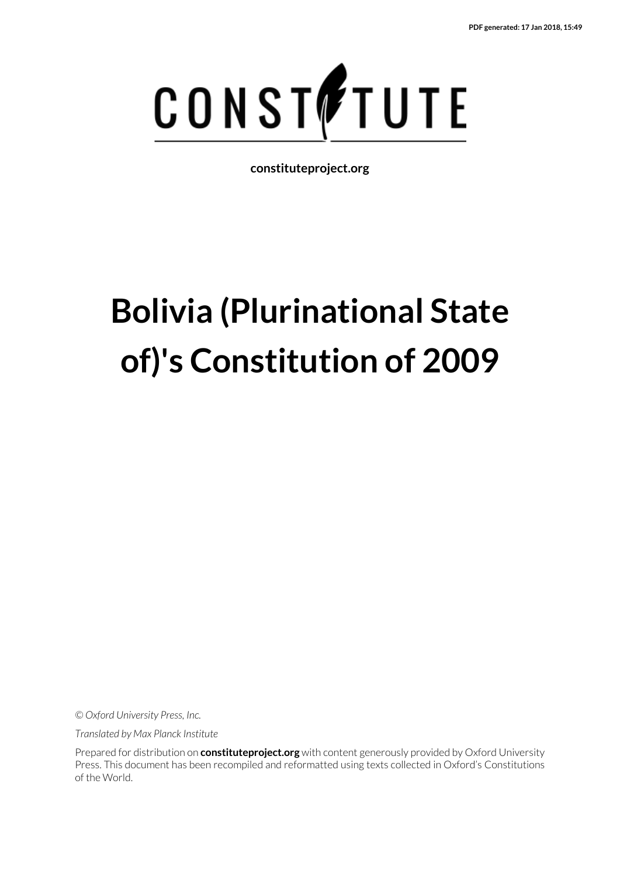

**constituteproject.org**

# **Bolivia (Plurinational State of)'s Constitution of 2009**

*© Oxford University Press, Inc.*

*Translated by Max Planck Institute*

Prepared for distribution on **constituteproject.org** with content generously provided by Oxford University Press. This document has been recompiled and reformatted using texts collected in Oxford's Constitutions of the World.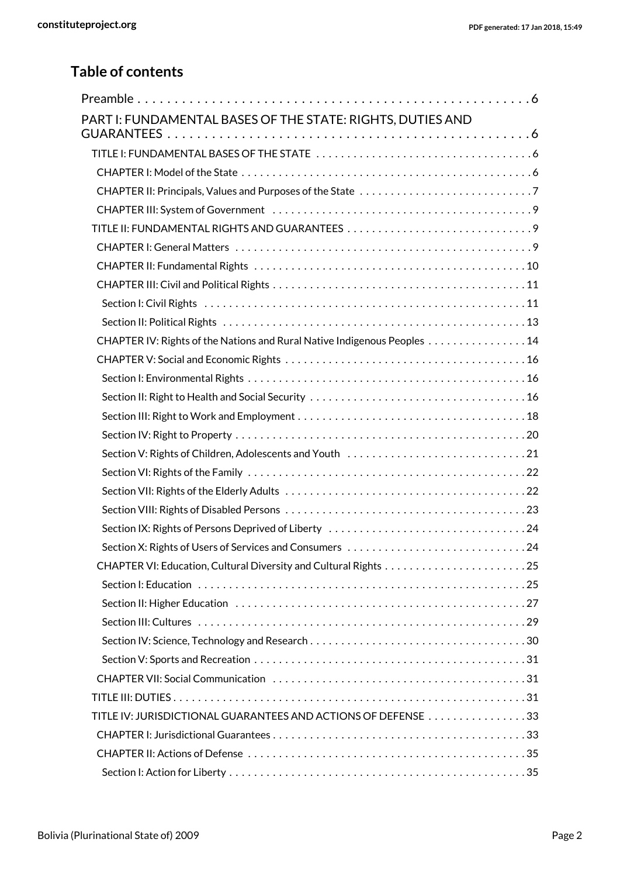# **Table of contents**

| PART I: FUNDAMENTAL BASES OF THE STATE: RIGHTS, DUTIES AND               |
|--------------------------------------------------------------------------|
|                                                                          |
|                                                                          |
|                                                                          |
|                                                                          |
|                                                                          |
|                                                                          |
|                                                                          |
|                                                                          |
|                                                                          |
|                                                                          |
|                                                                          |
| CHAPTER IV: Rights of the Nations and Rural Native Indigenous Peoples 14 |
|                                                                          |
|                                                                          |
|                                                                          |
|                                                                          |
|                                                                          |
|                                                                          |
|                                                                          |
|                                                                          |
|                                                                          |
|                                                                          |
|                                                                          |
|                                                                          |
|                                                                          |
|                                                                          |
|                                                                          |
|                                                                          |
|                                                                          |
|                                                                          |
|                                                                          |
| TITLE IV: JURISDICTIONAL GUARANTEES AND ACTIONS OF DEFENSE 33            |
|                                                                          |
|                                                                          |
|                                                                          |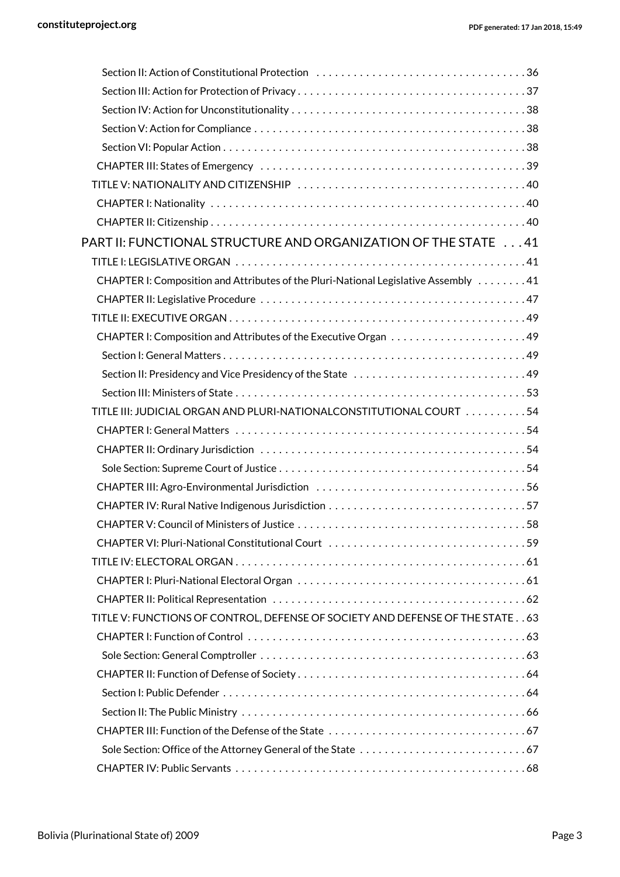| Section II: Action of Constitutional Protection (etc.) (etc.) (etc.) (etc.) (etc.) (etc.) (etc.) (etc.) (etc.) |
|----------------------------------------------------------------------------------------------------------------|
|                                                                                                                |
|                                                                                                                |
|                                                                                                                |
|                                                                                                                |
|                                                                                                                |
|                                                                                                                |
|                                                                                                                |
|                                                                                                                |
| PART II: FUNCTIONAL STRUCTURE AND ORGANIZATION OF THE STATE 41                                                 |
|                                                                                                                |
| CHAPTER I: Composition and Attributes of the Pluri-National Legislative Assembly 41                            |
|                                                                                                                |
|                                                                                                                |
|                                                                                                                |
|                                                                                                                |
| Section II: Presidency and Vice Presidency of the State 49                                                     |
|                                                                                                                |
| TITLE III: JUDICIAL ORGAN AND PLURI-NATIONALCONSTITUTIONAL COURT 54                                            |
|                                                                                                                |
|                                                                                                                |
|                                                                                                                |
|                                                                                                                |
|                                                                                                                |
|                                                                                                                |
| CHAPTER VI: Pluri-National Constitutional Court 59                                                             |
|                                                                                                                |
|                                                                                                                |
|                                                                                                                |
| TITLE V: FUNCTIONS OF CONTROL, DEFENSE OF SOCIETY AND DEFENSE OF THE STATE 63                                  |
|                                                                                                                |
|                                                                                                                |
|                                                                                                                |
|                                                                                                                |
|                                                                                                                |
|                                                                                                                |
|                                                                                                                |
|                                                                                                                |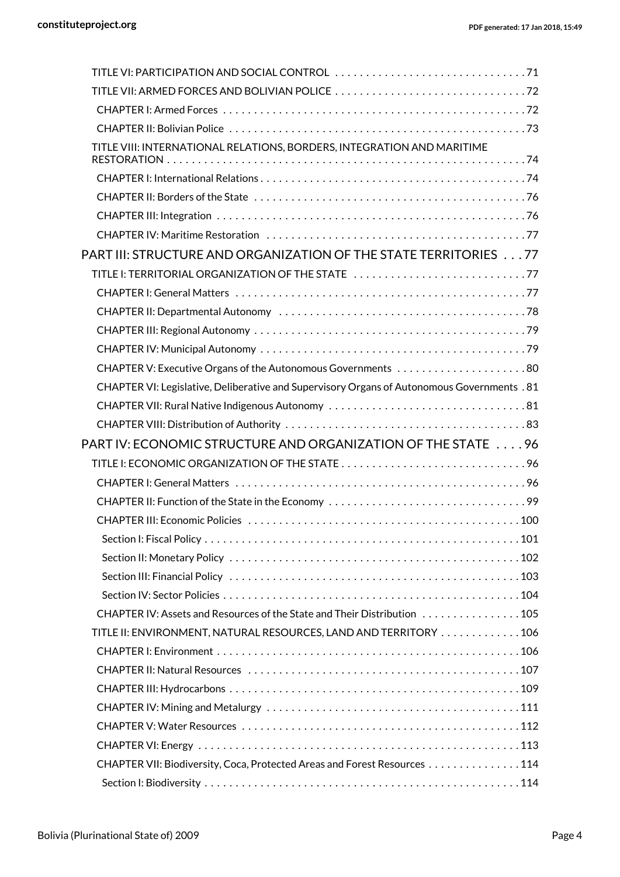| TITLE VIII: INTERNATIONAL RELATIONS, BORDERS, INTEGRATION AND MARITIME                      |  |
|---------------------------------------------------------------------------------------------|--|
|                                                                                             |  |
|                                                                                             |  |
|                                                                                             |  |
|                                                                                             |  |
| PART III: STRUCTURE AND ORGANIZATION OF THE STATE TERRITORIES 77                            |  |
| TITLE I: TERRITORIAL ORGANIZATION OF THE STATE 77                                           |  |
|                                                                                             |  |
|                                                                                             |  |
|                                                                                             |  |
|                                                                                             |  |
|                                                                                             |  |
| CHAPTER VI: Legislative, Deliberative and Supervisory Organs of Autonomous Governments . 81 |  |
|                                                                                             |  |
|                                                                                             |  |
|                                                                                             |  |
| PART IV: ECONOMIC STRUCTURE AND ORGANIZATION OF THE STATE 96                                |  |
|                                                                                             |  |
|                                                                                             |  |
|                                                                                             |  |
|                                                                                             |  |
|                                                                                             |  |
|                                                                                             |  |
|                                                                                             |  |
|                                                                                             |  |
| CHAPTER IV: Assets and Resources of the State and Their Distribution 105                    |  |
| TITLE II: ENVIRONMENT, NATURAL RESOURCES, LAND AND TERRITORY 106                            |  |
|                                                                                             |  |
|                                                                                             |  |
|                                                                                             |  |
|                                                                                             |  |
|                                                                                             |  |
|                                                                                             |  |
| CHAPTER VII: Biodiversity, Coca, Protected Areas and Forest Resources 114                   |  |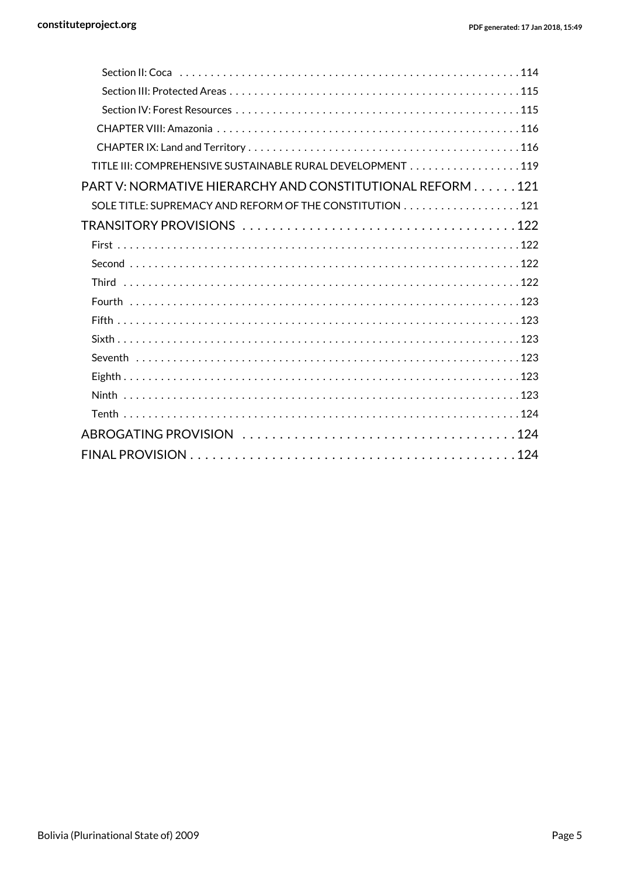| TITLE III: COMPREHENSIVE SUSTAINABLE RURAL DEVELOPMENT 119 |  |
|------------------------------------------------------------|--|
| PART V: NORMATIVE HIERARCHY AND CONSTITUTIONAL REFORM 121  |  |
| SOLE TITLE: SUPREMACY AND REFORM OF THE CONSTITUTION 121   |  |
|                                                            |  |
|                                                            |  |
|                                                            |  |
|                                                            |  |
|                                                            |  |
|                                                            |  |
|                                                            |  |
|                                                            |  |
|                                                            |  |
|                                                            |  |
|                                                            |  |
|                                                            |  |
|                                                            |  |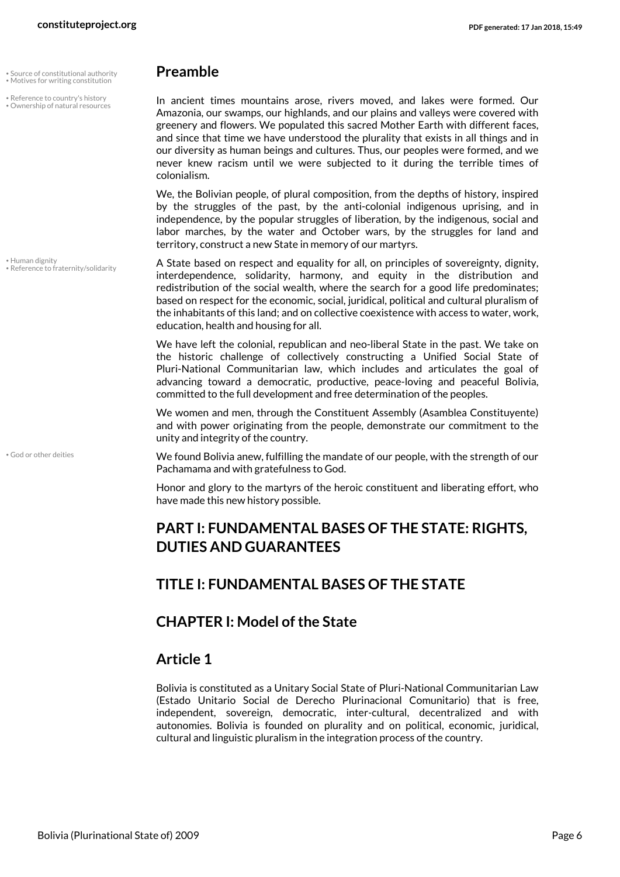• Source of constitutional authority **Preamble** • Motives for writing constitution

• Reference to country's history • Ownership of natural resources

<span id="page-5-0"></span>In ancient times mountains arose, rivers moved, and lakes were formed. Our Amazonia, our swamps, our highlands, and our plains and valleys were covered with greenery and flowers. We populated this sacred Mother Earth with different faces, and since that time we have understood the plurality that exists in all things and in our diversity as human beings and cultures. Thus, our peoples were formed, and we never knew racism until we were subjected to it during the terrible times of colonialism.

We, the Bolivian people, of plural composition, from the depths of history, inspired by the struggles of the past, by the anti-colonial indigenous uprising, and in independence, by the popular struggles of liberation, by the indigenous, social and labor marches, by the water and October wars, by the struggles for land and territory, construct a new State in memory of our martyrs.

A State based on respect and equality for all, on principles of sovereignty, dignity, interdependence, solidarity, harmony, and equity in the distribution and redistribution of the social wealth, where the search for a good life predominates; based on respect for the economic, social, juridical, political and cultural pluralism of the inhabitants of this land; and on collective coexistence with access to water, work, education, health and housing for all.

We have left the colonial, republican and neo-liberal State in the past. We take on the historic challenge of collectively constructing a Unified Social State of Pluri-National Communitarian law, which includes and articulates the goal of advancing toward a democratic, productive, peace-loving and peaceful Bolivia, committed to the full development and free determination of the peoples.

We women and men, through the Constituent Assembly (Asamblea Constituyente) and with power originating from the people, demonstrate our commitment to the unity and integrity of the country.

We found Bolivia anew, fulfilling the mandate of our people, with the strength of our Pachamama and with gratefulness to God.

Honor and glory to the martyrs of the heroic constituent and liberating effort, who have made this new history possible.

# <span id="page-5-1"></span>**PART I: FUNDAMENTAL BASES OF THE STATE: RIGHTS, DUTIES AND GUARANTEES**

### <span id="page-5-2"></span>**TITLE I: FUNDAMENTAL BASES OF THE STATE**

### <span id="page-5-3"></span>**CHAPTER I: Model of the State**

### **Article 1**

Bolivia is constituted as a Unitary Social State of Pluri-National Communitarian Law (Estado Unitario Social de Derecho Plurinacional Comunitario) that is free, independent, sovereign, democratic, inter-cultural, decentralized and with autonomies. Bolivia is founded on plurality and on political, economic, juridical, cultural and linguistic pluralism in the integration process of the country.

• Human dignity • Reference to fraternity/solidarity

• God or other deities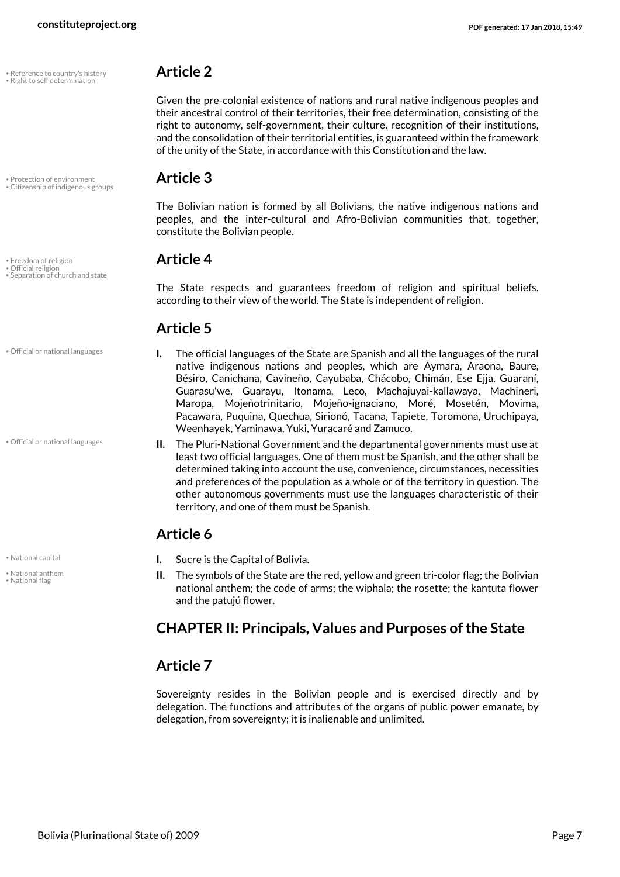• Reference to country's history **Article 2** • Right to self determination

• Protection of environment **Article 3** • Citizenship of indigenous groups

• Freedom of religion **Article 4** • Official religion • Separation of church and state

• Official or national languages

• Official or national languages

The State respects and guarantees freedom of religion and spiritual beliefs, according to their view of the world. The State is independent of religion.

Given the pre-colonial existence of nations and rural native indigenous peoples and their ancestral control of their territories, their free determination, consisting of the right to autonomy, self-government, their culture, recognition of their institutions, and the consolidation of their territorial entities, is guaranteed within the framework

The Bolivian nation is formed by all Bolivians, the native indigenous nations and peoples, and the inter-cultural and Afro-Bolivian communities that, together,

of the unity of the State, in accordance with this Constitution and the law.

### **Article 5**

constitute the Bolivian people.

- **I.** The official languages of the State are Spanish and all the languages of the rural native indigenous nations and peoples, which are Aymara, Araona, Baure, Bésiro, Canichana, Cavineño, Cayubaba, Chácobo, Chimán, Ese Ejja, Guaraní, Guarasu'we, Guarayu, Itonama, Leco, Machajuyai-kallawaya, Machineri, Maropa, Mojeñotrinitario, Mojeño-ignaciano, Moré, Mosetén, Movima, Pacawara, Puquina, Quechua, Sirionó, Tacana, Tapiete, Toromona, Uruchipaya, Weenhayek, Yaminawa, Yuki, Yuracaré and Zamuco.
- **II.** The Pluri-National Government and the departmental governments must use at least two official languages. One of them must be Spanish, and the other shall be determined taking into account the use, convenience, circumstances, necessities and preferences of the population as a whole or of the territory in question. The other autonomous governments must use the languages characteristic of their territory, and one of them must be Spanish.

### **Article 6**

- National capital **I.** Sucre is the Capital of Bolivia.
	- **II.** The symbols of the State are the red, yellow and green tri-color flag; the Bolivian national anthem; the code of arms; the wiphala; the rosette; the kantuta flower and the patujú flower.

### <span id="page-6-0"></span>**CHAPTER II: Principals, Values and Purposes of the State**

### **Article 7**

Sovereignty resides in the Bolivian people and is exercised directly and by delegation. The functions and attributes of the organs of public power emanate, by delegation, from sovereignty; it is inalienable and unlimited.

• National anthem • National flag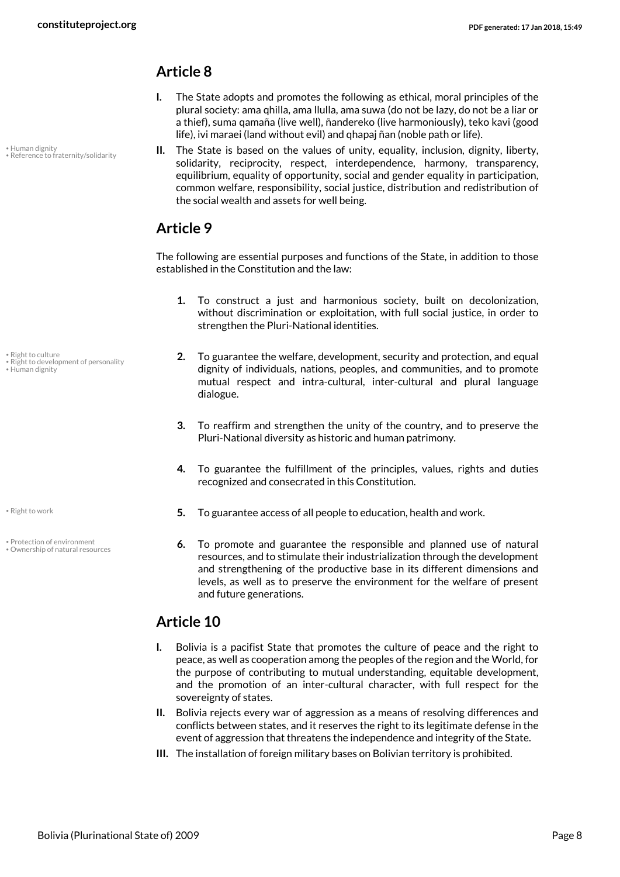- **I.** The State adopts and promotes the following as ethical, moral principles of the plural society: ama qhilla, ama llulla, ama suwa (do not be lazy, do not be a liar or a thief), suma qamaña (live well), ñandereko (live harmoniously), teko kavi (good life), ivi maraei (land without evil) and qhapaj ñan (noble path or life).
- **II.** The State is based on the values of unity, equality, inclusion, dignity, liberty, solidarity, reciprocity, respect, interdependence, harmony, transparency, equilibrium, equality of opportunity, social and gender equality in participation, common welfare, responsibility, social justice, distribution and redistribution of the social wealth and assets for well being.

# **Article 9**

The following are essential purposes and functions of the State, in addition to those established in the Constitution and the law:

- **1.** To construct a just and harmonious society, built on decolonization, without discrimination or exploitation, with full social justice, in order to strengthen the Pluri-National identities.
- **2.** To guarantee the welfare, development, security and protection, and equal dignity of individuals, nations, peoples, and communities, and to promote mutual respect and intra-cultural, inter-cultural and plural language dialogue.
- **3.** To reaffirm and strengthen the unity of the country, and to preserve the Pluri-National diversity as historic and human patrimony.
- **4.** To guarantee the fulfillment of the principles, values, rights and duties recognized and consecrated in this Constitution.
- **•** Right to work **1988 ISLE 2018 5.** To guarantee access of all people to education, health and work.
	- **6.** To promote and guarantee the responsible and planned use of natural resources, and to stimulate their industrialization through the development and strengthening of the productive base in its different dimensions and levels, as well as to preserve the environment for the welfare of present and future generations.

# **Article 10**

- **I.** Bolivia is a pacifist State that promotes the culture of peace and the right to peace, as well as cooperation among the peoples of the region and the World, for the purpose of contributing to mutual understanding, equitable development, and the promotion of an inter-cultural character, with full respect for the sovereignty of states.
- **II.** Bolivia rejects every war of aggression as a means of resolving differences and conflicts between states, and it reserves the right to its legitimate defense in the event of aggression that threatens the independence and integrity of the State.
- **III.** The installation of foreign military bases on Bolivian territory is prohibited.

• Human dignity • Reference to fraternity/solidarity

- Right to culture • Right to development of personality
- Human dignity

• Protection of environment • Ownership of natural resources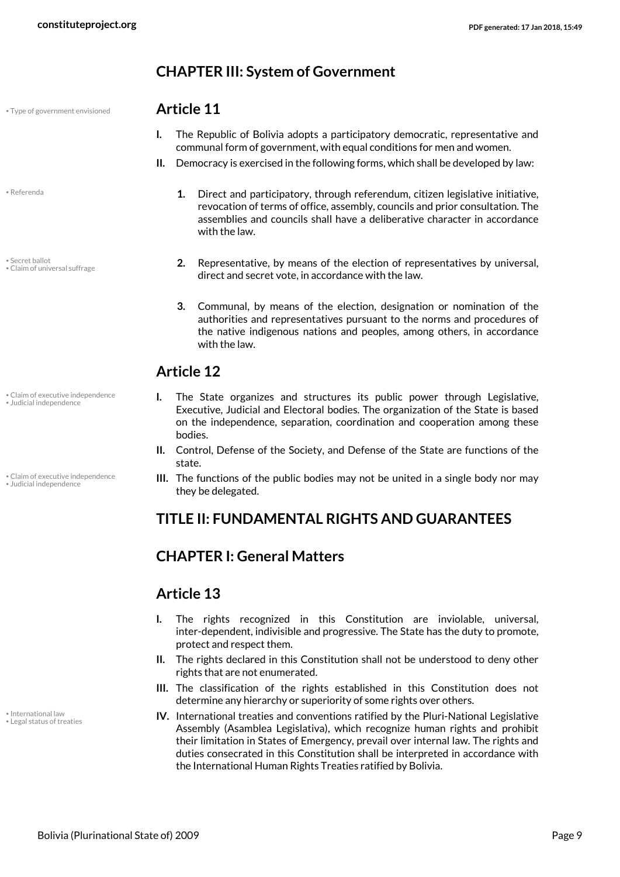• Type of government envisioned **Article 11**

- Referenda
- Secret ballot
- Claim of universal suffrage

- Claim of executive independence • Judicial independence
- Claim of executive independence • Judicial independence

• International law • Legal status of treaties

### <span id="page-8-0"></span>**CHAPTER III: System of Government**

- **I.** The Republic of Bolivia adopts a participatory democratic, representative and communal form of government, with equal conditions for men and women.
- **II.** Democracy is exercised in the following forms, which shall be developed by law:
	- **1.** Direct and participatory, through referendum, citizen legislative initiative, revocation of terms of office, assembly, councils and prior consultation. The assemblies and councils shall have a deliberative character in accordance with the law.
	- **2.** Representative, by means of the election of representatives by universal, direct and secret vote, in accordance with the law.
	- **3.** Communal, by means of the election, designation or nomination of the authorities and representatives pursuant to the norms and procedures of the native indigenous nations and peoples, among others, in accordance with the law.

# **Article 12**

- **I.** The State organizes and structures its public power through Legislative, Executive, Judicial and Electoral bodies. The organization of the State is based on the independence, separation, coordination and cooperation among these bodies.
- **II.** Control, Defense of the Society, and Defense of the State are functions of the state.
- **III.** The functions of the public bodies may not be united in a single body nor may they be delegated.

# <span id="page-8-1"></span>**TITLE II: FUNDAMENTAL RIGHTS AND GUARANTEES**

# <span id="page-8-2"></span>**CHAPTER I: General Matters**

### **Article 13**

- **I.** The rights recognized in this Constitution are inviolable, universal, inter-dependent, indivisible and progressive. The State has the duty to promote, protect and respect them.
- **II.** The rights declared in this Constitution shall not be understood to deny other rights that are not enumerated.
- **III.** The classification of the rights established in this Constitution does not determine any hierarchy or superiority of some rights over others.
- **IV.** International treaties and conventions ratified by the Pluri-National Legislative Assembly (Asamblea Legislativa), which recognize human rights and prohibit their limitation in States of Emergency, prevail over internal law. The rights and duties consecrated in this Constitution shall be interpreted in accordance with the International Human Rights Treaties ratified by Bolivia.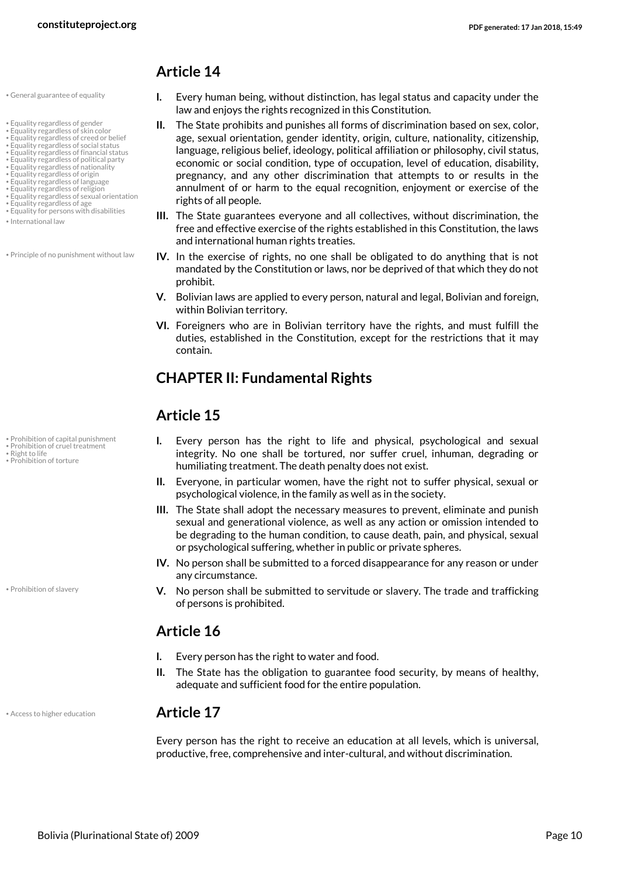• General guarantee of equality

- Equality regardless of gender
- Equality regardless of skin color Equality regardless of creed or belief
- 
- Equality regardless of social status Equality regardless of financial status
- Equality regardless of political party Equality regardless of nationality
- Equality regardless of origin
- Equality regardless of language • Equality regardless of religion
- Equality regardless of sexual orientation
- Equality regardless of age<br>• Equality for persons with disabilities
- International law

• Principle of no punishment without law

### **I.** Every human being, without distinction, has legal status and capacity under the law and enjoys the rights recognized in this Constitution.

- **II.** The State prohibits and punishes all forms of discrimination based on sex, color, age, sexual orientation, gender identity, origin, culture, nationality, citizenship, language, religious belief, ideology, political affiliation or philosophy, civil status, economic or social condition, type of occupation, level of education, disability, pregnancy, and any other discrimination that attempts to or results in the annulment of or harm to the equal recognition, enjoyment or exercise of the rights of all people.
- III. The State guarantees everyone and all collectives, without discrimination, the free and effective exercise of the rights established in this Constitution, the laws and international human rights treaties.
- **IV.** In the exercise of rights, no one shall be obligated to do anything that is not mandated by the Constitution or laws, nor be deprived of that which they do not prohibit.
- **V.** Bolivian laws are applied to every person, natural and legal, Bolivian and foreign, within Bolivian territory.
- **VI.** Foreigners who are in Bolivian territory have the rights, and must fulfill the duties, established in the Constitution, except for the restrictions that it may contain.

# <span id="page-9-0"></span>**CHAPTER II: Fundamental Rights**

# **Article 15**

- **I.** Every person has the right to life and physical, psychological and sexual integrity. No one shall be tortured, nor suffer cruel, inhuman, degrading or humiliating treatment. The death penalty does not exist.
- **II.** Everyone, in particular women, have the right not to suffer physical, sexual or psychological violence, in the family as well as in the society.
- **III.** The State shall adopt the necessary measures to prevent, eliminate and punish sexual and generational violence, as well as any action or omission intended to be degrading to the human condition, to cause death, pain, and physical, sexual or psychological suffering, whether in public or private spheres.
- **IV.** No person shall be submitted to a forced disappearance for any reason or under any circumstance.
- **V.** No person shall be submitted to servitude or slavery. The trade and trafficking of persons is prohibited.

# **Article 16**

- **I.** Every person has the right to water and food.
- **II.** The State has the obligation to guarantee food security, by means of healthy, adequate and sufficient food for the entire population.

### • Access to higher education **Article 17**

Every person has the right to receive an education at all levels, which is universal, productive, free, comprehensive and inter-cultural, and without discrimination.

• Prohibition of capital punishment

- Prohibition of cruel treatment Right to life
- Prohibition of torture

• Prohibition of slavery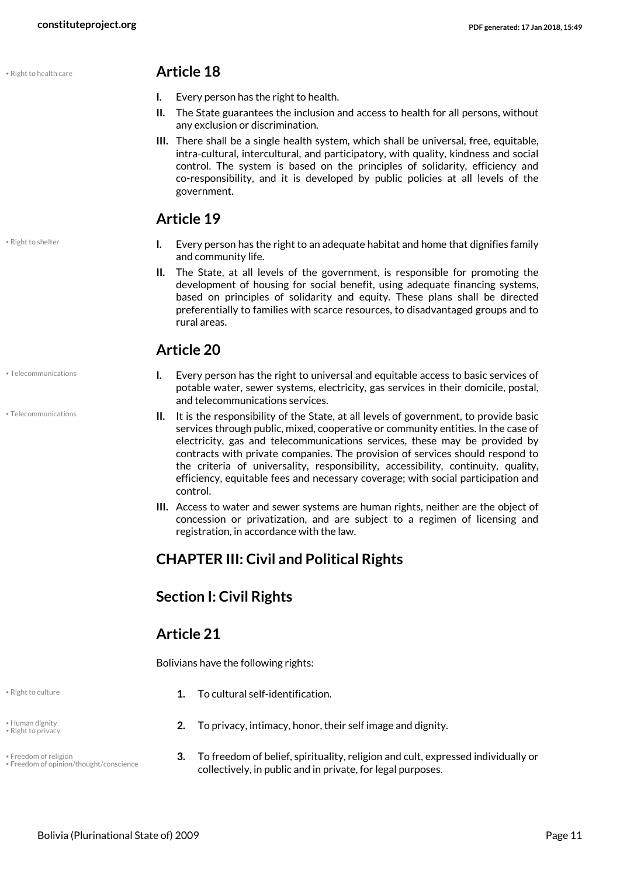### • Right to health care **Article 18**

- **I.** Every person has the right to health.
- **II.** The State guarantees the inclusion and access to health for all persons, without any exclusion or discrimination.
- **III.** There shall be a single health system, which shall be universal, free, equitable, intra-cultural, intercultural, and participatory, with quality, kindness and social control. The system is based on the principles of solidarity, efficiency and co-responsibility, and it is developed by public policies at all levels of the government.

### **Article 19**

• Right to shelter

• Telecommunications

• Telecommunications

- **I.** Every person has the right to an adequate habitat and home that dignifies family and community life.
- **II.** The State, at all levels of the government, is responsible for promoting the development of housing for social benefit, using adequate financing systems, based on principles of solidarity and equity. These plans shall be directed preferentially to families with scarce resources, to disadvantaged groups and to rural areas.

### **Article 20**

- **I.** Every person has the right to universal and equitable access to basic services of potable water, sewer systems, electricity, gas services in their domicile, postal, and telecommunications services.
- **II.** It is the responsibility of the State, at all levels of government, to provide basic services through public, mixed, cooperative or community entities. In the case of electricity, gas and telecommunications services, these may be provided by contracts with private companies. The provision of services should respond to the criteria of universality, responsibility, accessibility, continuity, quality, efficiency, equitable fees and necessary coverage; with social participation and control.
- **III.** Access to water and sewer systems are human rights, neither are the object of concession or privatization, and are subject to a regimen of licensing and registration, in accordance with the law.

# <span id="page-10-0"></span>**CHAPTER III: Civil and Political Rights**

### <span id="page-10-1"></span>**Section I: Civil Rights**

### **Article 21**

Bolivians have the following rights:

- Right to culture **1.** To cultural self-identification.
- Human dignity **2.** To privacy, intimacy, honor, their self image and dignity. • Right to privacy
- Freedom of religion • Freedom of opinion/thought/conscience
- **3.** To freedom of belief, spirituality, religion and cult, expressed individually or collectively, in public and in private, for legal purposes.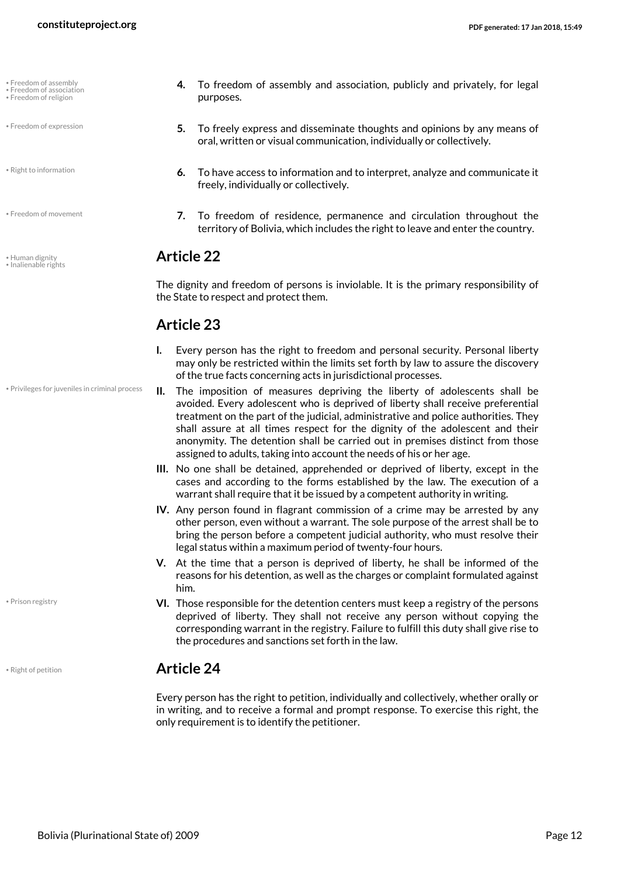- Freedom of assembly • Freedom of association
- Freedom of religion
- Freedom of expression
- Right to information
- Freedom of movement
- 

• Privileges for juveniles in criminal process

• Prison registry

- **4.** To freedom of assembly and association, publicly and privately, for legal purposes.
- **5.** To freely express and disseminate thoughts and opinions by any means of oral, written or visual communication, individually or collectively.
- **6.** To have access to information and to interpret, analyze and communicate it freely, individually or collectively.
- **7.** To freedom of residence, permanence and circulation throughout the territory of Bolivia, which includes the right to leave and enter the country.

# • Human dignity **Article 22** • Inalienable rights

The dignity and freedom of persons is inviolable. It is the primary responsibility of the State to respect and protect them.

# **Article 23**

- **I.** Every person has the right to freedom and personal security. Personal liberty may only be restricted within the limits set forth by law to assure the discovery of the true facts concerning acts in jurisdictional processes.
- **II.** The imposition of measures depriving the liberty of adolescents shall be avoided. Every adolescent who is deprived of liberty shall receive preferential treatment on the part of the judicial, administrative and police authorities. They shall assure at all times respect for the dignity of the adolescent and their anonymity. The detention shall be carried out in premises distinct from those assigned to adults, taking into account the needs of his or her age.
- **III.** No one shall be detained, apprehended or deprived of liberty, except in the cases and according to the forms established by the law. The execution of a warrant shall require that it be issued by a competent authority in writing.
- **IV.** Any person found in flagrant commission of a crime may be arrested by any other person, even without a warrant. The sole purpose of the arrest shall be to bring the person before a competent judicial authority, who must resolve their legal status within a maximum period of twenty-four hours.
- **V.** At the time that a person is deprived of liberty, he shall be informed of the reasons for his detention, as well as the charges or complaint formulated against him.
- **VI.** Those responsible for the detention centers must keep a registry of the persons deprived of liberty. They shall not receive any person without copying the corresponding warrant in the registry. Failure to fulfill this duty shall give rise to the procedures and sanctions set forth in the law.

### • Right of petition **Article 24**

Every person has the right to petition, individually and collectively, whether orally or in writing, and to receive a formal and prompt response. To exercise this right, the only requirement is to identify the petitioner.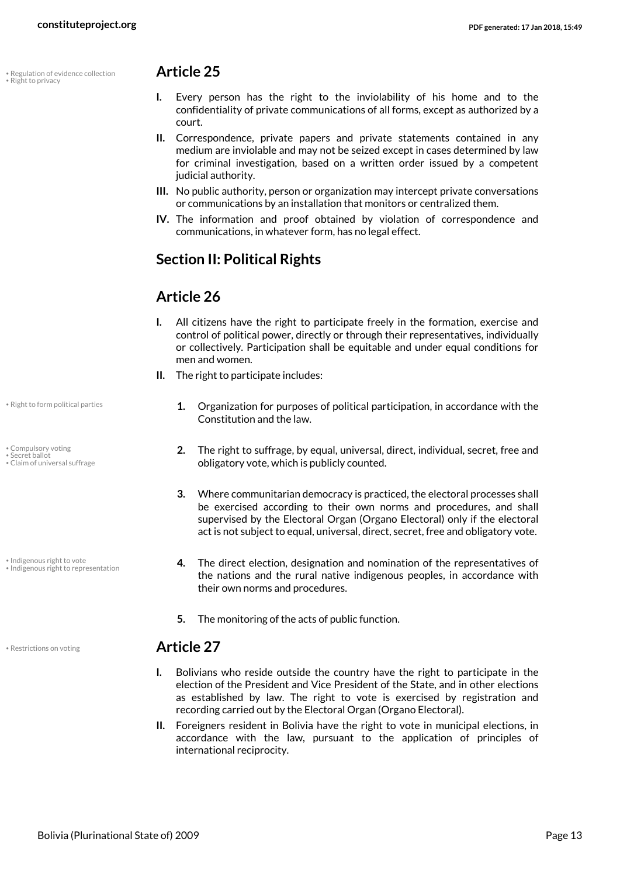• Regulation of evidence collection **Article 25** • Right to privacy

- **I.** Every person has the right to the inviolability of his home and to the confidentiality of private communications of all forms, except as authorized by a court.
- **II.** Correspondence, private papers and private statements contained in any medium are inviolable and may not be seized except in cases determined by law for criminal investigation, based on a written order issued by a competent judicial authority.
- **III.** No public authority, person or organization may intercept private conversations or communications by an installation that monitors or centralized them.
- **IV.** The information and proof obtained by violation of correspondence and communications, in whatever form, has no legal effect.

### <span id="page-12-0"></span>**Section II: Political Rights**

### **Article 26**

- **I.** All citizens have the right to participate freely in the formation, exercise and control of political power, directly or through their representatives, individually or collectively. Participation shall be equitable and under equal conditions for men and women.
- **II.** The right to participate includes:
	- **1.** Organization for purposes of political participation, in accordance with the Constitution and the law.
	- **2.** The right to suffrage, by equal, universal, direct, individual, secret, free and obligatory vote, which is publicly counted.
	- **3.** Where communitarian democracy is practiced, the electoral processes shall be exercised according to their own norms and procedures, and shall supervised by the Electoral Organ (Organo Electoral) only if the electoral act is not subject to equal, universal, direct, secret, free and obligatory vote.
	- **4.** The direct election, designation and nomination of the representatives of the nations and the rural native indigenous peoples, in accordance with their own norms and procedures.
	- **5.** The monitoring of the acts of public function.

### • Restrictions on voting **Article 27**

- **I.** Bolivians who reside outside the country have the right to participate in the election of the President and Vice President of the State, and in other elections as established by law. The right to vote is exercised by registration and recording carried out by the Electoral Organ (Organo Electoral).
- **II.** Foreigners resident in Bolivia have the right to vote in municipal elections, in accordance with the law, pursuant to the application of principles of international reciprocity.

• Right to form political parties

• Compulsory voting

ecret ballot • Claim of universal suffrage

Indigenous right to vote • Indigenous right to representation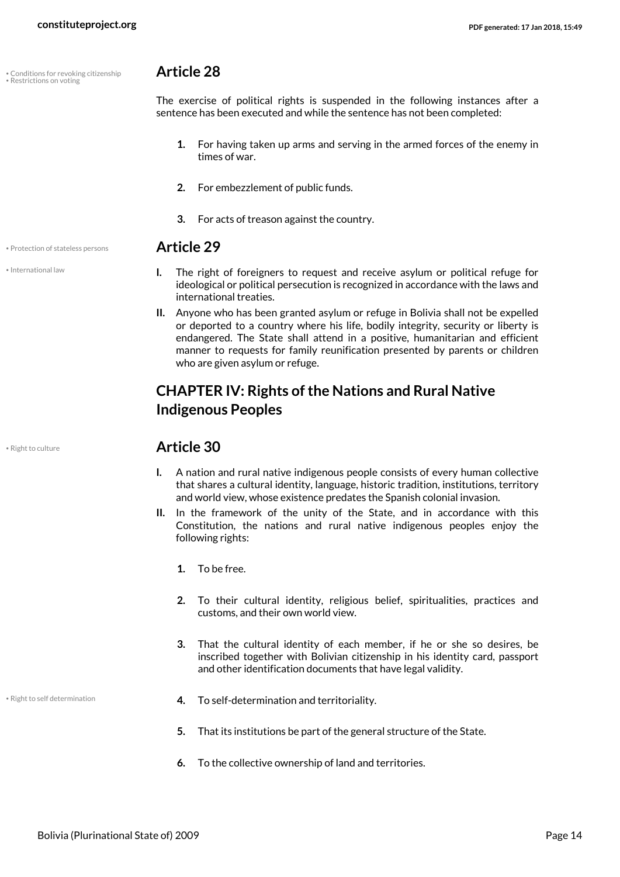• Conditions for revoking citizenship **Article 28** • Restrictions on voting

• International law

The exercise of political rights is suspended in the following instances after a sentence has been executed and while the sentence has not been completed:

- **1.** For having taken up arms and serving in the armed forces of the enemy in times of war.
- **2.** For embezzlement of public funds.
- **3.** For acts of treason against the country.

### • Protection of stateless persons **Article 29**

- **I.** The right of foreigners to request and receive asylum or political refuge for ideological or political persecution is recognized in accordance with the laws and international treaties.
- **II.** Anyone who has been granted asylum or refuge in Bolivia shall not be expelled or deported to a country where his life, bodily integrity, security or liberty is endangered. The State shall attend in a positive, humanitarian and efficient manner to requests for family reunification presented by parents or children who are given asylum or refuge.

# <span id="page-13-0"></span>**CHAPTER IV: Rights of the Nations and Rural Native Indigenous Peoples**

### • Right to culture **Article 30**

- **I.** A nation and rural native indigenous people consists of every human collective that shares a cultural identity, language, historic tradition, institutions, territory and world view, whose existence predates the Spanish colonial invasion.
- **II.** In the framework of the unity of the State, and in accordance with this Constitution, the nations and rural native indigenous peoples enjoy the following rights:
	- **1.** To be free.
	- **2.** To their cultural identity, religious belief, spiritualities, practices and customs, and their own world view.
	- **3.** That the cultural identity of each member, if he or she so desires, be inscribed together with Bolivian citizenship in his identity card, passport and other identification documents that have legal validity.
- 
- Right to self determination **4.** To self-determination and territoriality.
	- **5.** That its institutions be part of the general structure of the State.
	- **6.** To the collective ownership of land and territories.

Bolivia (Plurinational State of) 2009 Page 14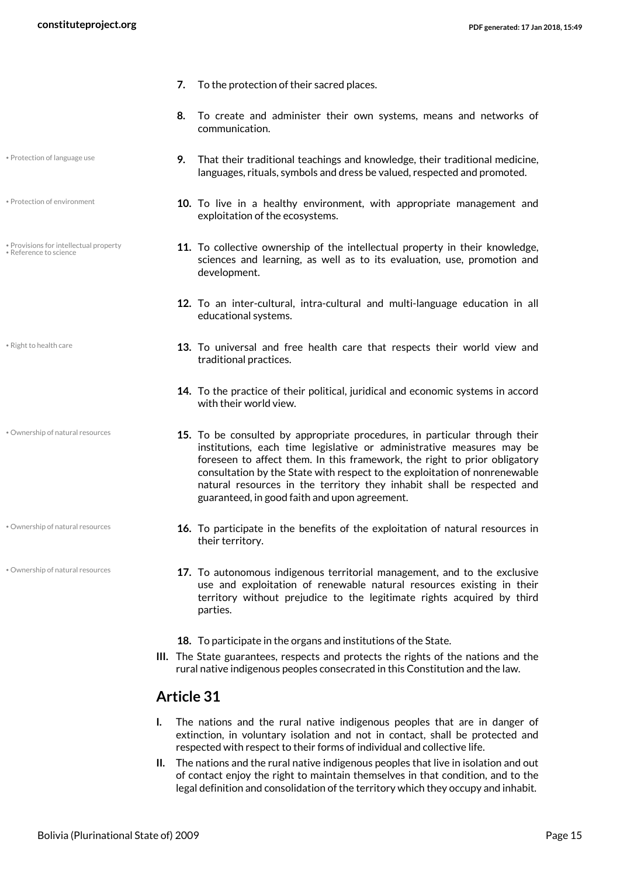- **7.** To the protection of their sacred places.
- **8.** To create and administer their own systems, means and networks of communication.
- **9.** That their traditional teachings and knowledge, their traditional medicine, languages, rituals, symbols and dress be valued, respected and promoted.
- **10.** To live in a healthy environment, with appropriate management and exploitation of the ecosystems.
- **11.** To collective ownership of the intellectual property in their knowledge, sciences and learning, as well as to its evaluation, use, promotion and development.
- **12.** To an inter-cultural, intra-cultural and multi-language education in all educational systems.
- **13.** To universal and free health care that respects their world view and traditional practices.
- **14.** To the practice of their political, juridical and economic systems in accord with their world view.
- **15.** To be consulted by appropriate procedures, in particular through their institutions, each time legislative or administrative measures may be foreseen to affect them. In this framework, the right to prior obligatory consultation by the State with respect to the exploitation of nonrenewable natural resources in the territory they inhabit shall be respected and guaranteed, in good faith and upon agreement.
- **16.** To participate in the benefits of the exploitation of natural resources in their territory.
- **17.** To autonomous indigenous territorial management, and to the exclusive use and exploitation of renewable natural resources existing in their territory without prejudice to the legitimate rights acquired by third parties.
- **18.** To participate in the organs and institutions of the State.
- **III.** The State guarantees, respects and protects the rights of the nations and the rural native indigenous peoples consecrated in this Constitution and the law.

- **I.** The nations and the rural native indigenous peoples that are in danger of extinction, in voluntary isolation and not in contact, shall be protected and respected with respect to their forms of individual and collective life.
- **II.** The nations and the rural native indigenous peoples that live in isolation and out of contact enjoy the right to maintain themselves in that condition, and to the legal definition and consolidation of the territory which they occupy and inhabit.

• Protection of language use

- Protection of environment
- Provisions for intellectual property • Reference to science

• Ownership of natural resources

• Right to health care

- Ownership of natural resources
- Ownership of natural resources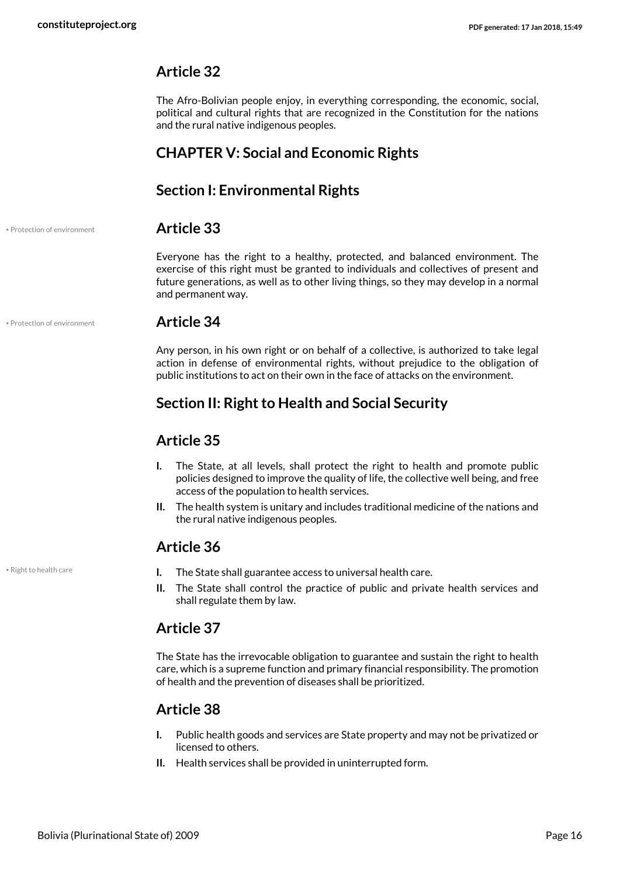The Afro-Bolivian people enjoy, in everything corresponding, the economic, social, political and cultural rights that are recognized in the Constitution for the nations and the rural native indigenous peoples.

# <span id="page-15-0"></span>**CHAPTER V: Social and Economic Rights**

# <span id="page-15-1"></span>**Section I: Environmental Rights**

• Protection of environment **Article 33**

Everyone has the right to a healthy, protected, and balanced environment. The exercise of this right must be granted to individuals and collectives of present and future generations, as well as to other living things, so they may develop in a normal and permanent way.

• Protection of environment **Article 34**

Any person, in his own right or on behalf of a collective, is authorized to take legal action in defense of environmental rights, without prejudice to the obligation of public institutions to act on their own in the face of attacks on the environment.

# <span id="page-15-2"></span>**Section II: Right to Health and Social Security**

# **Article 35**

- **I.** The State, at all levels, shall protect the right to health and promote public policies designed to improve the quality of life, the collective well being, and free access of the population to health services.
- **II.** The health system is unitary and includes traditional medicine of the nations and the rural native indigenous peoples.

### **Article 36**

- **I.** The State shall guarantee access to universal health care.
	- **II.** The State shall control the practice of public and private health services and shall regulate them by law.

### **Article 37**

The State has the irrevocable obligation to guarantee and sustain the right to health care, which is a supreme function and primary financial responsibility. The promotion of health and the prevention of diseases shall be prioritized.

# **Article 38**

- **I.** Public health goods and services are State property and may not be privatized or licensed to others.
- **II.** Health services shall be provided in uninterrupted form.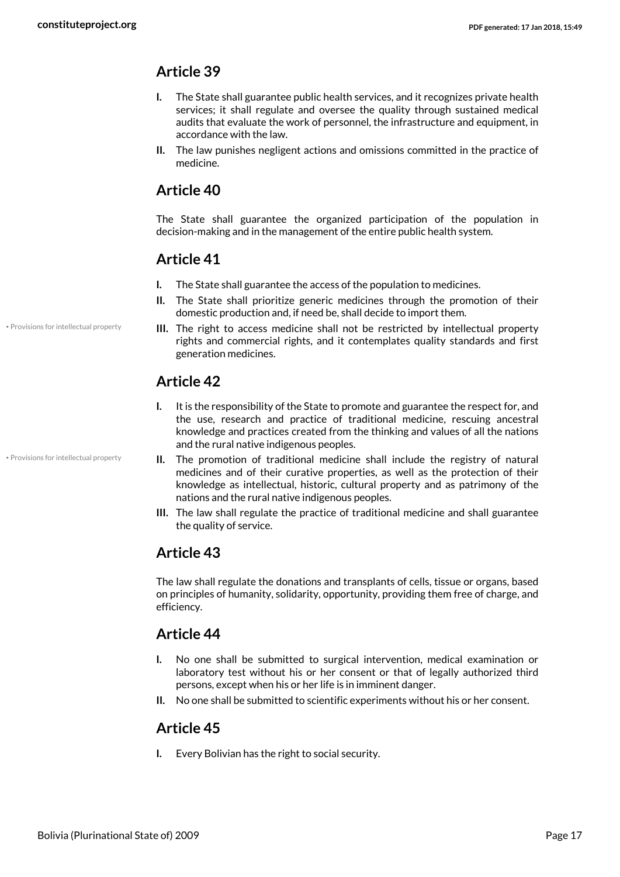- **I.** The State shall guarantee public health services, and it recognizes private health services; it shall regulate and oversee the quality through sustained medical audits that evaluate the work of personnel, the infrastructure and equipment, in accordance with the law.
- **II.** The law punishes negligent actions and omissions committed in the practice of medicine.

# **Article 40**

The State shall guarantee the organized participation of the population in decision-making and in the management of the entire public health system.

# **Article 41**

- **I.** The State shall guarantee the access of the population to medicines.
- **II.** The State shall prioritize generic medicines through the promotion of their domestic production and, if need be, shall decide to import them.
- **III.** The right to access medicine shall not be restricted by intellectual property rights and commercial rights, and it contemplates quality standards and first generation medicines.

# **Article 42**

- **I.** It is the responsibility of the State to promote and guarantee the respect for, and the use, research and practice of traditional medicine, rescuing ancestral knowledge and practices created from the thinking and values of all the nations and the rural native indigenous peoples.
- **II.** The promotion of traditional medicine shall include the registry of natural medicines and of their curative properties, as well as the protection of their knowledge as intellectual, historic, cultural property and as patrimony of the nations and the rural native indigenous peoples.
- **III.** The law shall regulate the practice of traditional medicine and shall guarantee the quality of service.

# **Article 43**

The law shall regulate the donations and transplants of cells, tissue or organs, based on principles of humanity, solidarity, opportunity, providing them free of charge, and efficiency.

### **Article 44**

- **I.** No one shall be submitted to surgical intervention, medical examination or laboratory test without his or her consent or that of legally authorized third persons, except when his or her life is in imminent danger.
- **II.** No one shall be submitted to scientific experiments without his or her consent.

### **Article 45**

**I.** Every Bolivian has the right to social security.

• Provisions for intellectual property

• Provisions for intellectual property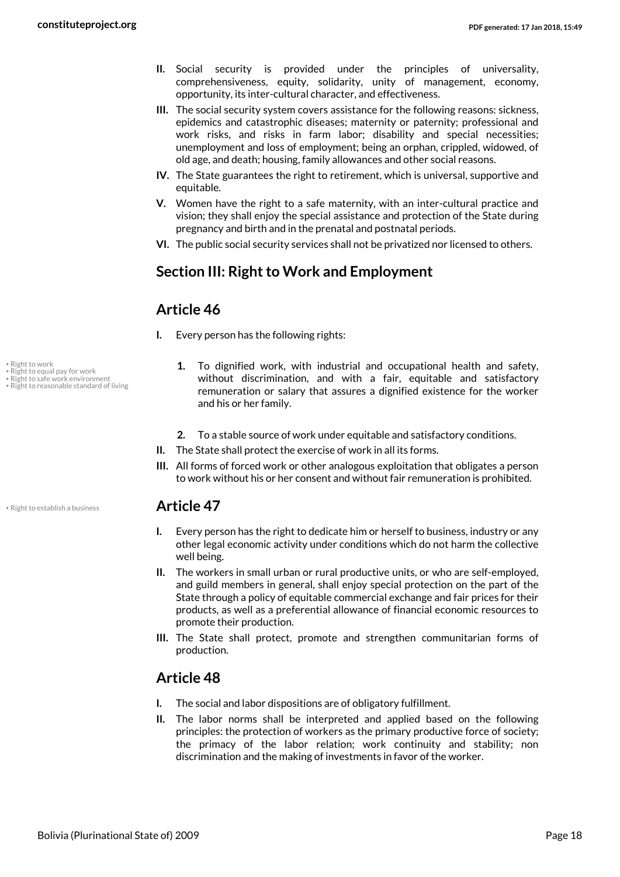- **II.** Social security is provided under the principles of universality, comprehensiveness, equity, solidarity, unity of management, economy, opportunity, its inter-cultural character, and effectiveness.
- **III.** The social security system covers assistance for the following reasons: sickness, epidemics and catastrophic diseases; maternity or paternity; professional and work risks, and risks in farm labor; disability and special necessities; unemployment and loss of employment; being an orphan, crippled, widowed, of old age, and death; housing, family allowances and other social reasons.
- **IV.** The State guarantees the right to retirement, which is universal, supportive and equitable.
- **V.** Women have the right to a safe maternity, with an inter-cultural practice and vision; they shall enjoy the special assistance and protection of the State during pregnancy and birth and in the prenatal and postnatal periods.
- **VI.** The public social security services shall not be privatized nor licensed to others.

# <span id="page-17-0"></span>**Section III: Right to Work and Employment**

# **Article 46**

- **I.** Every person has the following rights:
	- **1.** To dignified work, with industrial and occupational health and safety, without discrimination, and with a fair, equitable and satisfactory remuneration or salary that assures a dignified existence for the worker and his or her family.
	- **2.** To a stable source of work under equitable and satisfactory conditions.
- **II.** The State shall protect the exercise of work in all its forms.
- **III.** All forms of forced work or other analogous exploitation that obligates a person to work without his or her consent and without fair remuneration is prohibited.

### • Right to establish a business **Article 47**

- **I.** Every person has the right to dedicate him or herself to business, industry or any other legal economic activity under conditions which do not harm the collective well being.
- **II.** The workers in small urban or rural productive units, or who are self-employed, and guild members in general, shall enjoy special protection on the part of the State through a policy of equitable commercial exchange and fair prices for their products, as well as a preferential allowance of financial economic resources to promote their production.
- **III.** The State shall protect, promote and strengthen communitarian forms of production.

### **Article 48**

- **I.** The social and labor dispositions are of obligatory fulfillment.
- **II.** The labor norms shall be interpreted and applied based on the following principles: the protection of workers as the primary productive force of society; the primacy of the labor relation; work continuity and stability; non discrimination and the making of investments in favor of the worker.

• Right to work

- Right to equal pay for work Right to safe work environment
- Right to reasonable standard of living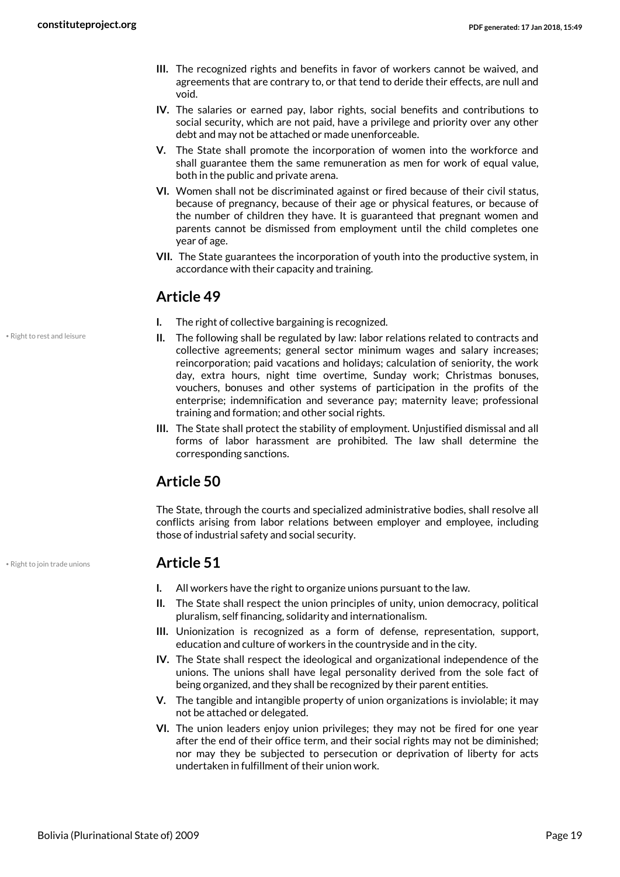- **III.** The recognized rights and benefits in favor of workers cannot be waived, and agreements that are contrary to, or that tend to deride their effects, are null and void.
- **IV.** The salaries or earned pay, labor rights, social benefits and contributions to social security, which are not paid, have a privilege and priority over any other debt and may not be attached or made unenforceable.
- **V.** The State shall promote the incorporation of women into the workforce and shall guarantee them the same remuneration as men for work of equal value, both in the public and private arena.
- **VI.** Women shall not be discriminated against or fired because of their civil status, because of pregnancy, because of their age or physical features, or because of the number of children they have. It is guaranteed that pregnant women and parents cannot be dismissed from employment until the child completes one year of age.
- **VII.** The State guarantees the incorporation of youth into the productive system, in accordance with their capacity and training.

- **I.** The right of collective bargaining is recognized.
- **II.** The following shall be regulated by law: labor relations related to contracts and collective agreements; general sector minimum wages and salary increases; reincorporation; paid vacations and holidays; calculation of seniority, the work day, extra hours, night time overtime, Sunday work; Christmas bonuses, vouchers, bonuses and other systems of participation in the profits of the enterprise; indemnification and severance pay; maternity leave; professional training and formation; and other social rights.
- **III.** The State shall protect the stability of employment. Unjustified dismissal and all forms of labor harassment are prohibited. The law shall determine the corresponding sanctions.

# **Article 50**

The State, through the courts and specialized administrative bodies, shall resolve all conflicts arising from labor relations between employer and employee, including those of industrial safety and social security.

### • Right to join trade unions **Article 51**

- **I.** All workers have the right to organize unions pursuant to the law.
- **II.** The State shall respect the union principles of unity, union democracy, political pluralism, self financing, solidarity and internationalism.
- **III.** Unionization is recognized as a form of defense, representation, support, education and culture of workers in the countryside and in the city.
- **IV.** The State shall respect the ideological and organizational independence of the unions. The unions shall have legal personality derived from the sole fact of being organized, and they shall be recognized by their parent entities.
- **V.** The tangible and intangible property of union organizations is inviolable; it may not be attached or delegated.
- **VI.** The union leaders enjoy union privileges; they may not be fired for one year after the end of their office term, and their social rights may not be diminished; nor may they be subjected to persecution or deprivation of liberty for acts undertaken in fulfillment of their union work.

• Right to rest and leisure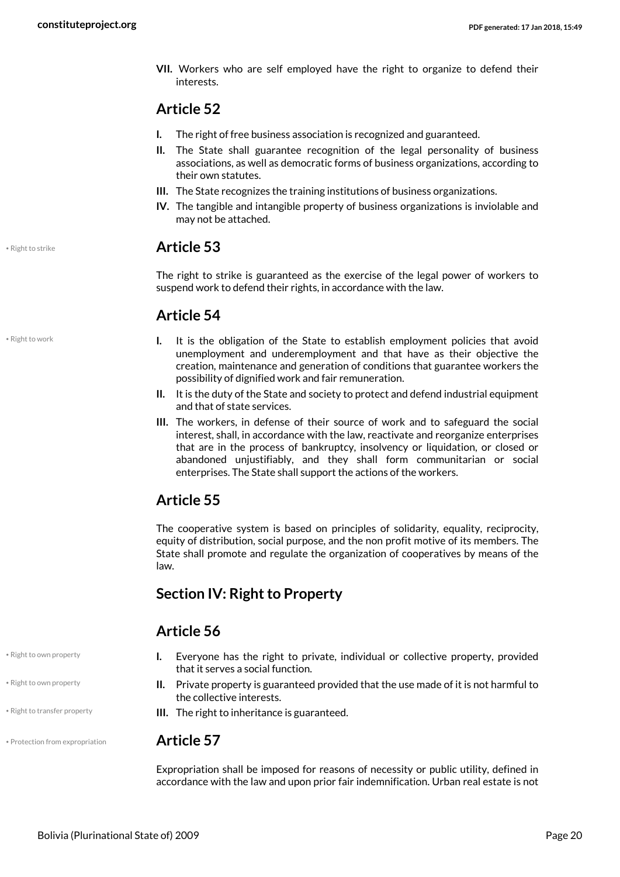**VII.** Workers who are self employed have the right to organize to defend their interests.

# **Article 52**

- **I.** The right of free business association is recognized and guaranteed.
- **II.** The State shall guarantee recognition of the legal personality of business associations, as well as democratic forms of business organizations, according to their own statutes.
- **III.** The State recognizes the training institutions of business organizations.
- **IV.** The tangible and intangible property of business organizations is inviolable and may not be attached.

### • Right to strike **Article 53**

The right to strike is guaranteed as the exercise of the legal power of workers to suspend work to defend their rights, in accordance with the law.

# **Article 54**

- It is the obligation of the State to establish employment policies that avoid unemployment and underemployment and that have as their objective the creation, maintenance and generation of conditions that guarantee workers the possibility of dignified work and fair remuneration.
- **II.** It is the duty of the State and society to protect and defend industrial equipment and that of state services.
- **III.** The workers, in defense of their source of work and to safeguard the social interest, shall, in accordance with the law, reactivate and reorganize enterprises that are in the process of bankruptcy, insolvency or liquidation, or closed or abandoned unjustifiably, and they shall form communitarian or social enterprises. The State shall support the actions of the workers.

### **Article 55**

The cooperative system is based on principles of solidarity, equality, reciprocity, equity of distribution, social purpose, and the non profit motive of its members. The State shall promote and regulate the organization of cooperatives by means of the law.

# <span id="page-19-0"></span>**Section IV: Right to Property**

### **Article 56**

- Right to own property
- Right to own property
- 
- Protection from expropriation **Article 57**
- **I.** Everyone has the right to private, individual or collective property, provided that it serves a social function.
- **II.** Private property is guaranteed provided that the use made of it is not harmful to the collective interests.
- Right to transfer property **III.** The right to inheritance is guaranteed.

Expropriation shall be imposed for reasons of necessity or public utility, defined in accordance with the law and upon prior fair indemnification. Urban real estate is not

• Right to work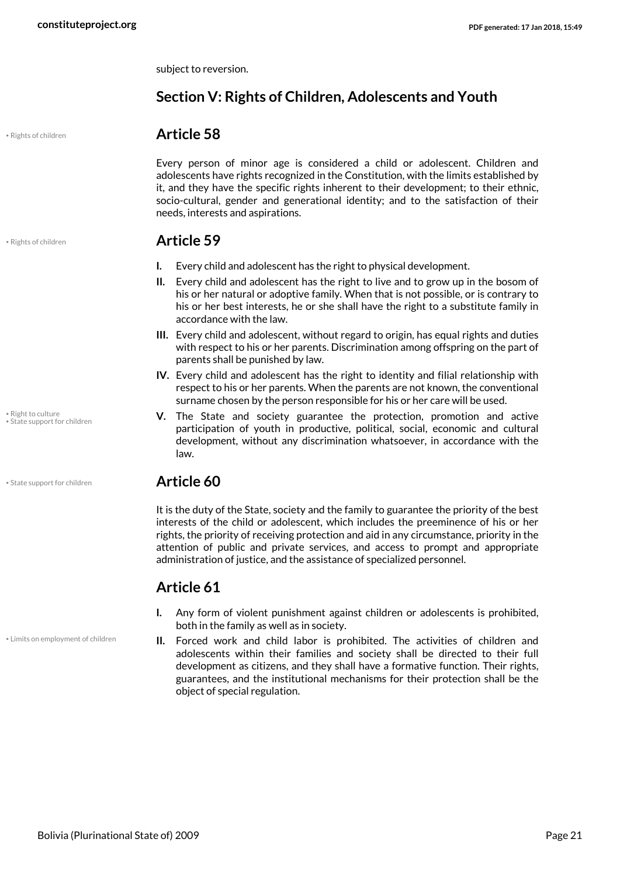subject to reversion.

# <span id="page-20-0"></span>**Section V: Rights of Children, Adolescents and Youth**

### • Rights of children **Article 58**

Every person of minor age is considered a child or adolescent. Children and adolescents have rights recognized in the Constitution, with the limits established by it, and they have the specific rights inherent to their development; to their ethnic, socio-cultural, gender and generational identity; and to the satisfaction of their needs, interests and aspirations.

### • Rights of children **Article 59**

- **I.** Every child and adolescent has the right to physical development.
- **II.** Every child and adolescent has the right to live and to grow up in the bosom of his or her natural or adoptive family. When that is not possible, or is contrary to his or her best interests, he or she shall have the right to a substitute family in accordance with the law.
- **III.** Every child and adolescent, without regard to origin, has equal rights and duties with respect to his or her parents. Discrimination among offspring on the part of parents shall be punished by law.
- **IV.** Every child and adolescent has the right to identity and filial relationship with respect to his or her parents. When the parents are not known, the conventional surname chosen by the person responsible for his or her care will be used.
- **V.** The State and society guarantee the protection, promotion and active participation of youth in productive, political, social, economic and cultural development, without any discrimination whatsoever, in accordance with the law.

### • State support for children **Article 60**

It is the duty of the State, society and the family to guarantee the priority of the best interests of the child or adolescent, which includes the preeminence of his or her rights, the priority of receiving protection and aid in any circumstance, priority in the attention of public and private services, and access to prompt and appropriate administration of justice, and the assistance of specialized personnel.

# **Article 61**

- **I.** Any form of violent punishment against children or adolescents is prohibited, both in the family as well as in society.
- **II.** Forced work and child labor is prohibited. The activities of children and adolescents within their families and society shall be directed to their full development as citizens, and they shall have a formative function. Their rights, guarantees, and the institutional mechanisms for their protection shall be the object of special regulation.

• Right to culture • State support for children

• Limits on employment of children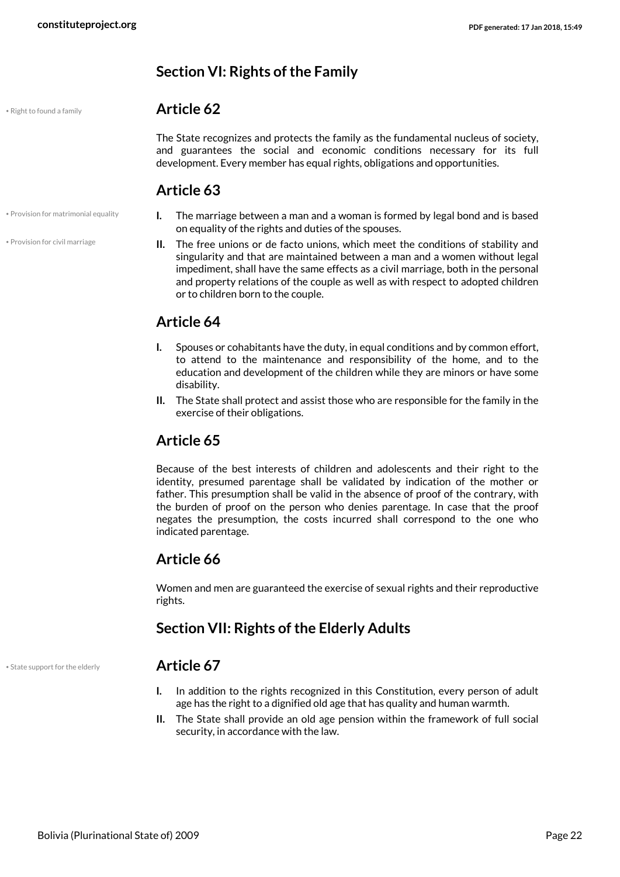# <span id="page-21-0"></span>**Section VI: Rights of the Family**

### • Right to found a family **Article 62**

The State recognizes and protects the family as the fundamental nucleus of society, and guarantees the social and economic conditions necessary for its full development. Every member has equal rights, obligations and opportunities.

# **Article 63**

• Provision for matrimonial equality

• Provision for civil marriage

- **I.** The marriage between a man and a woman is formed by legal bond and is based on equality of the rights and duties of the spouses.
- **II.** The free unions or de facto unions, which meet the conditions of stability and singularity and that are maintained between a man and a women without legal impediment, shall have the same effects as a civil marriage, both in the personal and property relations of the couple as well as with respect to adopted children or to children born to the couple.

# **Article 64**

- **I.** Spouses or cohabitants have the duty, in equal conditions and by common effort, to attend to the maintenance and responsibility of the home, and to the education and development of the children while they are minors or have some disability.
- **II.** The State shall protect and assist those who are responsible for the family in the exercise of their obligations.

# **Article 65**

Because of the best interests of children and adolescents and their right to the identity, presumed parentage shall be validated by indication of the mother or father. This presumption shall be valid in the absence of proof of the contrary, with the burden of proof on the person who denies parentage. In case that the proof negates the presumption, the costs incurred shall correspond to the one who indicated parentage.

# **Article 66**

Women and men are guaranteed the exercise of sexual rights and their reproductive rights.

# <span id="page-21-1"></span>**Section VII: Rights of the Elderly Adults**

### • State support for the elderly **Article 67**

- **I.** In addition to the rights recognized in this Constitution, every person of adult age has the right to a dignified old age that has quality and human warmth.
- **II.** The State shall provide an old age pension within the framework of full social security, in accordance with the law.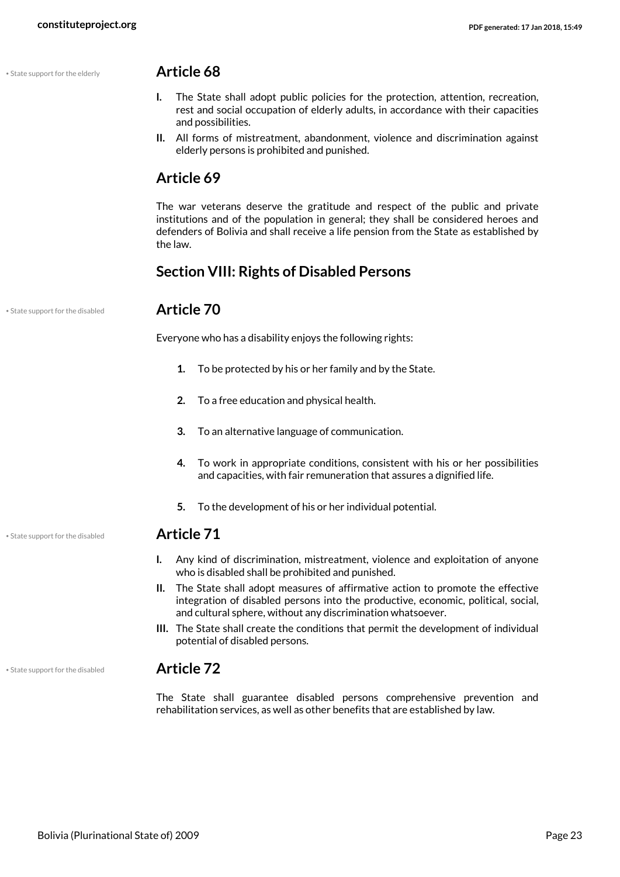• State support for the elderly **Article 68**

- **I.** The State shall adopt public policies for the protection, attention, recreation, rest and social occupation of elderly adults, in accordance with their capacities and possibilities.
- **II.** All forms of mistreatment, abandonment, violence and discrimination against elderly persons is prohibited and punished.

### **Article 69**

The war veterans deserve the gratitude and respect of the public and private institutions and of the population in general; they shall be considered heroes and defenders of Bolivia and shall receive a life pension from the State as established by the law.

### <span id="page-22-0"></span>**Section VIII: Rights of Disabled Persons**

### • State support for the disabled **Article 70**

Everyone who has a disability enjoys the following rights:

- **1.** To be protected by his or her family and by the State.
- **2.** To a free education and physical health.
- **3.** To an alternative language of communication.
- **4.** To work in appropriate conditions, consistent with his or her possibilities and capacities, with fair remuneration that assures a dignified life.
- **5.** To the development of his or her individual potential.

- **I.** Any kind of discrimination, mistreatment, violence and exploitation of anyone who is disabled shall be prohibited and punished.
- **II.** The State shall adopt measures of affirmative action to promote the effective integration of disabled persons into the productive, economic, political, social, and cultural sphere, without any discrimination whatsoever.
- **III.** The State shall create the conditions that permit the development of individual potential of disabled persons.

The State shall guarantee disabled persons comprehensive prevention and rehabilitation services, as well as other benefits that are established by law.

• State support for the disabled **Article 71**

• State support for the disabled **Article 72**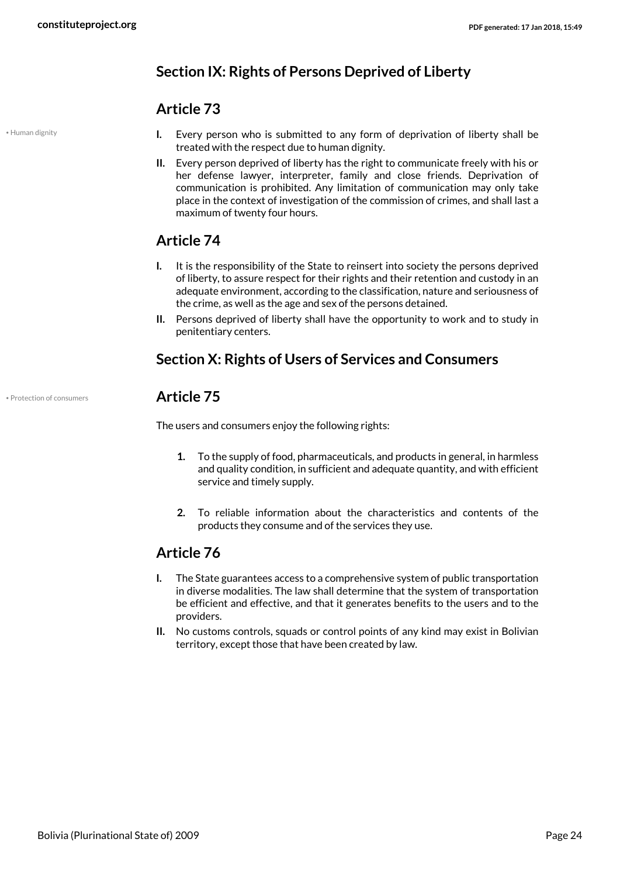# <span id="page-23-0"></span>**Section IX: Rights of Persons Deprived of Liberty**

### **Article 73**

• Human dignity

- **I.** Every person who is submitted to any form of deprivation of liberty shall be treated with the respect due to human dignity.
- **II.** Every person deprived of liberty has the right to communicate freely with his or her defense lawyer, interpreter, family and close friends. Deprivation of communication is prohibited. Any limitation of communication may only take place in the context of investigation of the commission of crimes, and shall last a maximum of twenty four hours.

### **Article 74**

- **I.** It is the responsibility of the State to reinsert into society the persons deprived of liberty, to assure respect for their rights and their retention and custody in an adequate environment, according to the classification, nature and seriousness of the crime, as well as the age and sex of the persons detained.
- **II.** Persons deprived of liberty shall have the opportunity to work and to study in penitentiary centers.

### **Section X: Rights of Users of Services and Consumers**

### • Protection of consumers **Article 75**

The users and consumers enjoy the following rights:

- <span id="page-23-1"></span>**1.** To the supply of food, pharmaceuticals, and products in general, in harmless and quality condition, in sufficient and adequate quantity, and with efficient service and timely supply.
- **2.** To reliable information about the characteristics and contents of the products they consume and of the services they use.

### **Article 76**

- **I.** The State guarantees access to a comprehensive system of public transportation in diverse modalities. The law shall determine that the system of transportation be efficient and effective, and that it generates benefits to the users and to the providers.
- **II.** No customs controls, squads or control points of any kind may exist in Bolivian territory, except those that have been created by law.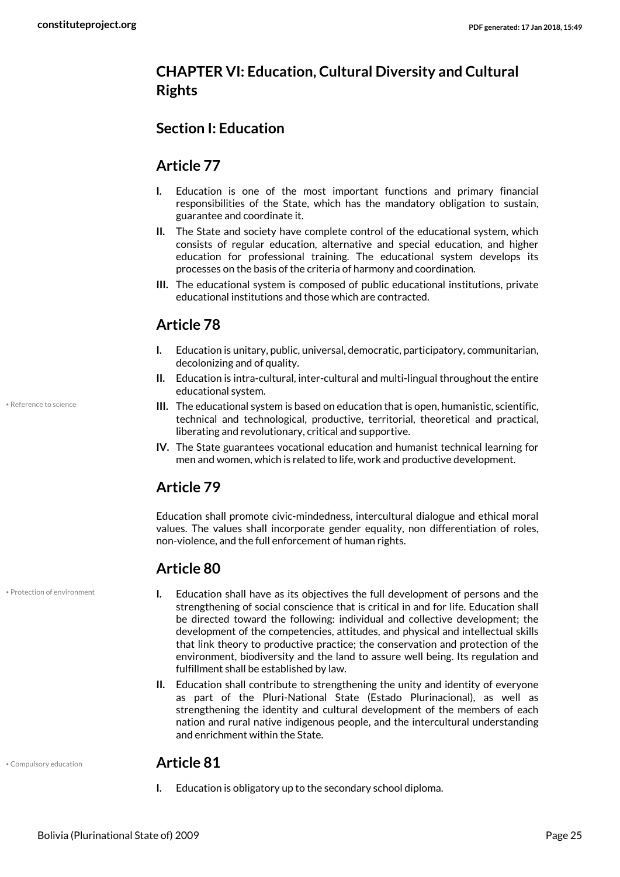# <span id="page-24-0"></span>**CHAPTER VI: Education, Cultural Diversity and Cultural Rights**

# <span id="page-24-1"></span>**Section I: Education**

# **Article 77**

- **I.** Education is one of the most important functions and primary financial responsibilities of the State, which has the mandatory obligation to sustain, guarantee and coordinate it.
- **II.** The State and society have complete control of the educational system, which consists of regular education, alternative and special education, and higher education for professional training. The educational system develops its processes on the basis of the criteria of harmony and coordination.
- **III.** The educational system is composed of public educational institutions, private educational institutions and those which are contracted.

# **Article 78**

- **I.** Education is unitary, public, universal, democratic, participatory, communitarian, decolonizing and of quality.
- **II.** Education is intra-cultural, inter-cultural and multi-lingual throughout the entire educational system.
- **III.** The educational system is based on education that is open, humanistic, scientific, technical and technological, productive, territorial, theoretical and practical, liberating and revolutionary, critical and supportive.
- **IV.** The State guarantees vocational education and humanist technical learning for men and women, which is related to life, work and productive development.

# **Article 79**

Education shall promote civic-mindedness, intercultural dialogue and ethical moral values. The values shall incorporate gender equality, non differentiation of roles, non-violence, and the full enforcement of human rights.

# **Article 80**

- **I.** Education shall have as its objectives the full development of persons and the strengthening of social conscience that is critical in and for life. Education shall be directed toward the following: individual and collective development; the development of the competencies, attitudes, and physical and intellectual skills that link theory to productive practice; the conservation and protection of the environment, biodiversity and the land to assure well being. Its regulation and fulfillment shall be established by law.
- **II.** Education shall contribute to strengthening the unity and identity of everyone as part of the Pluri-National State (Estado Plurinacional), as well as strengthening the identity and cultural development of the members of each nation and rural native indigenous people, and the intercultural understanding and enrichment within the State.

### • Compulsory education **Article 81**

**I.** Education is obligatory up to the secondary school diploma.

• Reference to science

• Protection of environment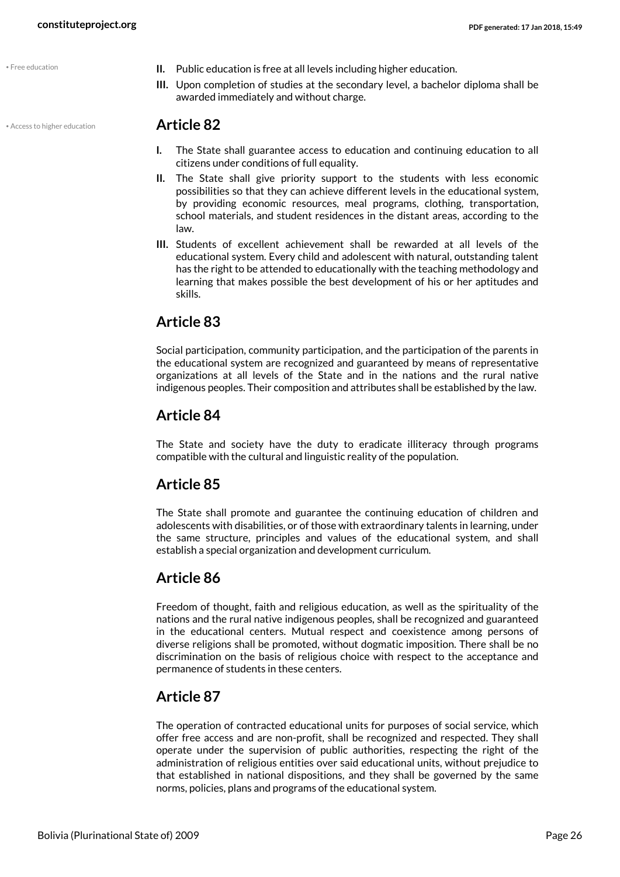• Access to higher education **Article 82**

- *•* Free education **is free education** is free at all levels including higher education.
	- **III.** Upon completion of studies at the secondary level, a bachelor diploma shall be awarded immediately and without charge.

- **I.** The State shall guarantee access to education and continuing education to all citizens under conditions of full equality.
- **II.** The State shall give priority support to the students with less economic possibilities so that they can achieve different levels in the educational system, by providing economic resources, meal programs, clothing, transportation, school materials, and student residences in the distant areas, according to the law.
- **III.** Students of excellent achievement shall be rewarded at all levels of the educational system. Every child and adolescent with natural, outstanding talent has the right to be attended to educationally with the teaching methodology and learning that makes possible the best development of his or her aptitudes and skills.

# **Article 83**

Social participation, community participation, and the participation of the parents in the educational system are recognized and guaranteed by means of representative organizations at all levels of the State and in the nations and the rural native indigenous peoples. Their composition and attributes shall be established by the law.

# **Article 84**

The State and society have the duty to eradicate illiteracy through programs compatible with the cultural and linguistic reality of the population.

### **Article 85**

The State shall promote and guarantee the continuing education of children and adolescents with disabilities, or of those with extraordinary talents in learning, under the same structure, principles and values of the educational system, and shall establish a special organization and development curriculum.

### **Article 86**

Freedom of thought, faith and religious education, as well as the spirituality of the nations and the rural native indigenous peoples, shall be recognized and guaranteed in the educational centers. Mutual respect and coexistence among persons of diverse religions shall be promoted, without dogmatic imposition. There shall be no discrimination on the basis of religious choice with respect to the acceptance and permanence of students in these centers.

# **Article 87**

The operation of contracted educational units for purposes of social service, which offer free access and are non-profit, shall be recognized and respected. They shall operate under the supervision of public authorities, respecting the right of the administration of religious entities over said educational units, without prejudice to that established in national dispositions, and they shall be governed by the same norms, policies, plans and programs of the educational system.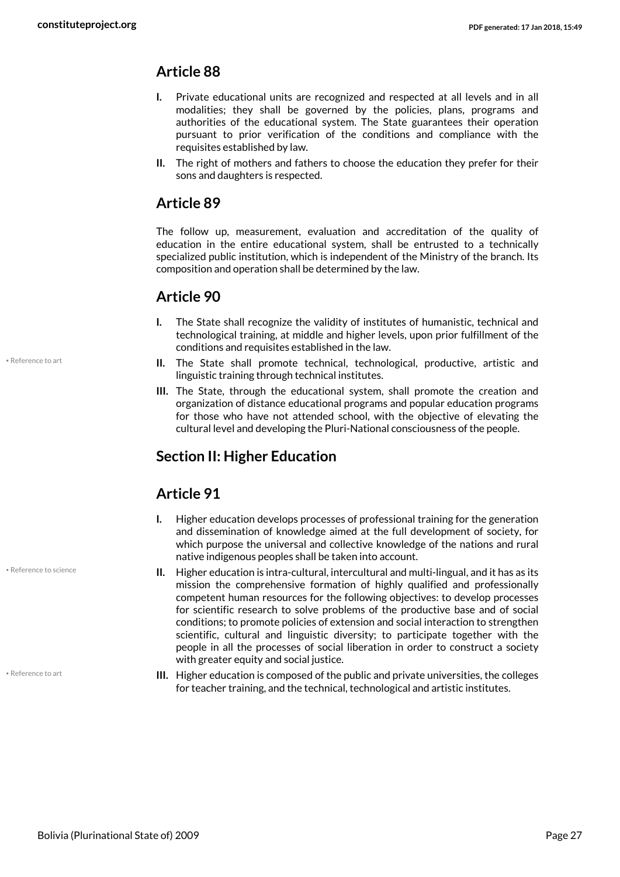- **I.** Private educational units are recognized and respected at all levels and in all modalities; they shall be governed by the policies, plans, programs and authorities of the educational system. The State guarantees their operation pursuant to prior verification of the conditions and compliance with the requisites established by law.
- **II.** The right of mothers and fathers to choose the education they prefer for their sons and daughters is respected.

### **Article 89**

The follow up, measurement, evaluation and accreditation of the quality of education in the entire educational system, shall be entrusted to a technically specialized public institution, which is independent of the Ministry of the branch. Its composition and operation shall be determined by the law.

### **Article 90**

- **I.** The State shall recognize the validity of institutes of humanistic, technical and technological training, at middle and higher levels, upon prior fulfillment of the conditions and requisites established in the law.
- **II.** The State shall promote technical, technological, productive, artistic and linguistic training through technical institutes.
- **III.** The State, through the educational system, shall promote the creation and organization of distance educational programs and popular education programs for those who have not attended school, with the objective of elevating the cultural level and developing the Pluri-National consciousness of the people.

# <span id="page-26-0"></span>**Section II: Higher Education**

### **Article 91**

- **I.** Higher education develops processes of professional training for the generation and dissemination of knowledge aimed at the full development of society, for which purpose the universal and collective knowledge of the nations and rural native indigenous peoples shall be taken into account.
- **II.** Higher education is intra-cultural, intercultural and multi-lingual, and it has as its mission the comprehensive formation of highly qualified and professionally competent human resources for the following objectives: to develop processes for scientific research to solve problems of the productive base and of social conditions; to promote policies of extension and social interaction to strengthen scientific, cultural and linguistic diversity; to participate together with the people in all the processes of social liberation in order to construct a society with greater equity and social justice.
- **III.** Higher education is composed of the public and private universities, the colleges for teacher training, and the technical, technological and artistic institutes.

• Reference to art

• Reference to science

• Reference to art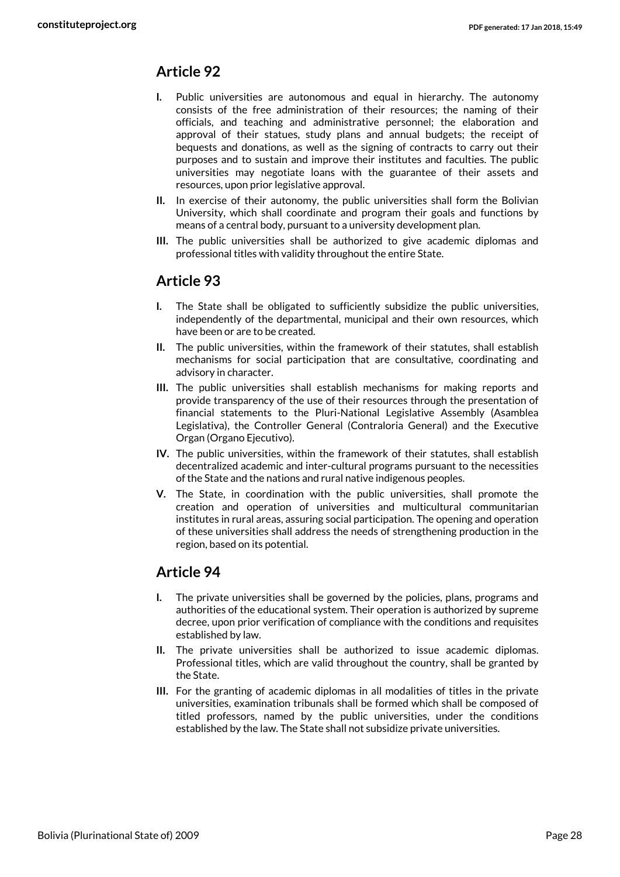- **I.** Public universities are autonomous and equal in hierarchy. The autonomy consists of the free administration of their resources; the naming of their officials, and teaching and administrative personnel; the elaboration and approval of their statues, study plans and annual budgets; the receipt of bequests and donations, as well as the signing of contracts to carry out their purposes and to sustain and improve their institutes and faculties. The public universities may negotiate loans with the guarantee of their assets and resources, upon prior legislative approval.
- **II.** In exercise of their autonomy, the public universities shall form the Bolivian University, which shall coordinate and program their goals and functions by means of a central body, pursuant to a university development plan.
- **III.** The public universities shall be authorized to give academic diplomas and professional titles with validity throughout the entire State.

### **Article 93**

- **I.** The State shall be obligated to sufficiently subsidize the public universities, independently of the departmental, municipal and their own resources, which have been or are to be created.
- **II.** The public universities, within the framework of their statutes, shall establish mechanisms for social participation that are consultative, coordinating and advisory in character.
- **III.** The public universities shall establish mechanisms for making reports and provide transparency of the use of their resources through the presentation of financial statements to the Pluri-National Legislative Assembly (Asamblea Legislativa), the Controller General (Contraloria General) and the Executive Organ (Organo Ejecutivo).
- **IV.** The public universities, within the framework of their statutes, shall establish decentralized academic and inter-cultural programs pursuant to the necessities of the State and the nations and rural native indigenous peoples.
- **V.** The State, in coordination with the public universities, shall promote the creation and operation of universities and multicultural communitarian institutes in rural areas, assuring social participation. The opening and operation of these universities shall address the needs of strengthening production in the region, based on its potential.

### **Article 94**

- **I.** The private universities shall be governed by the policies, plans, programs and authorities of the educational system. Their operation is authorized by supreme decree, upon prior verification of compliance with the conditions and requisites established by law.
- **II.** The private universities shall be authorized to issue academic diplomas. Professional titles, which are valid throughout the country, shall be granted by the State.
- **III.** For the granting of academic diplomas in all modalities of titles in the private universities, examination tribunals shall be formed which shall be composed of titled professors, named by the public universities, under the conditions established by the law. The State shall not subsidize private universities.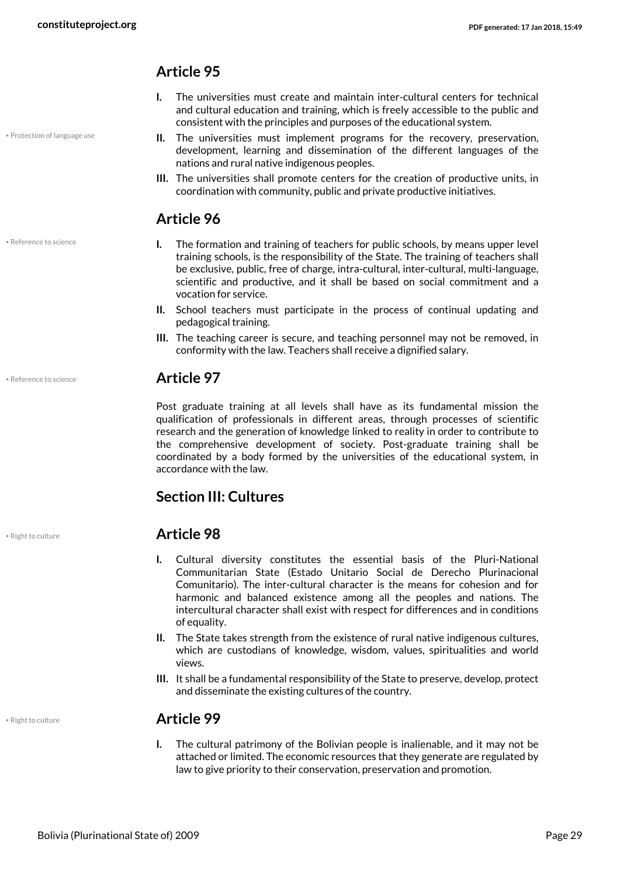• Protection of language use

• Reference to science

**I.** The universities must create and maintain inter-cultural centers for technical and cultural education and training, which is freely accessible to the public and consistent with the principles and purposes of the educational system.

- **II.** The universities must implement programs for the recovery, preservation, development, learning and dissemination of the different languages of the nations and rural native indigenous peoples.
- **III.** The universities shall promote centers for the creation of productive units, in coordination with community, public and private productive initiatives.

### **Article 96**

- **I.** The formation and training of teachers for public schools, by means upper level training schools, is the responsibility of the State. The training of teachers shall be exclusive, public, free of charge, intra-cultural, inter-cultural, multi-language, scientific and productive, and it shall be based on social commitment and a vocation for service.
- **II.** School teachers must participate in the process of continual updating and pedagogical training.
- **III.** The teaching career is secure, and teaching personnel may not be removed, in conformity with the law. Teachers shall receive a dignified salary.

### • Reference to science **Article 97**

Post graduate training at all levels shall have as its fundamental mission the qualification of professionals in different areas, through processes of scientific research and the generation of knowledge linked to reality in order to contribute to the comprehensive development of society. Post-graduate training shall be coordinated by a body formed by the universities of the educational system, in accordance with the law.

### <span id="page-28-0"></span>**Section III: Cultures**

### • Right to culture **Article 98**

- **I.** Cultural diversity constitutes the essential basis of the Pluri-National Communitarian State (Estado Unitario Social de Derecho Plurinacional Comunitario). The inter-cultural character is the means for cohesion and for harmonic and balanced existence among all the peoples and nations. The intercultural character shall exist with respect for differences and in conditions of equality.
- **II.** The State takes strength from the existence of rural native indigenous cultures, which are custodians of knowledge, wisdom, values, spiritualities and world views.
- **III.** It shall be a fundamental responsibility of the State to preserve, develop, protect and disseminate the existing cultures of the country.

### • Right to culture **Article 99**

**I.** The cultural patrimony of the Bolivian people is inalienable, and it may not be attached or limited. The economic resources that they generate are regulated by law to give priority to their conservation, preservation and promotion.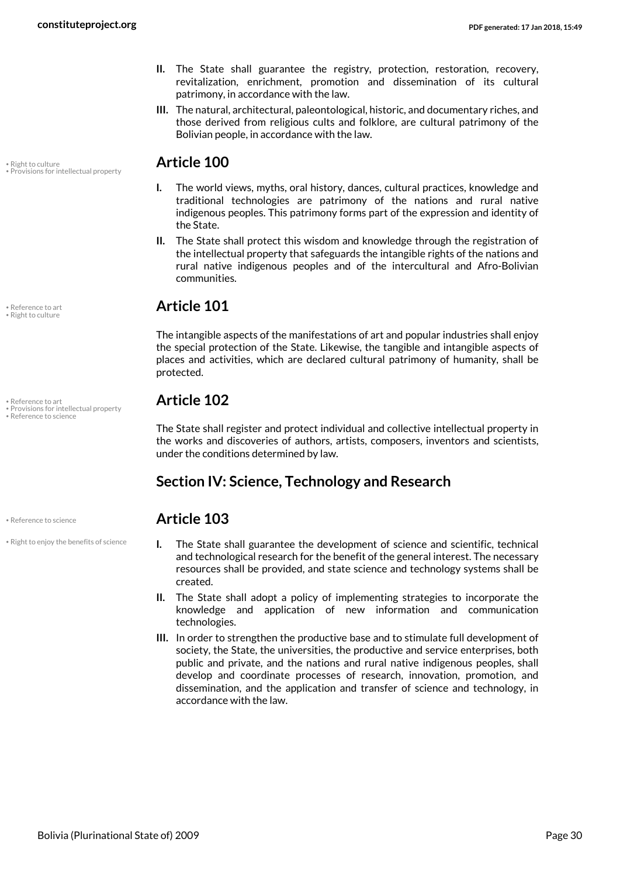- **II.** The State shall guarantee the registry, protection, restoration, recovery, revitalization, enrichment, promotion and dissemination of its cultural patrimony, in accordance with the law.
- **III.** The natural, architectural, paleontological, historic, and documentary riches, and those derived from religious cults and folklore, are cultural patrimony of the Bolivian people, in accordance with the law.

- **I.** The world views, myths, oral history, dances, cultural practices, knowledge and traditional technologies are patrimony of the nations and rural native indigenous peoples. This patrimony forms part of the expression and identity of the State.
- **II.** The State shall protect this wisdom and knowledge through the registration of the intellectual property that safeguards the intangible rights of the nations and rural native indigenous peoples and of the intercultural and Afro-Bolivian communities.

# • Reference to art **Article 101** • Right to culture

The intangible aspects of the manifestations of art and popular industries shall enjoy the special protection of the State. Likewise, the tangible and intangible aspects of places and activities, which are declared cultural patrimony of humanity, shall be protected.

# • Reference to art **Article 102** • Provisions for intellectual property

The State shall register and protect individual and collective intellectual property in the works and discoveries of authors, artists, composers, inventors and scientists, under the conditions determined by law.

# <span id="page-29-0"></span>**Section IV: Science, Technology and Research**

### • Reference to science **Article 103**

- **I.** The State shall guarantee the development of science and scientific, technical and technological research for the benefit of the general interest. The necessary resources shall be provided, and state science and technology systems shall be created.
- **II.** The State shall adopt a policy of implementing strategies to incorporate the knowledge and application of new information and communication technologies.
- **III.** In order to strengthen the productive base and to stimulate full development of society, the State, the universities, the productive and service enterprises, both public and private, and the nations and rural native indigenous peoples, shall develop and coordinate processes of research, innovation, promotion, and dissemination, and the application and transfer of science and technology, in accordance with the law.

• Right to culture **Article 100** • Provisions for intellectual property

• Reference to science

• Right to enjoy the benefits of science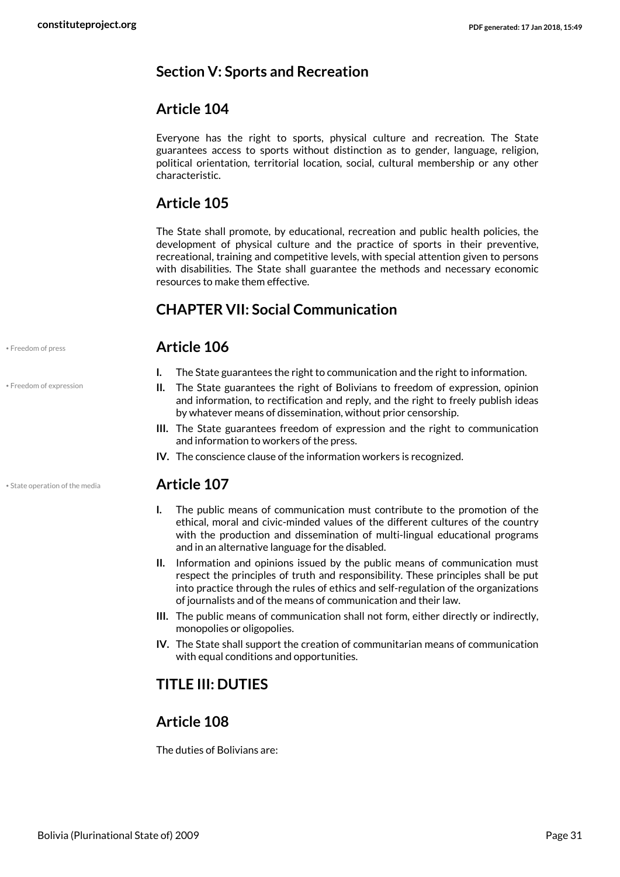### <span id="page-30-0"></span>**Section V: Sports and Recreation**

# **Article 104**

Everyone has the right to sports, physical culture and recreation. The State guarantees access to sports without distinction as to gender, language, religion, political orientation, territorial location, social, cultural membership or any other characteristic.

# **Article 105**

The State shall promote, by educational, recreation and public health policies, the development of physical culture and the practice of sports in their preventive, recreational, training and competitive levels, with special attention given to persons with disabilities. The State shall guarantee the methods and necessary economic resources to make them effective.

# <span id="page-30-1"></span>**CHAPTER VII: Social Communication**

# • Freedom of press **Article 106**

- **I.** The State guarantees the right to communication and the right to information.
- **II.** The State guarantees the right of Bolivians to freedom of expression, opinion and information, to rectification and reply, and the right to freely publish ideas by whatever means of dissemination, without prior censorship.
- **III.** The State guarantees freedom of expression and the right to communication and information to workers of the press.
- **IV.** The conscience clause of the information workers is recognized.

# • State operation of the media **Article 107**

- **I.** The public means of communication must contribute to the promotion of the ethical, moral and civic-minded values of the different cultures of the country with the production and dissemination of multi-lingual educational programs and in an alternative language for the disabled.
- **II.** Information and opinions issued by the public means of communication must respect the principles of truth and responsibility. These principles shall be put into practice through the rules of ethics and self-regulation of the organizations of journalists and of the means of communication and their law.
- **III.** The public means of communication shall not form, either directly or indirectly, monopolies or oligopolies.
- **IV.** The State shall support the creation of communitarian means of communication with equal conditions and opportunities.

# <span id="page-30-2"></span>**TITLE III: DUTIES**

# **Article 108**

The duties of Bolivians are:

• Freedom of expression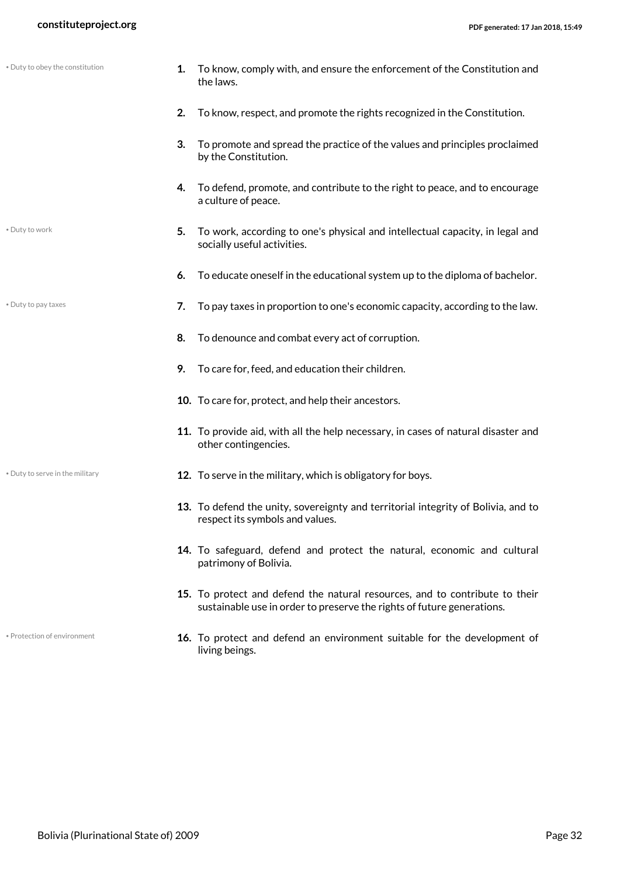### **constituteproject.org PDF generated: 17 Jan 2018, 15:49**

| . Duty to obey the constitution | 1. | To know, comply with, and ensure the enforcement of the Constitution and<br>the laws.                                                                 |
|---------------------------------|----|-------------------------------------------------------------------------------------------------------------------------------------------------------|
|                                 | 2. | To know, respect, and promote the rights recognized in the Constitution.                                                                              |
|                                 | 3. | To promote and spread the practice of the values and principles proclaimed<br>by the Constitution.                                                    |
|                                 | 4. | To defend, promote, and contribute to the right to peace, and to encourage<br>a culture of peace.                                                     |
| • Duty to work                  | 5. | To work, according to one's physical and intellectual capacity, in legal and<br>socially useful activities.                                           |
|                                 | 6. | To educate oneself in the educational system up to the diploma of bachelor.                                                                           |
| • Duty to pay taxes             | 7. | To pay taxes in proportion to one's economic capacity, according to the law.                                                                          |
|                                 | 8. | To denounce and combat every act of corruption.                                                                                                       |
|                                 | 9. | To care for, feed, and education their children.                                                                                                      |
|                                 |    | 10. To care for, protect, and help their ancestors.                                                                                                   |
|                                 |    | 11. To provide aid, with all the help necessary, in cases of natural disaster and<br>other contingencies.                                             |
| . Duty to serve in the military |    | 12. To serve in the military, which is obligatory for boys.                                                                                           |
|                                 |    | 13. To defend the unity, sovereignty and territorial integrity of Bolivia, and to<br>respect its symbols and values.                                  |
|                                 |    | 14. To safeguard, defend and protect the natural, economic and cultural<br>patrimony of Bolivia.                                                      |
|                                 |    | 15. To protect and defend the natural resources, and to contribute to their<br>sustainable use in order to preserve the rights of future generations. |

• Protection of environment

**16.** To protect and defend an environment suitable for the development of living beings.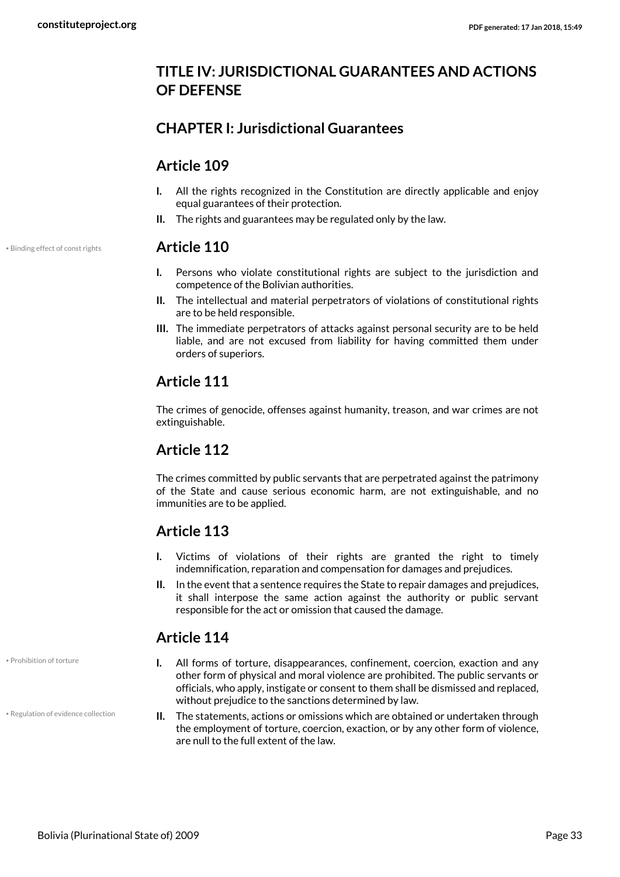# <span id="page-32-0"></span>**TITLE IV: JURISDICTIONAL GUARANTEES AND ACTIONS OF DEFENSE**

# <span id="page-32-1"></span>**CHAPTER I: Jurisdictional Guarantees**

# **Article 109**

- **I.** All the rights recognized in the Constitution are directly applicable and enjoy equal guarantees of their protection.
- **II.** The rights and guarantees may be regulated only by the law.

### • Binding effect of const rights **Article 110**

- **I.** Persons who violate constitutional rights are subject to the jurisdiction and competence of the Bolivian authorities.
- **II.** The intellectual and material perpetrators of violations of constitutional rights are to be held responsible.
- **III.** The immediate perpetrators of attacks against personal security are to be held liable, and are not excused from liability for having committed them under orders of superiors.

# **Article 111**

The crimes of genocide, offenses against humanity, treason, and war crimes are not extinguishable.

# **Article 112**

The crimes committed by public servants that are perpetrated against the patrimony of the State and cause serious economic harm, are not extinguishable, and no immunities are to be applied.

# **Article 113**

- **I.** Victims of violations of their rights are granted the right to timely indemnification, reparation and compensation for damages and prejudices.
- **II.** In the event that a sentence requires the State to repair damages and prejudices, it shall interpose the same action against the authority or public servant responsible for the act or omission that caused the damage.

# **Article 114**

• Prohibition of torture

• Regulation of evidence collection

- **I.** All forms of torture, disappearances, confinement, coercion, exaction and any other form of physical and moral violence are prohibited. The public servants or officials, who apply, instigate or consent to them shall be dismissed and replaced, without prejudice to the sanctions determined by law.
- **II.** The statements, actions or omissions which are obtained or undertaken through the employment of torture, coercion, exaction, or by any other form of violence, are null to the full extent of the law.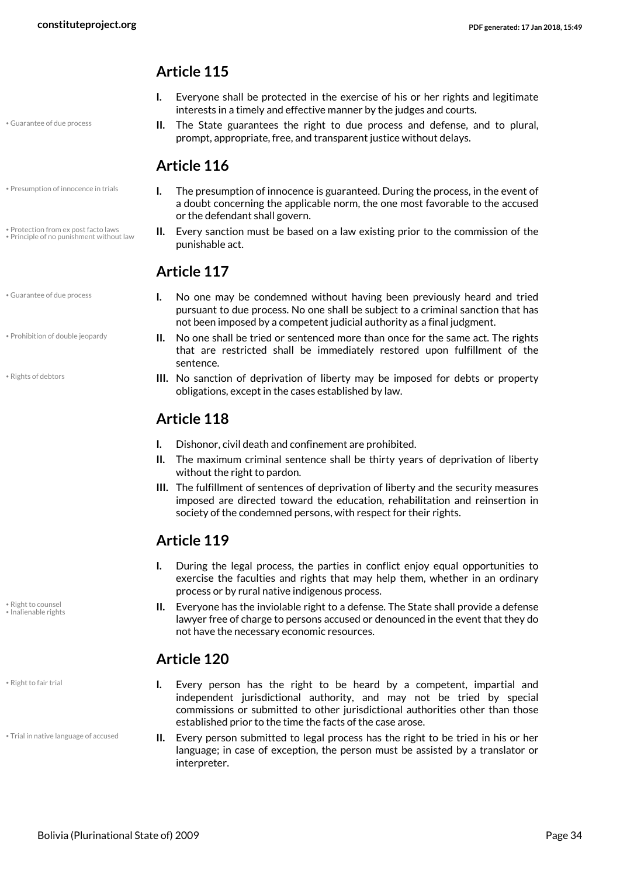• Guarantee of due process

- Presumption of innocence in trials
- Protection from ex post facto laws • Principle of no punishment without law

• Guarantee of due process

- Prohibition of double jeopardy
- Rights of debtors

• Right to counsel • Inalienable rights

• Right to fair trial

• Trial in native language of accused

- **I.** Everyone shall be protected in the exercise of his or her rights and legitimate interests in a timely and effective manner by the judges and courts.
- **II.** The State guarantees the right to due process and defense, and to plural, prompt, appropriate, free, and transparent justice without delays.

# **Article 116**

- **I.** The presumption of innocence is guaranteed. During the process, in the event of a doubt concerning the applicable norm, the one most favorable to the accused or the defendant shall govern.
- **II.** Every sanction must be based on a law existing prior to the commission of the punishable act.

# **Article 117**

- **I.** No one may be condemned without having been previously heard and tried pursuant to due process. No one shall be subject to a criminal sanction that has not been imposed by a competent judicial authority as a final judgment.
- **II.** No one shall be tried or sentenced more than once for the same act. The rights that are restricted shall be immediately restored upon fulfillment of the sentence.
- **III.** No sanction of deprivation of liberty may be imposed for debts or property obligations, except in the cases established by law.

# **Article 118**

- **I.** Dishonor, civil death and confinement are prohibited.
- **II.** The maximum criminal sentence shall be thirty years of deprivation of liberty without the right to pardon.
- **III.** The fulfillment of sentences of deprivation of liberty and the security measures imposed are directed toward the education, rehabilitation and reinsertion in society of the condemned persons, with respect for their rights.

# **Article 119**

- **I.** During the legal process, the parties in conflict enjoy equal opportunities to exercise the faculties and rights that may help them, whether in an ordinary process or by rural native indigenous process.
- **II.** Everyone has the inviolable right to a defense. The State shall provide a defense lawyer free of charge to persons accused or denounced in the event that they do not have the necessary economic resources.

# **Article 120**

- **I.** Every person has the right to be heard by a competent, impartial and independent jurisdictional authority, and may not be tried by special commissions or submitted to other jurisdictional authorities other than those established prior to the time the facts of the case arose.
- **II.** Every person submitted to legal process has the right to be tried in his or her language; in case of exception, the person must be assisted by a translator or interpreter.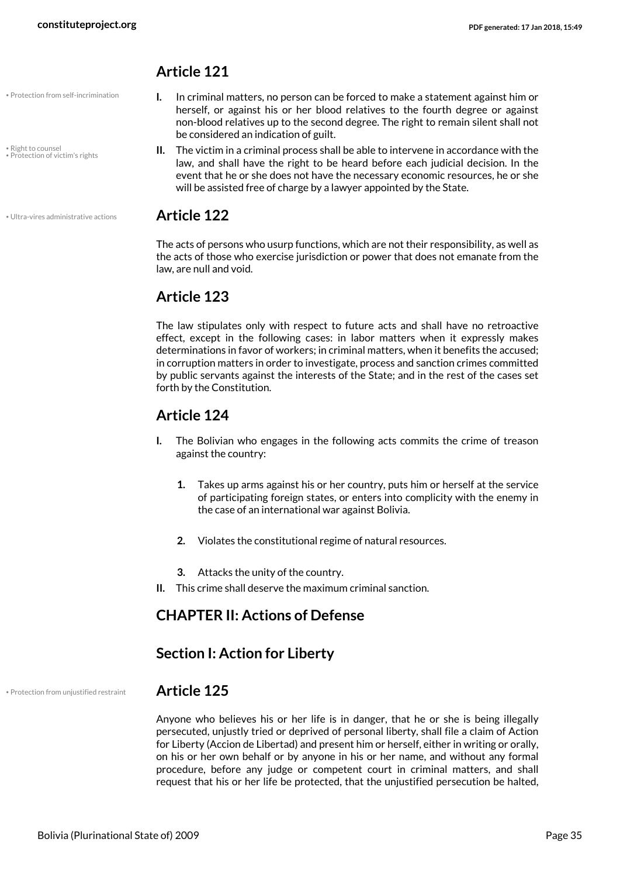• Protection from self-incrimination

- Right to counsel • Protection of victim's rights
- Ultra-vires administrative actions **Article 122**

### **I.** In criminal matters, no person can be forced to make a statement against him or herself, or against his or her blood relatives to the fourth degree or against non-blood relatives up to the second degree. The right to remain silent shall not be considered an indication of guilt.

**II.** The victim in a criminal process shall be able to intervene in accordance with the law, and shall have the right to be heard before each judicial decision. In the event that he or she does not have the necessary economic resources, he or she will be assisted free of charge by a lawyer appointed by the State.

The acts of persons who usurp functions, which are not their responsibility, as well as the acts of those who exercise jurisdiction or power that does not emanate from the law, are null and void.

# **Article 123**

The law stipulates only with respect to future acts and shall have no retroactive effect, except in the following cases: in labor matters when it expressly makes determinations in favor of workers; in criminal matters, when it benefits the accused; in corruption matters in order to investigate, process and sanction crimes committed by public servants against the interests of the State; and in the rest of the cases set forth by the Constitution.

# **Article 124**

- **I.** The Bolivian who engages in the following acts commits the crime of treason against the country:
	- **1.** Takes up arms against his or her country, puts him or herself at the service of participating foreign states, or enters into complicity with the enemy in the case of an international war against Bolivia.
	- **2.** Violates the constitutional regime of natural resources.
	- **3.** Attacks the unity of the country.
- **II.** This crime shall deserve the maximum criminal sanction.

# <span id="page-34-0"></span>**CHAPTER II: Actions of Defense**

### <span id="page-34-1"></span>**Section I: Action for Liberty**

### • Protection from unjustified restraint **Article 125**

Anyone who believes his or her life is in danger, that he or she is being illegally persecuted, unjustly tried or deprived of personal liberty, shall file a claim of Action for Liberty (Accion de Libertad) and present him or herself, either in writing or orally, on his or her own behalf or by anyone in his or her name, and without any formal procedure, before any judge or competent court in criminal matters, and shall request that his or her life be protected, that the unjustified persecution be halted,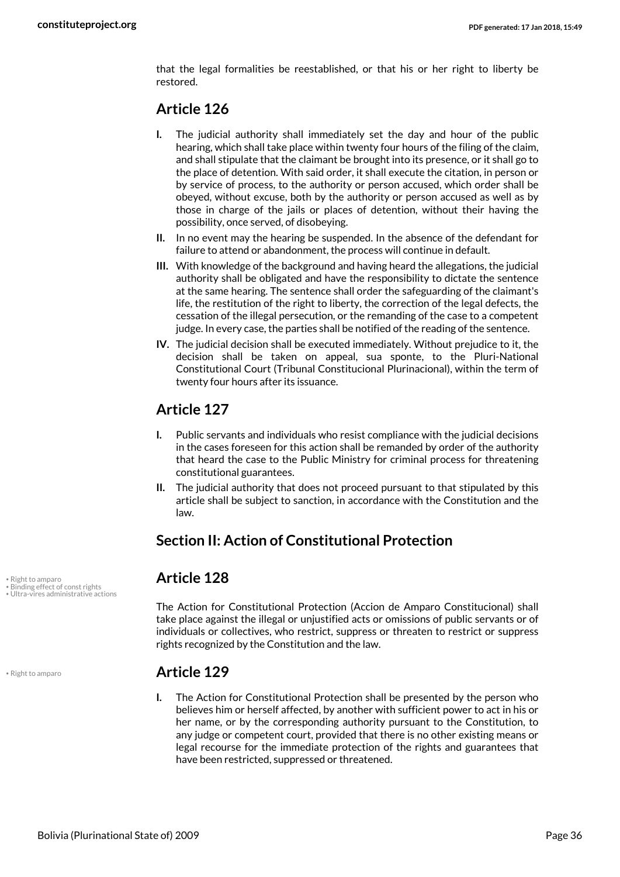that the legal formalities be reestablished, or that his or her right to liberty be restored.

### **Article 126**

- **I.** The judicial authority shall immediately set the day and hour of the public hearing, which shall take place within twenty four hours of the filing of the claim, and shall stipulate that the claimant be brought into its presence, or it shall go to the place of detention. With said order, it shall execute the citation, in person or by service of process, to the authority or person accused, which order shall be obeyed, without excuse, both by the authority or person accused as well as by those in charge of the jails or places of detention, without their having the possibility, once served, of disobeying.
- **II.** In no event may the hearing be suspended. In the absence of the defendant for failure to attend or abandonment, the process will continue in default.
- **III.** With knowledge of the background and having heard the allegations, the judicial authority shall be obligated and have the responsibility to dictate the sentence at the same hearing. The sentence shall order the safeguarding of the claimant's life, the restitution of the right to liberty, the correction of the legal defects, the cessation of the illegal persecution, or the remanding of the case to a competent judge. In every case, the parties shall be notified of the reading of the sentence.
- **IV.** The judicial decision shall be executed immediately. Without prejudice to it, the decision shall be taken on appeal, sua sponte, to the Pluri-National Constitutional Court (Tribunal Constitucional Plurinacional), within the term of twenty four hours after its issuance.

### **Article 127**

- **I.** Public servants and individuals who resist compliance with the judicial decisions in the cases foreseen for this action shall be remanded by order of the authority that heard the case to the Public Ministry for criminal process for threatening constitutional guarantees.
- **II.** The judicial authority that does not proceed pursuant to that stipulated by this article shall be subject to sanction, in accordance with the Constitution and the law.

### <span id="page-35-0"></span>**Section II: Action of Constitutional Protection**

# • Right to amparo **Article 128** • Binding effect of const rights

The Action for Constitutional Protection (Accion de Amparo Constitucional) shall take place against the illegal or unjustified acts or omissions of public servants or of individuals or collectives, who restrict, suppress or threaten to restrict or suppress rights recognized by the Constitution and the law.

### • Right to amparo **Article 129**

**I.** The Action for Constitutional Protection shall be presented by the person who believes him or herself affected, by another with sufficient power to act in his or her name, or by the corresponding authority pursuant to the Constitution, to any judge or competent court, provided that there is no other existing means or legal recourse for the immediate protection of the rights and guarantees that have been restricted, suppressed or threatened.

• Ultra-vires administrative actions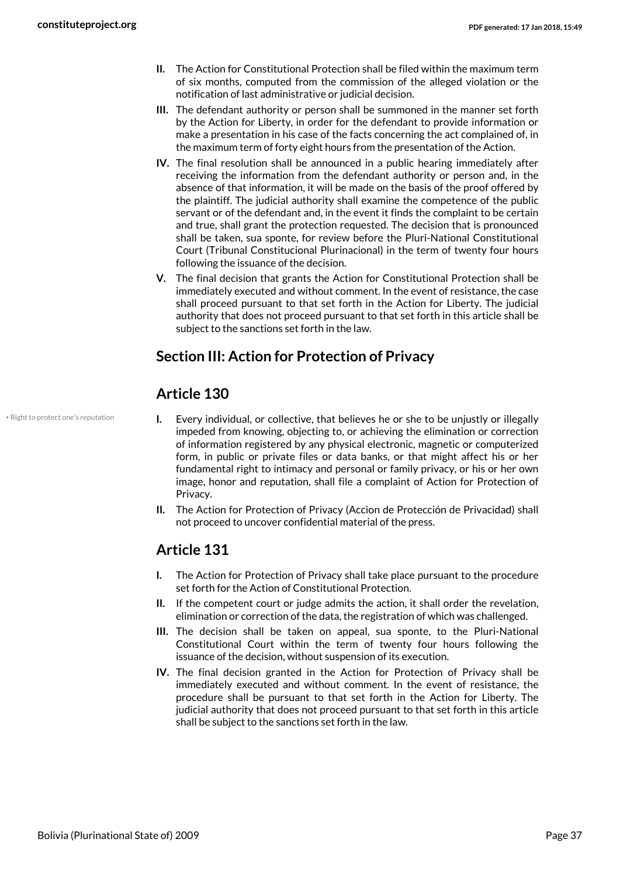- **II.** The Action for Constitutional Protection shall be filed within the maximum term of six months, computed from the commission of the alleged violation or the notification of last administrative or judicial decision.
- **III.** The defendant authority or person shall be summoned in the manner set forth by the Action for Liberty, in order for the defendant to provide information or make a presentation in his case of the facts concerning the act complained of, in the maximum term of forty eight hours from the presentation of the Action.
- **IV.** The final resolution shall be announced in a public hearing immediately after receiving the information from the defendant authority or person and, in the absence of that information, it will be made on the basis of the proof offered by the plaintiff. The judicial authority shall examine the competence of the public servant or of the defendant and, in the event it finds the complaint to be certain and true, shall grant the protection requested. The decision that is pronounced shall be taken, sua sponte, for review before the Pluri-National Constitutional Court (Tribunal Constitucional Plurinacional) in the term of twenty four hours following the issuance of the decision.
- **V.** The final decision that grants the Action for Constitutional Protection shall be immediately executed and without comment. In the event of resistance, the case shall proceed pursuant to that set forth in the Action for Liberty. The judicial authority that does not proceed pursuant to that set forth in this article shall be subject to the sanctions set forth in the law.

### **Section III: Action for Protection of Privacy**

#### **Article 130**

• Right to protect one's reputation

- **I.** Every individual, or collective, that believes he or she to be unjustly or illegally impeded from knowing, objecting to, or achieving the elimination or correction of information registered by any physical electronic, magnetic or computerized form, in public or private files or data banks, or that might affect his or her fundamental right to intimacy and personal or family privacy, or his or her own image, honor and reputation, shall file a complaint of Action for Protection of Privacy.
- **II.** The Action for Protection of Privacy (Accion de Protección de Privacidad) shall not proceed to uncover confidential material of the press.

### **Article 131**

- The Action for Protection of Privacy shall take place pursuant to the procedure set forth for the Action of Constitutional Protection.
- **II.** If the competent court or judge admits the action, it shall order the revelation, elimination or correction of the data, the registration of which was challenged.
- **III.** The decision shall be taken on appeal, sua sponte, to the Pluri-National Constitutional Court within the term of twenty four hours following the issuance of the decision, without suspension of its execution.
- **IV.** The final decision granted in the Action for Protection of Privacy shall be immediately executed and without comment. In the event of resistance, the procedure shall be pursuant to that set forth in the Action for Liberty. The judicial authority that does not proceed pursuant to that set forth in this article shall be subject to the sanctions set forth in the law.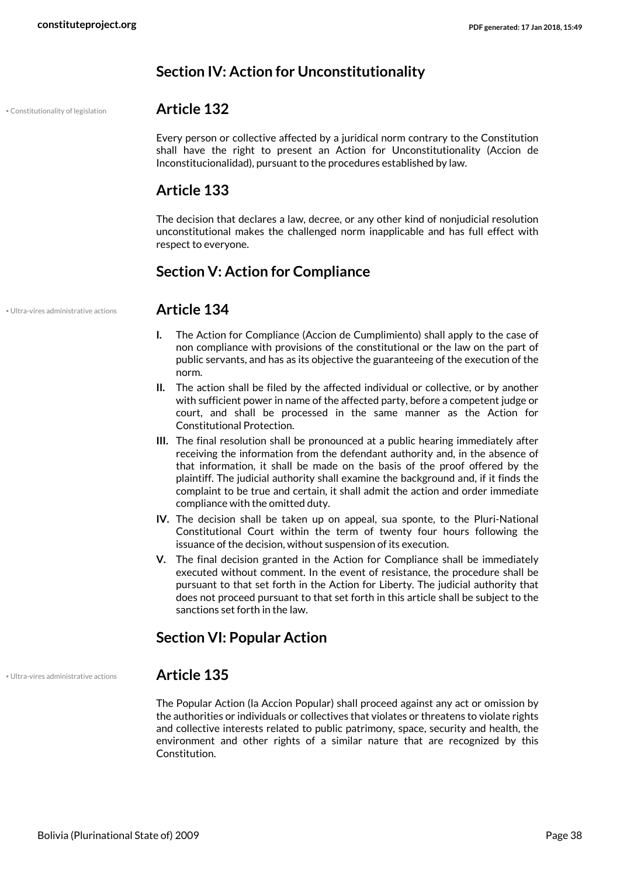#### **Section IV: Action for Unconstitutionality**

#### • Constitutionality of legislation **Article 132**

Every person or collective affected by a juridical norm contrary to the Constitution shall have the right to present an Action for Unconstitutionality (Accion de Inconstitucionalidad), pursuant to the procedures established by law.

#### **Article 133**

The decision that declares a law, decree, or any other kind of nonjudicial resolution unconstitutional makes the challenged norm inapplicable and has full effect with respect to everyone.

#### **Section V: Action for Compliance**

#### • Ultra-vires administrative actions **Article 134**

- **I.** The Action for Compliance (Accion de Cumplimiento) shall apply to the case of non compliance with provisions of the constitutional or the law on the part of public servants, and has as its objective the guaranteeing of the execution of the norm.
- **II.** The action shall be filed by the affected individual or collective, or by another with sufficient power in name of the affected party, before a competent judge or court, and shall be processed in the same manner as the Action for Constitutional Protection.
- **III.** The final resolution shall be pronounced at a public hearing immediately after receiving the information from the defendant authority and, in the absence of that information, it shall be made on the basis of the proof offered by the plaintiff. The judicial authority shall examine the background and, if it finds the complaint to be true and certain, it shall admit the action and order immediate compliance with the omitted duty.
- **IV.** The decision shall be taken up on appeal, sua sponte, to the Pluri-National Constitutional Court within the term of twenty four hours following the issuance of the decision, without suspension of its execution.
- **V.** The final decision granted in the Action for Compliance shall be immediately executed without comment. In the event of resistance, the procedure shall be pursuant to that set forth in the Action for Liberty. The judicial authority that does not proceed pursuant to that set forth in this article shall be subject to the sanctions set forth in the law.

#### **Section VI: Popular Action**

#### • Ultra-vires administrative actions **Article 135**

The Popular Action (la Accion Popular) shall proceed against any act or omission by the authorities or individuals or collectives that violates or threatens to violate rights and collective interests related to public patrimony, space, security and health, the environment and other rights of a similar nature that are recognized by this Constitution.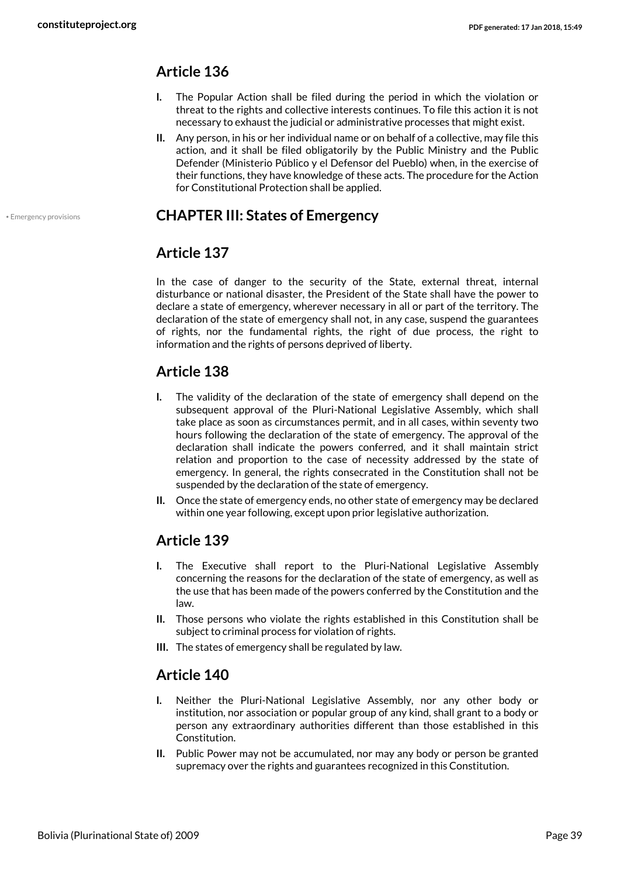#### **Article 136**

- **I.** The Popular Action shall be filed during the period in which the violation or threat to the rights and collective interests continues. To file this action it is not necessary to exhaust the judicial or administrative processes that might exist.
- **II.** Any person, in his or her individual name or on behalf of a collective, may file this action, and it shall be filed obligatorily by the Public Ministry and the Public Defender (Ministerio Público y el Defensor del Pueblo) when, in the exercise of their functions, they have knowledge of these acts. The procedure for the Action for Constitutional Protection shall be applied.

#### • Emergency provisions **CHAPTER III: States of Emergency**

#### **Article 137**

In the case of danger to the security of the State, external threat, internal disturbance or national disaster, the President of the State shall have the power to declare a state of emergency, wherever necessary in all or part of the territory. The declaration of the state of emergency shall not, in any case, suspend the guarantees of rights, nor the fundamental rights, the right of due process, the right to information and the rights of persons deprived of liberty.

#### **Article 138**

- **I.** The validity of the declaration of the state of emergency shall depend on the subsequent approval of the Pluri-National Legislative Assembly, which shall take place as soon as circumstances permit, and in all cases, within seventy two hours following the declaration of the state of emergency. The approval of the declaration shall indicate the powers conferred, and it shall maintain strict relation and proportion to the case of necessity addressed by the state of emergency. In general, the rights consecrated in the Constitution shall not be suspended by the declaration of the state of emergency.
- **II.** Once the state of emergency ends, no other state of emergency may be declared within one year following, except upon prior legislative authorization.

#### **Article 139**

- **I.** The Executive shall report to the Pluri-National Legislative Assembly concerning the reasons for the declaration of the state of emergency, as well as the use that has been made of the powers conferred by the Constitution and the law.
- **II.** Those persons who violate the rights established in this Constitution shall be subject to criminal process for violation of rights.
- **III.** The states of emergency shall be regulated by law.

#### **Article 140**

- **I.** Neither the Pluri-National Legislative Assembly, nor any other body or institution, nor association or popular group of any kind, shall grant to a body or person any extraordinary authorities different than those established in this Constitution.
- **II.** Public Power may not be accumulated, nor may any body or person be granted supremacy over the rights and guarantees recognized in this Constitution.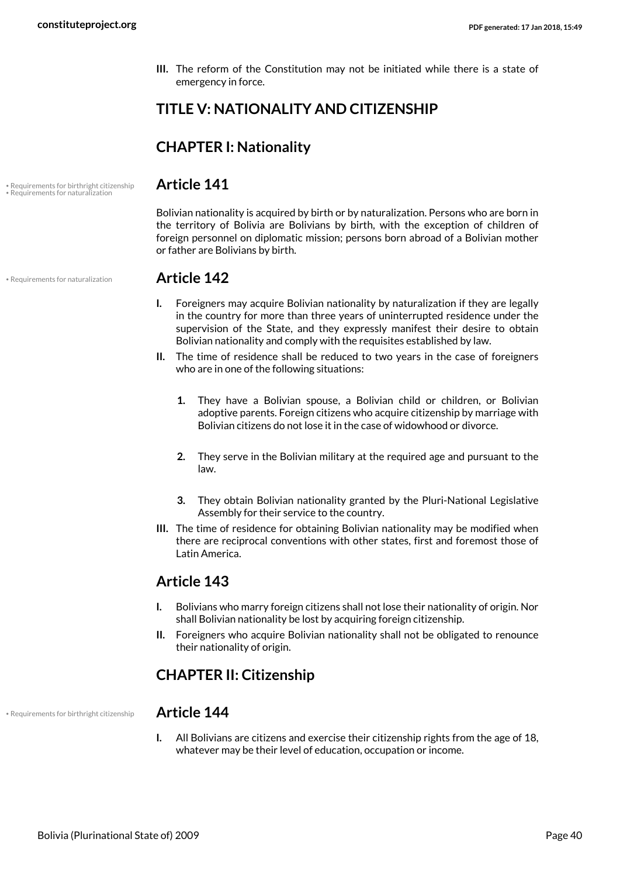**III.** The reform of the Constitution may not be initiated while there is a state of emergency in force.

#### **TITLE V: NATIONALITY AND CITIZENSHIP**

#### **CHAPTER I: Nationality**

• Requirements for birthright citizenship **Article 141** • Requirements for naturalization

Bolivian nationality is acquired by birth or by naturalization. Persons who are born in the territory of Bolivia are Bolivians by birth, with the exception of children of foreign personnel on diplomatic mission; persons born abroad of a Bolivian mother or father are Bolivians by birth.

• Requirements for naturalization **Article 142**

- **I.** Foreigners may acquire Bolivian nationality by naturalization if they are legally in the country for more than three years of uninterrupted residence under the supervision of the State, and they expressly manifest their desire to obtain Bolivian nationality and comply with the requisites established by law.
- **II.** The time of residence shall be reduced to two years in the case of foreigners who are in one of the following situations:
	- **1.** They have a Bolivian spouse, a Bolivian child or children, or Bolivian adoptive parents. Foreign citizens who acquire citizenship by marriage with Bolivian citizens do not lose it in the case of widowhood or divorce.
	- **2.** They serve in the Bolivian military at the required age and pursuant to the law.
	- **3.** They obtain Bolivian nationality granted by the Pluri-National Legislative Assembly for their service to the country.
- **III.** The time of residence for obtaining Bolivian nationality may be modified when there are reciprocal conventions with other states, first and foremost those of Latin America.

#### **Article 143**

- **I.** Bolivians who marry foreign citizens shall not lose their nationality of origin. Nor shall Bolivian nationality be lost by acquiring foreign citizenship.
- **II.** Foreigners who acquire Bolivian nationality shall not be obligated to renounce their nationality of origin.

#### **CHAPTER II: Citizenship**

#### • Requirements for birthright citizenship **Article 144**

- 
- **I.** All Bolivians are citizens and exercise their citizenship rights from the age of 18, whatever may be their level of education, occupation or income.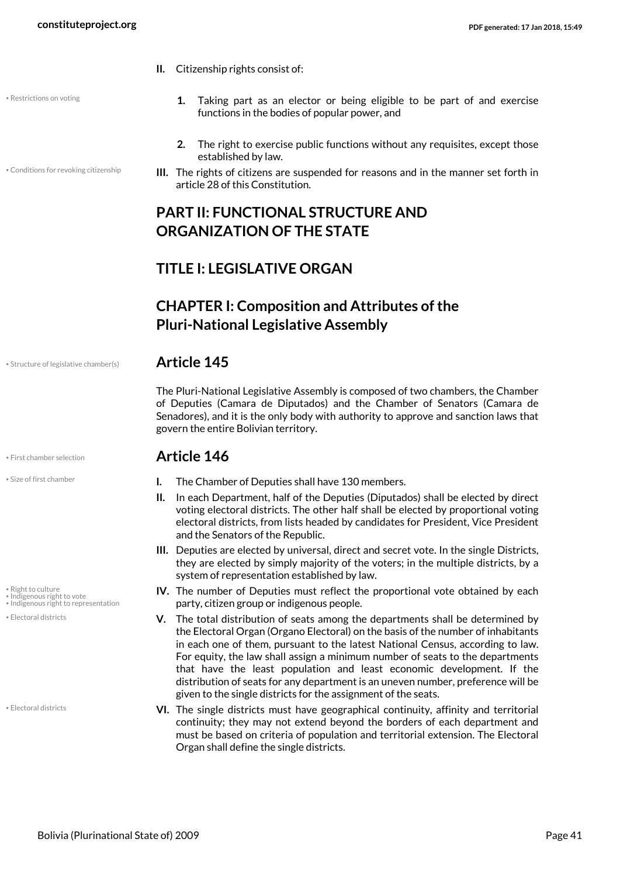**II.** Citizenship rights consist of:

• Restrictions on voting

• Conditions for revoking citizenship

- **1.** Taking part as an elector or being eligible to be part of and exercise functions in the bodies of popular power, and
- **2.** The right to exercise public functions without any requisites, except those established by law.
- **III.** The rights of citizens are suspended for reasons and in the manner set forth in article 28 of this Constitution.

# **PART II: FUNCTIONAL STRUCTURE AND ORGANIZATION OF THE STATE**

#### **TITLE I: LEGISLATIVE ORGAN**

govern the entire Bolivian territory.

# **CHAPTER I: Composition and Attributes of the Pluri-National Legislative Assembly**

• Structure of legislative chamber(s) **Article 145**

• First chamber selection **Article 146**

• Right to culture • Indigenous right to vote • Indigenous right to representation

• Electoral districts

• Electoral districts

- Size of first chamber **I.** The Chamber of Deputies shall have 130 members.
	- **II.** In each Department, half of the Deputies (Diputados) shall be elected by direct voting electoral districts. The other half shall be elected by proportional voting electoral districts, from lists headed by candidates for President, Vice President and the Senators of the Republic.

The Pluri-National Legislative Assembly is composed of two chambers, the Chamber of Deputies (Camara de Diputados) and the Chamber of Senators (Camara de Senadores), and it is the only body with authority to approve and sanction laws that

- **III.** Deputies are elected by universal, direct and secret vote. In the single Districts, they are elected by simply majority of the voters; in the multiple districts, by a system of representation established by law.
- **IV.** The number of Deputies must reflect the proportional vote obtained by each party, citizen group or indigenous people.
- **V.** The total distribution of seats among the departments shall be determined by the Electoral Organ (Organo Electoral) on the basis of the number of inhabitants in each one of them, pursuant to the latest National Census, according to law. For equity, the law shall assign a minimum number of seats to the departments that have the least population and least economic development. If the distribution of seats for any department is an uneven number, preference will be given to the single districts for the assignment of the seats.
- **VI.** The single districts must have geographical continuity, affinity and territorial continuity; they may not extend beyond the borders of each department and must be based on criteria of population and territorial extension. The Electoral Organ shall define the single districts.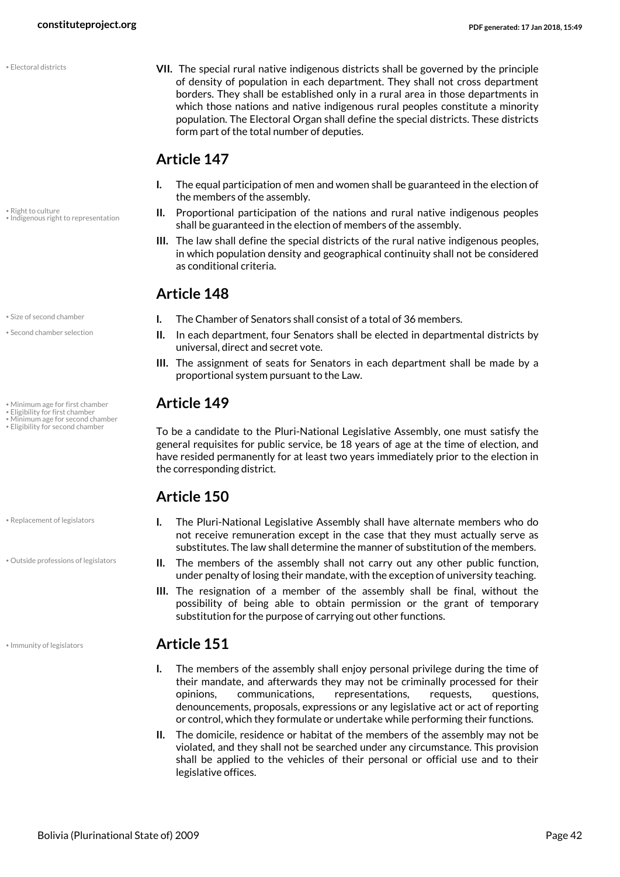• Electoral districts

- Right to culture • Indigenous right to representation
- 
- Second chamber selection
- Minimum age for first chamber **Article 149** Eligibility for first chamber Minimum age for second chamber
- 
- 
- Replacement of legislators
- Outside professions of legislators
- 

**VII.** The special rural native indigenous districts shall be governed by the principle of density of population in each department. They shall not cross department borders. They shall be established only in a rural area in those departments in which those nations and native indigenous rural peoples constitute a minority population. The Electoral Organ shall define the special districts. These districts form part of the total number of deputies.

### **Article 147**

- **I.** The equal participation of men and women shall be guaranteed in the election of the members of the assembly.
- **II.** Proportional participation of the nations and rural native indigenous peoples shall be guaranteed in the election of members of the assembly.
- **III.** The law shall define the special districts of the rural native indigenous peoples, in which population density and geographical continuity shall not be considered as conditional criteria.

#### **Article 148**

- **I.** The Chamber of Senators shall consist of a total of 36 members.
	- **II.** In each department, four Senators shall be elected in departmental districts by universal, direct and secret vote.
	- **III.** The assignment of seats for Senators in each department shall be made by a proportional system pursuant to the Law.

• Eligibility for second chamber To be a candidate to the Pluri-National Legislative Assembly, one must satisfy the general requisites for public service, be 18 years of age at the time of election, and have resided permanently for at least two years immediately prior to the election in the corresponding district.

### **Article 150**

- **I.** The Pluri-National Legislative Assembly shall have alternate members who do not receive remuneration except in the case that they must actually serve as substitutes. The law shall determine the manner of substitution of the members.
- **II.** The members of the assembly shall not carry out any other public function, under penalty of losing their mandate, with the exception of university teaching.
- **III.** The resignation of a member of the assembly shall be final, without the possibility of being able to obtain permission or the grant of temporary substitution for the purpose of carrying out other functions.

#### • Immunity of legislators **Article 151**

- **I.** The members of the assembly shall enjoy personal privilege during the time of their mandate, and afterwards they may not be criminally processed for their opinions, communications, representations, requests, questions, denouncements, proposals, expressions or any legislative act or act of reporting or control, which they formulate or undertake while performing their functions.
- **II.** The domicile, residence or habitat of the members of the assembly may not be violated, and they shall not be searched under any circumstance. This provision shall be applied to the vehicles of their personal or official use and to their legislative offices.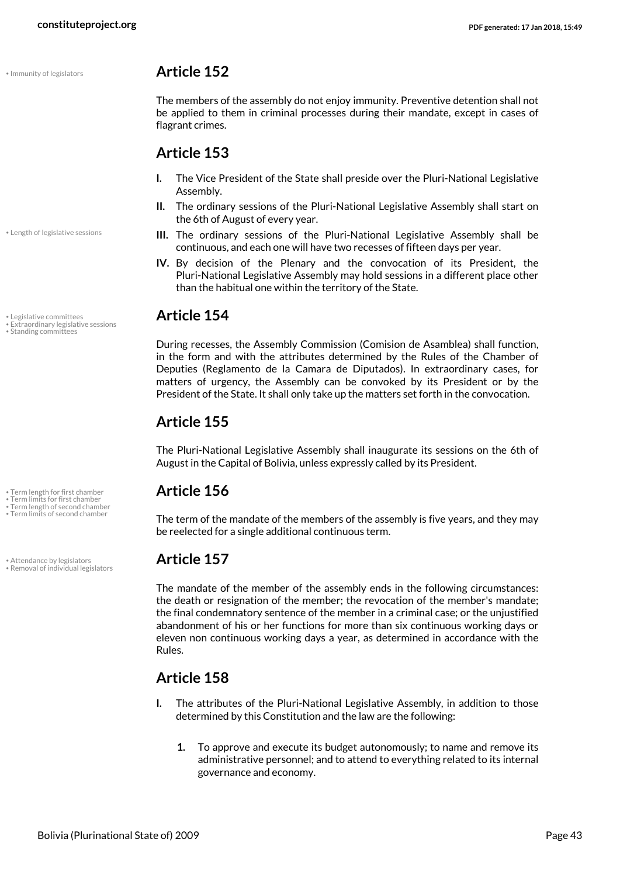## • Immunity of legislators **Article 152**

The members of the assembly do not enjoy immunity. Preventive detention shall not be applied to them in criminal processes during their mandate, except in cases of flagrant crimes.

# **Article 153**

- **I.** The Vice President of the State shall preside over the Pluri-National Legislative Assembly.
- **II.** The ordinary sessions of the Pluri-National Legislative Assembly shall start on the 6th of August of every year.
- **III.** The ordinary sessions of the Pluri-National Legislative Assembly shall be continuous, and each one will have two recesses of fifteen days per year.
- **IV.** By decision of the Plenary and the convocation of its President, the Pluri-National Legislative Assembly may hold sessions in a different place other than the habitual one within the territory of the State.

# • Legislative committees **Article 154** • Extraordinary legislative sessions

During recesses, the Assembly Commission (Comision de Asamblea) shall function, in the form and with the attributes determined by the Rules of the Chamber of Deputies (Reglamento de la Camara de Diputados). In extraordinary cases, for matters of urgency, the Assembly can be convoked by its President or by the President of the State. It shall only take up the matters set forth in the convocation.

# **Article 155**

The Pluri-National Legislative Assembly shall inaugurate its sessions on the 6th of August in the Capital of Bolivia, unless expressly called by its President.

# • Term length for first chamber **Article 156**<br>• Term limits for first chamber<br>• Term length of second chamber

• Term limits of second chamber The term of the mandate of the members of the assembly is five years, and they may be reelected for a single additional continuous term.

The mandate of the member of the assembly ends in the following circumstances: the death or resignation of the member; the revocation of the member's mandate; the final condemnatory sentence of the member in a criminal case; or the unjustified abandonment of his or her functions for more than six continuous working days or eleven non continuous working days a year, as determined in accordance with the Rules.

# **Article 158**

- **I.** The attributes of the Pluri-National Legislative Assembly, in addition to those determined by this Constitution and the law are the following:
	- **1.** To approve and execute its budget autonomously; to name and remove its administrative personnel; and to attend to everything related to its internal governance and economy.

• Standing committees

• Length of legislative sessions

- 
- 
- 
- 

• Attendance by legislators **Article 157** • Removal of individual legislators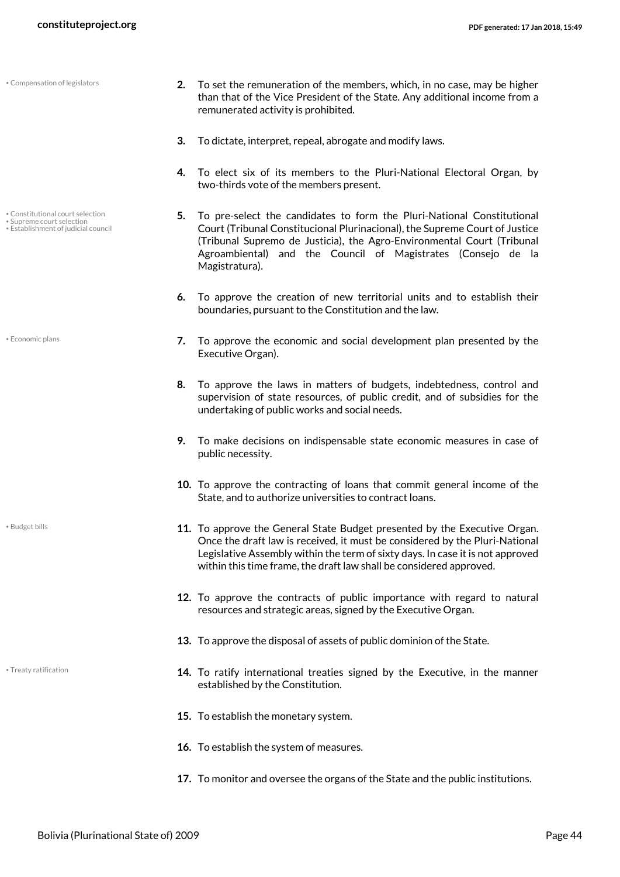• Compensation of legislators

- Constitutional court selection
- Supreme court selection Establishment of judicial council

• Economic plans

• Budget bills

• Treaty ratification

- **2.** To set the remuneration of the members, which, in no case, may be higher than that of the Vice President of the State. Any additional income from a remunerated activity is prohibited.
- **3.** To dictate, interpret, repeal, abrogate and modify laws.
- **4.** To elect six of its members to the Pluri-National Electoral Organ, by two-thirds vote of the members present.
- **5.** To pre-select the candidates to form the Pluri-National Constitutional Court (Tribunal Constitucional Plurinacional), the Supreme Court of Justice (Tribunal Supremo de Justicia), the Agro-Environmental Court (Tribunal Agroambiental) and the Council of Magistrates (Consejo de la Magistratura).
- **6.** To approve the creation of new territorial units and to establish their boundaries, pursuant to the Constitution and the law.
- **7.** To approve the economic and social development plan presented by the Executive Organ).
- **8.** To approve the laws in matters of budgets, indebtedness, control and supervision of state resources, of public credit, and of subsidies for the undertaking of public works and social needs.
- **9.** To make decisions on indispensable state economic measures in case of public necessity.
- **10.** To approve the contracting of loans that commit general income of the State, and to authorize universities to contract loans.
- **11.** To approve the General State Budget presented by the Executive Organ. Once the draft law is received, it must be considered by the Pluri-National Legislative Assembly within the term of sixty days. In case it is not approved within this time frame, the draft law shall be considered approved.
- **12.** To approve the contracts of public importance with regard to natural resources and strategic areas, signed by the Executive Organ.
- **13.** To approve the disposal of assets of public dominion of the State.
- **14.** To ratify international treaties signed by the Executive, in the manner established by the Constitution.
- **15.** To establish the monetary system.
- **16.** To establish the system of measures.
- **17.** To monitor and oversee the organs of the State and the public institutions.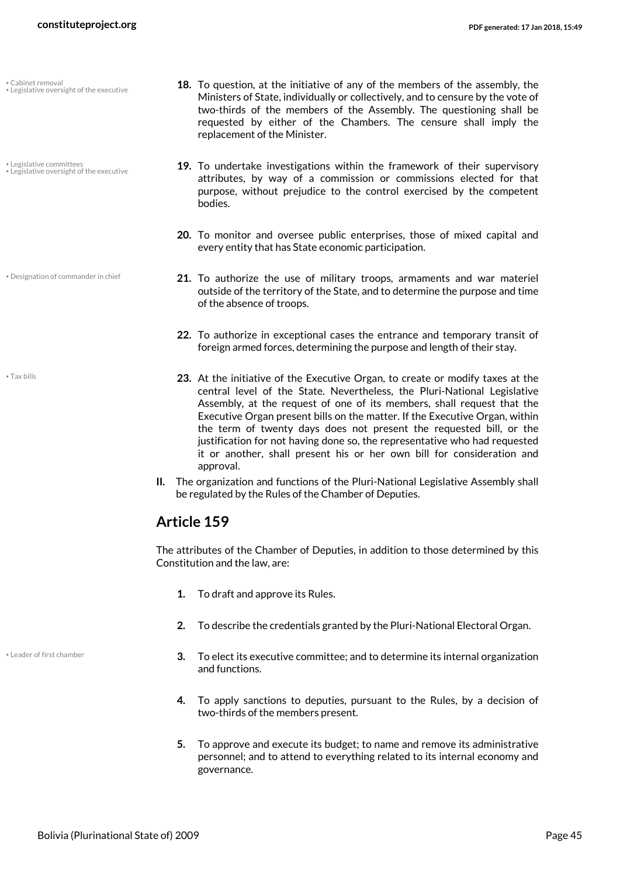• Legislative oversight of the executive

• Cabinet removal

- Ministers of State, individually or collectively, and to censure by the vote of two-thirds of the members of the Assembly. The questioning shall be requested by either of the Chambers. The censure shall imply the replacement of the Minister. **19.** To undertake investigations within the framework of their supervisory attributes, by way of a commission or commissions elected for that purpose, without prejudice to the control exercised by the competent bodies. • Legislative committees • Legislative oversight of the executive **20.** To monitor and oversee public enterprises, those of mixed capital and every entity that has State economic participation. **21.** To authorize the use of military troops, armaments and war materiel outside of the territory of the State, and to determine the purpose and time of the absence of troops. • Designation of commander in chief **22.** To authorize in exceptional cases the entrance and temporary transit of foreign armed forces, determining the purpose and length of their stay. **23.** At the initiative of the Executive Organ, to create or modify taxes at the central level of the State. Nevertheless, the Pluri-National Legislative Assembly, at the request of one of its members, shall request that the Executive Organ present bills on the matter. If the Executive Organ, within the term of twenty days does not present the requested bill, or the justification for not having done so, the representative who had requested it or another, shall present his or her own bill for consideration and approval. • Tax bills **II.** The organization and functions of the Pluri-National Legislative Assembly shall be regulated by the Rules of the Chamber of Deputies. **Article 159** The attributes of the Chamber of Deputies, in addition to those determined by this Constitution and the law, are:
	- **1.** To draft and approve its Rules.
	- **2.** To describe the credentials granted by the Pluri-National Electoral Organ.

**18.** To question, at the initiative of any of the members of the assembly, the

- **3.** To elect its executive committee; and to determine its internal organization and functions.
- **4.** To apply sanctions to deputies, pursuant to the Rules, by a decision of two-thirds of the members present.
- **5.** To approve and execute its budget; to name and remove its administrative personnel; and to attend to everything related to its internal economy and governance.

• Leader of first chamber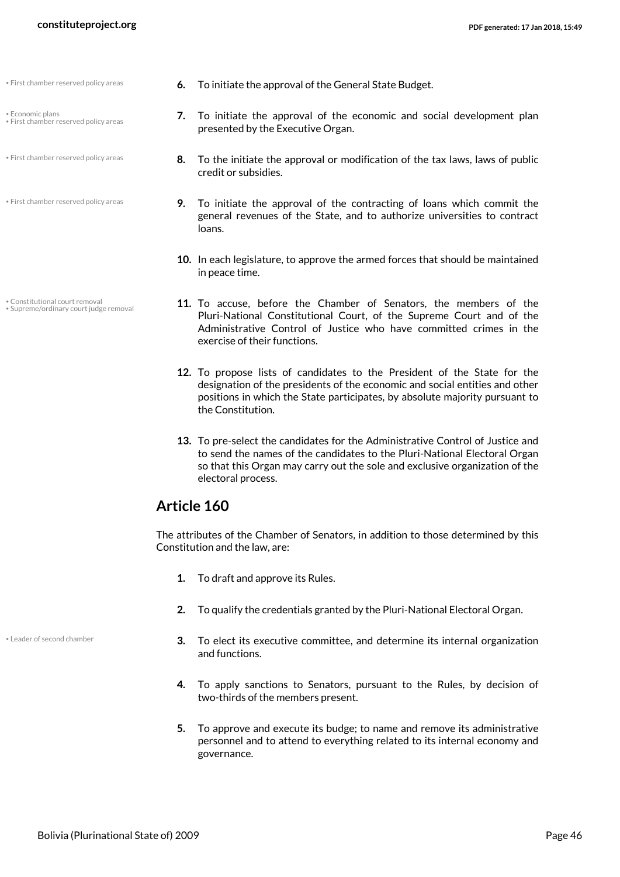- 
- Economic plans • First chamber reserved policy areas
- First chamber reserved policy areas
- First chamber reserved policy areas

- Constitutional court removal
- Supreme/ordinary court judge removal
- First chamber reserved policy areas **6.** To initiate the approval of the General State Budget.
	- **7.** To initiate the approval of the economic and social development plan presented by the Executive Organ.
	- **8.** To the initiate the approval or modification of the tax laws, laws of public credit or subsidies.
	- **9.** To initiate the approval of the contracting of loans which commit the general revenues of the State, and to authorize universities to contract loans.
	- **10.** In each legislature, to approve the armed forces that should be maintained in peace time.
	- **11.** To accuse, before the Chamber of Senators, the members of the Pluri-National Constitutional Court, of the Supreme Court and of the Administrative Control of Justice who have committed crimes in the exercise of their functions.
	- **12.** To propose lists of candidates to the President of the State for the designation of the presidents of the economic and social entities and other positions in which the State participates, by absolute majority pursuant to the Constitution.
	- **13.** To pre-select the candidates for the Administrative Control of Justice and to send the names of the candidates to the Pluri-National Electoral Organ so that this Organ may carry out the sole and exclusive organization of the electoral process.

#### **Article 160**

The attributes of the Chamber of Senators, in addition to those determined by this Constitution and the law, are:

- **1.** To draft and approve its Rules.
- **2.** To qualify the credentials granted by the Pluri-National Electoral Organ.
- **3.** To elect its executive committee, and determine its internal organization and functions.
- **4.** To apply sanctions to Senators, pursuant to the Rules, by decision of two-thirds of the members present.
- **5.** To approve and execute its budge; to name and remove its administrative personnel and to attend to everything related to its internal economy and governance.

• Leader of second chamber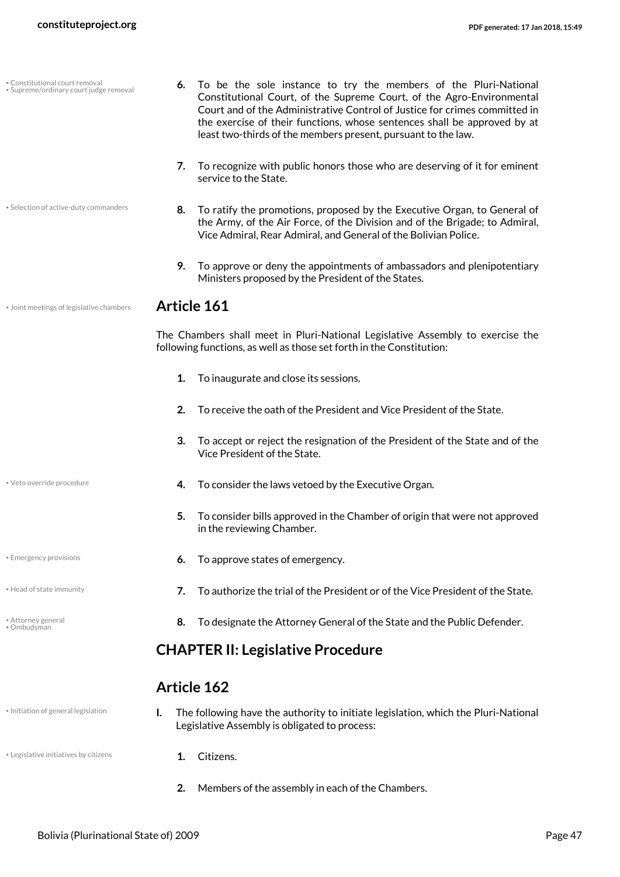| • Constitutional court removal<br>• Supreme/ordinary court judge removal | 6.                 | To be the sole instance to try the members of the Pluri-National<br>Constitutional Court, of the Supreme Court, of the Agro-Environmental<br>Court and of the Administrative Control of Justice for crimes committed in<br>the exercise of their functions, whose sentences shall be approved by at<br>least two-thirds of the members present, pursuant to the law. |  |
|--------------------------------------------------------------------------|--------------------|----------------------------------------------------------------------------------------------------------------------------------------------------------------------------------------------------------------------------------------------------------------------------------------------------------------------------------------------------------------------|--|
|                                                                          | 7.                 | To recognize with public honors those who are deserving of it for eminent<br>service to the State.                                                                                                                                                                                                                                                                   |  |
| • Selection of active-duty commanders                                    | 8.                 | To ratify the promotions, proposed by the Executive Organ, to General of<br>the Army, of the Air Force, of the Division and of the Brigade; to Admiral,<br>Vice Admiral, Rear Admiral, and General of the Bolivian Police.                                                                                                                                           |  |
|                                                                          | 9.                 | To approve or deny the appointments of ambassadors and plenipotentiary<br>Ministers proposed by the President of the States.                                                                                                                                                                                                                                         |  |
| • Joint meetings of legislative chambers                                 | <b>Article 161</b> |                                                                                                                                                                                                                                                                                                                                                                      |  |
|                                                                          |                    | The Chambers shall meet in Pluri-National Legislative Assembly to exercise the<br>following functions, as well as those set forth in the Constitution:                                                                                                                                                                                                               |  |
|                                                                          | 1.                 | To inaugurate and close its sessions.                                                                                                                                                                                                                                                                                                                                |  |
|                                                                          | 2.                 | To receive the oath of the President and Vice President of the State.                                                                                                                                                                                                                                                                                                |  |
|                                                                          | 3.                 | To accept or reject the resignation of the President of the State and of the<br>Vice President of the State.                                                                                                                                                                                                                                                         |  |
| • Veto override procedure                                                | 4.                 | To consider the laws vetoed by the Executive Organ.                                                                                                                                                                                                                                                                                                                  |  |
|                                                                          | 5.                 | To consider bills approved in the Chamber of origin that were not approved<br>in the reviewing Chamber.                                                                                                                                                                                                                                                              |  |
| • Emergency provisions                                                   | 6.                 | To approve states of emergency.                                                                                                                                                                                                                                                                                                                                      |  |
| . Head of state immunity                                                 | 7.                 | To authorize the trial of the President or of the Vice President of the State.                                                                                                                                                                                                                                                                                       |  |
| · Attorney general<br>• Ombudsman                                        | 8.                 | To designate the Attorney General of the State and the Public Defender.                                                                                                                                                                                                                                                                                              |  |
|                                                                          |                    | <b>CHAPTER II: Legislative Procedure</b>                                                                                                                                                                                                                                                                                                                             |  |
|                                                                          | <b>Article 162</b> |                                                                                                                                                                                                                                                                                                                                                                      |  |
| • Initiation of general legislation                                      | Ι.                 | The following have the authority to initiate legislation, which the Pluri-National<br>Legislative Assembly is obligated to process:                                                                                                                                                                                                                                  |  |
| • Legislative initiatives by citizens                                    | 1.                 | Citizens.                                                                                                                                                                                                                                                                                                                                                            |  |

**2.** Members of the assembly in each of the Chambers.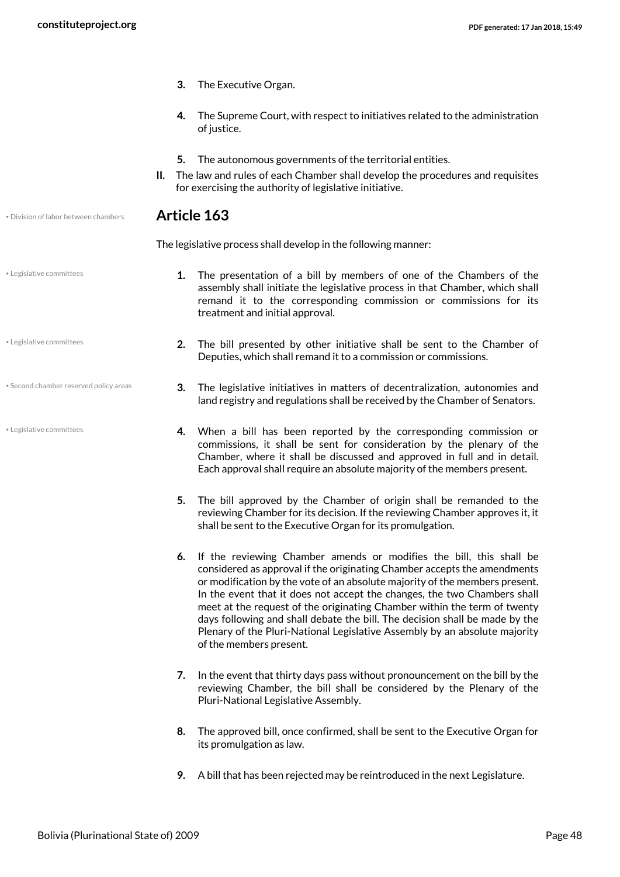- **3.** The Executive Organ. **4.** The Supreme Court, with respect to initiatives related to the administration of justice. **5.** The autonomous governments of the territorial entities. **II.** The law and rules of each Chamber shall develop the procedures and requisites for exercising the authority of legislative initiative. • Division of labor between chambers **Article 163** The legislative process shall develop in the following manner: **1.** The presentation of a bill by members of one of the Chambers of the assembly shall initiate the legislative process in that Chamber, which shall remand it to the corresponding commission or commissions for its treatment and initial approval. • Legislative committees **2.** The bill presented by other initiative shall be sent to the Chamber of Deputies, which shall remand it to a commission or commissions. • Legislative committees **3.** The legislative initiatives in matters of decentralization, autonomies and land registry and regulations shall be received by the Chamber of Senators. • Second chamber reserved policy areas **4.** When a bill has been reported by the corresponding commission or commissions, it shall be sent for consideration by the plenary of the Chamber, where it shall be discussed and approved in full and in detail. Each approval shall require an absolute majority of the members present. • Legislative committees **5.** The bill approved by the Chamber of origin shall be remanded to the
	- **6.** If the reviewing Chamber amends or modifies the bill, this shall be considered as approval if the originating Chamber accepts the amendments or modification by the vote of an absolute majority of the members present. In the event that it does not accept the changes, the two Chambers shall meet at the request of the originating Chamber within the term of twenty days following and shall debate the bill. The decision shall be made by the Plenary of the Pluri-National Legislative Assembly by an absolute majority of the members present.

reviewing Chamber for its decision. If the reviewing Chamber approves it, it

shall be sent to the Executive Organ for its promulgation.

- **7.** In the event that thirty days pass without pronouncement on the bill by the reviewing Chamber, the bill shall be considered by the Plenary of the Pluri-National Legislative Assembly.
- **8.** The approved bill, once confirmed, shall be sent to the Executive Organ for its promulgation as law.
- **9.** A bill that has been rejected may be reintroduced in the next Legislature.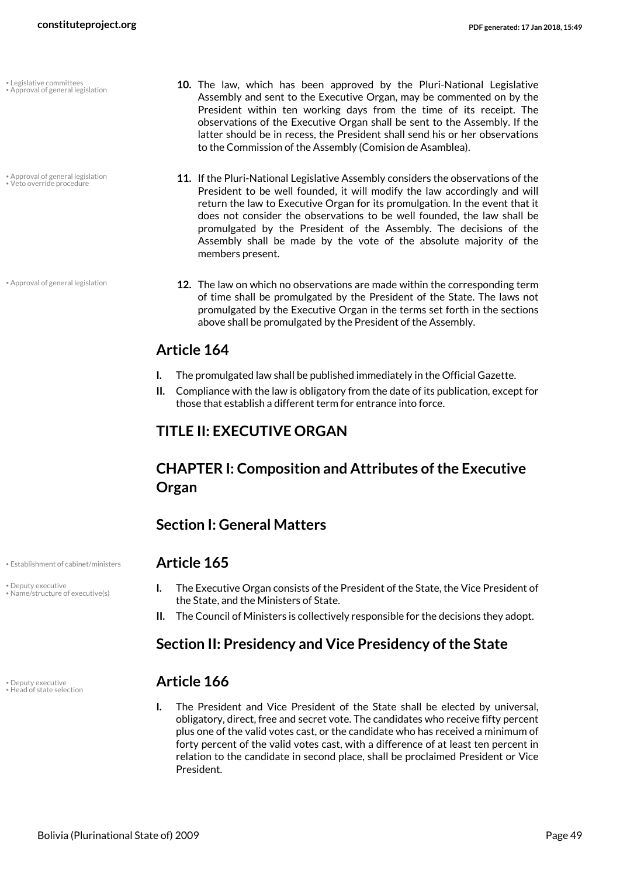- Legislative committees • Approval of general legislation
- Approval of general legislation • Veto override procedure

• Approval of general legislation

- **10.** The law, which has been approved by the Pluri-National Legislative Assembly and sent to the Executive Organ, may be commented on by the President within ten working days from the time of its receipt. The observations of the Executive Organ shall be sent to the Assembly. If the latter should be in recess, the President shall send his or her observations to the Commission of the Assembly (Comision de Asamblea).
- **11.** If the Pluri-National Legislative Assembly considers the observations of the President to be well founded, it will modify the law accordingly and will return the law to Executive Organ for its promulgation. In the event that it does not consider the observations to be well founded, the law shall be promulgated by the President of the Assembly. The decisions of the Assembly shall be made by the vote of the absolute majority of the members present.
- **12.** The law on which no observations are made within the corresponding term of time shall be promulgated by the President of the State. The laws not promulgated by the Executive Organ in the terms set forth in the sections above shall be promulgated by the President of the Assembly.

### **Article 164**

- **I.** The promulgated law shall be published immediately in the Official Gazette.
- **II.** Compliance with the law is obligatory from the date of its publication, except for those that establish a different term for entrance into force.

# **TITLE II: EXECUTIVE ORGAN**

# **CHAPTER I: Composition and Attributes of the Executive Organ**

#### **Section I: General Matters**

#### • Establishment of cabinet/ministers **Article 165**

- Deputy executive Name/structure of executive(s)
- **I.** The Executive Organ consists of the President of the State, the Vice President of the State, and the Ministers of State.
- **II.** The Council of Ministers is collectively responsible for the decisions they adopt.

#### **Section II: Presidency and Vice Presidency of the State**

**I.** The President and Vice President of the State shall be elected by universal, obligatory, direct, free and secret vote. The candidates who receive fifty percent plus one of the valid votes cast, or the candidate who has received a minimum of forty percent of the valid votes cast, with a difference of at least ten percent in relation to the candidate in second place, shall be proclaimed President or Vice President.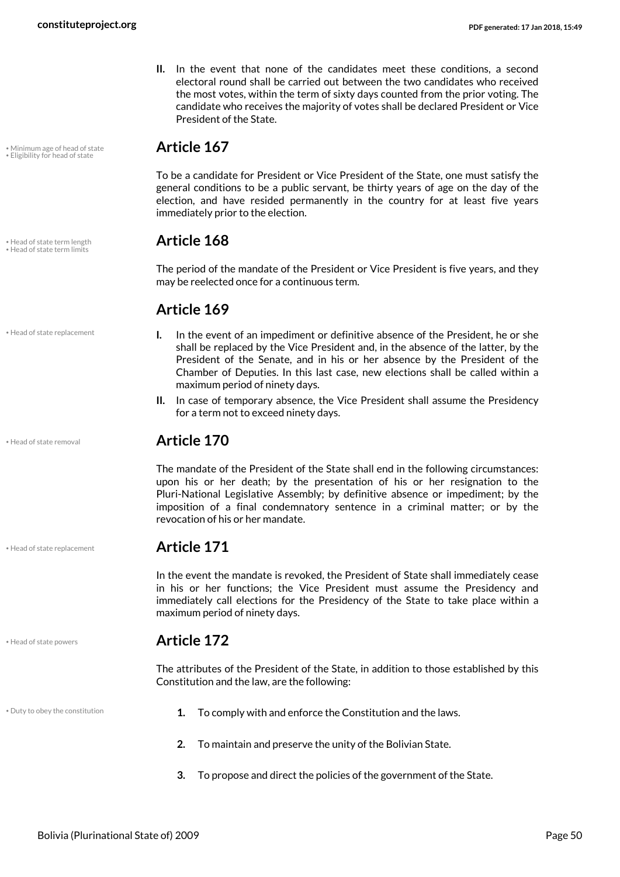**II.** In the event that none of the candidates meet these conditions, a second electoral round shall be carried out between the two candidates who received the most votes, within the term of sixty days counted from the prior voting. The candidate who receives the majority of votes shall be declared President or Vice President of the State.

# • Minimum age of head of state **Article 167** • Eligibility for head of state

To be a candidate for President or Vice President of the State, one must satisfy the general conditions to be a public servant, be thirty years of age on the day of the election, and have resided permanently in the country for at least five years immediately prior to the election.

# • Head of state term length **Article 168** • Head of state term limits

The period of the mandate of the President or Vice President is five years, and they may be reelected once for a continuous term.

### **Article 169**

- **I.** In the event of an impediment or definitive absence of the President, he or she shall be replaced by the Vice President and, in the absence of the latter, by the President of the Senate, and in his or her absence by the President of the Chamber of Deputies. In this last case, new elections shall be called within a maximum period of ninety days.
- **II.** In case of temporary absence, the Vice President shall assume the Presidency for a term not to exceed ninety days.

#### • Head of state removal **Article 170**

The mandate of the President of the State shall end in the following circumstances: upon his or her death; by the presentation of his or her resignation to the Pluri-National Legislative Assembly; by definitive absence or impediment; by the imposition of a final condemnatory sentence in a criminal matter; or by the revocation of his or her mandate.

#### • Head of state replacement **Article 171**

In the event the mandate is revoked, the President of State shall immediately cease in his or her functions; the Vice President must assume the Presidency and immediately call elections for the Presidency of the State to take place within a maximum period of ninety days.

#### • Head of state powers **Article 172**

The attributes of the President of the State, in addition to those established by this Constitution and the law, are the following:

• Head of state replacement

- Duty to obey the constitution **1.** To comply with and enforce the Constitution and the laws.
	- **2.** To maintain and preserve the unity of the Bolivian State.
	- **3.** To propose and direct the policies of the government of the State.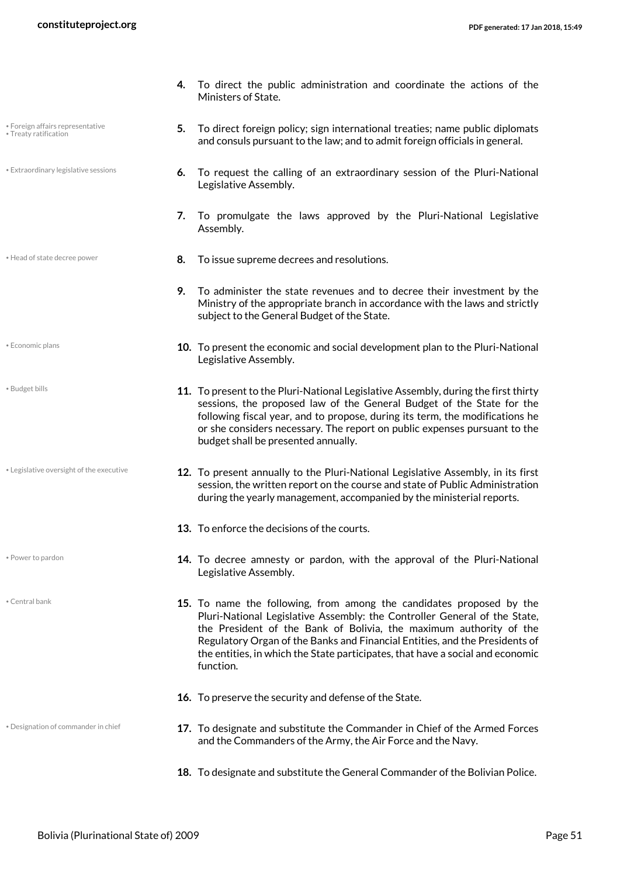• Foreign affairs representative

• Extraordinary legislative sessions

• Treaty ratification

• Economic plans

• Budget bills

- **4.** To direct the public administration and coordinate the actions of the Ministers of State.
- **5.** To direct foreign policy; sign international treaties; name public diplomats and consuls pursuant to the law; and to admit foreign officials in general.
- **6.** To request the calling of an extraordinary session of the Pluri-National Legislative Assembly.
- **7.** To promulgate the laws approved by the Pluri-National Legislative Assembly.
- Head of state decree power **8.** To issue supreme decrees and resolutions.
	- **9.** To administer the state revenues and to decree their investment by the Ministry of the appropriate branch in accordance with the laws and strictly subject to the General Budget of the State.
	- **10.** To present the economic and social development plan to the Pluri-National Legislative Assembly.
	- **11.** To present to the Pluri-National Legislative Assembly, during the first thirty sessions, the proposed law of the General Budget of the State for the following fiscal year, and to propose, during its term, the modifications he or she considers necessary. The report on public expenses pursuant to the budget shall be presented annually.
	- **12.** To present annually to the Pluri-National Legislative Assembly, in its first session, the written report on the course and state of Public Administration during the yearly management, accompanied by the ministerial reports.
		- **13.** To enforce the decisions of the courts.
		- **14.** To decree amnesty or pardon, with the approval of the Pluri-National Legislative Assembly.
		- **15.** To name the following, from among the candidates proposed by the Pluri-National Legislative Assembly: the Controller General of the State, the President of the Bank of Bolivia, the maximum authority of the Regulatory Organ of the Banks and Financial Entities, and the Presidents of the entities, in which the State participates, that have a social and economic function.
		- **16.** To preserve the security and defense of the State.
		- **17.** To designate and substitute the Commander in Chief of the Armed Forces and the Commanders of the Army, the Air Force and the Navy.
			- **18.** To designate and substitute the General Commander of the Bolivian Police.

• Power to pardon

• Legislative oversight of the executive

• Central bank

• Designation of commander in chief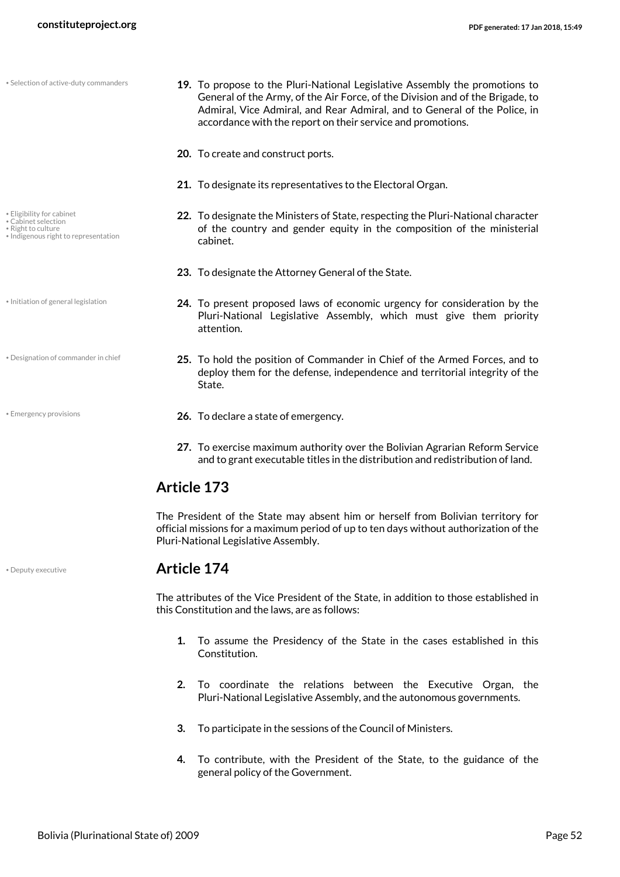| • Selection of active-duty commanders                                                                          | 19. To propose to the Pluri-National Legislative Assembly the promotions to<br>General of the Army, of the Air Force, of the Division and of the Brigade, to<br>Admiral, Vice Admiral, and Rear Admiral, and to General of the Police, in<br>accordance with the report on their service and promotions. |
|----------------------------------------------------------------------------------------------------------------|----------------------------------------------------------------------------------------------------------------------------------------------------------------------------------------------------------------------------------------------------------------------------------------------------------|
|                                                                                                                | 20. To create and construct ports.                                                                                                                                                                                                                                                                       |
|                                                                                                                | 21. To designate its representatives to the Electoral Organ.                                                                                                                                                                                                                                             |
| • Eligibility for cabinet<br>• Cabinet selection<br>• Right to culture<br>• Indigenous right to representation | 22. To designate the Ministers of State, respecting the Pluri-National character<br>of the country and gender equity in the composition of the ministerial<br>cabinet.                                                                                                                                   |
|                                                                                                                | 23. To designate the Attorney General of the State.                                                                                                                                                                                                                                                      |
| • Initiation of general legislation                                                                            | 24. To present proposed laws of economic urgency for consideration by the<br>Pluri-National Legislative Assembly, which must give them priority<br>attention.                                                                                                                                            |
| • Designation of commander in chief                                                                            | 25. To hold the position of Commander in Chief of the Armed Forces, and to<br>deploy them for the defense, independence and territorial integrity of the<br>State.                                                                                                                                       |
|                                                                                                                |                                                                                                                                                                                                                                                                                                          |

- **26.** To declare a state of emergency.
	- **27.** To exercise maximum authority over the Bolivian Agrarian Reform Service and to grant executable titles in the distribution and redistribution of land.

#### **Article 173**

The President of the State may absent him or herself from Bolivian territory for official missions for a maximum period of up to ten days without authorization of the Pluri-National Legislative Assembly.

#### • Deputy executive **Article 174**

The attributes of the Vice President of the State, in addition to those established in this Constitution and the laws, are as follows:

- **1.** To assume the Presidency of the State in the cases established in this Constitution.
- **2.** To coordinate the relations between the Executive Organ, the Pluri-National Legislative Assembly, and the autonomous governments.
- **3.** To participate in the sessions of the Council of Ministers.
- **4.** To contribute, with the President of the State, to the guidance of the general policy of the Government.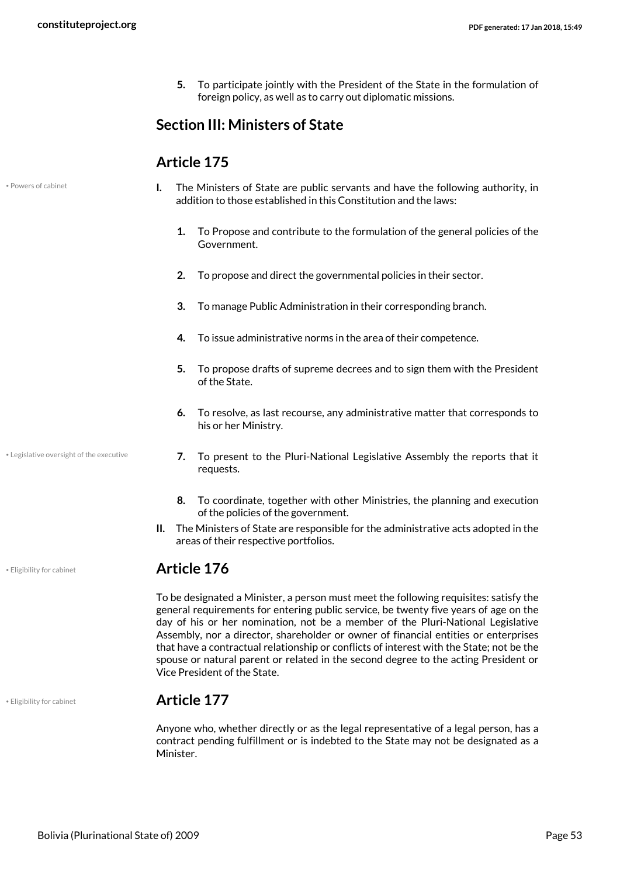**5.** To participate jointly with the President of the State in the formulation of foreign policy, as well as to carry out diplomatic missions.

#### **Section III: Ministers of State**

#### **Article 175**

• Powers of cabinet

- **I.** The Ministers of State are public servants and have the following authority, in addition to those established in this Constitution and the laws:
	- **1.** To Propose and contribute to the formulation of the general policies of the Government.
	- **2.** To propose and direct the governmental policies in their sector.
	- **3.** To manage Public Administration in their corresponding branch.
	- **4.** To issue administrative norms in the area of their competence.
	- **5.** To propose drafts of supreme decrees and to sign them with the President of the State.
	- **6.** To resolve, as last recourse, any administrative matter that corresponds to his or her Ministry.
	- **7.** To present to the Pluri-National Legislative Assembly the reports that it requests.
	- **8.** To coordinate, together with other Ministries, the planning and execution of the policies of the government.
- **II.** The Ministers of State are responsible for the administrative acts adopted in the areas of their respective portfolios.

#### • Eligibility for cabinet **Article 176**

To be designated a Minister, a person must meet the following requisites: satisfy the general requirements for entering public service, be twenty five years of age on the day of his or her nomination, not be a member of the Pluri-National Legislative Assembly, nor a director, shareholder or owner of financial entities or enterprises that have a contractual relationship or conflicts of interest with the State; not be the spouse or natural parent or related in the second degree to the acting President or Vice President of the State.

### • Eligibility for cabinet **Article 177**

Anyone who, whether directly or as the legal representative of a legal person, has a contract pending fulfillment or is indebted to the State may not be designated as a Minister.

• Legislative oversight of the executive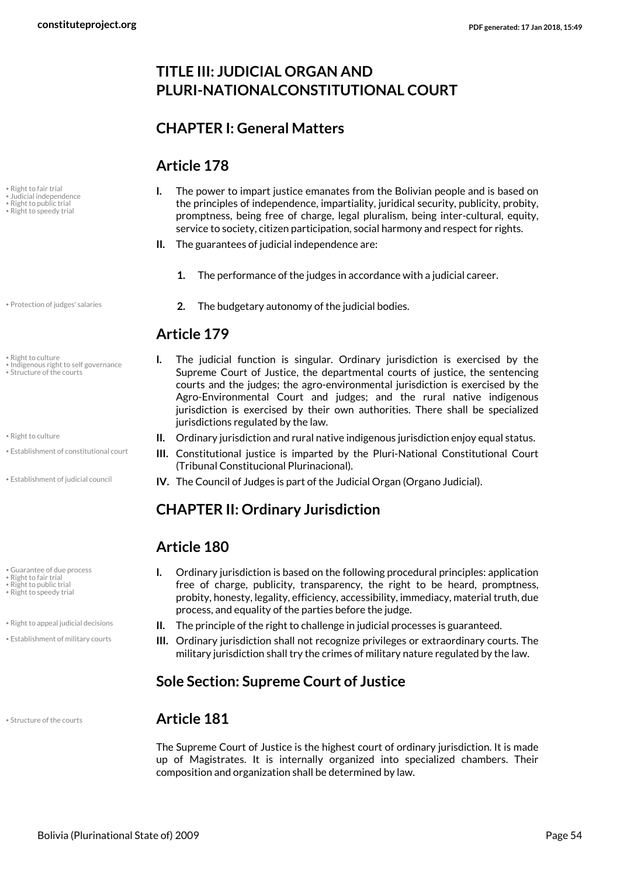# **TITLE III: JUDICIAL ORGAN AND PLURI-NATIONALCONSTITUTIONAL COURT**

# **CHAPTER I: General Matters**

## **Article 178**

- **I.** The power to impart justice emanates from the Bolivian people and is based on the principles of independence, impartiality, juridical security, publicity, probity, promptness, being free of charge, legal pluralism, being inter-cultural, equity, service to society, citizen participation, social harmony and respect for rights.
- **II.** The guarantees of judicial independence are:
	- **1.** The performance of the judges in accordance with a judicial career.
- Protection of judges' salaries **2.** The budgetary autonomy of the judicial bodies.

# **Article 179**

- **I.** The judicial function is singular. Ordinary jurisdiction is exercised by the Supreme Court of Justice, the departmental courts of justice, the sentencing courts and the judges; the agro-environmental jurisdiction is exercised by the Agro-Environmental Court and judges; and the rural native indigenous jurisdiction is exercised by their own authorities. There shall be specialized jurisdictions regulated by the law.
- **II.** Ordinary jurisdiction and rural native indigenous jurisdiction enjoy equal status.
	- **III.** Constitutional justice is imparted by the Pluri-National Constitutional Court (Tribunal Constitucional Plurinacional).
- *Establishment of judicial council* **IV.** The Council of Judges is part of the Judicial Organ (Organo Judicial).

### **CHAPTER II: Ordinary Jurisdiction**

### **Article 180**

- **I.** Ordinary jurisdiction is based on the following procedural principles: application free of charge, publicity, transparency, the right to be heard, promptness, probity, honesty, legality, efficiency, accessibility, immediacy, material truth, due process, and equality of the parties before the judge.
- Right to appeal judicial decisions **II.** The principle of the right to challenge in judicial processes is guaranteed.
	- **III.** Ordinary jurisdiction shall not recognize privileges or extraordinary courts. The military jurisdiction shall try the crimes of military nature regulated by the law.

### **Sole Section: Supreme Court of Justice**

#### • Structure of the courts **Article 181**

The Supreme Court of Justice is the highest court of ordinary jurisdiction. It is made up of Magistrates. It is internally organized into specialized chambers. Their composition and organization shall be determined by law.

- Right to fair trial
- Judicial independence • Right to public trial
- Right to speedy trial
- 
- Right to culture Indigenous right to self governance Structure of the courts
- 
- 
- Establishment of constitutional court
- 
- Guarantee of due process
- Right to fair trial
- Right to public trial • Right to speedy trial
- 
- 
- Establishment of military courts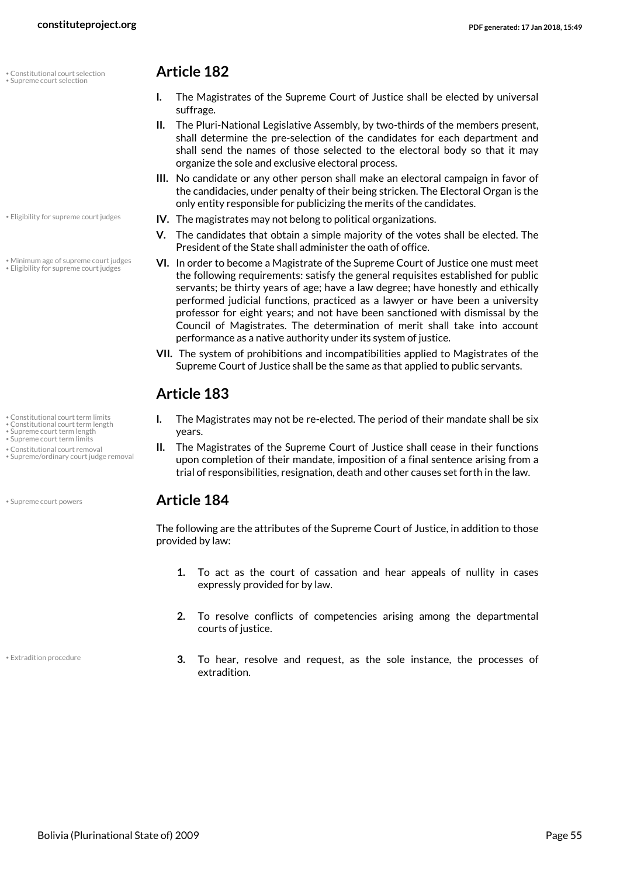• Constitutional court selection **Article 182** • Supreme court selection

- 
- Minimum age of supreme court judges • Eligibility for supreme court judges

- Constitutional court term limits
- Constitutional court term length • Supreme court term length
- Supreme court term limits
- Constitutional court removal • Supreme/ordinary court judge removal

#### • Extradition procedure

- **I.** The Magistrates of the Supreme Court of Justice shall be elected by universal suffrage.
- **II.** The Pluri-National Legislative Assembly, by two-thirds of the members present, shall determine the pre-selection of the candidates for each department and shall send the names of those selected to the electoral body so that it may organize the sole and exclusive electoral process.
- **III.** No candidate or any other person shall make an electoral campaign in favor of the candidacies, under penalty of their being stricken. The Electoral Organ is the only entity responsible for publicizing the merits of the candidates.
- **Eligibility for supreme court judges IV.** The magistrates may not belong to political organizations.
	- **V.** The candidates that obtain a simple majority of the votes shall be elected. The President of the State shall administer the oath of office.
	- **VI.** In order to become a Magistrate of the Supreme Court of Justice one must meet the following requirements: satisfy the general requisites established for public servants; be thirty years of age; have a law degree; have honestly and ethically performed judicial functions, practiced as a lawyer or have been a university professor for eight years; and not have been sanctioned with dismissal by the Council of Magistrates. The determination of merit shall take into account performance as a native authority under its system of justice.
	- **VII.** The system of prohibitions and incompatibilities applied to Magistrates of the Supreme Court of Justice shall be the same as that applied to public servants.

#### **Article 183**

- **I.** The Magistrates may not be re-elected. The period of their mandate shall be six years.
- **II.** The Magistrates of the Supreme Court of Justice shall cease in their functions upon completion of their mandate, imposition of a final sentence arising from a trial of responsibilities, resignation, death and other causes set forth in the law.

#### • Supreme court powers **Article 184**

The following are the attributes of the Supreme Court of Justice, in addition to those provided by law:

- **1.** To act as the court of cassation and hear appeals of nullity in cases expressly provided for by law.
- **2.** To resolve conflicts of competencies arising among the departmental courts of justice.
- **3.** To hear, resolve and request, as the sole instance, the processes of extradition.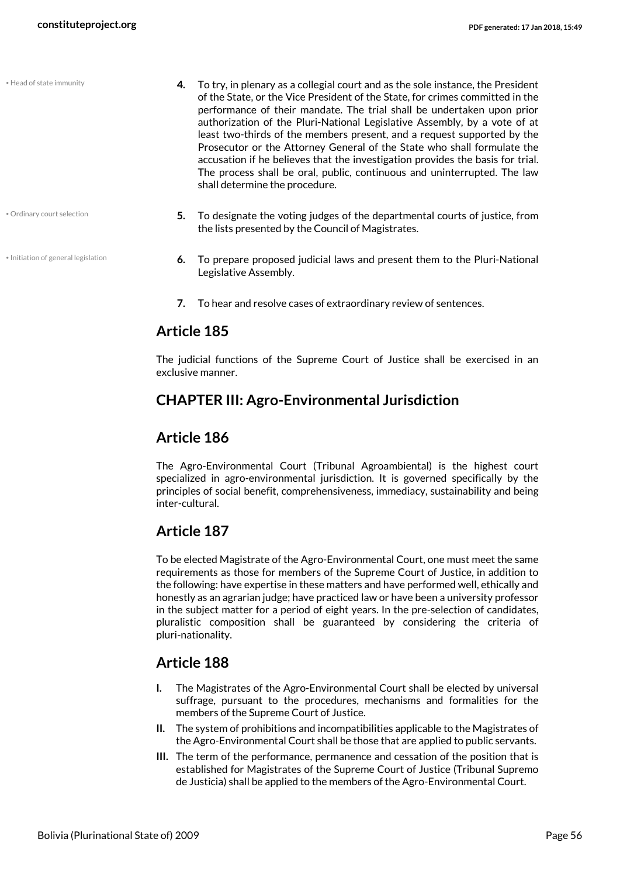| • Head of state immunity            | 4. | To try, in plenary as a collegial court and as the sole instance, the President<br>of the State, or the Vice President of the State, for crimes committed in the<br>performance of their mandate. The trial shall be undertaken upon prior<br>authorization of the Pluri-National Legislative Assembly, by a vote of at<br>least two-thirds of the members present, and a request supported by the<br>Prosecutor or the Attorney General of the State who shall formulate the<br>accusation if he believes that the investigation provides the basis for trial.<br>The process shall be oral, public, continuous and uninterrupted. The law<br>shall determine the procedure. |
|-------------------------------------|----|-------------------------------------------------------------------------------------------------------------------------------------------------------------------------------------------------------------------------------------------------------------------------------------------------------------------------------------------------------------------------------------------------------------------------------------------------------------------------------------------------------------------------------------------------------------------------------------------------------------------------------------------------------------------------------|
| • Ordinary court selection          | 5. | To designate the voting judges of the departmental courts of justice, from<br>the lists presented by the Council of Magistrates.                                                                                                                                                                                                                                                                                                                                                                                                                                                                                                                                              |
| • Initiation of general legislation |    | 6. To prepare proposed judicial laws and present them to the Pluri-National<br>Legislative Assembly.                                                                                                                                                                                                                                                                                                                                                                                                                                                                                                                                                                          |

**7.** To hear and resolve cases of extraordinary review of sentences.

# **Article 185**

The judicial functions of the Supreme Court of Justice shall be exercised in an exclusive manner.

### **CHAPTER III: Agro-Environmental Jurisdiction**

# **Article 186**

The Agro-Environmental Court (Tribunal Agroambiental) is the highest court specialized in agro-environmental jurisdiction. It is governed specifically by the principles of social benefit, comprehensiveness, immediacy, sustainability and being inter-cultural.

# **Article 187**

To be elected Magistrate of the Agro-Environmental Court, one must meet the same requirements as those for members of the Supreme Court of Justice, in addition to the following: have expertise in these matters and have performed well, ethically and honestly as an agrarian judge; have practiced law or have been a university professor in the subject matter for a period of eight years. In the pre-selection of candidates, pluralistic composition shall be guaranteed by considering the criteria of pluri-nationality.

# **Article 188**

- **I.** The Magistrates of the Agro-Environmental Court shall be elected by universal suffrage, pursuant to the procedures, mechanisms and formalities for the members of the Supreme Court of Justice.
- **II.** The system of prohibitions and incompatibilities applicable to the Magistrates of the Agro-Environmental Court shall be those that are applied to public servants.
- **III.** The term of the performance, permanence and cessation of the position that is established for Magistrates of the Supreme Court of Justice (Tribunal Supremo de Justicia) shall be applied to the members of the Agro-Environmental Court.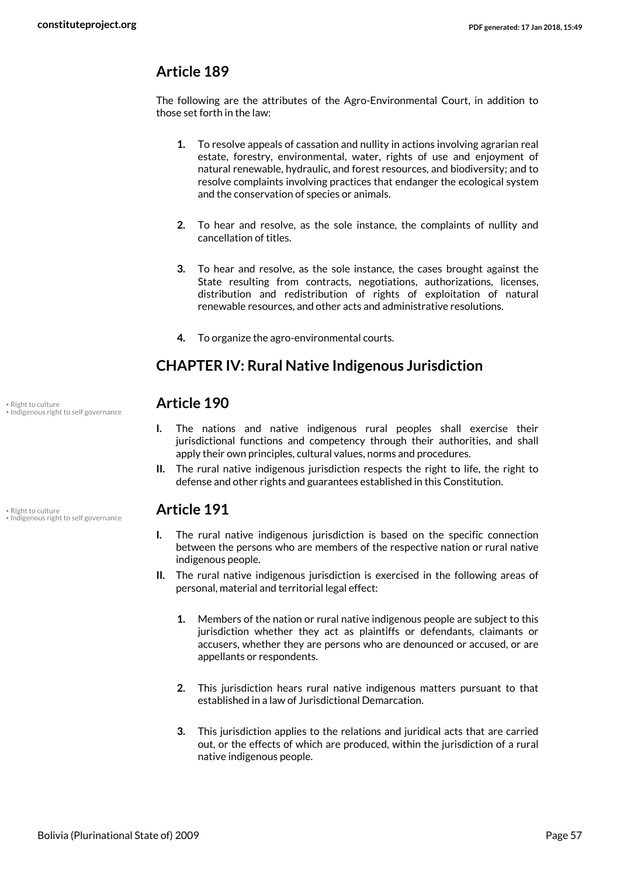## **Article 189**

The following are the attributes of the Agro-Environmental Court, in addition to those set forth in the law:

- **1.** To resolve appeals of cassation and nullity in actions involving agrarian real estate, forestry, environmental, water, rights of use and enjoyment of natural renewable, hydraulic, and forest resources, and biodiversity; and to resolve complaints involving practices that endanger the ecological system and the conservation of species or animals.
- **2.** To hear and resolve, as the sole instance, the complaints of nullity and cancellation of titles.
- **3.** To hear and resolve, as the sole instance, the cases brought against the State resulting from contracts, negotiations, authorizations, licenses, distribution and redistribution of rights of exploitation of natural renewable resources, and other acts and administrative resolutions.
- **4.** To organize the agro-environmental courts.

#### **CHAPTER IV: Rural Native Indigenous Jurisdiction**

- **I.** The nations and native indigenous rural peoples shall exercise their jurisdictional functions and competency through their authorities, and shall apply their own principles, cultural values, norms and procedures.
- **II.** The rural native indigenous jurisdiction respects the right to life, the right to defense and other rights and guarantees established in this Constitution.

- **I.** The rural native indigenous jurisdiction is based on the specific connection between the persons who are members of the respective nation or rural native indigenous people.
- **II.** The rural native indigenous jurisdiction is exercised in the following areas of personal, material and territorial legal effect:
	- **1.** Members of the nation or rural native indigenous people are subject to this jurisdiction whether they act as plaintiffs or defendants, claimants or accusers, whether they are persons who are denounced or accused, or are appellants or respondents.
	- **2.** This jurisdiction hears rural native indigenous matters pursuant to that established in a law of Jurisdictional Demarcation.
	- **3.** This jurisdiction applies to the relations and juridical acts that are carried out, or the effects of which are produced, within the jurisdiction of a rural native indigenous people.

• Right to culture **Article 190** • Indigenous right to self governance

• Right to culture **Article 191** • Indigenous right to self governance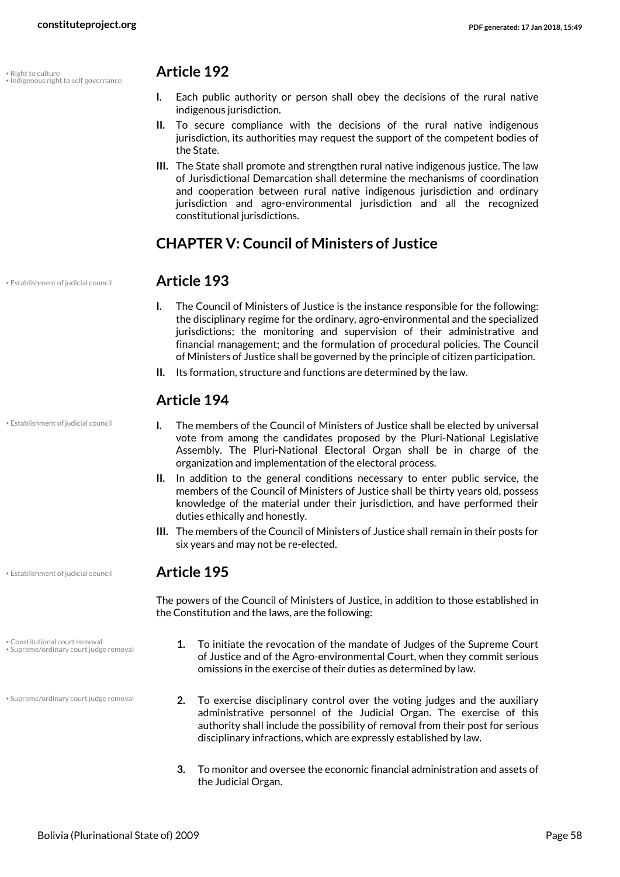• Right to culture **Article 192** • Indigenous right to self governance

- **I.** Each public authority or person shall obey the decisions of the rural native indigenous jurisdiction.
- **II.** To secure compliance with the decisions of the rural native indigenous jurisdiction, its authorities may request the support of the competent bodies of the State.
- **III.** The State shall promote and strengthen rural native indigenous justice. The law of Jurisdictional Demarcation shall determine the mechanisms of coordination and cooperation between rural native indigenous jurisdiction and ordinary jurisdiction and agro-environmental jurisdiction and all the recognized constitutional jurisdictions.

# **CHAPTER V: Council of Ministers of Justice**

#### • Establishment of judicial council **Article 193**

- **I.** The Council of Ministers of Justice is the instance responsible for the following: the disciplinary regime for the ordinary, agro-environmental and the specialized jurisdictions; the monitoring and supervision of their administrative and financial management; and the formulation of procedural policies. The Council of Ministers of Justice shall be governed by the principle of citizen participation.
- **II.** Its formation, structure and functions are determined by the law.

# **Article 194**

- **I.** The members of the Council of Ministers of Justice shall be elected by universal vote from among the candidates proposed by the Pluri-National Legislative Assembly. The Pluri-National Electoral Organ shall be in charge of the organization and implementation of the electoral process.
- **II.** In addition to the general conditions necessary to enter public service, the members of the Council of Ministers of Justice shall be thirty years old, possess knowledge of the material under their jurisdiction, and have performed their duties ethically and honestly.
- **III.** The members of the Council of Ministers of Justice shall remain in their posts for six years and may not be re-elected.

#### • Establishment of judicial council **Article 195**

The powers of the Council of Ministers of Justice, in addition to those established in the Constitution and the laws, are the following:

- **1.** To initiate the revocation of the mandate of Judges of the Supreme Court of Justice and of the Agro-environmental Court, when they commit serious omissions in the exercise of their duties as determined by law.
- **2.** To exercise disciplinary control over the voting judges and the auxiliary administrative personnel of the Judicial Organ. The exercise of this authority shall include the possibility of removal from their post for serious disciplinary infractions, which are expressly established by law.
- **3.** To monitor and oversee the economic financial administration and assets of the Judicial Organ.

• Establishment of judicial council

Constitutional court removal • Supreme/ordinary court judge removal

• Supreme/ordinary court judge removal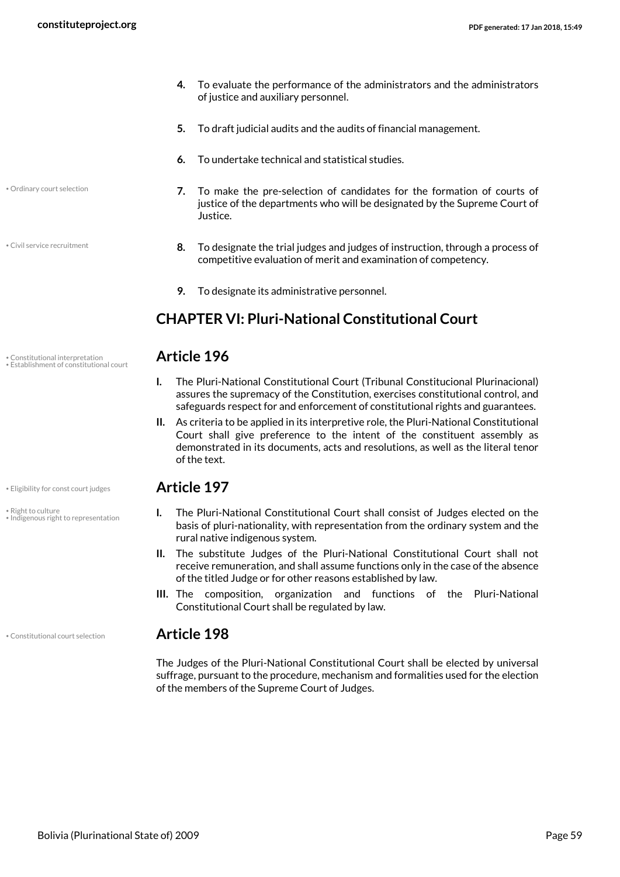- **4.** To evaluate the performance of the administrators and the administrators of justice and auxiliary personnel.
- **5.** To draft judicial audits and the audits of financial management.
- **6.** To undertake technical and statistical studies.
- **7.** To make the pre-selection of candidates for the formation of courts of justice of the departments who will be designated by the Supreme Court of Justice.
- **8.** To designate the trial judges and judges of instruction, through a process of competitive evaluation of merit and examination of competency.
- **9.** To designate its administrative personnel.

# **CHAPTER VI: Pluri-National Constitutional Court**

- **I.** The Pluri-National Constitutional Court (Tribunal Constitucional Plurinacional) assures the supremacy of the Constitution, exercises constitutional control, and safeguards respect for and enforcement of constitutional rights and guarantees.
- **II.** As criteria to be applied in its interpretive role, the Pluri-National Constitutional Court shall give preference to the intent of the constituent assembly as demonstrated in its documents, acts and resolutions, as well as the literal tenor of the text.

#### • Eligibility for const court judges **Article 197**

- **I.** The Pluri-National Constitutional Court shall consist of Judges elected on the basis of pluri-nationality, with representation from the ordinary system and the rural native indigenous system.
- **II.** The substitute Judges of the Pluri-National Constitutional Court shall not receive remuneration, and shall assume functions only in the case of the absence of the titled Judge or for other reasons established by law.
- **III.** The composition, organization and functions of the Pluri-National Constitutional Court shall be regulated by law.

#### • Constitutional court selection **Article 198**

The Judges of the Pluri-National Constitutional Court shall be elected by universal suffrage, pursuant to the procedure, mechanism and formalities used for the election of the members of the Supreme Court of Judges.

• Constitutional interpretation **Article 196** • Establishment of constitutional court

• Ordinary court selection

• Civil service recruitment

• Right to culture • Indigenous right to representation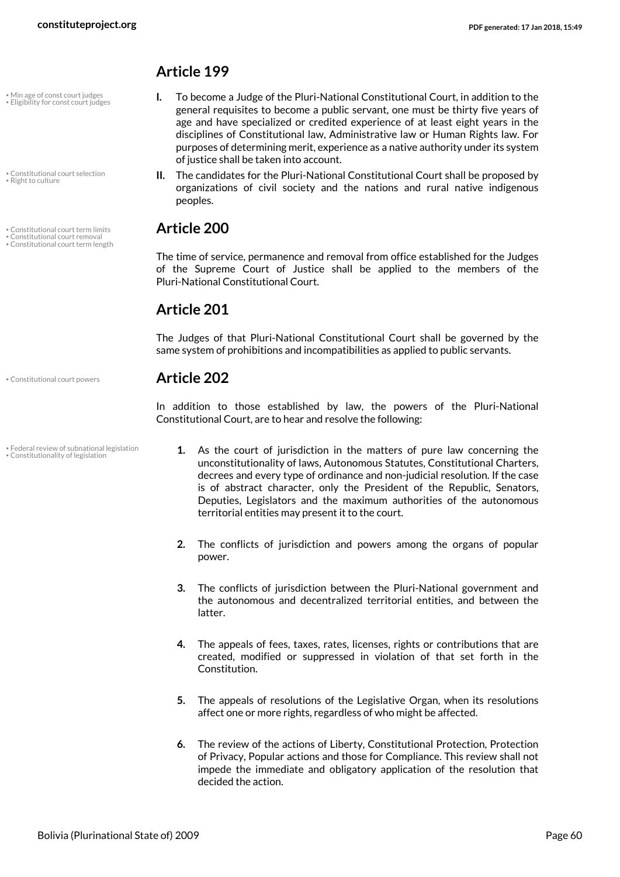#### **Article 199**

of justice shall be taken into account.

- Min age of const court judges • Eligibility for const court judges
- Constitutional court selection • Right to culture
- 
- Constitutional court term limits **Article 200** Constitutional court removal

• Federal review of subnational legislation • Constitutionality of legislation

- Constitutional court term length
- 

The time of service, permanence and removal from office established for the Judges of the Supreme Court of Justice shall be applied to the members of the Pluri-National Constitutional Court.

**I.** To become a Judge of the Pluri-National Constitutional Court, in addition to the general requisites to become a public servant, one must be thirty five years of age and have specialized or credited experience of at least eight years in the disciplines of Constitutional law, Administrative law or Human Rights law. For purposes of determining merit, experience as a native authority under its system

**II.** The candidates for the Pluri-National Constitutional Court shall be proposed by organizations of civil society and the nations and rural native indigenous

# **Article 201**

peoples.

The Judges of that Pluri-National Constitutional Court shall be governed by the same system of prohibitions and incompatibilities as applied to public servants.

#### • Constitutional court powers **Article 202**

In addition to those established by law, the powers of the Pluri-National Constitutional Court, are to hear and resolve the following:

- **1.** As the court of jurisdiction in the matters of pure law concerning the unconstitutionality of laws, Autonomous Statutes, Constitutional Charters, decrees and every type of ordinance and non-judicial resolution. If the case is of abstract character, only the President of the Republic, Senators, Deputies, Legislators and the maximum authorities of the autonomous territorial entities may present it to the court.
- **2.** The conflicts of jurisdiction and powers among the organs of popular power.
- **3.** The conflicts of jurisdiction between the Pluri-National government and the autonomous and decentralized territorial entities, and between the latter.
- **4.** The appeals of fees, taxes, rates, licenses, rights or contributions that are created, modified or suppressed in violation of that set forth in the Constitution.
- **5.** The appeals of resolutions of the Legislative Organ, when its resolutions affect one or more rights, regardless of who might be affected.
- **6.** The review of the actions of Liberty, Constitutional Protection, Protection of Privacy, Popular actions and those for Compliance. This review shall not impede the immediate and obligatory application of the resolution that decided the action.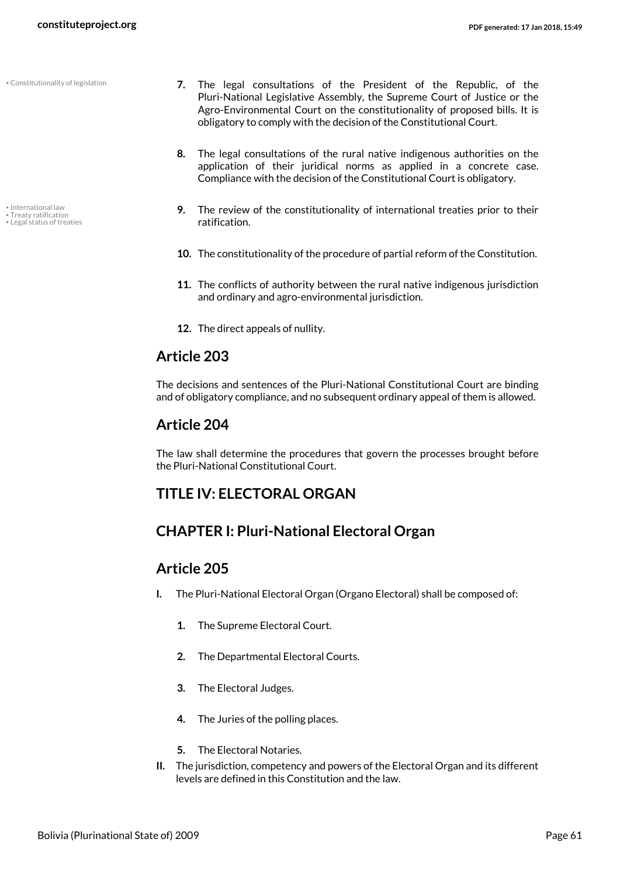• Constitutionality of legislation

• International law • Treaty ratification • Legal status of treaties

- **7.** The legal consultations of the President of the Republic, of the Pluri-National Legislative Assembly, the Supreme Court of Justice or the Agro-Environmental Court on the constitutionality of proposed bills. It is obligatory to comply with the decision of the Constitutional Court.
- **8.** The legal consultations of the rural native indigenous authorities on the application of their juridical norms as applied in a concrete case. Compliance with the decision of the Constitutional Court is obligatory.
- **9.** The review of the constitutionality of international treaties prior to their ratification.
- **10.** The constitutionality of the procedure of partial reform of the Constitution.
- **11.** The conflicts of authority between the rural native indigenous jurisdiction and ordinary and agro-environmental jurisdiction.
- **12.** The direct appeals of nullity.

#### **Article 203**

The decisions and sentences of the Pluri-National Constitutional Court are binding and of obligatory compliance, and no subsequent ordinary appeal of them is allowed.

#### **Article 204**

The law shall determine the procedures that govern the processes brought before the Pluri-National Constitutional Court.

### **TITLE IV: ELECTORAL ORGAN**

#### **CHAPTER I: Pluri-National Electoral Organ**

#### **Article 205**

- **I.** The Pluri-National Electoral Organ (Organo Electoral) shall be composed of:
	- **1.** The Supreme Electoral Court.
	- **2.** The Departmental Electoral Courts.
	- **3.** The Electoral Judges.
	- **4.** The Juries of the polling places.
	- **5.** The Electoral Notaries.
- **II.** The jurisdiction, competency and powers of the Electoral Organ and its different levels are defined in this Constitution and the law.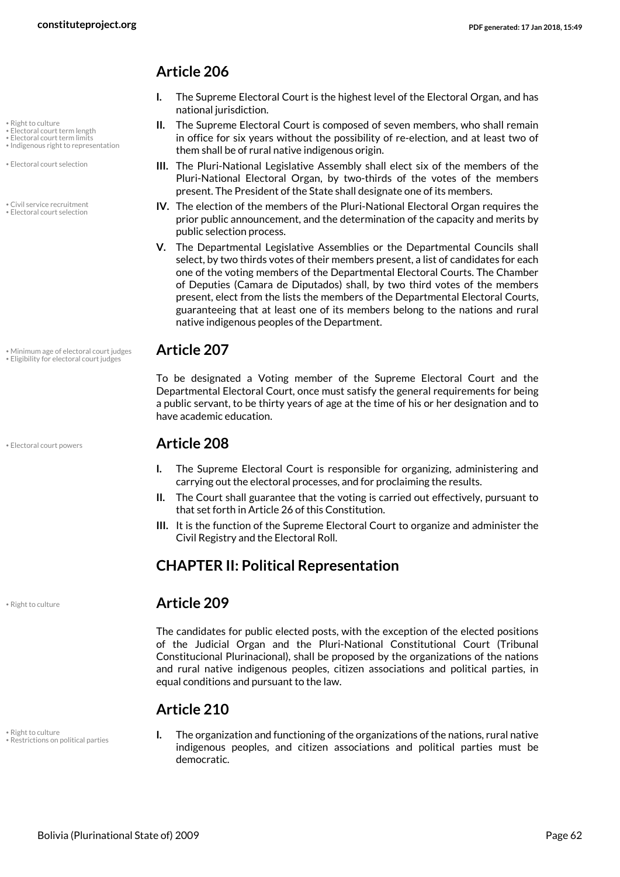• Right to culture • Electoral court term length • Electoral court term limits • Indigenous right to representation

• Electoral court selection

• Civil service recruitment • Electoral court selection

## **Article 206**

- **I.** The Supreme Electoral Court is the highest level of the Electoral Organ, and has national jurisdiction.
- **II.** The Supreme Electoral Court is composed of seven members, who shall remain in office for six years without the possibility of re-election, and at least two of them shall be of rural native indigenous origin.
- **III.** The Pluri-National Legislative Assembly shall elect six of the members of the Pluri-National Electoral Organ, by two-thirds of the votes of the members present. The President of the State shall designate one of its members.
- **IV.** The election of the members of the Pluri-National Electoral Organ requires the prior public announcement, and the determination of the capacity and merits by public selection process.
- **V.** The Departmental Legislative Assemblies or the Departmental Councils shall select, by two thirds votes of their members present, a list of candidates for each one of the voting members of the Departmental Electoral Courts. The Chamber of Deputies (Camara de Diputados) shall, by two third votes of the members present, elect from the lists the members of the Departmental Electoral Courts, guaranteeing that at least one of its members belong to the nations and rural native indigenous peoples of the Department.

# • Minimum age of electoral court judges **Article 207** • Eligibility for electoral court judges

To be designated a Voting member of the Supreme Electoral Court and the Departmental Electoral Court, once must satisfy the general requirements for being a public servant, to be thirty years of age at the time of his or her designation and to have academic education.

#### • Electoral court powers **Article 208**

- **I.** The Supreme Electoral Court is responsible for organizing, administering and carrying out the electoral processes, and for proclaiming the results.
- **II.** The Court shall guarantee that the voting is carried out effectively, pursuant to that set forth in Article 26 of this Constitution.
- **III.** It is the function of the Supreme Electoral Court to organize and administer the Civil Registry and the Electoral Roll.

#### **CHAPTER II: Political Representation**

#### • Right to culture **Article 209**

The candidates for public elected posts, with the exception of the elected positions of the Judicial Organ and the Pluri-National Constitutional Court (Tribunal Constitucional Plurinacional), shall be proposed by the organizations of the nations and rural native indigenous peoples, citizen associations and political parties, in equal conditions and pursuant to the law.

#### **Article 210**

- Right to culture • Restrictions on political parties
- **I.** The organization and functioning of the organizations of the nations, rural native indigenous peoples, and citizen associations and political parties must be democratic.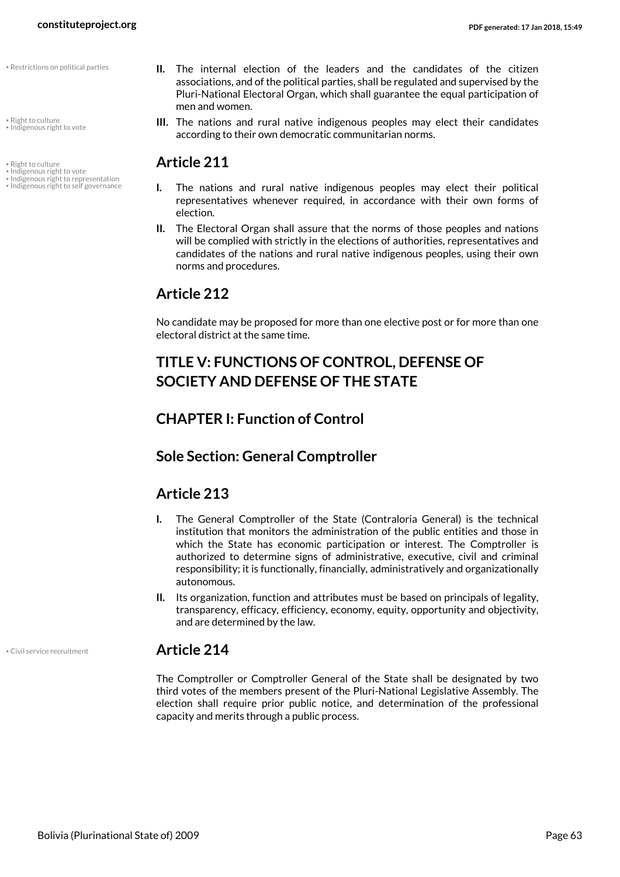• Right to culture • Indigenous right to vote

- 
- 
- 

**III.** The nations and rural native indigenous peoples may elect their candidates according to their own democratic communitarian norms.

# • Right to culture **Article 211** • Indigenous right to vote • Indigenous right to representation

men and women.

- Indigenous right to self governance **I.** The nations and rural native indigenous peoples may elect their political representatives whenever required, in accordance with their own forms of election.
	- **II.** The Electoral Organ shall assure that the norms of those peoples and nations will be complied with strictly in the elections of authorities, representatives and candidates of the nations and rural native indigenous peoples, using their own norms and procedures.

# **Article 212**

No candidate may be proposed for more than one elective post or for more than one electoral district at the same time.

# **TITLE V: FUNCTIONS OF CONTROL, DEFENSE OF SOCIETY AND DEFENSE OF THE STATE**

#### **CHAPTER I: Function of Control**

#### **Sole Section: General Comptroller**

#### **Article 213**

- The General Comptroller of the State (Contraloria General) is the technical institution that monitors the administration of the public entities and those in which the State has economic participation or interest. The Comptroller is authorized to determine signs of administrative, executive, civil and criminal responsibility; it is functionally, financially, administratively and organizationally autonomous.
- **II.** Its organization, function and attributes must be based on principals of legality, transparency, efficacy, efficiency, economy, equity, opportunity and objectivity, and are determined by the law.

#### • Civil service recruitment **Article 214**

The Comptroller or Comptroller General of the State shall be designated by two third votes of the members present of the Pluri-National Legislative Assembly. The election shall require prior public notice, and determination of the professional capacity and merits through a public process.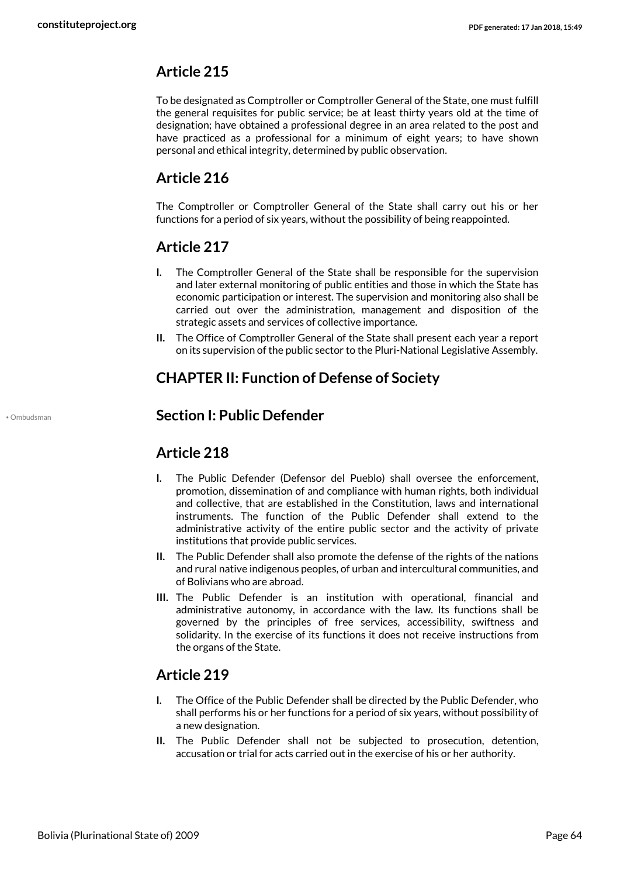## **Article 215**

To be designated as Comptroller or Comptroller General of the State, one must fulfill the general requisites for public service; be at least thirty years old at the time of designation; have obtained a professional degree in an area related to the post and have practiced as a professional for a minimum of eight years; to have shown personal and ethical integrity, determined by public observation.

# **Article 216**

The Comptroller or Comptroller General of the State shall carry out his or her functions for a period of six years, without the possibility of being reappointed.

### **Article 217**

- **I.** The Comptroller General of the State shall be responsible for the supervision and later external monitoring of public entities and those in which the State has economic participation or interest. The supervision and monitoring also shall be carried out over the administration, management and disposition of the strategic assets and services of collective importance.
- **II.** The Office of Comptroller General of the State shall present each year a report on its supervision of the public sector to the Pluri-National Legislative Assembly.

### **CHAPTER II: Function of Defense of Society**

#### • Ombudsman **Section I: Public Defender**

#### **Article 218**

- **I.** The Public Defender (Defensor del Pueblo) shall oversee the enforcement, promotion, dissemination of and compliance with human rights, both individual and collective, that are established in the Constitution, laws and international instruments. The function of the Public Defender shall extend to the administrative activity of the entire public sector and the activity of private institutions that provide public services.
- **II.** The Public Defender shall also promote the defense of the rights of the nations and rural native indigenous peoples, of urban and intercultural communities, and of Bolivians who are abroad.
- **III.** The Public Defender is an institution with operational, financial and administrative autonomy, in accordance with the law. Its functions shall be governed by the principles of free services, accessibility, swiftness and solidarity. In the exercise of its functions it does not receive instructions from the organs of the State.

# **Article 219**

- **I.** The Office of the Public Defender shall be directed by the Public Defender, who shall performs his or her functions for a period of six years, without possibility of a new designation.
- **II.** The Public Defender shall not be subjected to prosecution, detention, accusation or trial for acts carried out in the exercise of his or her authority.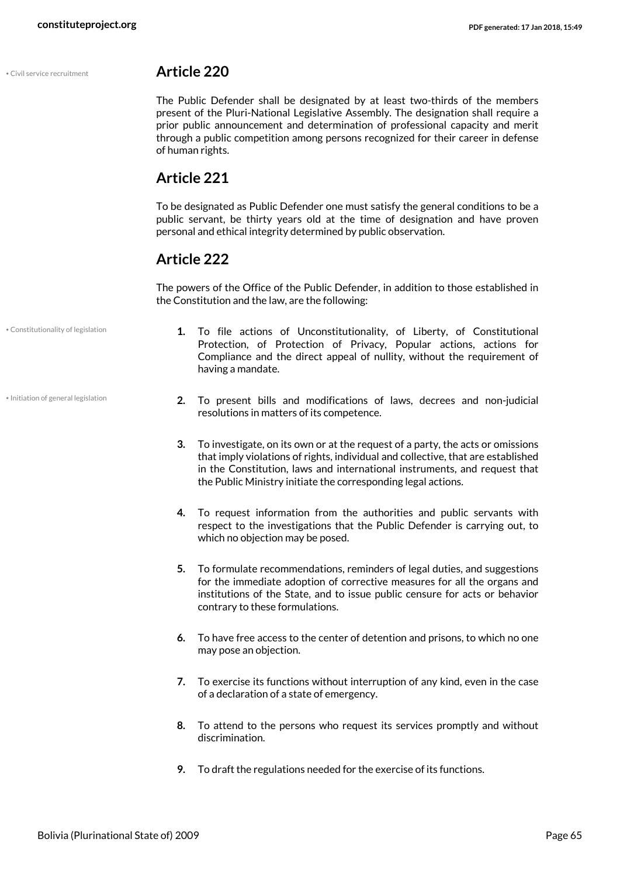#### • Civil service recruitment **Article 220**

The Public Defender shall be designated by at least two-thirds of the members present of the Pluri-National Legislative Assembly. The designation shall require a prior public announcement and determination of professional capacity and merit through a public competition among persons recognized for their career in defense of human rights.

#### **Article 221**

To be designated as Public Defender one must satisfy the general conditions to be a public servant, be thirty years old at the time of designation and have proven personal and ethical integrity determined by public observation.

### **Article 222**

The powers of the Office of the Public Defender, in addition to those established in the Constitution and the law, are the following:

• Constitutionality of legislation

• Initiation of general legislation

- Compliance and the direct appeal of nullity, without the requirement of having a mandate.
	- **2.** To present bills and modifications of laws, decrees and non-judicial resolutions in matters of its competence.

**1.** To file actions of Unconstitutionality, of Liberty, of Constitutional Protection, of Protection of Privacy, Popular actions, actions for

- **3.** To investigate, on its own or at the request of a party, the acts or omissions that imply violations of rights, individual and collective, that are established in the Constitution, laws and international instruments, and request that the Public Ministry initiate the corresponding legal actions.
- **4.** To request information from the authorities and public servants with respect to the investigations that the Public Defender is carrying out, to which no objection may be posed.
- **5.** To formulate recommendations, reminders of legal duties, and suggestions for the immediate adoption of corrective measures for all the organs and institutions of the State, and to issue public censure for acts or behavior contrary to these formulations.
- **6.** To have free access to the center of detention and prisons, to which no one may pose an objection.
- **7.** To exercise its functions without interruption of any kind, even in the case of a declaration of a state of emergency.
- **8.** To attend to the persons who request its services promptly and without discrimination.
- **9.** To draft the regulations needed for the exercise of its functions.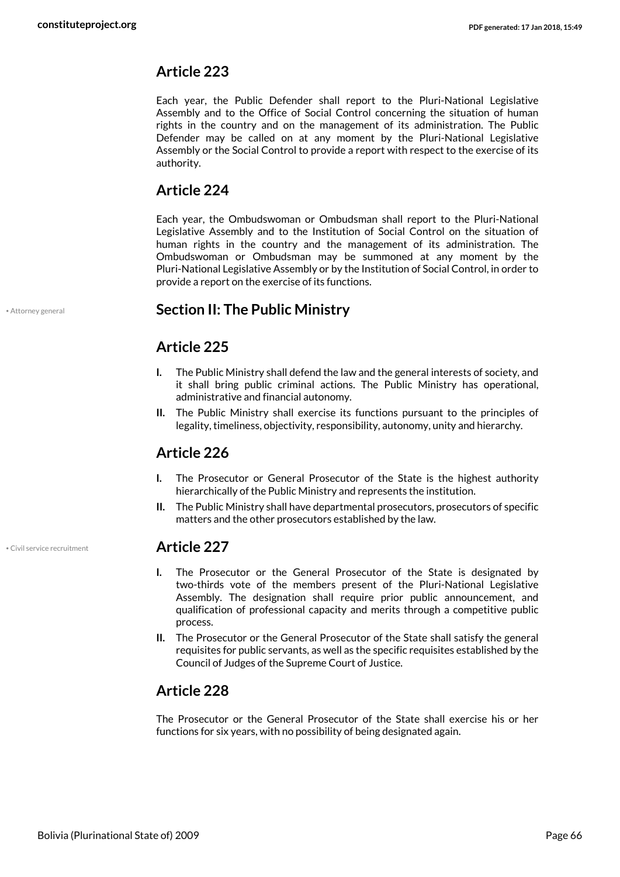#### **Article 223**

Each year, the Public Defender shall report to the Pluri-National Legislative Assembly and to the Office of Social Control concerning the situation of human rights in the country and on the management of its administration. The Public Defender may be called on at any moment by the Pluri-National Legislative Assembly or the Social Control to provide a report with respect to the exercise of its authority.

#### **Article 224**

Each year, the Ombudswoman or Ombudsman shall report to the Pluri-National Legislative Assembly and to the Institution of Social Control on the situation of human rights in the country and the management of its administration. The Ombudswoman or Ombudsman may be summoned at any moment by the Pluri-National Legislative Assembly or by the Institution of Social Control, in order to provide a report on the exercise of its functions.

#### • Attorney general **Section II: The Public Ministry**

# **Article 225**

- **I.** The Public Ministry shall defend the law and the general interests of society, and it shall bring public criminal actions. The Public Ministry has operational, administrative and financial autonomy.
- **II.** The Public Ministry shall exercise its functions pursuant to the principles of legality, timeliness, objectivity, responsibility, autonomy, unity and hierarchy.

#### **Article 226**

- **I.** The Prosecutor or General Prosecutor of the State is the highest authority hierarchically of the Public Ministry and represents the institution.
- **II.** The Public Ministry shall have departmental prosecutors, prosecutors of specific matters and the other prosecutors established by the law.

#### • Civil service recruitment **Article 227**

- **I.** The Prosecutor or the General Prosecutor of the State is designated by two-thirds vote of the members present of the Pluri-National Legislative Assembly. The designation shall require prior public announcement, and qualification of professional capacity and merits through a competitive public process.
- **II.** The Prosecutor or the General Prosecutor of the State shall satisfy the general requisites for public servants, as well as the specific requisites established by the Council of Judges of the Supreme Court of Justice.

#### **Article 228**

The Prosecutor or the General Prosecutor of the State shall exercise his or her functions for six years, with no possibility of being designated again.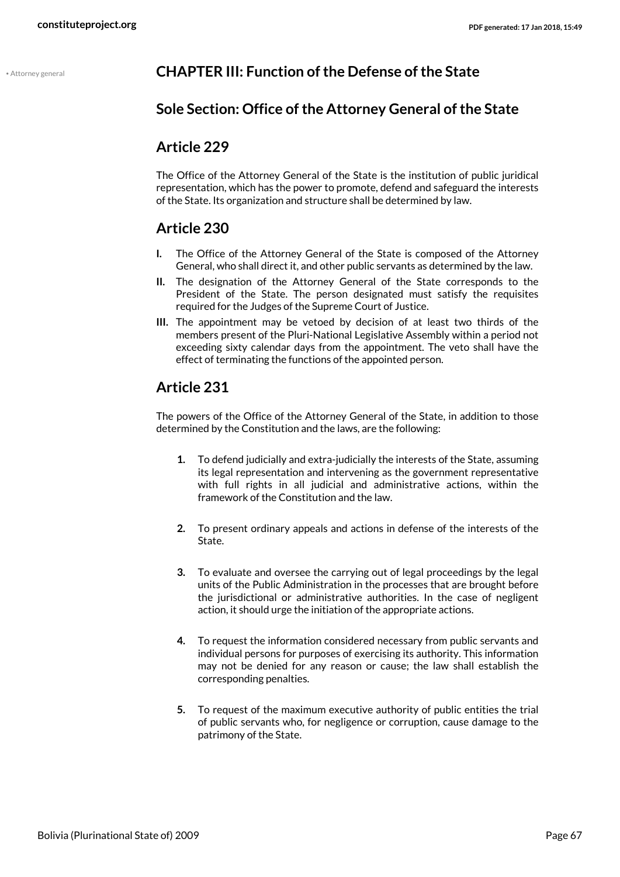#### • Attorney general **CHAPTER III: Function of the Defense of the State**

#### **Sole Section: Office of the Attorney General of the State**

#### **Article 229**

The Office of the Attorney General of the State is the institution of public juridical representation, which has the power to promote, defend and safeguard the interests of the State. Its organization and structure shall be determined by law.

### **Article 230**

- **I.** The Office of the Attorney General of the State is composed of the Attorney General, who shall direct it, and other public servants as determined by the law.
- **II.** The designation of the Attorney General of the State corresponds to the President of the State. The person designated must satisfy the requisites required for the Judges of the Supreme Court of Justice.
- **III.** The appointment may be vetoed by decision of at least two thirds of the members present of the Pluri-National Legislative Assembly within a period not exceeding sixty calendar days from the appointment. The veto shall have the effect of terminating the functions of the appointed person.

### **Article 231**

The powers of the Office of the Attorney General of the State, in addition to those determined by the Constitution and the laws, are the following:

- **1.** To defend judicially and extra-judicially the interests of the State, assuming its legal representation and intervening as the government representative with full rights in all judicial and administrative actions, within the framework of the Constitution and the law.
- **2.** To present ordinary appeals and actions in defense of the interests of the State.
- **3.** To evaluate and oversee the carrying out of legal proceedings by the legal units of the Public Administration in the processes that are brought before the jurisdictional or administrative authorities. In the case of negligent action, it should urge the initiation of the appropriate actions.
- **4.** To request the information considered necessary from public servants and individual persons for purposes of exercising its authority. This information may not be denied for any reason or cause; the law shall establish the corresponding penalties.
- **5.** To request of the maximum executive authority of public entities the trial of public servants who, for negligence or corruption, cause damage to the patrimony of the State.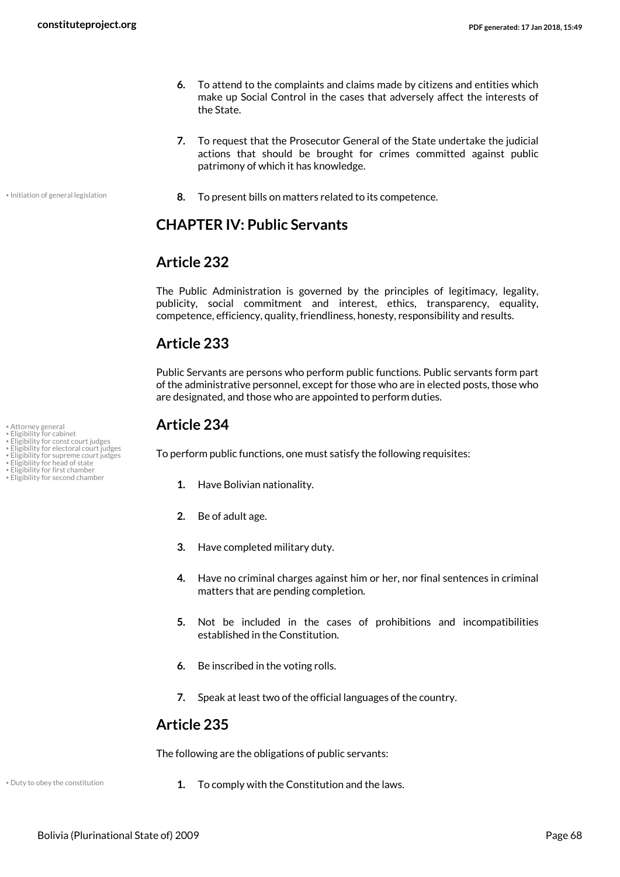- **6.** To attend to the complaints and claims made by citizens and entities which make up Social Control in the cases that adversely affect the interests of the State.
- **7.** To request that the Prosecutor General of the State undertake the judicial actions that should be brought for crimes committed against public patrimony of which it has knowledge.

 $\bullet$  Initiation of general legislation **8.** To present bills on matters related to its competence.

#### **CHAPTER IV: Public Servants**

### **Article 232**

The Public Administration is governed by the principles of legitimacy, legality, publicity, social commitment and interest, ethics, transparency, equality, competence, efficiency, quality, friendliness, honesty, responsibility and results.

# **Article 233**

Public Servants are persons who perform public functions. Public servants form part of the administrative personnel, except for those who are in elected posts, those who are designated, and those who are appointed to perform duties.

# • Attorney general **Article 234** • Eligibility for cabinet • Eligibility for const court judges

To perform public functions, one must satisfy the following requisites:

- **1.** Have Bolivian nationality.
- **2.** Be of adult age.
- **3.** Have completed military duty.
- **4.** Have no criminal charges against him or her, nor final sentences in criminal matters that are pending completion.
- **5.** Not be included in the cases of prohibitions and incompatibilities established in the Constitution.
- **6.** Be inscribed in the voting rolls.
- **7.** Speak at least two of the official languages of the country.

#### **Article 235**

The following are the obligations of public servants:

• Duty to obey the constitution **1.** To comply with the Constitution and the laws.

- 
- Eligibility for electoral court judges Eligibility for supreme court judges
- Eligibility for head of state
- Eligibility for first chamber
- Eligibility for second chamber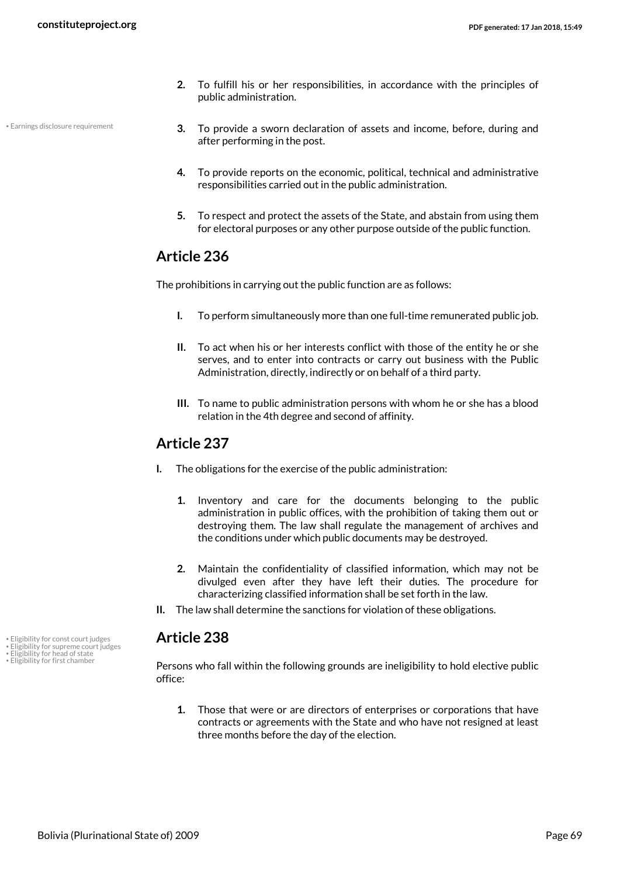**2.** To fulfill his or her responsibilities, in accordance with the principles of public administration.

• Earnings disclosure requirement

- **3.** To provide a sworn declaration of assets and income, before, during and after performing in the post.
- **4.** To provide reports on the economic, political, technical and administrative responsibilities carried out in the public administration.
- **5.** To respect and protect the assets of the State, and abstain from using them for electoral purposes or any other purpose outside of the public function.

#### **Article 236**

The prohibitions in carrying out the public function are as follows:

- **I.** To perform simultaneously more than one full-time remunerated public job.
- **II.** To act when his or her interests conflict with those of the entity he or she serves, and to enter into contracts or carry out business with the Public Administration, directly, indirectly or on behalf of a third party.
- **III.** To name to public administration persons with whom he or she has a blood relation in the 4th degree and second of affinity.

#### **Article 237**

- **I.** The obligations for the exercise of the public administration:
	- **1.** Inventory and care for the documents belonging to the public administration in public offices, with the prohibition of taking them out or destroying them. The law shall regulate the management of archives and the conditions under which public documents may be destroyed.
	- **2.** Maintain the confidentiality of classified information, which may not be divulged even after they have left their duties. The procedure for characterizing classified information shall be set forth in the law.
- **II.** The law shall determine the sanctions for violation of these obligations.

• Eligibility for first chamber **Persons who fall within the following grounds are ineligibility to hold elective public** office:

- **1.** Those that were or are directors of enterprises or corporations that have contracts or agreements with the State and who have not resigned at least three months before the day of the election.
- Eligibility for const court judges **Article 238** Eligibility for supreme court judges Eligibility for head of state
-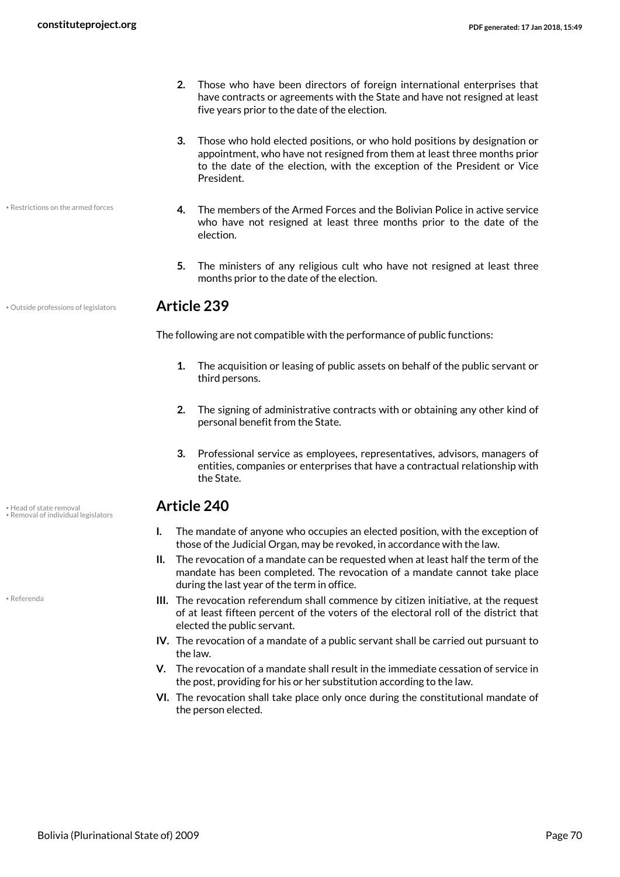- **2.** Those who have been directors of foreign international enterprises that have contracts or agreements with the State and have not resigned at least five years prior to the date of the election.
- **3.** Those who hold elected positions, or who hold positions by designation or appointment, who have not resigned from them at least three months prior to the date of the election, with the exception of the President or Vice President.
- **4.** The members of the Armed Forces and the Bolivian Police in active service who have not resigned at least three months prior to the date of the election.
- **5.** The ministers of any religious cult who have not resigned at least three months prior to the date of the election.

#### • Outside professions of legislators **Article 239**

The following are not compatible with the performance of public functions:

- **1.** The acquisition or leasing of public assets on behalf of the public servant or third persons.
- **2.** The signing of administrative contracts with or obtaining any other kind of personal benefit from the State.
- **3.** Professional service as employees, representatives, advisors, managers of entities, companies or enterprises that have a contractual relationship with the State.

- **I.** The mandate of anyone who occupies an elected position, with the exception of those of the Judicial Organ, may be revoked, in accordance with the law.
- **II.** The revocation of a mandate can be requested when at least half the term of the mandate has been completed. The revocation of a mandate cannot take place during the last year of the term in office.
- **III.** The revocation referendum shall commence by citizen initiative, at the request of at least fifteen percent of the voters of the electoral roll of the district that elected the public servant.
- **IV.** The revocation of a mandate of a public servant shall be carried out pursuant to the law.
- **V.** The revocation of a mandate shall result in the immediate cessation of service in the post, providing for his or her substitution according to the law.
- **VI.** The revocation shall take place only once during the constitutional mandate of the person elected.

• Restrictions on the armed forces

• Head of state removal **Article 240** • Removal of individual legislators

• Referenda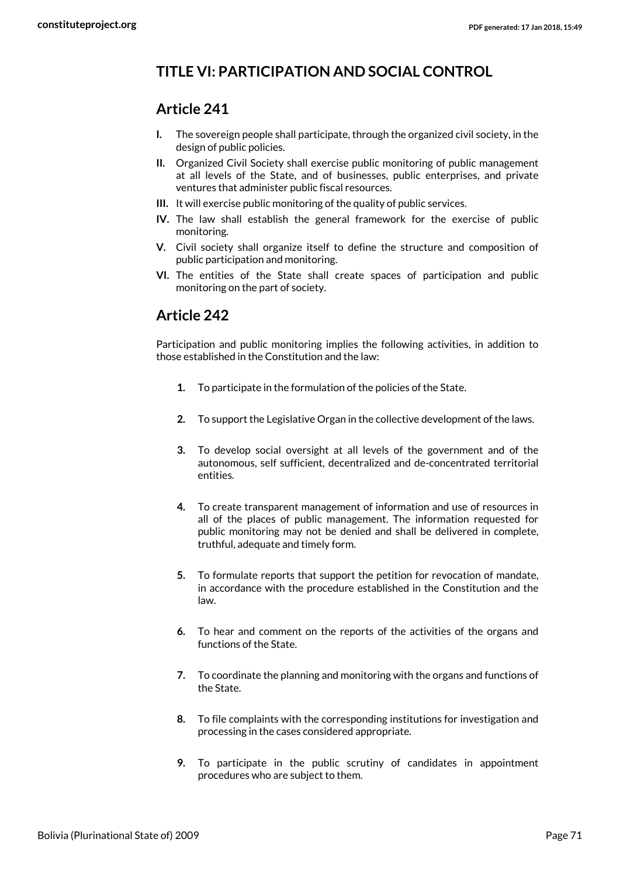# **TITLE VI: PARTICIPATION AND SOCIAL CONTROL**

### **Article 241**

- **I.** The sovereign people shall participate, through the organized civil society, in the design of public policies.
- **II.** Organized Civil Society shall exercise public monitoring of public management at all levels of the State, and of businesses, public enterprises, and private ventures that administer public fiscal resources.
- **III.** It will exercise public monitoring of the quality of public services.
- **IV.** The law shall establish the general framework for the exercise of public monitoring.
- **V.** Civil society shall organize itself to define the structure and composition of public participation and monitoring.
- **VI.** The entities of the State shall create spaces of participation and public monitoring on the part of society.

### **Article 242**

Participation and public monitoring implies the following activities, in addition to those established in the Constitution and the law:

- **1.** To participate in the formulation of the policies of the State.
- **2.** To support the Legislative Organ in the collective development of the laws.
- **3.** To develop social oversight at all levels of the government and of the autonomous, self sufficient, decentralized and de-concentrated territorial entities.
- **4.** To create transparent management of information and use of resources in all of the places of public management. The information requested for public monitoring may not be denied and shall be delivered in complete, truthful, adequate and timely form.
- **5.** To formulate reports that support the petition for revocation of mandate, in accordance with the procedure established in the Constitution and the law.
- **6.** To hear and comment on the reports of the activities of the organs and functions of the State.
- **7.** To coordinate the planning and monitoring with the organs and functions of the State.
- **8.** To file complaints with the corresponding institutions for investigation and processing in the cases considered appropriate.
- **9.** To participate in the public scrutiny of candidates in appointment procedures who are subject to them.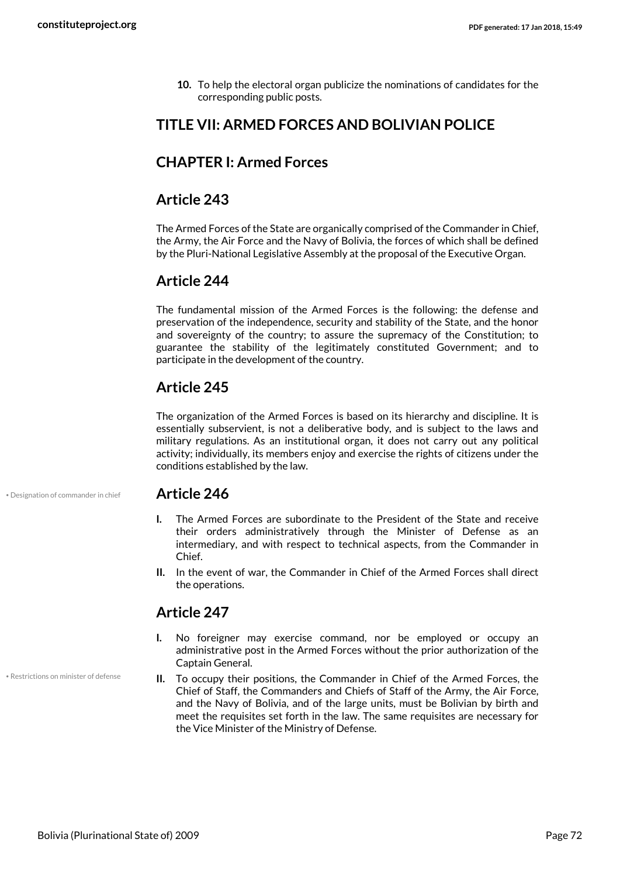**10.** To help the electoral organ publicize the nominations of candidates for the corresponding public posts.

#### **TITLE VII: ARMED FORCES AND BOLIVIAN POLICE**

#### **CHAPTER I: Armed Forces**

#### **Article 243**

The Armed Forces of the State are organically comprised of the Commander in Chief, the Army, the Air Force and the Navy of Bolivia, the forces of which shall be defined by the Pluri-National Legislative Assembly at the proposal of the Executive Organ.

#### **Article 244**

The fundamental mission of the Armed Forces is the following: the defense and preservation of the independence, security and stability of the State, and the honor and sovereignty of the country; to assure the supremacy of the Constitution; to guarantee the stability of the legitimately constituted Government; and to participate in the development of the country.

### **Article 245**

The organization of the Armed Forces is based on its hierarchy and discipline. It is essentially subservient, is not a deliberative body, and is subject to the laws and military regulations. As an institutional organ, it does not carry out any political activity; individually, its members enjoy and exercise the rights of citizens under the conditions established by the law.

#### • Designation of commander in chief **Article 246**

- **I.** The Armed Forces are subordinate to the President of the State and receive their orders administratively through the Minister of Defense as an intermediary, and with respect to technical aspects, from the Commander in Chief.
- **II.** In the event of war, the Commander in Chief of the Armed Forces shall direct the operations.

#### **Article 247**

- **I.** No foreigner may exercise command, nor be employed or occupy an administrative post in the Armed Forces without the prior authorization of the Captain General.
- **II.** To occupy their positions, the Commander in Chief of the Armed Forces, the Chief of Staff, the Commanders and Chiefs of Staff of the Army, the Air Force, and the Navy of Bolivia, and of the large units, must be Bolivian by birth and meet the requisites set forth in the law. The same requisites are necessary for the Vice Minister of the Ministry of Defense.

• Restrictions on minister of defense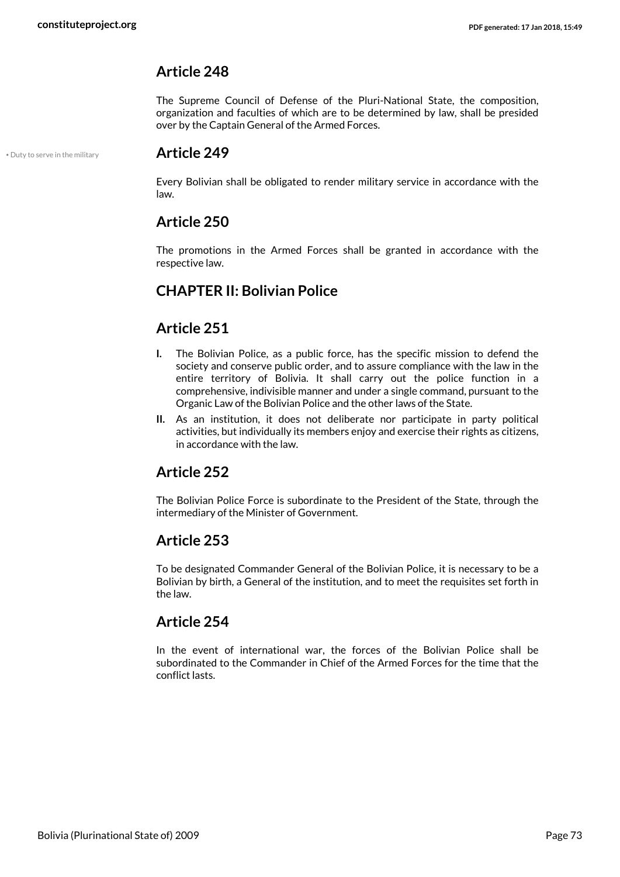The Supreme Council of Defense of the Pluri-National State, the composition, organization and faculties of which are to be determined by law, shall be presided over by the Captain General of the Armed Forces.

• Duty to serve in the military **Article 249**

Every Bolivian shall be obligated to render military service in accordance with the law.

#### **Article 250**

The promotions in the Armed Forces shall be granted in accordance with the respective law.

### **CHAPTER II: Bolivian Police**

### **Article 251**

- **I.** The Bolivian Police, as a public force, has the specific mission to defend the society and conserve public order, and to assure compliance with the law in the entire territory of Bolivia. It shall carry out the police function in a comprehensive, indivisible manner and under a single command, pursuant to the Organic Law of the Bolivian Police and the other laws of the State.
- **II.** As an institution, it does not deliberate nor participate in party political activities, but individually its members enjoy and exercise their rights as citizens, in accordance with the law.

## **Article 252**

The Bolivian Police Force is subordinate to the President of the State, through the intermediary of the Minister of Government.

#### **Article 253**

To be designated Commander General of the Bolivian Police, it is necessary to be a Bolivian by birth, a General of the institution, and to meet the requisites set forth in the law.

#### **Article 254**

In the event of international war, the forces of the Bolivian Police shall be subordinated to the Commander in Chief of the Armed Forces for the time that the conflict lasts.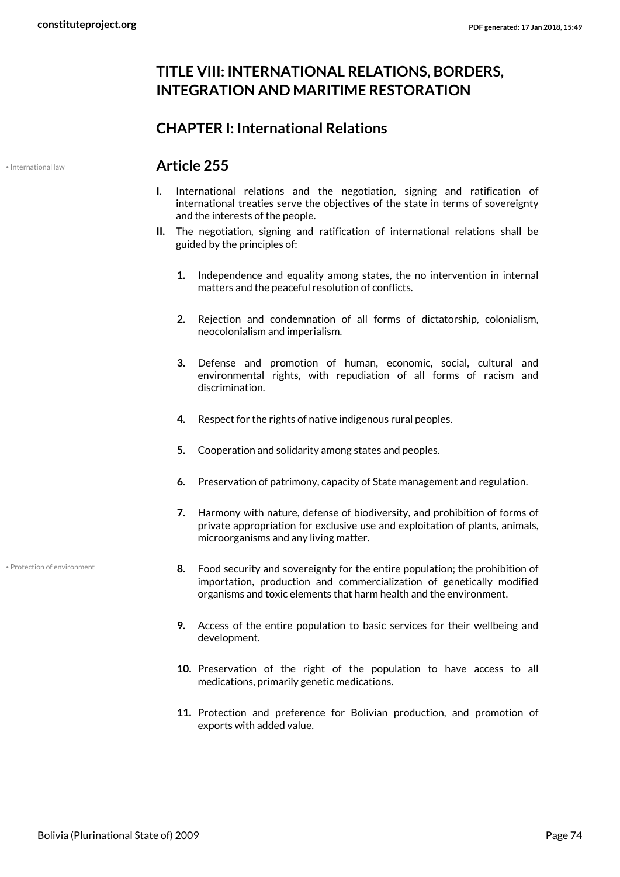# **TITLE VIII: INTERNATIONAL RELATIONS, BORDERS, INTEGRATION AND MARITIME RESTORATION**

## **CHAPTER I: International Relations**

#### • International law **Article 255**

- **I.** International relations and the negotiation, signing and ratification of international treaties serve the objectives of the state in terms of sovereignty and the interests of the people.
- **II.** The negotiation, signing and ratification of international relations shall be guided by the principles of:
	- **1.** Independence and equality among states, the no intervention in internal matters and the peaceful resolution of conflicts.
	- **2.** Rejection and condemnation of all forms of dictatorship, colonialism, neocolonialism and imperialism.
	- **3.** Defense and promotion of human, economic, social, cultural and environmental rights, with repudiation of all forms of racism and discrimination.
	- **4.** Respect for the rights of native indigenous rural peoples.
	- **5.** Cooperation and solidarity among states and peoples.
	- **6.** Preservation of patrimony, capacity of State management and regulation.
	- **7.** Harmony with nature, defense of biodiversity, and prohibition of forms of private appropriation for exclusive use and exploitation of plants, animals, microorganisms and any living matter.
	- **8.** Food security and sovereignty for the entire population; the prohibition of importation, production and commercialization of genetically modified organisms and toxic elements that harm health and the environment.
	- **9.** Access of the entire population to basic services for their wellbeing and development.
	- **10.** Preservation of the right of the population to have access to all medications, primarily genetic medications.
	- **11.** Protection and preference for Bolivian production, and promotion of exports with added value.

• Protection of environment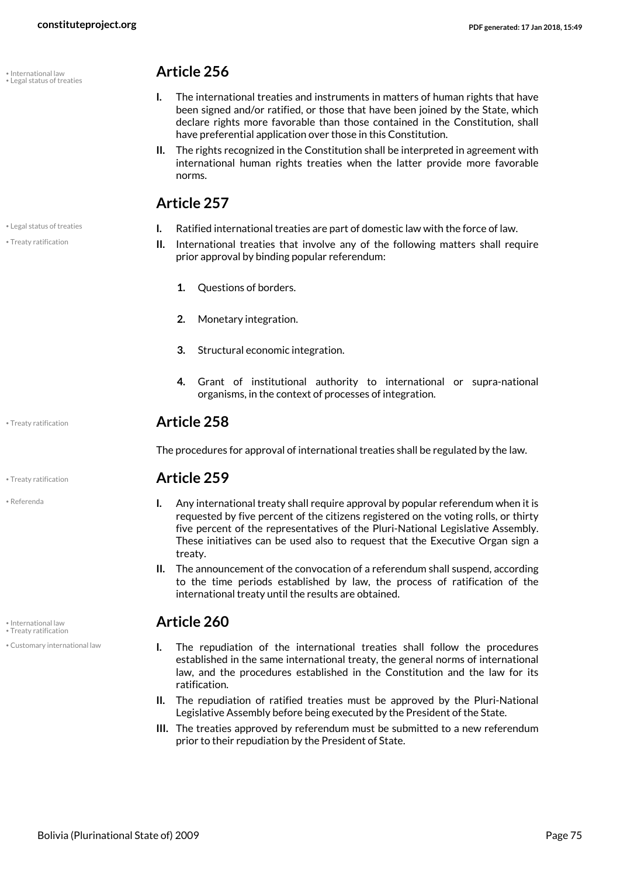• International law **Article 256** • Legal status of treaties

- **I.** The international treaties and instruments in matters of human rights that have been signed and/or ratified, or those that have been joined by the State, which declare rights more favorable than those contained in the Constitution, shall have preferential application over those in this Constitution.
- **II.** The rights recognized in the Constitution shall be interpreted in agreement with international human rights treaties when the latter provide more favorable norms.

### **Article 257**

- **I.** Ratified international treaties are part of domestic law with the force of law.
	- **II.** International treaties that involve any of the following matters shall require prior approval by binding popular referendum:
		- **1.** Questions of borders.
		- **2.** Monetary integration.
		- **3.** Structural economic integration.
		- **4.** Grant of institutional authority to international or supra-national organisms, in the context of processes of integration.

#### • Treaty ratification **Article 258**

The procedures for approval of international treaties shall be regulated by the law.

#### • Treaty ratification **Article 259**

- **I.** Any international treaty shall require approval by popular referendum when it is requested by five percent of the citizens registered on the voting rolls, or thirty five percent of the representatives of the Pluri-National Legislative Assembly. These initiatives can be used also to request that the Executive Organ sign a treaty.
- **II.** The announcement of the convocation of a referendum shall suspend, according to the time periods established by law, the process of ratification of the international treaty until the results are obtained.

# • International law **Article 260** • Treaty ratification

- **I.** The repudiation of the international treaties shall follow the procedures established in the same international treaty, the general norms of international law, and the procedures established in the Constitution and the law for its ratification.
- **II.** The repudiation of ratified treaties must be approved by the Pluri-National Legislative Assembly before being executed by the President of the State.
- **III.** The treaties approved by referendum must be submitted to a new referendum prior to their repudiation by the President of State.

• Treaty ratification

• Referenda

• Customary international law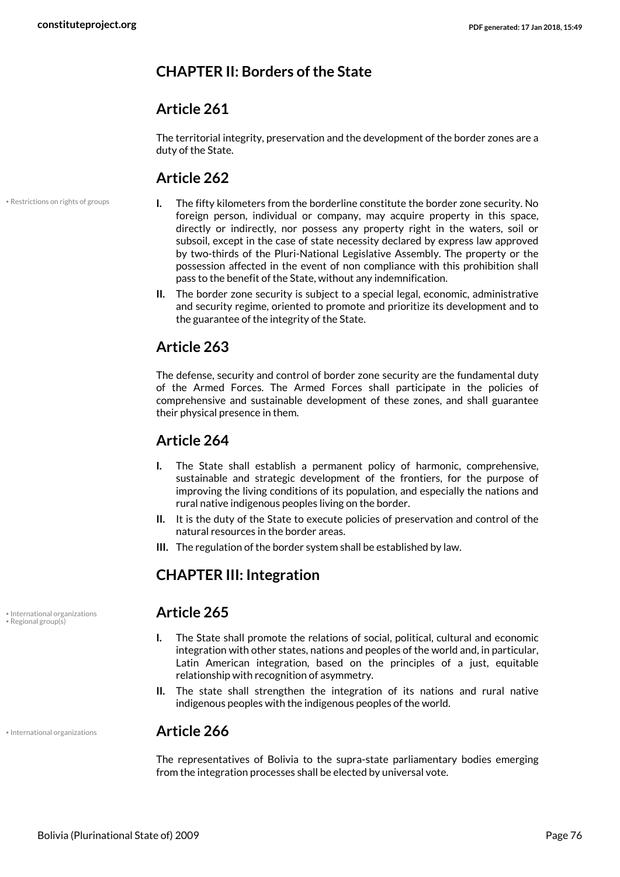### **CHAPTER II: Borders of the State**

## **Article 261**

The territorial integrity, preservation and the development of the border zones are a duty of the State.

## **Article 262**

• Restrictions on rights of groups

- **I.** The fifty kilometers from the borderline constitute the border zone security. No foreign person, individual or company, may acquire property in this space, directly or indirectly, nor possess any property right in the waters, soil or subsoil, except in the case of state necessity declared by express law approved by two-thirds of the Pluri-National Legislative Assembly. The property or the possession affected in the event of non compliance with this prohibition shall pass to the benefit of the State, without any indemnification.
- **II.** The border zone security is subject to a special legal, economic, administrative and security regime, oriented to promote and prioritize its development and to the guarantee of the integrity of the State.

# **Article 263**

The defense, security and control of border zone security are the fundamental duty of the Armed Forces. The Armed Forces shall participate in the policies of comprehensive and sustainable development of these zones, and shall guarantee their physical presence in them.

## **Article 264**

- **I.** The State shall establish a permanent policy of harmonic, comprehensive, sustainable and strategic development of the frontiers, for the purpose of improving the living conditions of its population, and especially the nations and rural native indigenous peoples living on the border.
- **II.** It is the duty of the State to execute policies of preservation and control of the natural resources in the border areas.
- **III.** The regulation of the border system shall be established by law.

## **CHAPTER III: Integration**

- **I.** The State shall promote the relations of social, political, cultural and economic integration with other states, nations and peoples of the world and, in particular, Latin American integration, based on the principles of a just, equitable relationship with recognition of asymmetry.
- **II.** The state shall strengthen the integration of its nations and rural native indigenous peoples with the indigenous peoples of the world.

#### • International organizations **Article 266**

The representatives of Bolivia to the supra-state parliamentary bodies emerging from the integration processes shall be elected by universal vote.

• International organizations **Article 265** • Regional group(s)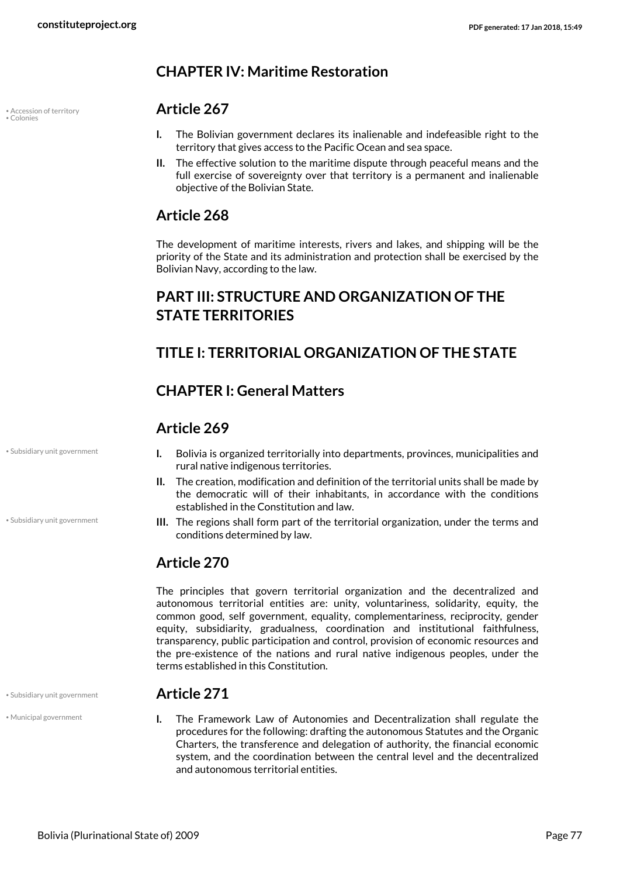• Accession of territory **Article 267** • Colonies

# **CHAPTER IV: Maritime Restoration**

- **I.** The Bolivian government declares its inalienable and indefeasible right to the territory that gives access to the Pacific Ocean and sea space.
- **II.** The effective solution to the maritime dispute through peaceful means and the full exercise of sovereignty over that territory is a permanent and inalienable objective of the Bolivian State.

# **Article 268**

The development of maritime interests, rivers and lakes, and shipping will be the priority of the State and its administration and protection shall be exercised by the Bolivian Navy, according to the law.

# **PART III: STRUCTURE AND ORGANIZATION OF THE STATE TERRITORIES**

# **TITLE I: TERRITORIAL ORGANIZATION OF THE STATE**

# **CHAPTER I: General Matters**

## **Article 269**

- Subsidiary unit government
- **I.** Bolivia is organized territorially into departments, provinces, municipalities and rural native indigenous territories.
- **II.** The creation, modification and definition of the territorial units shall be made by the democratic will of their inhabitants, in accordance with the conditions established in the Constitution and law.
- **III.** The regions shall form part of the territorial organization, under the terms and conditions determined by law.

# **Article 270**

The principles that govern territorial organization and the decentralized and autonomous territorial entities are: unity, voluntariness, solidarity, equity, the common good, self government, equality, complementariness, reciprocity, gender equity, subsidiarity, gradualness, coordination and institutional faithfulness, transparency, public participation and control, provision of economic resources and the pre-existence of the nations and rural native indigenous peoples, under the terms established in this Constitution.

**I.** The Framework Law of Autonomies and Decentralization shall regulate the procedures for the following: drafting the autonomous Statutes and the Organic Charters, the transference and delegation of authority, the financial economic system, and the coordination between the central level and the decentralized and autonomous territorial entities.

• Subsidiary unit government

• Subsidiary unit government **Article 271**

• Municipal government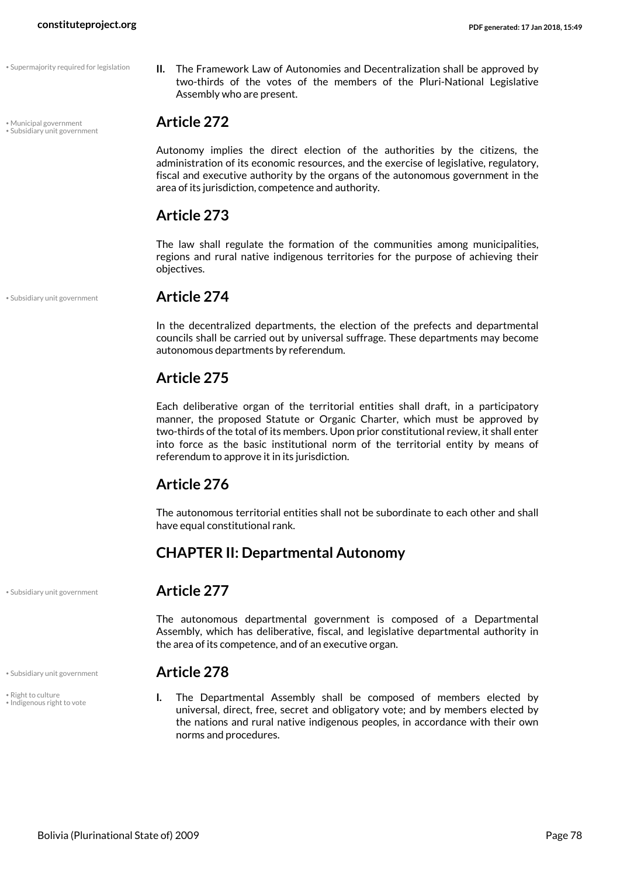**II.** The Framework Law of Autonomies and Decentralization shall be approved by two-thirds of the votes of the members of the Pluri-National Legislative Assembly who are present.

# • Municipal government **Article 272** • Subsidiary unit government

Autonomy implies the direct election of the authorities by the citizens, the administration of its economic resources, and the exercise of legislative, regulatory, fiscal and executive authority by the organs of the autonomous government in the area of its jurisdiction, competence and authority.

#### **Article 273**

The law shall regulate the formation of the communities among municipalities, regions and rural native indigenous territories for the purpose of achieving their objectives.

#### • Subsidiary unit government **Article 274**

In the decentralized departments, the election of the prefects and departmental councils shall be carried out by universal suffrage. These departments may become autonomous departments by referendum.

## **Article 275**

Each deliberative organ of the territorial entities shall draft, in a participatory manner, the proposed Statute or Organic Charter, which must be approved by two-thirds of the total of its members. Upon prior constitutional review, it shall enter into force as the basic institutional norm of the territorial entity by means of referendum to approve it in its jurisdiction.

## **Article 276**

The autonomous territorial entities shall not be subordinate to each other and shall have equal constitutional rank.

## **CHAPTER II: Departmental Autonomy**

#### • Subsidiary unit government **Article 277**

The autonomous departmental government is composed of a Departmental Assembly, which has deliberative, fiscal, and legislative departmental authority in the area of its competence, and of an executive organ.

#### • Subsidiary unit government **Article 278**

**I.** The Departmental Assembly shall be composed of members elected by universal, direct, free, secret and obligatory vote; and by members elected by the nations and rural native indigenous peoples, in accordance with their own norms and procedures.

• Right to culture • Indigenous right to vote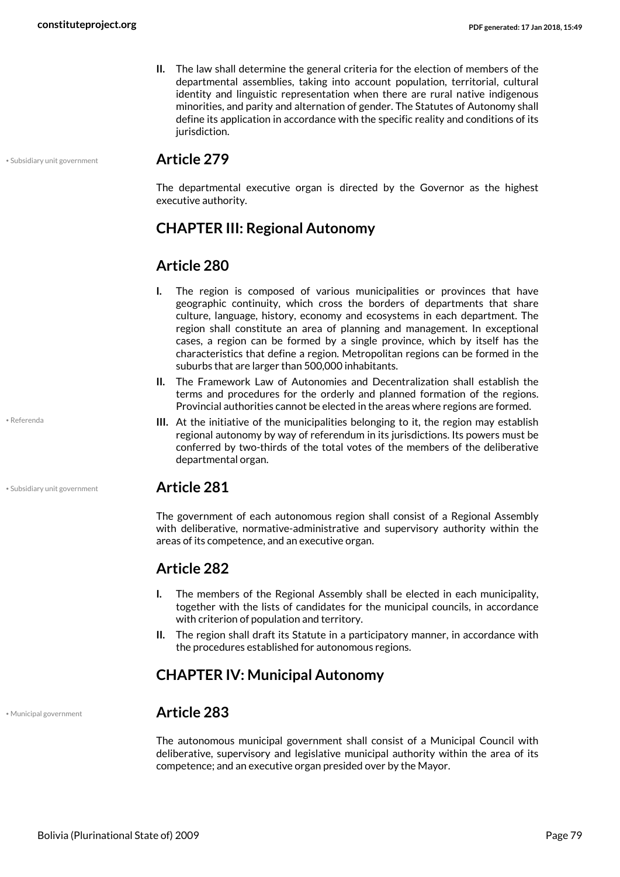**II.** The law shall determine the general criteria for the election of members of the departmental assemblies, taking into account population, territorial, cultural identity and linguistic representation when there are rural native indigenous minorities, and parity and alternation of gender. The Statutes of Autonomy shall define its application in accordance with the specific reality and conditions of its jurisdiction.

• Subsidiary unit government **Article 279**

The departmental executive organ is directed by the Governor as the highest executive authority.

# **CHAPTER III: Regional Autonomy**

### **Article 280**

- **I.** The region is composed of various municipalities or provinces that have geographic continuity, which cross the borders of departments that share culture, language, history, economy and ecosystems in each department. The region shall constitute an area of planning and management. In exceptional cases, a region can be formed by a single province, which by itself has the characteristics that define a region. Metropolitan regions can be formed in the suburbs that are larger than 500,000 inhabitants.
- **II.** The Framework Law of Autonomies and Decentralization shall establish the terms and procedures for the orderly and planned formation of the regions. Provincial authorities cannot be elected in the areas where regions are formed.
- **III.** At the initiative of the municipalities belonging to it, the region may establish regional autonomy by way of referendum in its jurisdictions. Its powers must be conferred by two-thirds of the total votes of the members of the deliberative departmental organ.

#### • Subsidiary unit government **Article 281**

The government of each autonomous region shall consist of a Regional Assembly with deliberative, normative-administrative and supervisory authority within the areas of its competence, and an executive organ.

# **Article 282**

- **I.** The members of the Regional Assembly shall be elected in each municipality, together with the lists of candidates for the municipal councils, in accordance with criterion of population and territory.
- **II.** The region shall draft its Statute in a participatory manner, in accordance with the procedures established for autonomous regions.

# **CHAPTER IV: Municipal Autonomy**

## • Municipal government **Article 283**

The autonomous municipal government shall consist of a Municipal Council with deliberative, supervisory and legislative municipal authority within the area of its competence; and an executive organ presided over by the Mayor.

• Referenda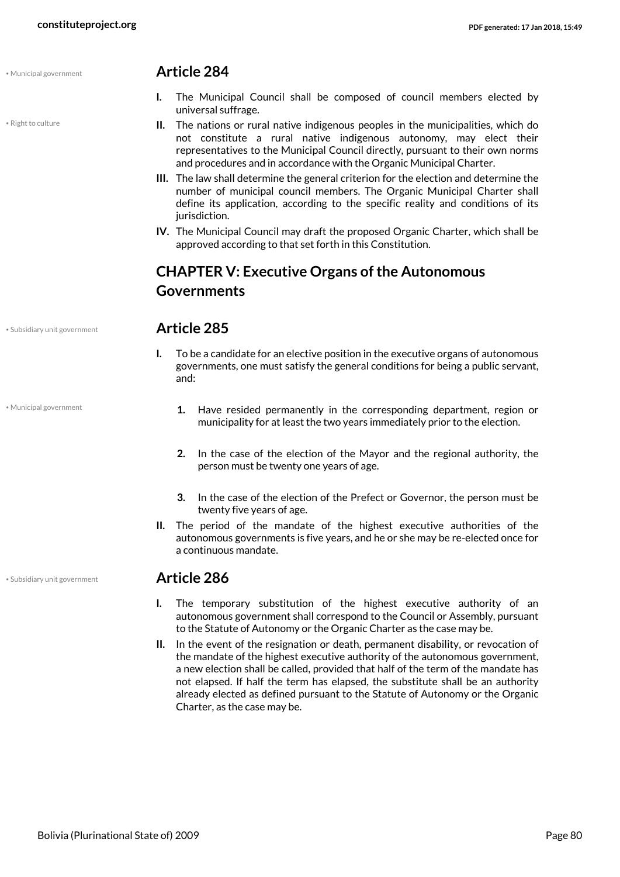• Municipal government **Article 284**

• Right to culture

• Subsidiary unit government **Article 285**

• Municipal government

universal suffrage.

jurisdiction.

**Governments**

**I.** To be a candidate for an elective position in the executive organs of autonomous governments, one must satisfy the general conditions for being a public servant, and:

**I.** The Municipal Council shall be composed of council members elected by

**II.** The nations or rural native indigenous peoples in the municipalities, which do not constitute a rural native indigenous autonomy, may elect their representatives to the Municipal Council directly, pursuant to their own norms

**III.** The law shall determine the general criterion for the election and determine the number of municipal council members. The Organic Municipal Charter shall define its application, according to the specific reality and conditions of its

**IV.** The Municipal Council may draft the proposed Organic Charter, which shall be

approved according to that set forth in this Constitution.

**CHAPTER V: Executive Organs of the Autonomous**

and procedures and in accordance with the Organic Municipal Charter.

- **1.** Have resided permanently in the corresponding department, region or municipality for at least the two years immediately prior to the election.
- **2.** In the case of the election of the Mayor and the regional authority, the person must be twenty one years of age.
- **3.** In the case of the election of the Prefect or Governor, the person must be twenty five years of age.
- **II.** The period of the mandate of the highest executive authorities of the autonomous governments is five years, and he or she may be re-elected once for a continuous mandate.

#### • Subsidiary unit government **Article 286**

- **I.** The temporary substitution of the highest executive authority of an autonomous government shall correspond to the Council or Assembly, pursuant to the Statute of Autonomy or the Organic Charter as the case may be.
- **II.** In the event of the resignation or death, permanent disability, or revocation of the mandate of the highest executive authority of the autonomous government, a new election shall be called, provided that half of the term of the mandate has not elapsed. If half the term has elapsed, the substitute shall be an authority already elected as defined pursuant to the Statute of Autonomy or the Organic Charter, as the case may be.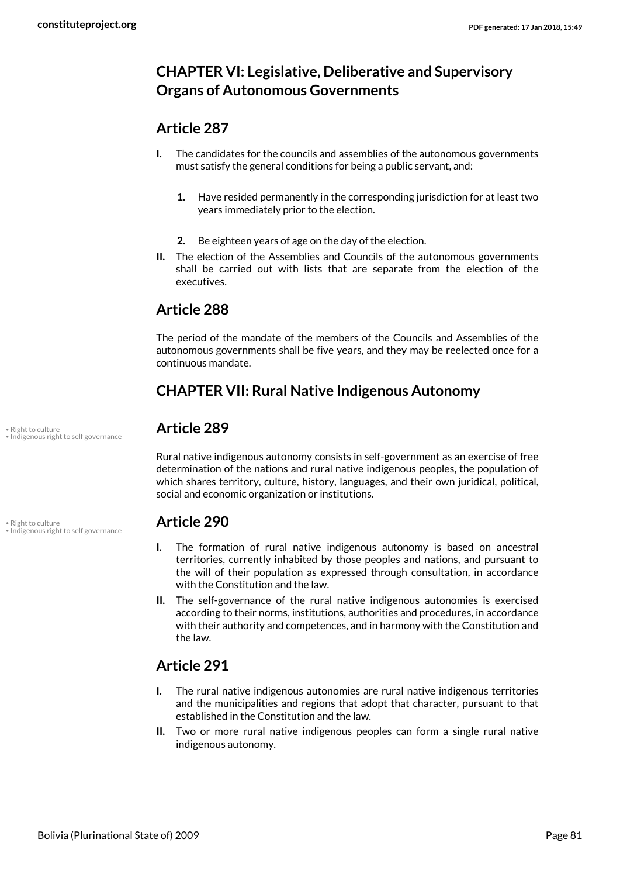# **CHAPTER VI: Legislative, Deliberative and Supervisory Organs of Autonomous Governments**

# **Article 287**

- **I.** The candidates for the councils and assemblies of the autonomous governments must satisfy the general conditions for being a public servant, and:
	- **1.** Have resided permanently in the corresponding jurisdiction for at least two years immediately prior to the election.
	- **2.** Be eighteen years of age on the day of the election.
- **II.** The election of the Assemblies and Councils of the autonomous governments shall be carried out with lists that are separate from the election of the executives.

# **Article 288**

The period of the mandate of the members of the Councils and Assemblies of the autonomous governments shall be five years, and they may be reelected once for a continuous mandate.

# **CHAPTER VII: Rural Native Indigenous Autonomy**

Rural native indigenous autonomy consists in self-government as an exercise of free determination of the nations and rural native indigenous peoples, the population of which shares territory, culture, history, languages, and their own juridical, political, social and economic organization or institutions.

- **I.** The formation of rural native indigenous autonomy is based on ancestral territories, currently inhabited by those peoples and nations, and pursuant to the will of their population as expressed through consultation, in accordance with the Constitution and the law.
- **II.** The self-governance of the rural native indigenous autonomies is exercised according to their norms, institutions, authorities and procedures, in accordance with their authority and competences, and in harmony with the Constitution and the law.

# **Article 291**

- **I.** The rural native indigenous autonomies are rural native indigenous territories and the municipalities and regions that adopt that character, pursuant to that established in the Constitution and the law.
- **II.** Two or more rural native indigenous peoples can form a single rural native indigenous autonomy.

• Right to culture **Article 289** • Indigenous right to self governance

• Right to culture **Article 290** • Indigenous right to self governance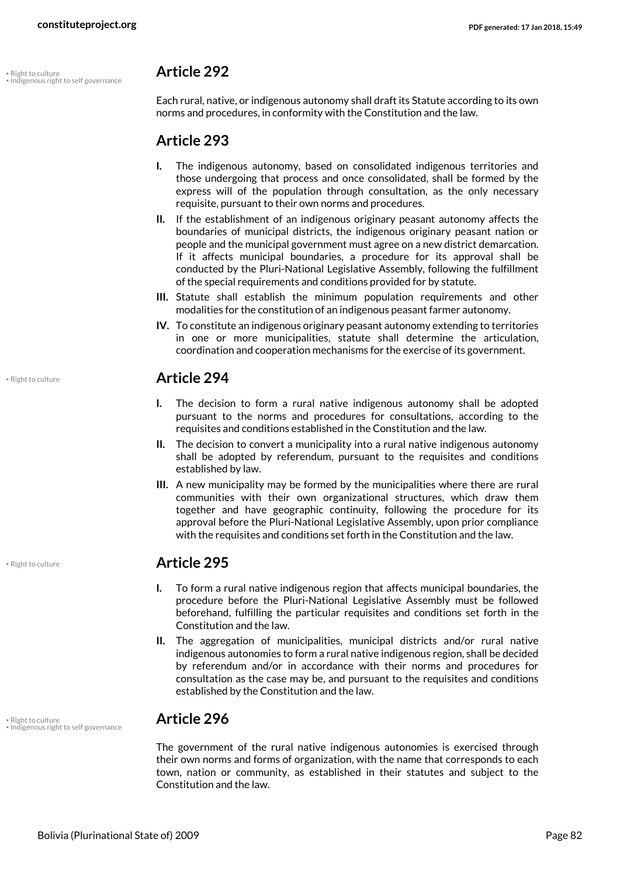• Right to culture **Article 292** • Indigenous right to self governance

Each rural, native, or indigenous autonomy shall draft its Statute according to its own norms and procedures, in conformity with the Constitution and the law.

## **Article 293**

- **I.** The indigenous autonomy, based on consolidated indigenous territories and those undergoing that process and once consolidated, shall be formed by the express will of the population through consultation, as the only necessary requisite, pursuant to their own norms and procedures.
- **II.** If the establishment of an indigenous originary peasant autonomy affects the boundaries of municipal districts, the indigenous originary peasant nation or people and the municipal government must agree on a new district demarcation. If it affects municipal boundaries, a procedure for its approval shall be conducted by the Pluri-National Legislative Assembly, following the fulfillment of the special requirements and conditions provided for by statute.
- **III.** Statute shall establish the minimum population requirements and other modalities for the constitution of an indigenous peasant farmer autonomy.
- **IV.** To constitute an indigenous originary peasant autonomy extending to territories in one or more municipalities, statute shall determine the articulation, coordination and cooperation mechanisms for the exercise of its government.

#### • Right to culture **Article 294**

- **I.** The decision to form a rural native indigenous autonomy shall be adopted pursuant to the norms and procedures for consultations, according to the requisites and conditions established in the Constitution and the law.
- **II.** The decision to convert a municipality into a rural native indigenous autonomy shall be adopted by referendum, pursuant to the requisites and conditions established by law.
- **III.** A new municipality may be formed by the municipalities where there are rural communities with their own organizational structures, which draw them together and have geographic continuity, following the procedure for its approval before the Pluri-National Legislative Assembly, upon prior compliance with the requisites and conditions set forth in the Constitution and the law.

#### • Right to culture **Article 295**

- **I.** To form a rural native indigenous region that affects municipal boundaries, the procedure before the Pluri-National Legislative Assembly must be followed beforehand, fulfilling the particular requisites and conditions set forth in the Constitution and the law.
- **II.** The aggregation of municipalities, municipal districts and/or rural native indigenous autonomies to form a rural native indigenous region, shall be decided by referendum and/or in accordance with their norms and procedures for consultation as the case may be, and pursuant to the requisites and conditions established by the Constitution and the law.

# • Right to culture **Article 296** • Indigenous right to self governance

The government of the rural native indigenous autonomies is exercised through their own norms and forms of organization, with the name that corresponds to each town, nation or community, as established in their statutes and subject to the Constitution and the law.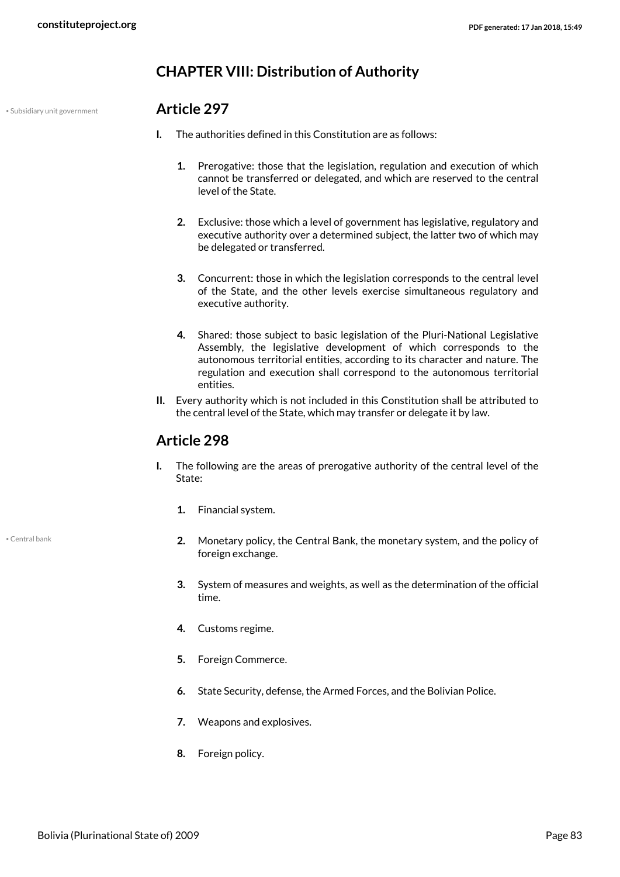## **CHAPTER VIII: Distribution of Authority**

## • Subsidiary unit government **Article 297**

- **I.** The authorities defined in this Constitution are as follows:
	- **1.** Prerogative: those that the legislation, regulation and execution of which cannot be transferred or delegated, and which are reserved to the central level of the State.
	- **2.** Exclusive: those which a level of government has legislative, regulatory and executive authority over a determined subject, the latter two of which may be delegated or transferred.
	- **3.** Concurrent: those in which the legislation corresponds to the central level of the State, and the other levels exercise simultaneous regulatory and executive authority.
	- **4.** Shared: those subject to basic legislation of the Pluri-National Legislative Assembly, the legislative development of which corresponds to the autonomous territorial entities, according to its character and nature. The regulation and execution shall correspond to the autonomous territorial entities.
- **II.** Every authority which is not included in this Constitution shall be attributed to the central level of the State, which may transfer or delegate it by law.

### **Article 298**

- **I.** The following are the areas of prerogative authority of the central level of the State:
	- **1.** Financial system.
	- **2.** Monetary policy, the Central Bank, the monetary system, and the policy of foreign exchange.
	- **3.** System of measures and weights, as well as the determination of the official time.
	- **4.** Customs regime.
	- **5.** Foreign Commerce.
	- **6.** State Security, defense, the Armed Forces, and the Bolivian Police.
	- **7.** Weapons and explosives.
	- **8.** Foreign policy.

• Central bank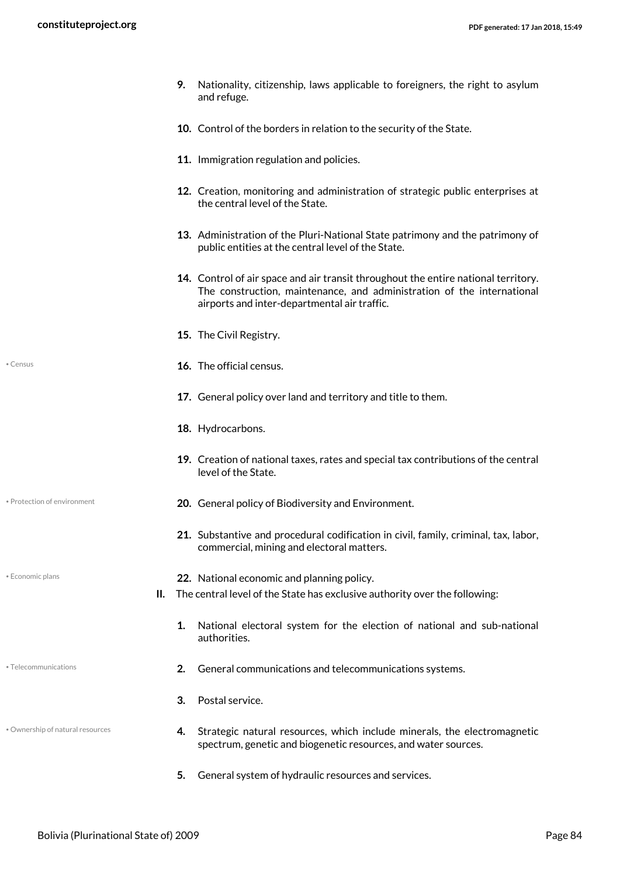|                                  | 9. | Nationality, citizenship, laws applicable to foreigners, the right to asylum<br>and refuge.                                                                                                                  |
|----------------------------------|----|--------------------------------------------------------------------------------------------------------------------------------------------------------------------------------------------------------------|
|                                  |    | 10. Control of the borders in relation to the security of the State.                                                                                                                                         |
|                                  |    | 11. Immigration regulation and policies.                                                                                                                                                                     |
|                                  |    | 12. Creation, monitoring and administration of strategic public enterprises at<br>the central level of the State.                                                                                            |
|                                  |    | 13. Administration of the Pluri-National State patrimony and the patrimony of<br>public entities at the central level of the State.                                                                          |
|                                  |    | 14. Control of air space and air transit throughout the entire national territory.<br>The construction, maintenance, and administration of the international<br>airports and inter-departmental air traffic. |
|                                  |    | 15. The Civil Registry.                                                                                                                                                                                      |
| • Census                         |    | <b>16.</b> The official census.                                                                                                                                                                              |
|                                  |    | 17. General policy over land and territory and title to them.                                                                                                                                                |
|                                  |    | 18. Hydrocarbons.                                                                                                                                                                                            |
|                                  |    | 19. Creation of national taxes, rates and special tax contributions of the central<br>level of the State.                                                                                                    |
| · Protection of environment      |    | 20. General policy of Biodiversity and Environment.                                                                                                                                                          |
|                                  |    | 21. Substantive and procedural codification in civil, family, criminal, tax, labor,<br>commercial, mining and electoral matters.                                                                             |
| · Economic plans                 | Н. | 22. National economic and planning policy.<br>The central level of the State has exclusive authority over the following:                                                                                     |
|                                  | 1. | National electoral system for the election of national and sub-national<br>authorities.                                                                                                                      |
| · Telecommunications             | 2. | General communications and telecommunications systems.                                                                                                                                                       |
|                                  | 3. | Postal service.                                                                                                                                                                                              |
| . Ownership of natural resources | 4. | Strategic natural resources, which include minerals, the electromagnetic<br>spectrum, genetic and biogenetic resources, and water sources.                                                                   |
|                                  | 5. | General system of hydraulic resources and services.                                                                                                                                                          |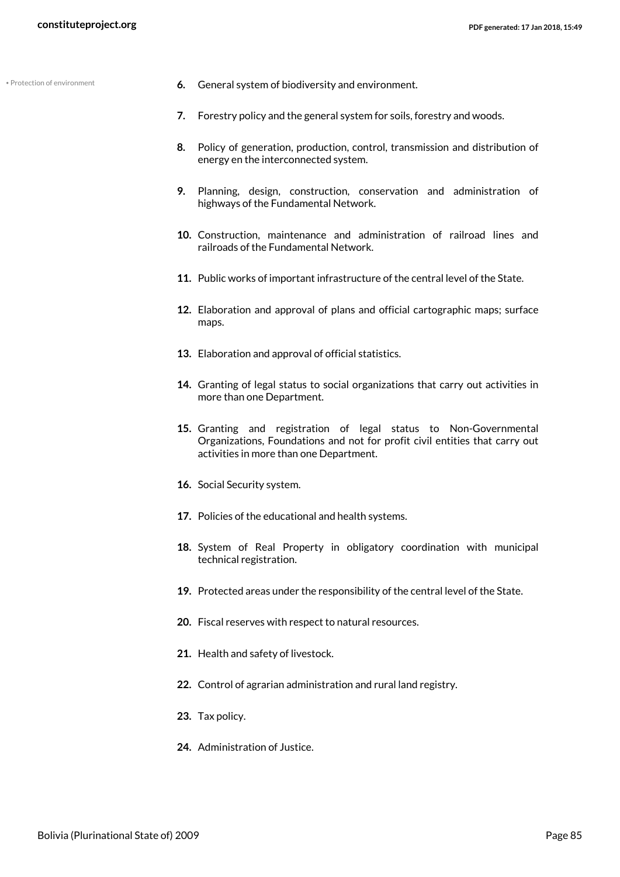- Protection of environment **6.** General system of biodiversity and environment.
	- **7.** Forestry policy and the general system for soils, forestry and woods.
	- **8.** Policy of generation, production, control, transmission and distribution of energy en the interconnected system.
	- **9.** Planning, design, construction, conservation and administration of highways of the Fundamental Network.
	- **10.** Construction, maintenance and administration of railroad lines and railroads of the Fundamental Network.
	- **11.** Public works of important infrastructure of the central level of the State.
	- **12.** Elaboration and approval of plans and official cartographic maps; surface maps.
	- **13.** Elaboration and approval of official statistics.
	- **14.** Granting of legal status to social organizations that carry out activities in more than one Department.
	- **15.** Granting and registration of legal status to Non-Governmental Organizations, Foundations and not for profit civil entities that carry out activities in more than one Department.
	- **16.** Social Security system.
	- **17.** Policies of the educational and health systems.
	- **18.** System of Real Property in obligatory coordination with municipal technical registration.
	- **19.** Protected areas under the responsibility of the central level of the State.
	- **20.** Fiscal reserves with respect to natural resources.
	- **21.** Health and safety of livestock.
	- **22.** Control of agrarian administration and rural land registry.
	- **23.** Tax policy.
	- **24.** Administration of Justice.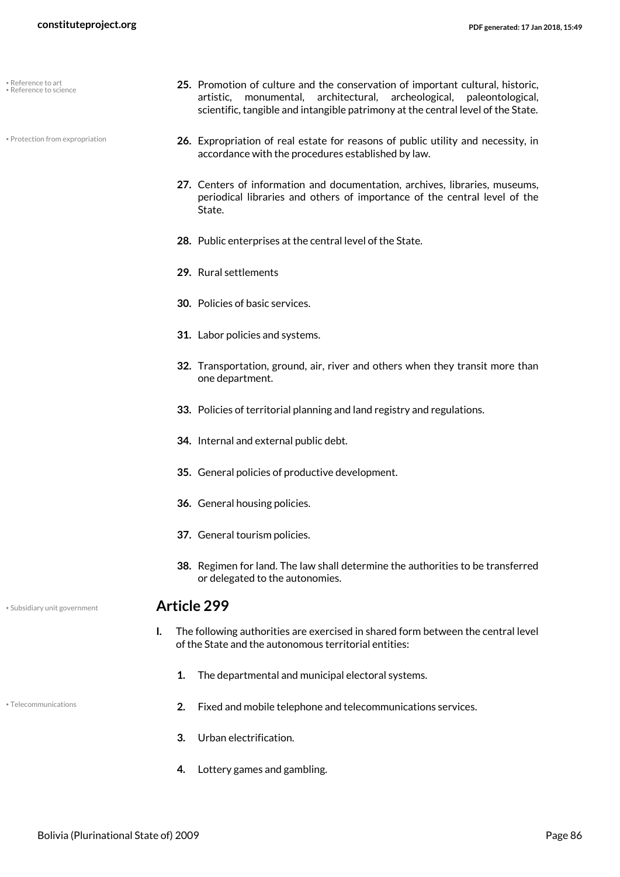| $\bullet$ Reference to art<br>• Reference to science |  | 25. Promotion of culture and the conservation of in |  |
|------------------------------------------------------|--|-----------------------------------------------------|--|
|                                                      |  | artistic. monumental. architectural. archeo         |  |

- Protection from expropriation
- 20 **25. Proportant cultural, historic,** ological, paleontological, scientific, tangible and intangible patrimony at the central level of the State.
- **26.** Expropriation of real estate for reasons of public utility and necessity, in accordance with the procedures established by law.
- **27.** Centers of information and documentation, archives, libraries, museums, periodical libraries and others of importance of the central level of the State.
- **28.** Public enterprises at the central level of the State.
- **29.** Rural settlements
- **30.** Policies of basic services.
- **31.** Labor policies and systems.
- **32.** Transportation, ground, air, river and others when they transit more than one department.
- **33.** Policies of territorial planning and land registry and regulations.
- **34.** Internal and external public debt.
- **35.** General policies of productive development.
- **36.** General housing policies.
- **37.** General tourism policies.
- **38.** Regimen for land. The law shall determine the authorities to be transferred or delegated to the autonomies.

#### • Subsidiary unit government **Article 299**

- **I.** The following authorities are exercised in shared form between the central level of the State and the autonomous territorial entities:
	- **1.** The departmental and municipal electoral systems.

- 
- **Example 2.** Fixed and mobile telephone and telecommunications services.
	- **3.** Urban electrification.
	- **4.** Lottery games and gambling.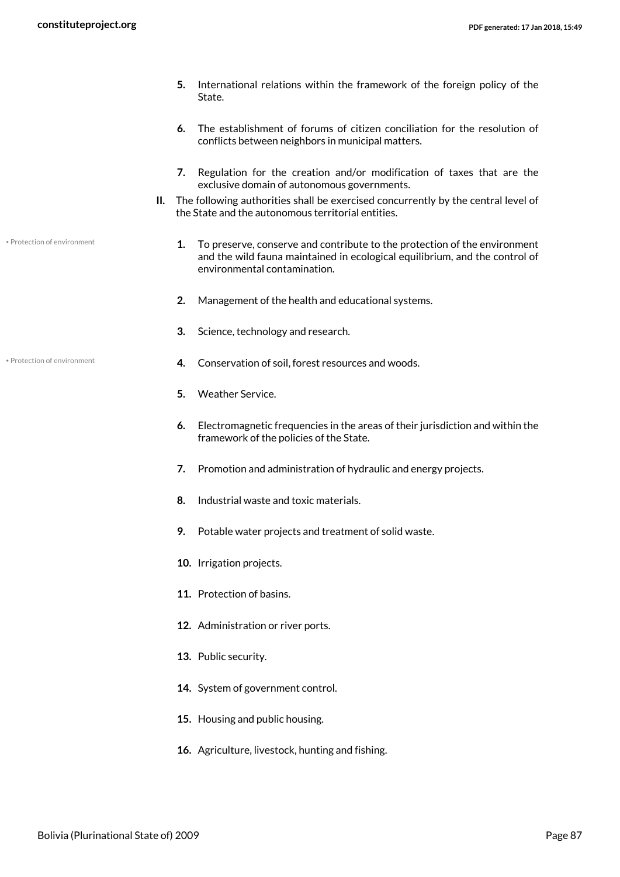- **5.** International relations within the framework of the foreign policy of the State.
- **6.** The establishment of forums of citizen conciliation for the resolution of conflicts between neighbors in municipal matters.
- **7.** Regulation for the creation and/or modification of taxes that are the exclusive domain of autonomous governments.
- **II.** The following authorities shall be exercised concurrently by the central level of the State and the autonomous territorial entities.
	- **1.** To preserve, conserve and contribute to the protection of the environment and the wild fauna maintained in ecological equilibrium, and the control of environmental contamination.
	- **2.** Management of the health and educational systems.
	- **3.** Science, technology and research.
- Protection of environment **4.** Conservation of soil, forest resources and woods.
	- **5.** Weather Service.
	- **6.** Electromagnetic frequencies in the areas of their jurisdiction and within the framework of the policies of the State.
	- **7.** Promotion and administration of hydraulic and energy projects.
	- **8.** Industrial waste and toxic materials.
	- **9.** Potable water projects and treatment of solid waste.
	- **10.** Irrigation projects.
	- **11.** Protection of basins.
	- **12.** Administration or river ports.
	- **13.** Public security.
	- **14.** System of government control.
	- **15.** Housing and public housing.
	- **16.** Agriculture, livestock, hunting and fishing.

• Protection of environment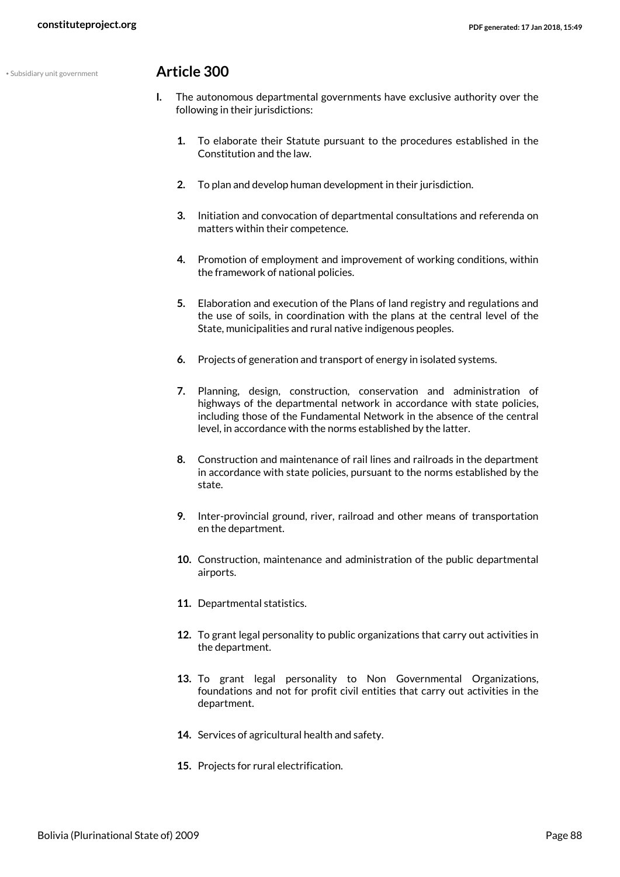#### • Subsidiary unit government **Article 300**

- **I.** The autonomous departmental governments have exclusive authority over the following in their jurisdictions:
	- **1.** To elaborate their Statute pursuant to the procedures established in the Constitution and the law.
	- **2.** To plan and develop human development in their jurisdiction.
	- **3.** Initiation and convocation of departmental consultations and referenda on matters within their competence.
	- **4.** Promotion of employment and improvement of working conditions, within the framework of national policies.
	- **5.** Elaboration and execution of the Plans of land registry and regulations and the use of soils, in coordination with the plans at the central level of the State, municipalities and rural native indigenous peoples.
	- **6.** Projects of generation and transport of energy in isolated systems.
	- **7.** Planning, design, construction, conservation and administration of highways of the departmental network in accordance with state policies, including those of the Fundamental Network in the absence of the central level, in accordance with the norms established by the latter.
	- **8.** Construction and maintenance of rail lines and railroads in the department in accordance with state policies, pursuant to the norms established by the state.
	- **9.** Inter-provincial ground, river, railroad and other means of transportation en the department.
	- **10.** Construction, maintenance and administration of the public departmental airports.
	- **11.** Departmental statistics.
	- **12.** To grant legal personality to public organizations that carry out activities in the department.
	- **13.** To grant legal personality to Non Governmental Organizations, foundations and not for profit civil entities that carry out activities in the department.
	- **14.** Services of agricultural health and safety.
	- **15.** Projects for rural electrification.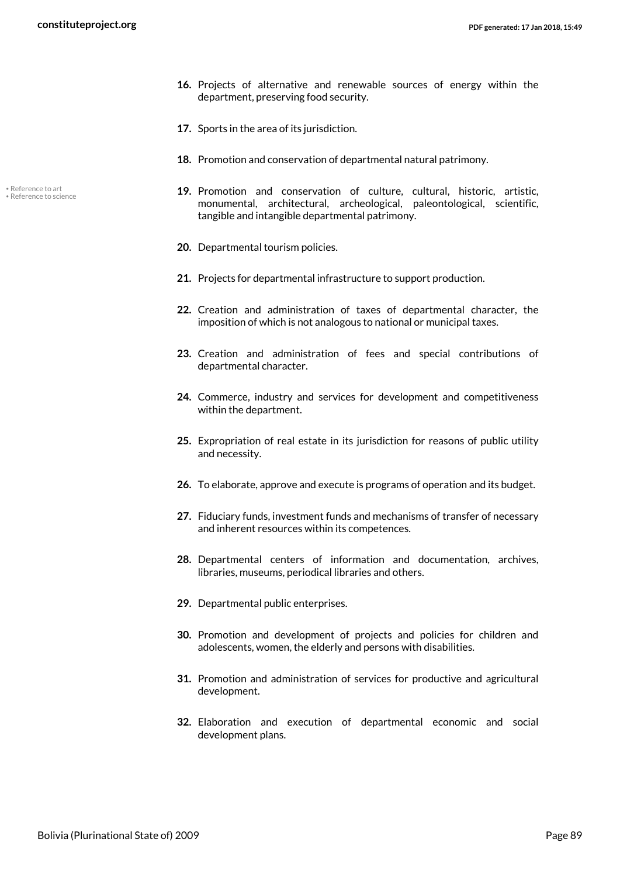- **16.** Projects of alternative and renewable sources of energy within the department, preserving food security.
- **17.** Sports in the area of its jurisdiction.
- **18.** Promotion and conservation of departmental natural patrimony.
- **19.** Promotion and conservation of culture, cultural, historic, artistic, monumental, architectural, archeological, paleontological, scientific, tangible and intangible departmental patrimony.
- **20.** Departmental tourism policies.
- **21.** Projects for departmental infrastructure to support production.
- **22.** Creation and administration of taxes of departmental character, the imposition of which is not analogous to national or municipal taxes.
- **23.** Creation and administration of fees and special contributions of departmental character.
- **24.** Commerce, industry and services for development and competitiveness within the department.
- **25.** Expropriation of real estate in its jurisdiction for reasons of public utility and necessity.
- **26.** To elaborate, approve and execute is programs of operation and its budget.
- **27.** Fiduciary funds, investment funds and mechanisms of transfer of necessary and inherent resources within its competences.
- **28.** Departmental centers of information and documentation, archives, libraries, museums, periodical libraries and others.
- **29.** Departmental public enterprises.
- **30.** Promotion and development of projects and policies for children and adolescents, women, the elderly and persons with disabilities.
- **31.** Promotion and administration of services for productive and agricultural development.
- **32.** Elaboration and execution of departmental economic and social development plans.

• Reference to art • Reference to science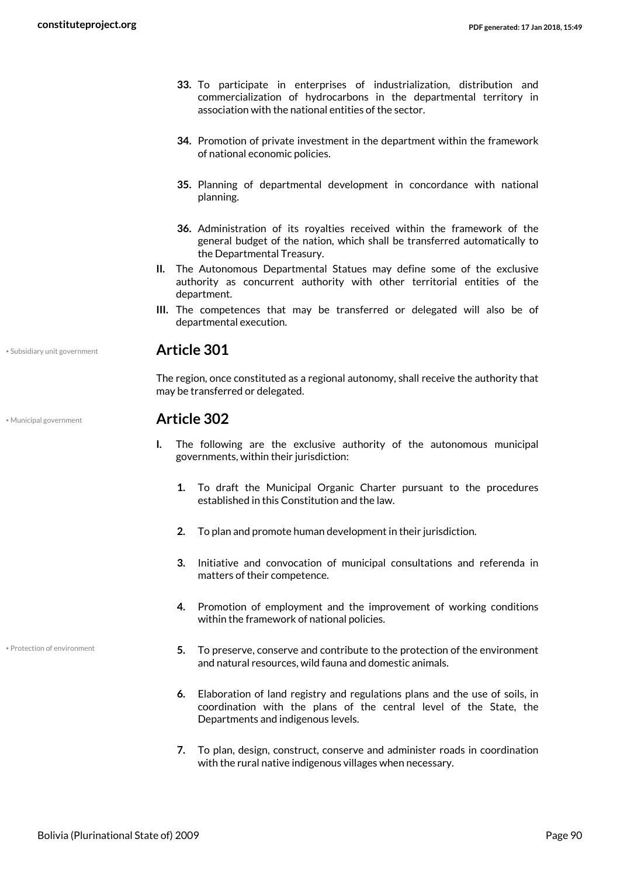- **33.** To participate in enterprises of industrialization, distribution and commercialization of hydrocarbons in the departmental territory in association with the national entities of the sector.
- **34.** Promotion of private investment in the department within the framework of national economic policies.
- **35.** Planning of departmental development in concordance with national planning.
- **36.** Administration of its royalties received within the framework of the general budget of the nation, which shall be transferred automatically to the Departmental Treasury.
- **II.** The Autonomous Departmental Statues may define some of the exclusive authority as concurrent authority with other territorial entities of the department.
- **III.** The competences that may be transferred or delegated will also be of departmental execution.

#### • Subsidiary unit government **Article 301**

The region, once constituted as a regional autonomy, shall receive the authority that may be transferred or delegated.

#### • Municipal government **Article 302**

- **I.** The following are the exclusive authority of the autonomous municipal governments, within their jurisdiction:
	- **1.** To draft the Municipal Organic Charter pursuant to the procedures established in this Constitution and the law.
	- **2.** To plan and promote human development in their jurisdiction.
	- **3.** Initiative and convocation of municipal consultations and referenda in matters of their competence.
	- **4.** Promotion of employment and the improvement of working conditions within the framework of national policies.
- **5.** To preserve, conserve and contribute to the protection of the environment and natural resources, wild fauna and domestic animals.
	- **6.** Elaboration of land registry and regulations plans and the use of soils, in coordination with the plans of the central level of the State, the Departments and indigenous levels.
	- **7.** To plan, design, construct, conserve and administer roads in coordination with the rural native indigenous villages when necessary.

• Protection of environment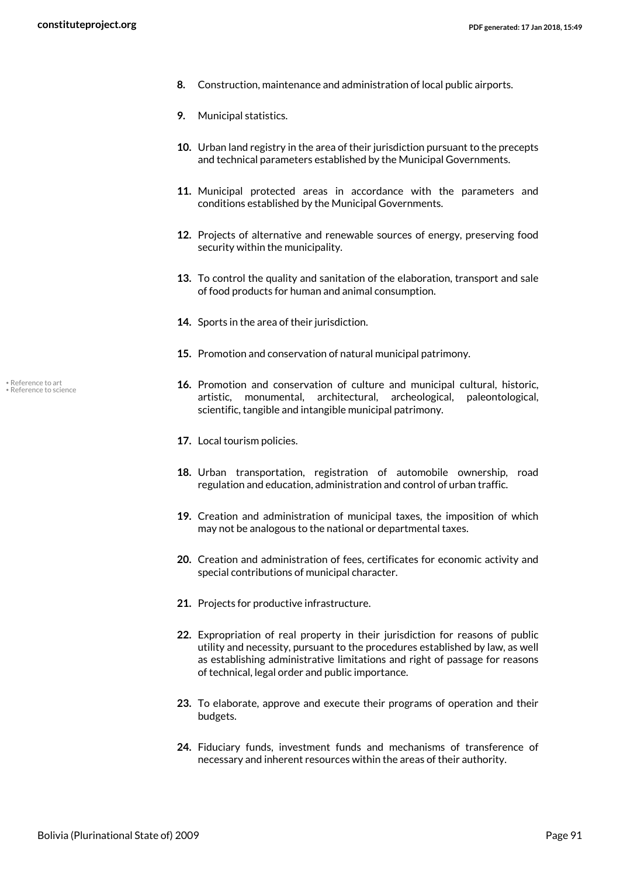- **8.** Construction, maintenance and administration of local public airports.
- **9.** Municipal statistics.
- **10.** Urban land registry in the area of their jurisdiction pursuant to the precepts and technical parameters established by the Municipal Governments.
- **11.** Municipal protected areas in accordance with the parameters and conditions established by the Municipal Governments.
- **12.** Projects of alternative and renewable sources of energy, preserving food security within the municipality.
- **13.** To control the quality and sanitation of the elaboration, transport and sale of food products for human and animal consumption.
- **14.** Sports in the area of their jurisdiction.
- **15.** Promotion and conservation of natural municipal patrimony.
- **16.** Promotion and conservation of culture and municipal cultural, historic, artistic, monumental, architectural, archeological, paleontological, scientific, tangible and intangible municipal patrimony.
- **17.** Local tourism policies.
- **18.** Urban transportation, registration of automobile ownership, road regulation and education, administration and control of urban traffic.
- **19.** Creation and administration of municipal taxes, the imposition of which may not be analogous to the national or departmental taxes.
- **20.** Creation and administration of fees, certificates for economic activity and special contributions of municipal character.
- **21.** Projects for productive infrastructure.
- **22.** Expropriation of real property in their jurisdiction for reasons of public utility and necessity, pursuant to the procedures established by law, as well as establishing administrative limitations and right of passage for reasons of technical, legal order and public importance.
- **23.** To elaborate, approve and execute their programs of operation and their budgets.
- **24.** Fiduciary funds, investment funds and mechanisms of transference of necessary and inherent resources within the areas of their authority.

• Reference to art • Reference to science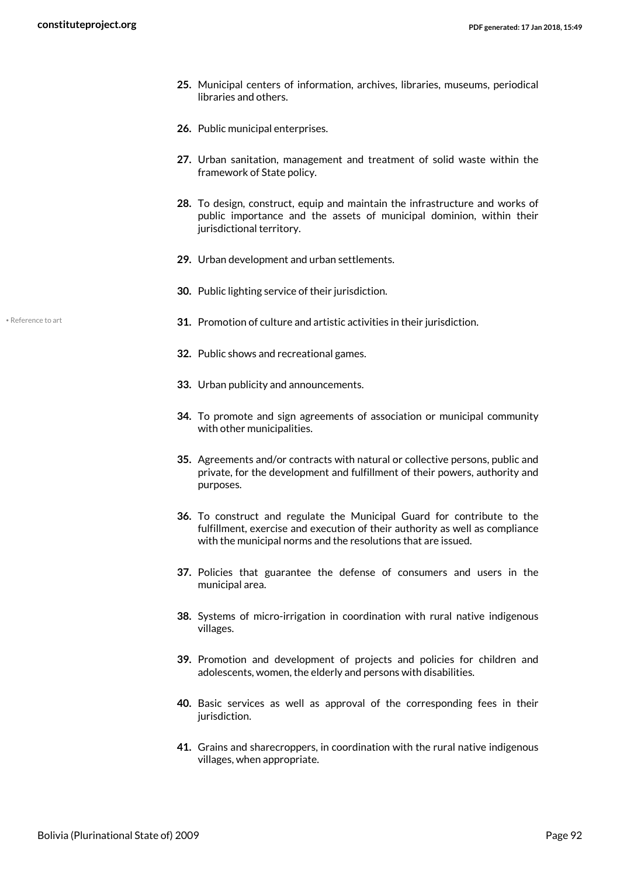- **25.** Municipal centers of information, archives, libraries, museums, periodical libraries and others.
- **26.** Public municipal enterprises.
- **27.** Urban sanitation, management and treatment of solid waste within the framework of State policy.
- **28.** To design, construct, equip and maintain the infrastructure and works of public importance and the assets of municipal dominion, within their jurisdictional territory.
- **29.** Urban development and urban settlements.
- **30.** Public lighting service of their jurisdiction.
- 
- **81.** Promotion of culture and artistic activities in their jurisdiction.
	- **32.** Public shows and recreational games.
	- **33.** Urban publicity and announcements.
	- **34.** To promote and sign agreements of association or municipal community with other municipalities.
	- **35.** Agreements and/or contracts with natural or collective persons, public and private, for the development and fulfillment of their powers, authority and purposes.
	- **36.** To construct and regulate the Municipal Guard for contribute to the fulfillment, exercise and execution of their authority as well as compliance with the municipal norms and the resolutions that are issued.
	- **37.** Policies that guarantee the defense of consumers and users in the municipal area.
	- **38.** Systems of micro-irrigation in coordination with rural native indigenous villages.
	- **39.** Promotion and development of projects and policies for children and adolescents, women, the elderly and persons with disabilities.
	- **40.** Basic services as well as approval of the corresponding fees in their jurisdiction.
	- **41.** Grains and sharecroppers, in coordination with the rural native indigenous villages, when appropriate.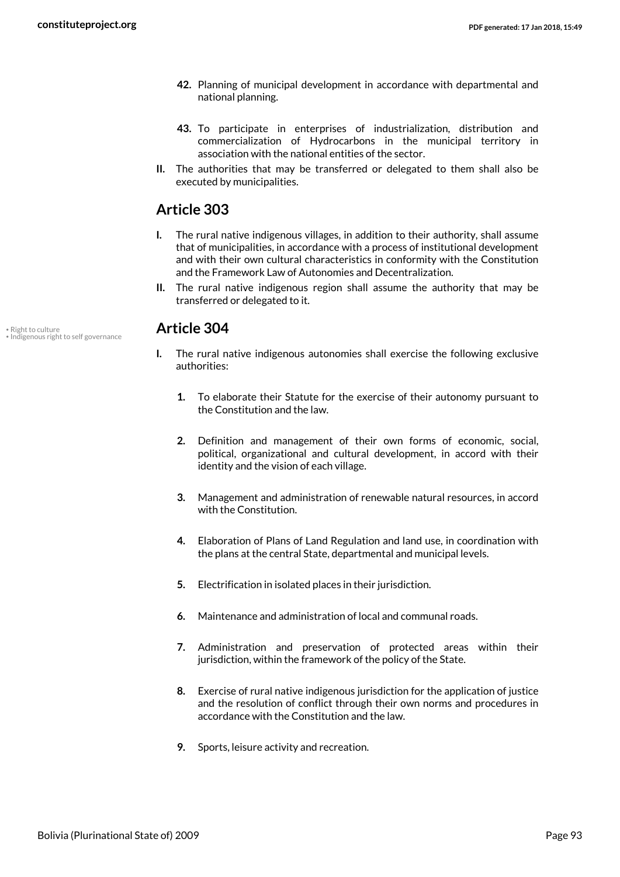- **42.** Planning of municipal development in accordance with departmental and national planning.
- **43.** To participate in enterprises of industrialization, distribution and commercialization of Hydrocarbons in the municipal territory in association with the national entities of the sector.
- **II.** The authorities that may be transferred or delegated to them shall also be executed by municipalities.

- **I.** The rural native indigenous villages, in addition to their authority, shall assume that of municipalities, in accordance with a process of institutional development and with their own cultural characteristics in conformity with the Constitution and the Framework Law of Autonomies and Decentralization.
- **II.** The rural native indigenous region shall assume the authority that may be transferred or delegated to it.

- **I.** The rural native indigenous autonomies shall exercise the following exclusive authorities:
	- **1.** To elaborate their Statute for the exercise of their autonomy pursuant to the Constitution and the law.
	- **2.** Definition and management of their own forms of economic, social, political, organizational and cultural development, in accord with their identity and the vision of each village.
	- **3.** Management and administration of renewable natural resources, in accord with the Constitution.
	- **4.** Elaboration of Plans of Land Regulation and land use, in coordination with the plans at the central State, departmental and municipal levels.
	- **5.** Electrification in isolated places in their jurisdiction.
	- **6.** Maintenance and administration of local and communal roads.
	- **7.** Administration and preservation of protected areas within their jurisdiction, within the framework of the policy of the State.
	- **8.** Exercise of rural native indigenous jurisdiction for the application of justice and the resolution of conflict through their own norms and procedures in accordance with the Constitution and the law.
	- **9.** Sports, leisure activity and recreation.

• Right to culture **Article 304** • Indigenous right to self governance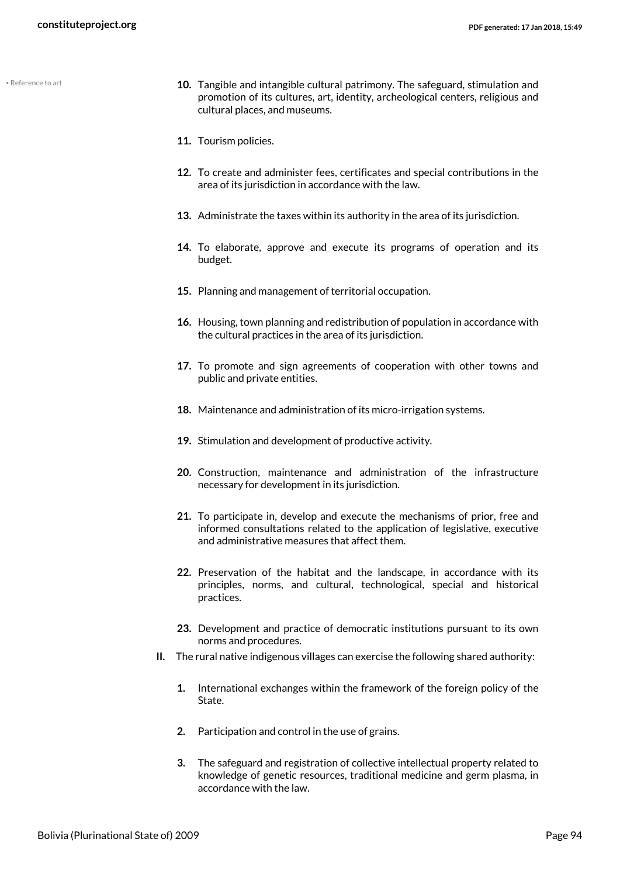• Reference to art

- **10.** Tangible and intangible cultural patrimony. The safeguard, stimulation and promotion of its cultures, art, identity, archeological centers, religious and cultural places, and museums.
- **11.** Tourism policies.
- **12.** To create and administer fees, certificates and special contributions in the area of its jurisdiction in accordance with the law.
- **13.** Administrate the taxes within its authority in the area of its jurisdiction.
- **14.** To elaborate, approve and execute its programs of operation and its budget.
- **15.** Planning and management of territorial occupation.
- **16.** Housing, town planning and redistribution of population in accordance with the cultural practices in the area of its jurisdiction.
- **17.** To promote and sign agreements of cooperation with other towns and public and private entities.
- **18.** Maintenance and administration of its micro-irrigation systems.
- **19.** Stimulation and development of productive activity.
- **20.** Construction, maintenance and administration of the infrastructure necessary for development in its jurisdiction.
- **21.** To participate in, develop and execute the mechanisms of prior, free and informed consultations related to the application of legislative, executive and administrative measures that affect them.
- **22.** Preservation of the habitat and the landscape, in accordance with its principles, norms, and cultural, technological, special and historical practices.
- **23.** Development and practice of democratic institutions pursuant to its own norms and procedures.
- **II.** The rural native indigenous villages can exercise the following shared authority:
	- **1.** International exchanges within the framework of the foreign policy of the State.
	- **2.** Participation and control in the use of grains.
	- **3.** The safeguard and registration of collective intellectual property related to knowledge of genetic resources, traditional medicine and germ plasma, in accordance with the law.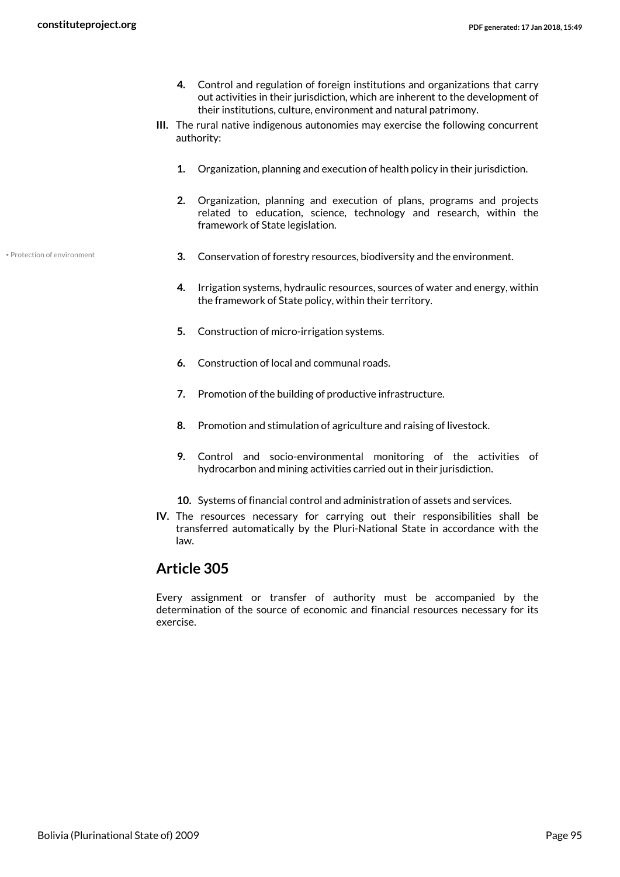- **4.** Control and regulation of foreign institutions and organizations that carry out activities in their jurisdiction, which are inherent to the development of their institutions, culture, environment and natural patrimony.
- **III.** The rural native indigenous autonomies may exercise the following concurrent authority:
	- **1.** Organization, planning and execution of health policy in their jurisdiction.
	- **2.** Organization, planning and execution of plans, programs and projects related to education, science, technology and research, within the framework of State legislation.
- 
- Protection of environment **3.** Conservation of forestry resources, biodiversity and the environment.
	- **4.** Irrigation systems, hydraulic resources, sources of water and energy, within the framework of State policy, within their territory.
	- **5.** Construction of micro-irrigation systems.
	- **6.** Construction of local and communal roads.
	- **7.** Promotion of the building of productive infrastructure.
	- **8.** Promotion and stimulation of agriculture and raising of livestock.
	- **9.** Control and socio-environmental monitoring of the activities of hydrocarbon and mining activities carried out in their jurisdiction.
	- **10.** Systems of financial control and administration of assets and services.
	- **IV.** The resources necessary for carrying out their responsibilities shall be transferred automatically by the Pluri-National State in accordance with the law.

Every assignment or transfer of authority must be accompanied by the determination of the source of economic and financial resources necessary for its exercise.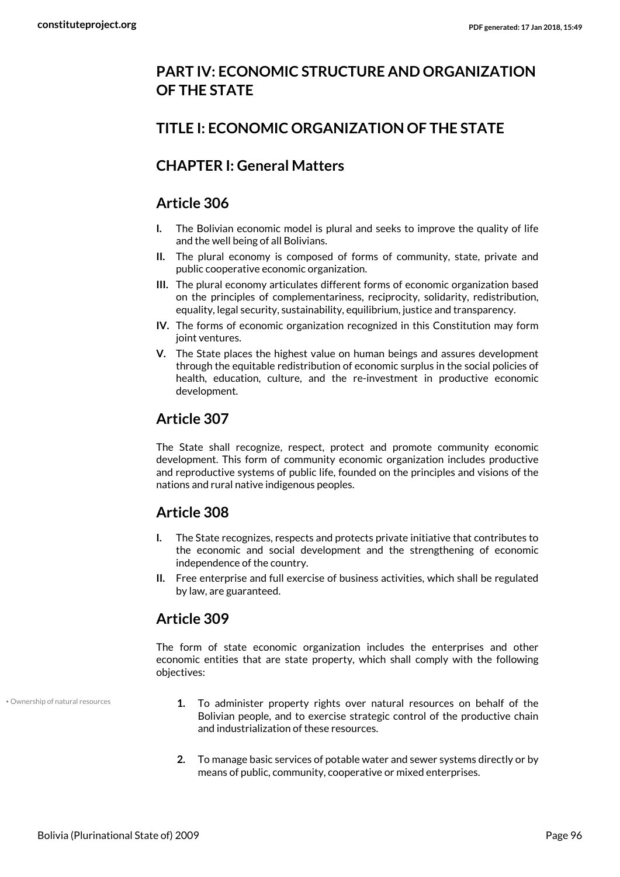# **PART IV: ECONOMIC STRUCTURE AND ORGANIZATION OF THE STATE**

# **TITLE I: ECONOMIC ORGANIZATION OF THE STATE**

# **CHAPTER I: General Matters**

# **Article 306**

- **I.** The Bolivian economic model is plural and seeks to improve the quality of life and the well being of all Bolivians.
- **II.** The plural economy is composed of forms of community, state, private and public cooperative economic organization.
- **III.** The plural economy articulates different forms of economic organization based on the principles of complementariness, reciprocity, solidarity, redistribution, equality, legal security, sustainability, equilibrium, justice and transparency.
- **IV.** The forms of economic organization recognized in this Constitution may form joint ventures.
- **V.** The State places the highest value on human beings and assures development through the equitable redistribution of economic surplus in the social policies of health, education, culture, and the re-investment in productive economic development.

# **Article 307**

The State shall recognize, respect, protect and promote community economic development. This form of community economic organization includes productive and reproductive systems of public life, founded on the principles and visions of the nations and rural native indigenous peoples.

# **Article 308**

- **I.** The State recognizes, respects and protects private initiative that contributes to the economic and social development and the strengthening of economic independence of the country.
- **II.** Free enterprise and full exercise of business activities, which shall be regulated by law, are guaranteed.

# **Article 309**

The form of state economic organization includes the enterprises and other economic entities that are state property, which shall comply with the following objectives:

• Ownership of natural resources

- **1.** To administer property rights over natural resources on behalf of the Bolivian people, and to exercise strategic control of the productive chain and industrialization of these resources.
- **2.** To manage basic services of potable water and sewer systems directly or by means of public, community, cooperative or mixed enterprises.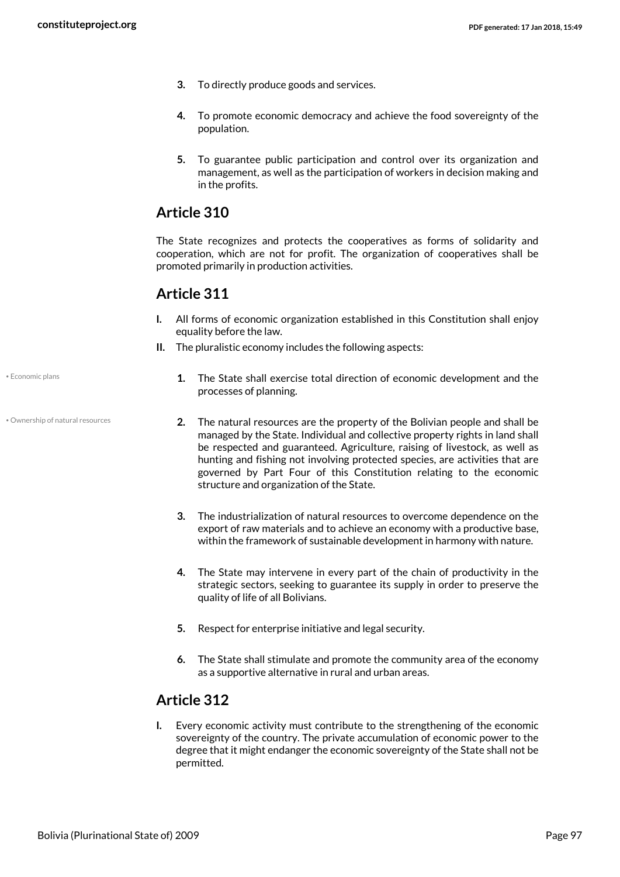- **3.** To directly produce goods and services.
- **4.** To promote economic democracy and achieve the food sovereignty of the population.
- **5.** To guarantee public participation and control over its organization and management, as well as the participation of workers in decision making and in the profits.

The State recognizes and protects the cooperatives as forms of solidarity and cooperation, which are not for profit. The organization of cooperatives shall be promoted primarily in production activities.

## **Article 311**

- **I.** All forms of economic organization established in this Constitution shall enjoy equality before the law.
- **II.** The pluralistic economy includes the following aspects:
	- **1.** The State shall exercise total direction of economic development and the processes of planning.
	- **2.** The natural resources are the property of the Bolivian people and shall be managed by the State. Individual and collective property rights in land shall be respected and guaranteed. Agriculture, raising of livestock, as well as hunting and fishing not involving protected species, are activities that are governed by Part Four of this Constitution relating to the economic structure and organization of the State.
	- **3.** The industrialization of natural resources to overcome dependence on the export of raw materials and to achieve an economy with a productive base, within the framework of sustainable development in harmony with nature.
	- **4.** The State may intervene in every part of the chain of productivity in the strategic sectors, seeking to guarantee its supply in order to preserve the quality of life of all Bolivians.
	- **5.** Respect for enterprise initiative and legal security.
	- **6.** The State shall stimulate and promote the community area of the economy as a supportive alternative in rural and urban areas.

# **Article 312**

**I.** Every economic activity must contribute to the strengthening of the economic sovereignty of the country. The private accumulation of economic power to the degree that it might endanger the economic sovereignty of the State shall not be permitted.

• Economic plans

• Ownership of natural resources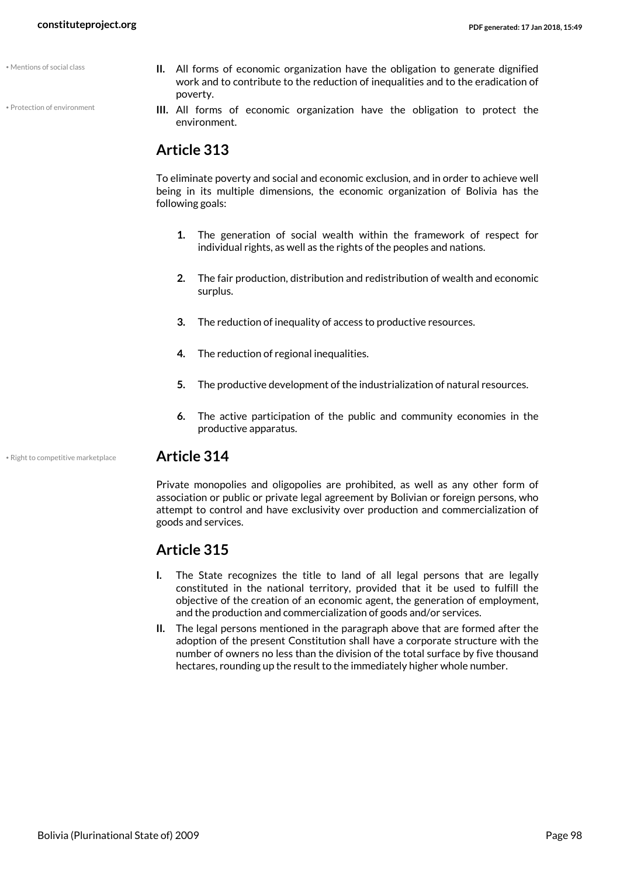• Mentions of social class

• Protection of environment

- **II.** All forms of economic organization have the obligation to generate dignified work and to contribute to the reduction of inequalities and to the eradication of poverty.
- **III.** All forms of economic organization have the obligation to protect the environment.

## **Article 313**

To eliminate poverty and social and economic exclusion, and in order to achieve well being in its multiple dimensions, the economic organization of Bolivia has the following goals:

- **1.** The generation of social wealth within the framework of respect for individual rights, as well as the rights of the peoples and nations.
- **2.** The fair production, distribution and redistribution of wealth and economic surplus.
- **3.** The reduction of inequality of access to productive resources.
- **4.** The reduction of regional inequalities.
- **5.** The productive development of the industrialization of natural resources.
- **6.** The active participation of the public and community economies in the productive apparatus.

#### • Right to competitive marketplace **Article 314**

Private monopolies and oligopolies are prohibited, as well as any other form of association or public or private legal agreement by Bolivian or foreign persons, who attempt to control and have exclusivity over production and commercialization of goods and services.

## **Article 315**

- The State recognizes the title to land of all legal persons that are legally constituted in the national territory, provided that it be used to fulfill the objective of the creation of an economic agent, the generation of employment, and the production and commercialization of goods and/or services.
- **II.** The legal persons mentioned in the paragraph above that are formed after the adoption of the present Constitution shall have a corporate structure with the number of owners no less than the division of the total surface by five thousand hectares, rounding up the result to the immediately higher whole number.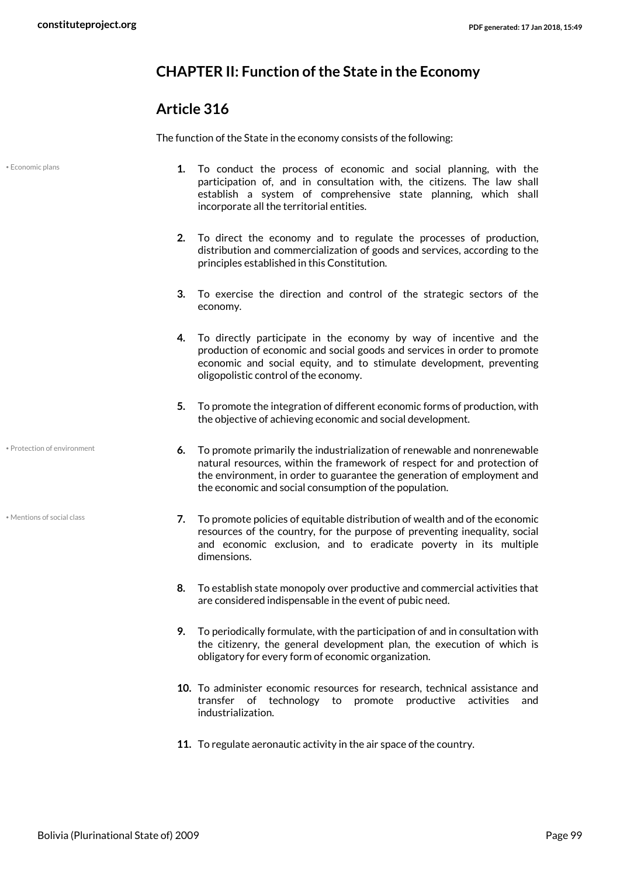# **CHAPTER II: Function of the State in the Economy**

# **Article 316**

The function of the State in the economy consists of the following:

**1.** To conduct the process of economic and social planning, with the participation of, and in consultation with, the citizens. The law shall establish a system of comprehensive state planning, which shall incorporate all the territorial entities. • Economic plans **2.** To direct the economy and to regulate the processes of production, distribution and commercialization of goods and services, according to the principles established in this Constitution. **3.** To exercise the direction and control of the strategic sectors of the economy. **4.** To directly participate in the economy by way of incentive and the production of economic and social goods and services in order to promote economic and social equity, and to stimulate development, preventing oligopolistic control of the economy. **5.** To promote the integration of different economic forms of production, with the objective of achieving economic and social development. **6.** To promote primarily the industrialization of renewable and nonrenewable natural resources, within the framework of respect for and protection of the environment, in order to guarantee the generation of employment and • Protection of environment

> **7.** To promote policies of equitable distribution of wealth and of the economic resources of the country, for the purpose of preventing inequality, social and economic exclusion, and to eradicate poverty in its multiple dimensions.

the economic and social consumption of the population.

- **8.** To establish state monopoly over productive and commercial activities that are considered indispensable in the event of pubic need.
- **9.** To periodically formulate, with the participation of and in consultation with the citizenry, the general development plan, the execution of which is obligatory for every form of economic organization.
- **10.** To administer economic resources for research, technical assistance and transfer of technology to promote productive activities and industrialization.
- **11.** To regulate aeronautic activity in the air space of the country.

• Mentions of social class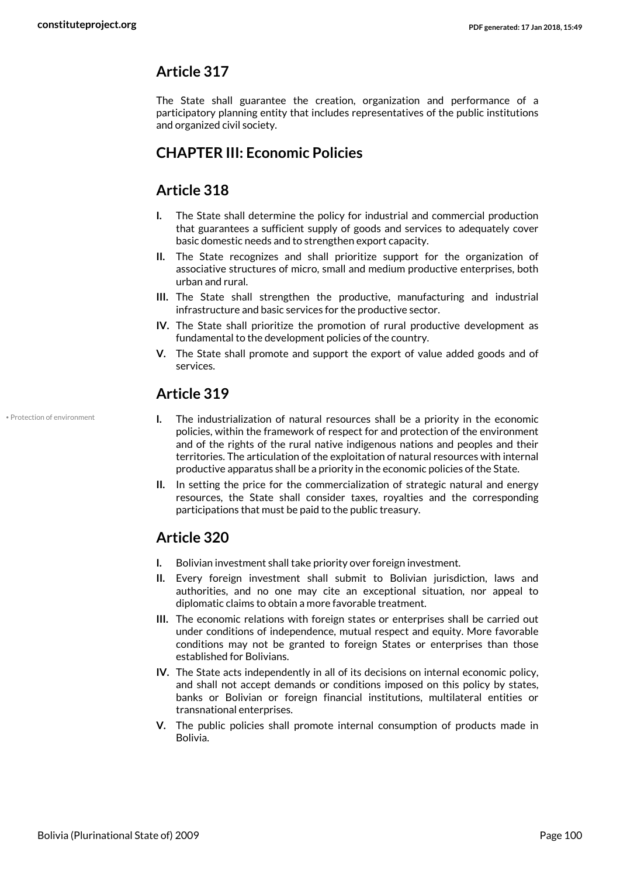The State shall guarantee the creation, organization and performance of a participatory planning entity that includes representatives of the public institutions and organized civil society.

# **CHAPTER III: Economic Policies**

# **Article 318**

- **I.** The State shall determine the policy for industrial and commercial production that guarantees a sufficient supply of goods and services to adequately cover basic domestic needs and to strengthen export capacity.
- **II.** The State recognizes and shall prioritize support for the organization of associative structures of micro, small and medium productive enterprises, both urban and rural.
- **III.** The State shall strengthen the productive, manufacturing and industrial infrastructure and basic services for the productive sector.
- **IV.** The State shall prioritize the promotion of rural productive development as fundamental to the development policies of the country.
- **V.** The State shall promote and support the export of value added goods and of services.

## **Article 319**

• Protection of environment

- **I.** The industrialization of natural resources shall be a priority in the economic policies, within the framework of respect for and protection of the environment and of the rights of the rural native indigenous nations and peoples and their territories. The articulation of the exploitation of natural resources with internal productive apparatus shall be a priority in the economic policies of the State.
- **II.** In setting the price for the commercialization of strategic natural and energy resources, the State shall consider taxes, royalties and the corresponding participations that must be paid to the public treasury.

# **Article 320**

- **I.** Bolivian investment shall take priority over foreign investment.
- **II.** Every foreign investment shall submit to Bolivian jurisdiction, laws and authorities, and no one may cite an exceptional situation, nor appeal to diplomatic claims to obtain a more favorable treatment.
- **III.** The economic relations with foreign states or enterprises shall be carried out under conditions of independence, mutual respect and equity. More favorable conditions may not be granted to foreign States or enterprises than those established for Bolivians.
- **IV.** The State acts independently in all of its decisions on internal economic policy, and shall not accept demands or conditions imposed on this policy by states, banks or Bolivian or foreign financial institutions, multilateral entities or transnational enterprises.
- **V.** The public policies shall promote internal consumption of products made in Bolivia.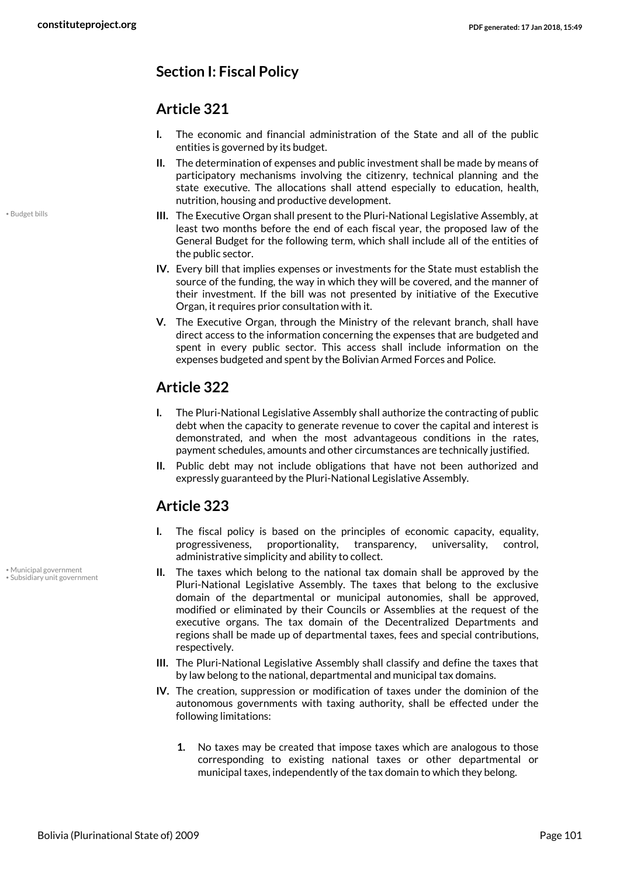• Budget bills

# **Section I: Fiscal Policy**

# **Article 321**

- **I.** The economic and financial administration of the State and all of the public entities is governed by its budget.
- **II.** The determination of expenses and public investment shall be made by means of participatory mechanisms involving the citizenry, technical planning and the state executive. The allocations shall attend especially to education, health, nutrition, housing and productive development.
- **III.** The Executive Organ shall present to the Pluri-National Legislative Assembly, at least two months before the end of each fiscal year, the proposed law of the General Budget for the following term, which shall include all of the entities of the public sector.
- **IV.** Every bill that implies expenses or investments for the State must establish the source of the funding, the way in which they will be covered, and the manner of their investment. If the bill was not presented by initiative of the Executive Organ, it requires prior consultation with it.
- **V.** The Executive Organ, through the Ministry of the relevant branch, shall have direct access to the information concerning the expenses that are budgeted and spent in every public sector. This access shall include information on the expenses budgeted and spent by the Bolivian Armed Forces and Police.

# **Article 322**

- **I.** The Pluri-National Legislative Assembly shall authorize the contracting of public debt when the capacity to generate revenue to cover the capital and interest is demonstrated, and when the most advantageous conditions in the rates, payment schedules, amounts and other circumstances are technically justified.
- **II.** Public debt may not include obligations that have not been authorized and expressly guaranteed by the Pluri-National Legislative Assembly.

# **Article 323**

- The fiscal policy is based on the principles of economic capacity, equality, progressiveness, proportionality, transparency, universality, control, administrative simplicity and ability to collect.
- **II.** The taxes which belong to the national tax domain shall be approved by the Pluri-National Legislative Assembly. The taxes that belong to the exclusive domain of the departmental or municipal autonomies, shall be approved, modified or eliminated by their Councils or Assemblies at the request of the executive organs. The tax domain of the Decentralized Departments and regions shall be made up of departmental taxes, fees and special contributions, respectively.
- **III.** The Pluri-National Legislative Assembly shall classify and define the taxes that by law belong to the national, departmental and municipal tax domains.
- **IV.** The creation, suppression or modification of taxes under the dominion of the autonomous governments with taxing authority, shall be effected under the following limitations:
	- **1.** No taxes may be created that impose taxes which are analogous to those corresponding to existing national taxes or other departmental or municipal taxes, independently of the tax domain to which they belong.

• Municipal government • Subsidiary unit government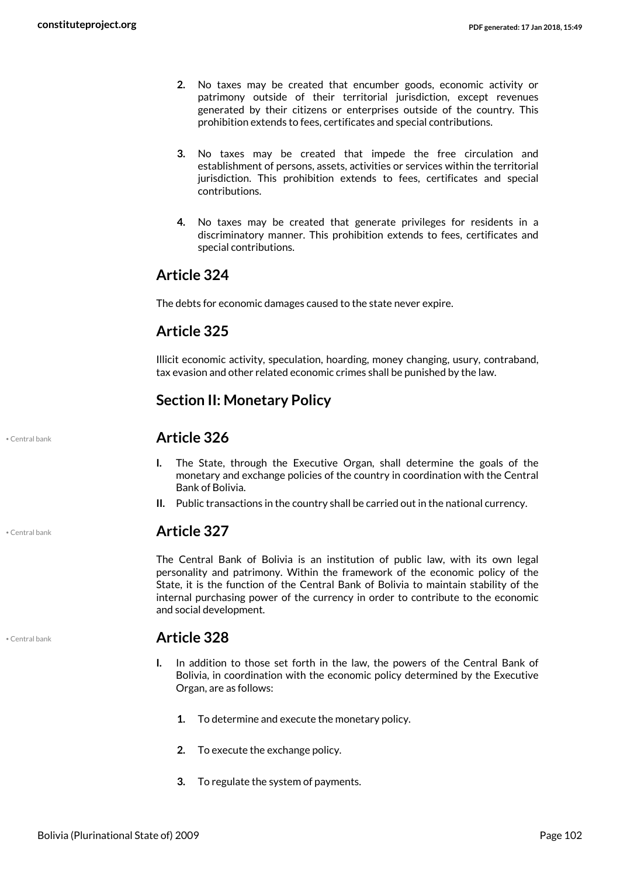- **2.** No taxes may be created that encumber goods, economic activity or patrimony outside of their territorial jurisdiction, except revenues generated by their citizens or enterprises outside of the country. This prohibition extends to fees, certificates and special contributions.
- **3.** No taxes may be created that impede the free circulation and establishment of persons, assets, activities or services within the territorial jurisdiction. This prohibition extends to fees, certificates and special contributions.
- **4.** No taxes may be created that generate privileges for residents in a discriminatory manner. This prohibition extends to fees, certificates and special contributions.

The debts for economic damages caused to the state never expire.

## **Article 325**

Illicit economic activity, speculation, hoarding, money changing, usury, contraband, tax evasion and other related economic crimes shall be punished by the law.

## **Section II: Monetary Policy**

• Central bank **Article 326**

- **I.** The State, through the Executive Organ, shall determine the goals of the monetary and exchange policies of the country in coordination with the Central Bank of Bolivia.
- **II.** Public transactions in the country shall be carried out in the national currency.

#### • Central bank **Article 327**

The Central Bank of Bolivia is an institution of public law, with its own legal personality and patrimony. Within the framework of the economic policy of the State, it is the function of the Central Bank of Bolivia to maintain stability of the internal purchasing power of the currency in order to contribute to the economic and social development.

#### • Central bank **Article 328**

- **I.** In addition to those set forth in the law, the powers of the Central Bank of Bolivia, in coordination with the economic policy determined by the Executive Organ, are as follows:
	- **1.** To determine and execute the monetary policy.
	- **2.** To execute the exchange policy.
	- **3.** To regulate the system of payments.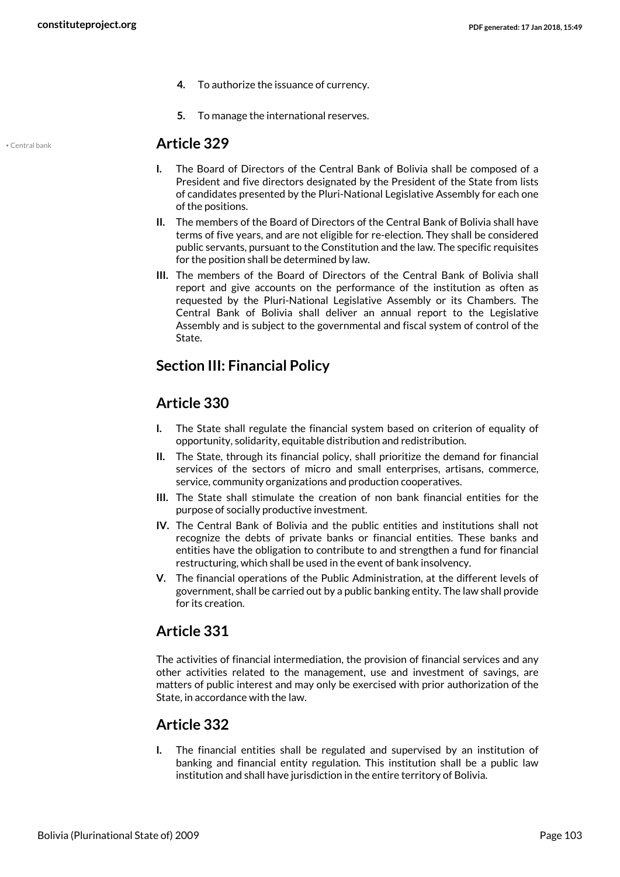- **4.** To authorize the issuance of currency.
- **5.** To manage the international reserves.

#### • Central bank **Article 329**

- **I.** The Board of Directors of the Central Bank of Bolivia shall be composed of a President and five directors designated by the President of the State from lists of candidates presented by the Pluri-National Legislative Assembly for each one of the positions.
- **II.** The members of the Board of Directors of the Central Bank of Bolivia shall have terms of five years, and are not eligible for re-election. They shall be considered public servants, pursuant to the Constitution and the law. The specific requisites for the position shall be determined by law.
- **III.** The members of the Board of Directors of the Central Bank of Bolivia shall report and give accounts on the performance of the institution as often as requested by the Pluri-National Legislative Assembly or its Chambers. The Central Bank of Bolivia shall deliver an annual report to the Legislative Assembly and is subject to the governmental and fiscal system of control of the State.

## **Section III: Financial Policy**

## **Article 330**

- **I.** The State shall regulate the financial system based on criterion of equality of opportunity, solidarity, equitable distribution and redistribution.
- **II.** The State, through its financial policy, shall prioritize the demand for financial services of the sectors of micro and small enterprises, artisans, commerce, service, community organizations and production cooperatives.
- **III.** The State shall stimulate the creation of non bank financial entities for the purpose of socially productive investment.
- **IV.** The Central Bank of Bolivia and the public entities and institutions shall not recognize the debts of private banks or financial entities. These banks and entities have the obligation to contribute to and strengthen a fund for financial restructuring, which shall be used in the event of bank insolvency.
- **V.** The financial operations of the Public Administration, at the different levels of government, shall be carried out by a public banking entity. The law shall provide for its creation.

## **Article 331**

The activities of financial intermediation, the provision of financial services and any other activities related to the management, use and investment of savings, are matters of public interest and may only be exercised with prior authorization of the State, in accordance with the law.

## **Article 332**

**I.** The financial entities shall be regulated and supervised by an institution of banking and financial entity regulation. This institution shall be a public law institution and shall have jurisdiction in the entire territory of Bolivia.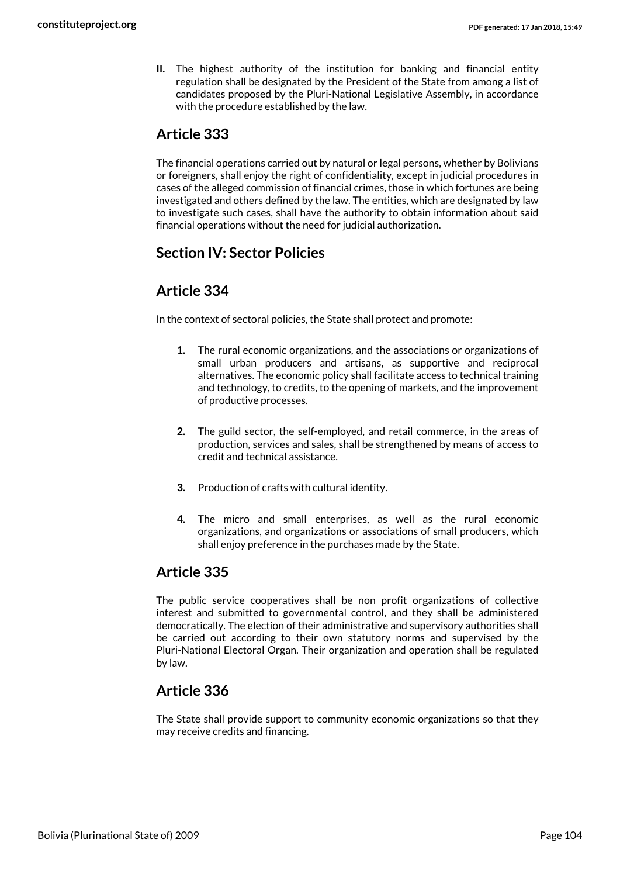**II.** The highest authority of the institution for banking and financial entity regulation shall be designated by the President of the State from among a list of candidates proposed by the Pluri-National Legislative Assembly, in accordance with the procedure established by the law.

# **Article 333**

The financial operations carried out by natural or legal persons, whether by Bolivians or foreigners, shall enjoy the right of confidentiality, except in judicial procedures in cases of the alleged commission of financial crimes, those in which fortunes are being investigated and others defined by the law. The entities, which are designated by law to investigate such cases, shall have the authority to obtain information about said financial operations without the need for judicial authorization.

# **Section IV: Sector Policies**

# **Article 334**

In the context of sectoral policies, the State shall protect and promote:

- **1.** The rural economic organizations, and the associations or organizations of small urban producers and artisans, as supportive and reciprocal alternatives. The economic policy shall facilitate access to technical training and technology, to credits, to the opening of markets, and the improvement of productive processes.
- **2.** The guild sector, the self-employed, and retail commerce, in the areas of production, services and sales, shall be strengthened by means of access to credit and technical assistance.
- **3.** Production of crafts with cultural identity.
- **4.** The micro and small enterprises, as well as the rural economic organizations, and organizations or associations of small producers, which shall enjoy preference in the purchases made by the State.

# **Article 335**

The public service cooperatives shall be non profit organizations of collective interest and submitted to governmental control, and they shall be administered democratically. The election of their administrative and supervisory authorities shall be carried out according to their own statutory norms and supervised by the Pluri-National Electoral Organ. Their organization and operation shall be regulated by law.

# **Article 336**

The State shall provide support to community economic organizations so that they may receive credits and financing.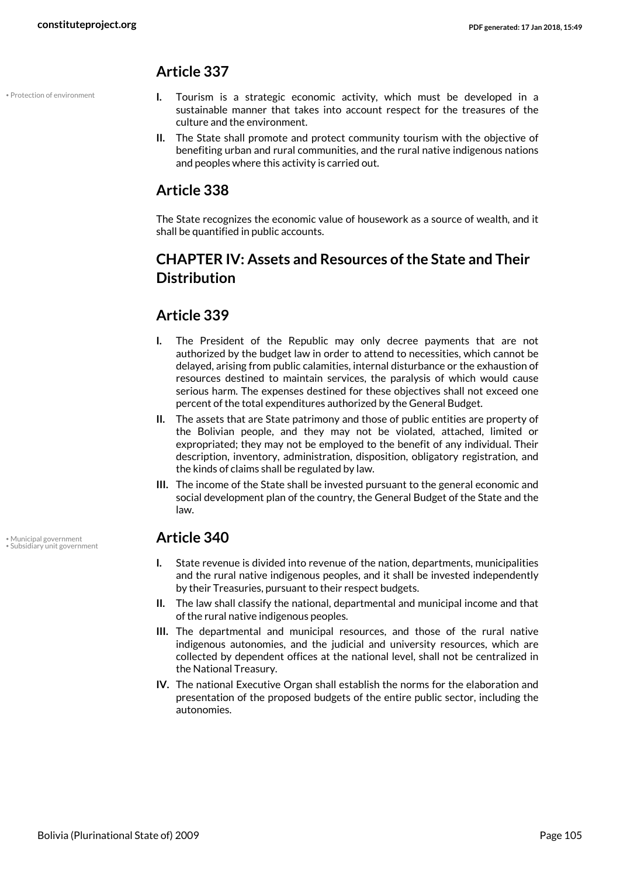• Protection of environment

- **I.** Tourism is a strategic economic activity, which must be developed in a sustainable manner that takes into account respect for the treasures of the culture and the environment.
- **II.** The State shall promote and protect community tourism with the objective of benefiting urban and rural communities, and the rural native indigenous nations and peoples where this activity is carried out.

### **Article 338**

The State recognizes the economic value of housework as a source of wealth, and it shall be quantified in public accounts.

# **CHAPTER IV: Assets and Resources of the State and Their Distribution**

## **Article 339**

- **I.** The President of the Republic may only decree payments that are not authorized by the budget law in order to attend to necessities, which cannot be delayed, arising from public calamities, internal disturbance or the exhaustion of resources destined to maintain services, the paralysis of which would cause serious harm. The expenses destined for these objectives shall not exceed one percent of the total expenditures authorized by the General Budget.
- **II.** The assets that are State patrimony and those of public entities are property of the Bolivian people, and they may not be violated, attached, limited or expropriated; they may not be employed to the benefit of any individual. Their description, inventory, administration, disposition, obligatory registration, and the kinds of claims shall be regulated by law.
- **III.** The income of the State shall be invested pursuant to the general economic and social development plan of the country, the General Budget of the State and the law.

- **I.** State revenue is divided into revenue of the nation, departments, municipalities and the rural native indigenous peoples, and it shall be invested independently by their Treasuries, pursuant to their respect budgets.
- **II.** The law shall classify the national, departmental and municipal income and that of the rural native indigenous peoples.
- **III.** The departmental and municipal resources, and those of the rural native indigenous autonomies, and the judicial and university resources, which are collected by dependent offices at the national level, shall not be centralized in the National Treasury.
- **IV.** The national Executive Organ shall establish the norms for the elaboration and presentation of the proposed budgets of the entire public sector, including the autonomies.

• Municipal government **Article 340** • Subsidiary unit government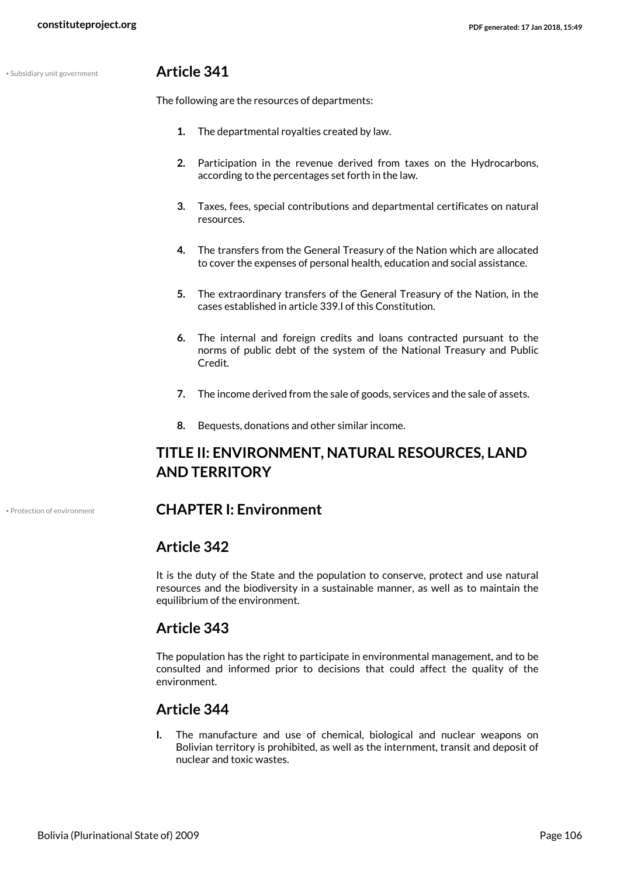## • Subsidiary unit government **Article 341**

The following are the resources of departments:

- **1.** The departmental royalties created by law.
- **2.** Participation in the revenue derived from taxes on the Hydrocarbons, according to the percentages set forth in the law.
- **3.** Taxes, fees, special contributions and departmental certificates on natural resources.
- **4.** The transfers from the General Treasury of the Nation which are allocated to cover the expenses of personal health, education and social assistance.
- **5.** The extraordinary transfers of the General Treasury of the Nation, in the cases established in article 339.I of this Constitution.
- **6.** The internal and foreign credits and loans contracted pursuant to the norms of public debt of the system of the National Treasury and Public Credit.
- **7.** The income derived from the sale of goods, services and the sale of assets.
- **8.** Bequests, donations and other similar income.

# **TITLE II: ENVIRONMENT, NATURAL RESOURCES, LAND AND TERRITORY**

#### • Protection of environment **CHAPTER I: Environment**

#### **Article 342**

It is the duty of the State and the population to conserve, protect and use natural resources and the biodiversity in a sustainable manner, as well as to maintain the equilibrium of the environment.

## **Article 343**

The population has the right to participate in environmental management, and to be consulted and informed prior to decisions that could affect the quality of the environment.

# **Article 344**

**I.** The manufacture and use of chemical, biological and nuclear weapons on Bolivian territory is prohibited, as well as the internment, transit and deposit of nuclear and toxic wastes.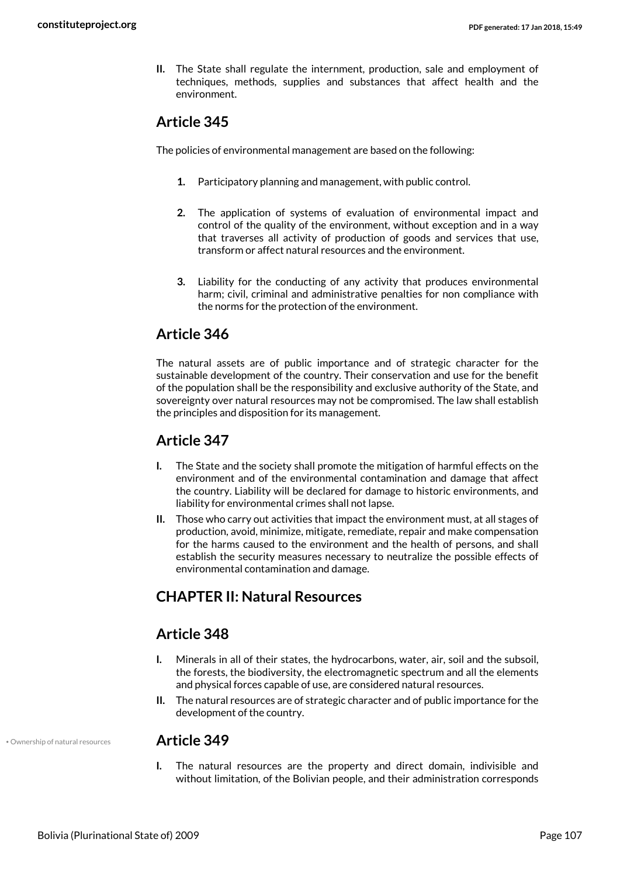**II.** The State shall regulate the internment, production, sale and employment of techniques, methods, supplies and substances that affect health and the environment.

# **Article 345**

The policies of environmental management are based on the following:

- **1.** Participatory planning and management, with public control.
- **2.** The application of systems of evaluation of environmental impact and control of the quality of the environment, without exception and in a way that traverses all activity of production of goods and services that use, transform or affect natural resources and the environment.
- **3.** Liability for the conducting of any activity that produces environmental harm; civil, criminal and administrative penalties for non compliance with the norms for the protection of the environment.

# **Article 346**

The natural assets are of public importance and of strategic character for the sustainable development of the country. Their conservation and use for the benefit of the population shall be the responsibility and exclusive authority of the State, and sovereignty over natural resources may not be compromised. The law shall establish the principles and disposition for its management.

# **Article 347**

- **I.** The State and the society shall promote the mitigation of harmful effects on the environment and of the environmental contamination and damage that affect the country. Liability will be declared for damage to historic environments, and liability for environmental crimes shall not lapse.
- **II.** Those who carry out activities that impact the environment must, at all stages of production, avoid, minimize, mitigate, remediate, repair and make compensation for the harms caused to the environment and the health of persons, and shall establish the security measures necessary to neutralize the possible effects of environmental contamination and damage.

# **CHAPTER II: Natural Resources**

## **Article 348**

- **I.** Minerals in all of their states, the hydrocarbons, water, air, soil and the subsoil, the forests, the biodiversity, the electromagnetic spectrum and all the elements and physical forces capable of use, are considered natural resources.
- **II.** The natural resources are of strategic character and of public importance for the development of the country.

#### • Ownership of natural resources **Article 349**

**I.** The natural resources are the property and direct domain, indivisible and without limitation, of the Bolivian people, and their administration corresponds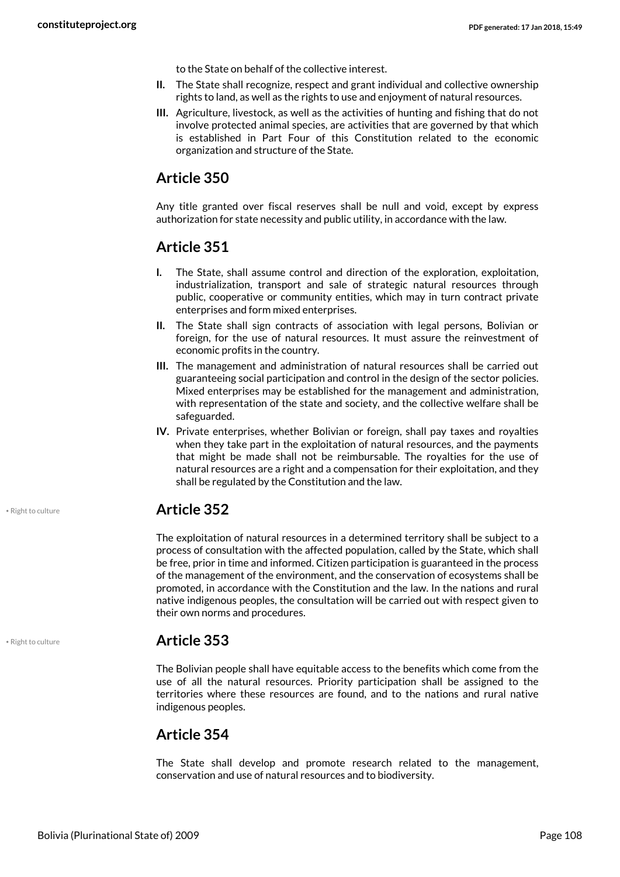to the State on behalf of the collective interest.

- **II.** The State shall recognize, respect and grant individual and collective ownership rights to land, as well as the rights to use and enjoyment of natural resources.
- **III.** Agriculture, livestock, as well as the activities of hunting and fishing that do not involve protected animal species, are activities that are governed by that which is established in Part Four of this Constitution related to the economic organization and structure of the State.

#### **Article 350**

Any title granted over fiscal reserves shall be null and void, except by express authorization for state necessity and public utility, in accordance with the law.

#### **Article 351**

- **I.** The State, shall assume control and direction of the exploration, exploitation, industrialization, transport and sale of strategic natural resources through public, cooperative or community entities, which may in turn contract private enterprises and form mixed enterprises.
- **II.** The State shall sign contracts of association with legal persons, Bolivian or foreign, for the use of natural resources. It must assure the reinvestment of economic profits in the country.
- **III.** The management and administration of natural resources shall be carried out guaranteeing social participation and control in the design of the sector policies. Mixed enterprises may be established for the management and administration, with representation of the state and society, and the collective welfare shall be safeguarded.
- **IV.** Private enterprises, whether Bolivian or foreign, shall pay taxes and royalties when they take part in the exploitation of natural resources, and the payments that might be made shall not be reimbursable. The royalties for the use of natural resources are a right and a compensation for their exploitation, and they shall be regulated by the Constitution and the law.

#### • Right to culture **Article 352**

The exploitation of natural resources in a determined territory shall be subject to a process of consultation with the affected population, called by the State, which shall be free, prior in time and informed. Citizen participation is guaranteed in the process of the management of the environment, and the conservation of ecosystems shall be promoted, in accordance with the Constitution and the law. In the nations and rural native indigenous peoples, the consultation will be carried out with respect given to their own norms and procedures.

#### • Right to culture **Article 353**

The Bolivian people shall have equitable access to the benefits which come from the use of all the natural resources. Priority participation shall be assigned to the territories where these resources are found, and to the nations and rural native indigenous peoples.

## **Article 354**

The State shall develop and promote research related to the management, conservation and use of natural resources and to biodiversity.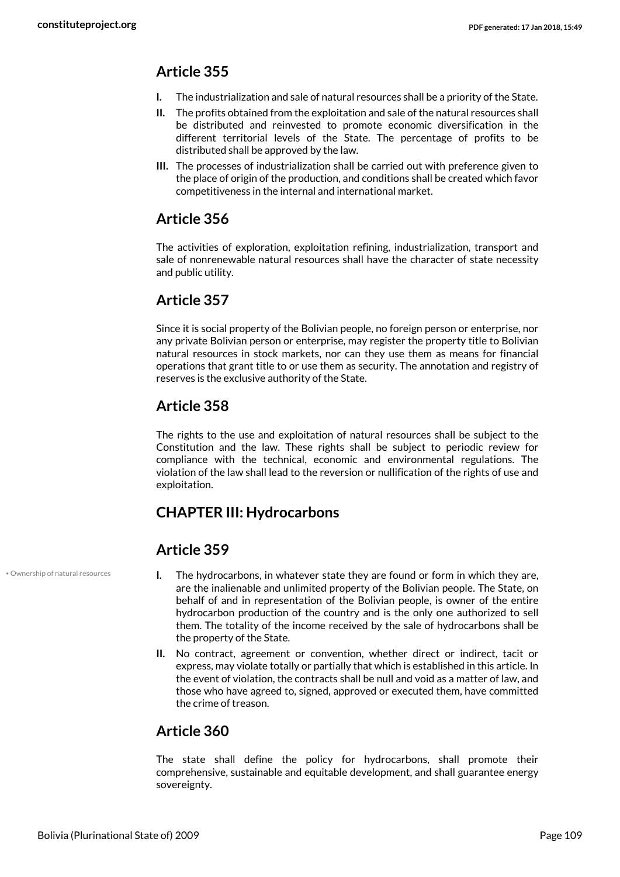- **I.** The industrialization and sale of natural resources shall be a priority of the State.
- **II.** The profits obtained from the exploitation and sale of the natural resources shall be distributed and reinvested to promote economic diversification in the different territorial levels of the State. The percentage of profits to be distributed shall be approved by the law.
- **III.** The processes of industrialization shall be carried out with preference given to the place of origin of the production, and conditions shall be created which favor competitiveness in the internal and international market.

#### **Article 356**

The activities of exploration, exploitation refining, industrialization, transport and sale of nonrenewable natural resources shall have the character of state necessity and public utility.

#### **Article 357**

Since it is social property of the Bolivian people, no foreign person or enterprise, nor any private Bolivian person or enterprise, may register the property title to Bolivian natural resources in stock markets, nor can they use them as means for financial operations that grant title to or use them as security. The annotation and registry of reserves is the exclusive authority of the State.

#### **Article 358**

The rights to the use and exploitation of natural resources shall be subject to the Constitution and the law. These rights shall be subject to periodic review for compliance with the technical, economic and environmental regulations. The violation of the law shall lead to the reversion or nullification of the rights of use and exploitation.

#### **CHAPTER III: Hydrocarbons**

#### **Article 359**

• Ownership of natural resources

- <span id="page-108-0"></span>**I.** The hydrocarbons, in whatever state they are found or form in which they are, are the inalienable and unlimited property of the Bolivian people. The State, on behalf of and in representation of the Bolivian people, is owner of the entire hydrocarbon production of the country and is the only one authorized to sell them. The totality of the income received by the sale of hydrocarbons shall be the property of the State.
- **II.** No contract, agreement or convention, whether direct or indirect, tacit or express, may violate totally or partially that which is established in this article. In the event of violation, the contracts shall be null and void as a matter of law, and those who have agreed to, signed, approved or executed them, have committed the crime of treason.

#### **Article 360**

The state shall define the policy for hydrocarbons, shall promote their comprehensive, sustainable and equitable development, and shall guarantee energy sovereignty.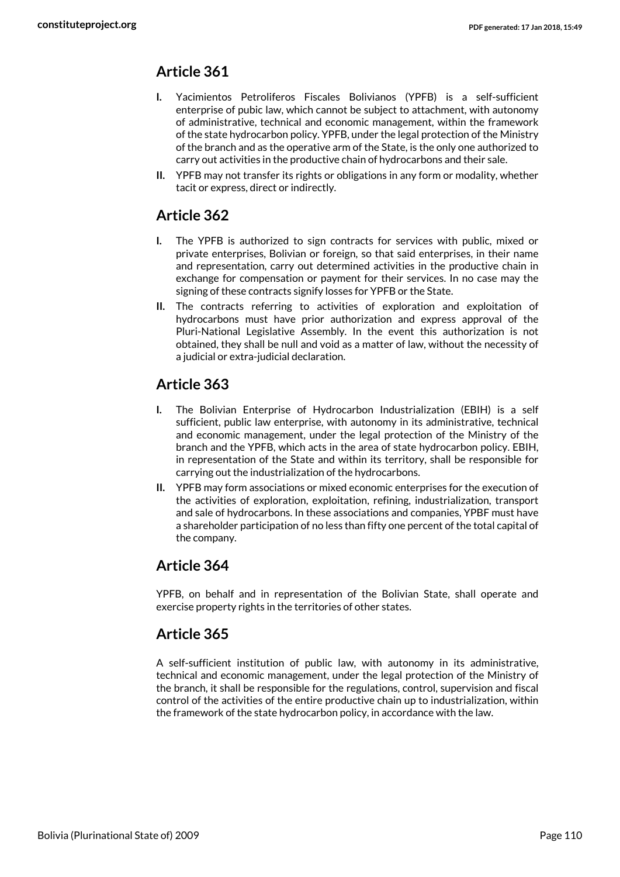- **I.** Yacimientos Petroliferos Fiscales Bolivianos (YPFB) is a self-sufficient enterprise of pubic law, which cannot be subject to attachment, with autonomy of administrative, technical and economic management, within the framework of the state hydrocarbon policy. YPFB, under the legal protection of the Ministry of the branch and as the operative arm of the State, is the only one authorized to carry out activities in the productive chain of hydrocarbons and their sale.
- **II.** YPFB may not transfer its rights or obligations in any form or modality, whether tacit or express, direct or indirectly.

#### **Article 362**

- **I.** The YPFB is authorized to sign contracts for services with public, mixed or private enterprises, Bolivian or foreign, so that said enterprises, in their name and representation, carry out determined activities in the productive chain in exchange for compensation or payment for their services. In no case may the signing of these contracts signify losses for YPFB or the State.
- **II.** The contracts referring to activities of exploration and exploitation of hydrocarbons must have prior authorization and express approval of the Pluri-National Legislative Assembly. In the event this authorization is not obtained, they shall be null and void as a matter of law, without the necessity of a judicial or extra-judicial declaration.

# **Article 363**

- **I.** The Bolivian Enterprise of Hydrocarbon Industrialization (EBIH) is a self sufficient, public law enterprise, with autonomy in its administrative, technical and economic management, under the legal protection of the Ministry of the branch and the YPFB, which acts in the area of state hydrocarbon policy. EBIH, in representation of the State and within its territory, shall be responsible for carrying out the industrialization of the hydrocarbons.
- **II.** YPFB may form associations or mixed economic enterprises for the execution of the activities of exploration, exploitation, refining, industrialization, transport and sale of hydrocarbons. In these associations and companies, YPBF must have a shareholder participation of no less than fifty one percent of the total capital of the company.

# **Article 364**

YPFB, on behalf and in representation of the Bolivian State, shall operate and exercise property rights in the territories of other states.

#### **Article 365**

A self-sufficient institution of public law, with autonomy in its administrative, technical and economic management, under the legal protection of the Ministry of the branch, it shall be responsible for the regulations, control, supervision and fiscal control of the activities of the entire productive chain up to industrialization, within the framework of the state hydrocarbon policy, in accordance with the law.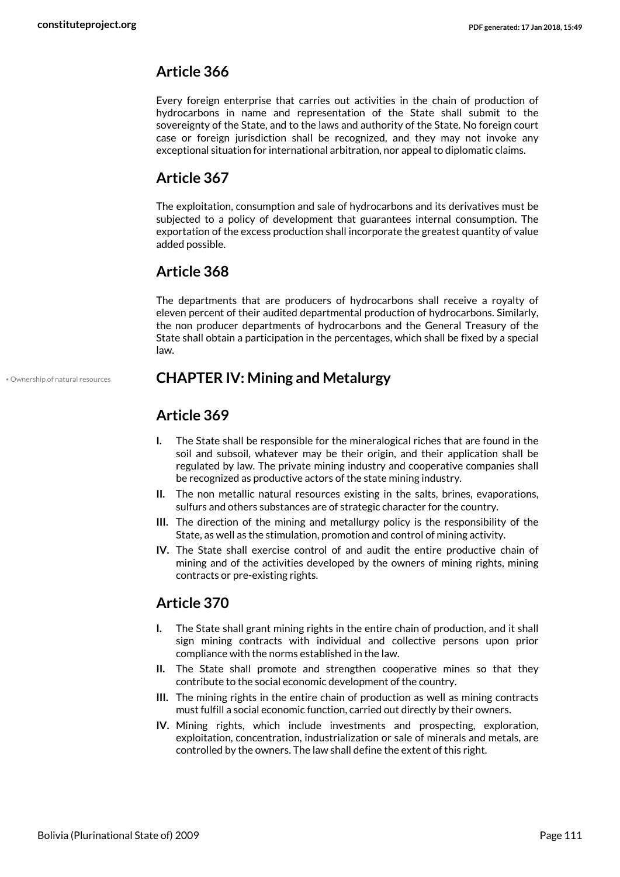Every foreign enterprise that carries out activities in the chain of production of hydrocarbons in name and representation of the State shall submit to the sovereignty of the State, and to the laws and authority of the State. No foreign court case or foreign jurisdiction shall be recognized, and they may not invoke any exceptional situation for international arbitration, nor appeal to diplomatic claims.

#### **Article 367**

The exploitation, consumption and sale of hydrocarbons and its derivatives must be subjected to a policy of development that guarantees internal consumption. The exportation of the excess production shall incorporate the greatest quantity of value added possible.

#### **Article 368**

The departments that are producers of hydrocarbons shall receive a royalty of eleven percent of their audited departmental production of hydrocarbons. Similarly, the non producer departments of hydrocarbons and the General Treasury of the State shall obtain a participation in the percentages, which shall be fixed by a special law.

#### • Ownership of natural resources **CHAPTER IV: Mining and Metalurgy**

#### <span id="page-110-0"></span>**Article 369**

- **I.** The State shall be responsible for the mineralogical riches that are found in the soil and subsoil, whatever may be their origin, and their application shall be regulated by law. The private mining industry and cooperative companies shall be recognized as productive actors of the state mining industry.
- **II.** The non metallic natural resources existing in the salts, brines, evaporations, sulfurs and others substances are of strategic character for the country.
- **III.** The direction of the mining and metallurgy policy is the responsibility of the State, as well as the stimulation, promotion and control of mining activity.
- **IV.** The State shall exercise control of and audit the entire productive chain of mining and of the activities developed by the owners of mining rights, mining contracts or pre-existing rights.

#### **Article 370**

- **I.** The State shall grant mining rights in the entire chain of production, and it shall sign mining contracts with individual and collective persons upon prior compliance with the norms established in the law.
- **II.** The State shall promote and strengthen cooperative mines so that they contribute to the social economic development of the country.
- **III.** The mining rights in the entire chain of production as well as mining contracts must fulfill a social economic function, carried out directly by their owners.
- **IV.** Mining rights, which include investments and prospecting, exploration, exploitation, concentration, industrialization or sale of minerals and metals, are controlled by the owners. The law shall define the extent of this right.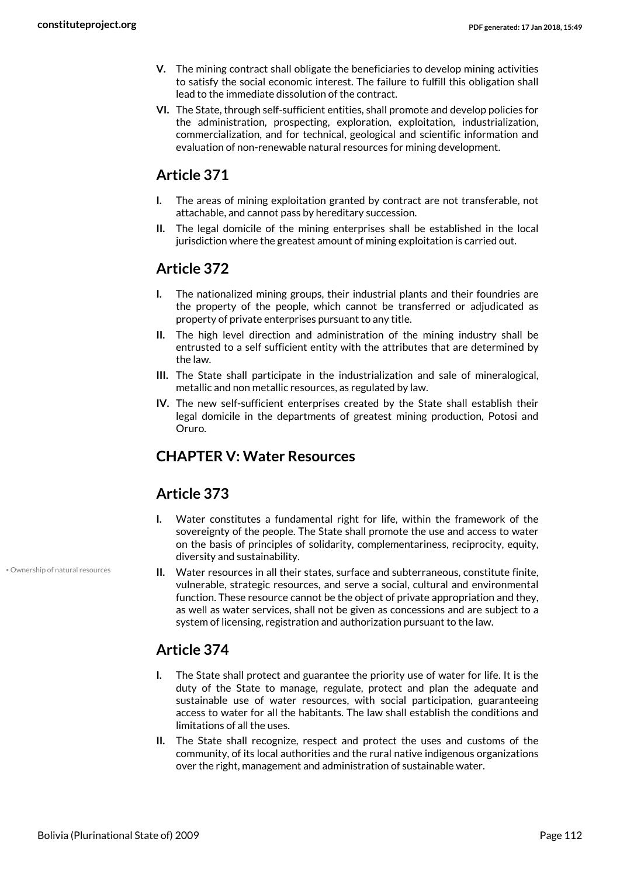- **V.** The mining contract shall obligate the beneficiaries to develop mining activities to satisfy the social economic interest. The failure to fulfill this obligation shall lead to the immediate dissolution of the contract.
- **VI.** The State, through self-sufficient entities, shall promote and develop policies for the administration, prospecting, exploration, exploitation, industrialization, commercialization, and for technical, geological and scientific information and evaluation of non-renewable natural resources for mining development.

- **I.** The areas of mining exploitation granted by contract are not transferable, not attachable, and cannot pass by hereditary succession.
- **II.** The legal domicile of the mining enterprises shall be established in the local jurisdiction where the greatest amount of mining exploitation is carried out.

# **Article 372**

- **I.** The nationalized mining groups, their industrial plants and their foundries are the property of the people, which cannot be transferred or adjudicated as property of private enterprises pursuant to any title.
- **II.** The high level direction and administration of the mining industry shall be entrusted to a self sufficient entity with the attributes that are determined by the law.
- **III.** The State shall participate in the industrialization and sale of mineralogical, metallic and non metallic resources, as regulated by law.
- **IV.** The new self-sufficient enterprises created by the State shall establish their legal domicile in the departments of greatest mining production, Potosi and Oruro.

# **CHAPTER V: Water Resources**

# **Article 373**

- **I.** Water constitutes a fundamental right for life, within the framework of the sovereignty of the people. The State shall promote the use and access to water on the basis of principles of solidarity, complementariness, reciprocity, equity, diversity and sustainability.
- <span id="page-111-0"></span>**II.** Water resources in all their states, surface and subterraneous, constitute finite, vulnerable, strategic resources, and serve a social, cultural and environmental function. These resource cannot be the object of private appropriation and they, as well as water services, shall not be given as concessions and are subject to a system of licensing, registration and authorization pursuant to the law.

# **Article 374**

- **I.** The State shall protect and guarantee the priority use of water for life. It is the duty of the State to manage, regulate, protect and plan the adequate and sustainable use of water resources, with social participation, guaranteeing access to water for all the habitants. The law shall establish the conditions and limitations of all the uses.
- **II.** The State shall recognize, respect and protect the uses and customs of the community, of its local authorities and the rural native indigenous organizations over the right, management and administration of sustainable water.

• Ownership of natural resources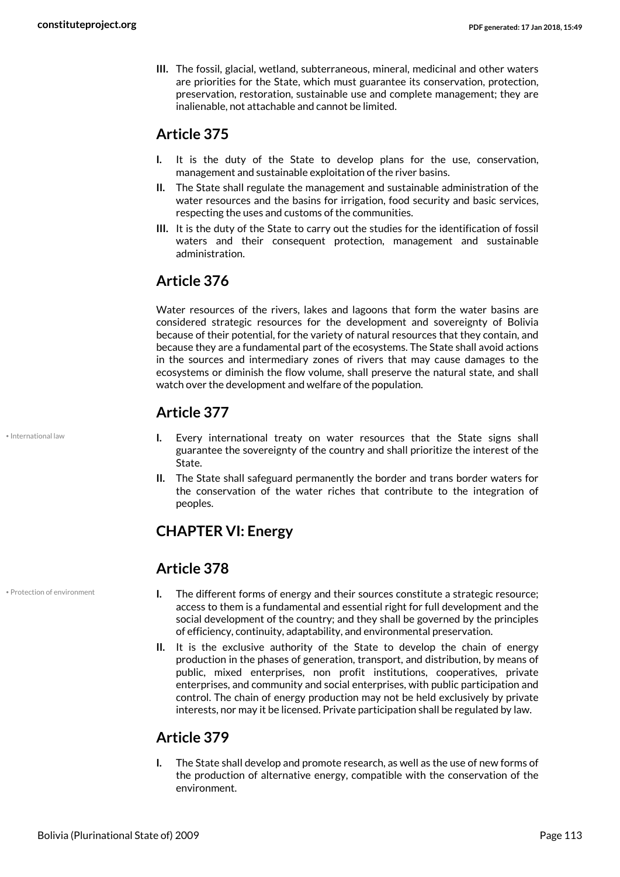**III.** The fossil, glacial, wetland, subterraneous, mineral, medicinal and other waters are priorities for the State, which must guarantee its conservation, protection, preservation, restoration, sustainable use and complete management; they are inalienable, not attachable and cannot be limited.

#### **Article 375**

- **I.** It is the duty of the State to develop plans for the use, conservation, management and sustainable exploitation of the river basins.
- **II.** The State shall regulate the management and sustainable administration of the water resources and the basins for irrigation, food security and basic services, respecting the uses and customs of the communities.
- **III.** It is the duty of the State to carry out the studies for the identification of fossil waters and their consequent protection, management and sustainable administration.

#### **Article 376**

Water resources of the rivers, lakes and lagoons that form the water basins are considered strategic resources for the development and sovereignty of Bolivia because of their potential, for the variety of natural resources that they contain, and because they are a fundamental part of the ecosystems. The State shall avoid actions in the sources and intermediary zones of rivers that may cause damages to the ecosystems or diminish the flow volume, shall preserve the natural state, and shall watch over the development and welfare of the population.

# **Article 377**

<span id="page-112-0"></span>• International law

- **I.** Every international treaty on water resources that the State signs shall guarantee the sovereignty of the country and shall prioritize the interest of the State.
- **II.** The State shall safeguard permanently the border and trans border waters for the conservation of the water riches that contribute to the integration of peoples.

# **CHAPTER VI: Energy**

#### **Article 378**

- Protection of environment
- <span id="page-112-1"></span>**I.** The different forms of energy and their sources constitute a strategic resource; access to them is a fundamental and essential right for full development and the social development of the country; and they shall be governed by the principles of efficiency, continuity, adaptability, and environmental preservation.
- **II.** It is the exclusive authority of the State to develop the chain of energy production in the phases of generation, transport, and distribution, by means of public, mixed enterprises, non profit institutions, cooperatives, private enterprises, and community and social enterprises, with public participation and control. The chain of energy production may not be held exclusively by private interests, nor may it be licensed. Private participation shall be regulated by law.

# **Article 379**

**I.** The State shall develop and promote research, as well as the use of new forms of the production of alternative energy, compatible with the conservation of the environment.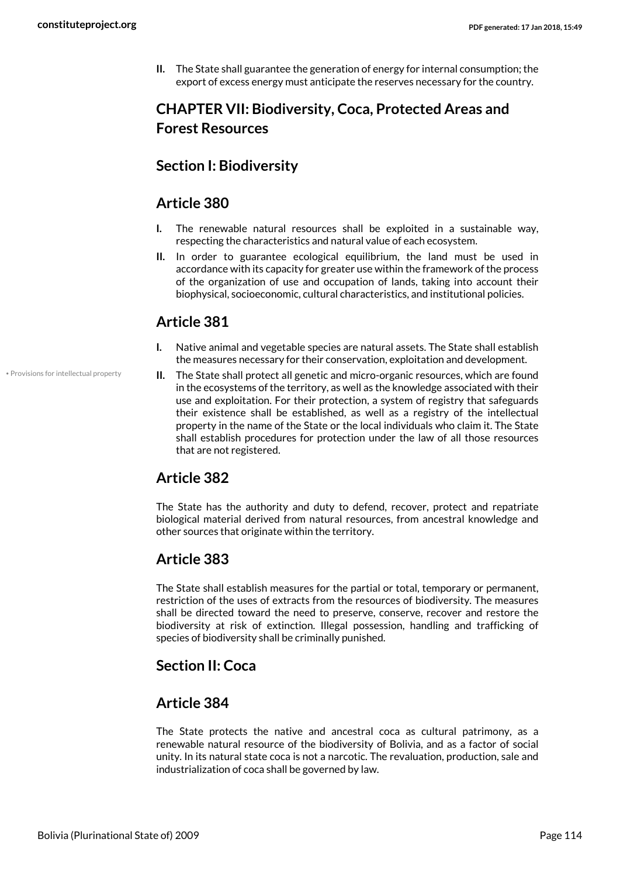**II.** The State shall guarantee the generation of energy for internal consumption; the export of excess energy must anticipate the reserves necessary for the country.

# **CHAPTER VII: Biodiversity, Coca, Protected Areas and Forest Resources**

#### **Section I: Biodiversity**

# **Article 380**

- **I.** The renewable natural resources shall be exploited in a sustainable way, respecting the characteristics and natural value of each ecosystem.
- **II.** In order to guarantee ecological equilibrium, the land must be used in accordance with its capacity for greater use within the framework of the process of the organization of use and occupation of lands, taking into account their biophysical, socioeconomic, cultural characteristics, and institutional policies.

# **Article 381**

- **I.** Native animal and vegetable species are natural assets. The State shall establish the measures necessary for their conservation, exploitation and development.
- <span id="page-113-0"></span>**II.** The State shall protect all genetic and micro-organic resources, which are found in the ecosystems of the territory, as well as the knowledge associated with their use and exploitation. For their protection, a system of registry that safeguards their existence shall be established, as well as a registry of the intellectual property in the name of the State or the local individuals who claim it. The State shall establish procedures for protection under the law of all those resources that are not registered.

# **Article 382**

The State has the authority and duty to defend, recover, protect and repatriate biological material derived from natural resources, from ancestral knowledge and other sources that originate within the territory.

# **Article 383**

The State shall establish measures for the partial or total, temporary or permanent, restriction of the uses of extracts from the resources of biodiversity. The measures shall be directed toward the need to preserve, conserve, recover and restore the biodiversity at risk of extinction. Illegal possession, handling and trafficking of species of biodiversity shall be criminally punished.

# **Section II: Coca**

# **Article 384**

The State protects the native and ancestral coca as cultural patrimony, as a renewable natural resource of the biodiversity of Bolivia, and as a factor of social unity. In its natural state coca is not a narcotic. The revaluation, production, sale and industrialization of coca shall be governed by law.

• Provisions for intellectual property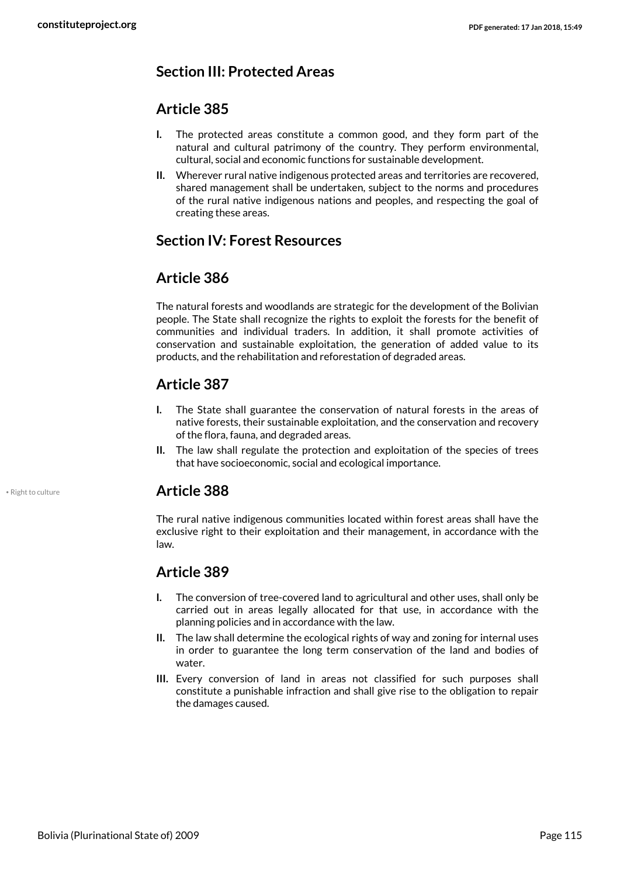#### **Section III: Protected Areas**

#### **Article 385**

- **I.** The protected areas constitute a common good, and they form part of the natural and cultural patrimony of the country. They perform environmental, cultural, social and economic functions for sustainable development.
- **II.** Wherever rural native indigenous protected areas and territories are recovered, shared management shall be undertaken, subject to the norms and procedures of the rural native indigenous nations and peoples, and respecting the goal of creating these areas.

#### **Section IV: Forest Resources**

#### **Article 386**

The natural forests and woodlands are strategic for the development of the Bolivian people. The State shall recognize the rights to exploit the forests for the benefit of communities and individual traders. In addition, it shall promote activities of conservation and sustainable exploitation, the generation of added value to its products, and the rehabilitation and reforestation of degraded areas.

#### **Article 387**

- **I.** The State shall guarantee the conservation of natural forests in the areas of native forests, their sustainable exploitation, and the conservation and recovery of the flora, fauna, and degraded areas.
- **II.** The law shall regulate the protection and exploitation of the species of trees that have socioeconomic, social and ecological importance.

#### • Right to culture **Article 388**

The rural native indigenous communities located within forest areas shall have the exclusive right to their exploitation and their management, in accordance with the law.

#### **Article 389**

- **I.** The conversion of tree-covered land to agricultural and other uses, shall only be carried out in areas legally allocated for that use, in accordance with the planning policies and in accordance with the law.
- **II.** The law shall determine the ecological rights of way and zoning for internal uses in order to guarantee the long term conservation of the land and bodies of water.
- **III.** Every conversion of land in areas not classified for such purposes shall constitute a punishable infraction and shall give rise to the obligation to repair the damages caused.

<span id="page-114-0"></span>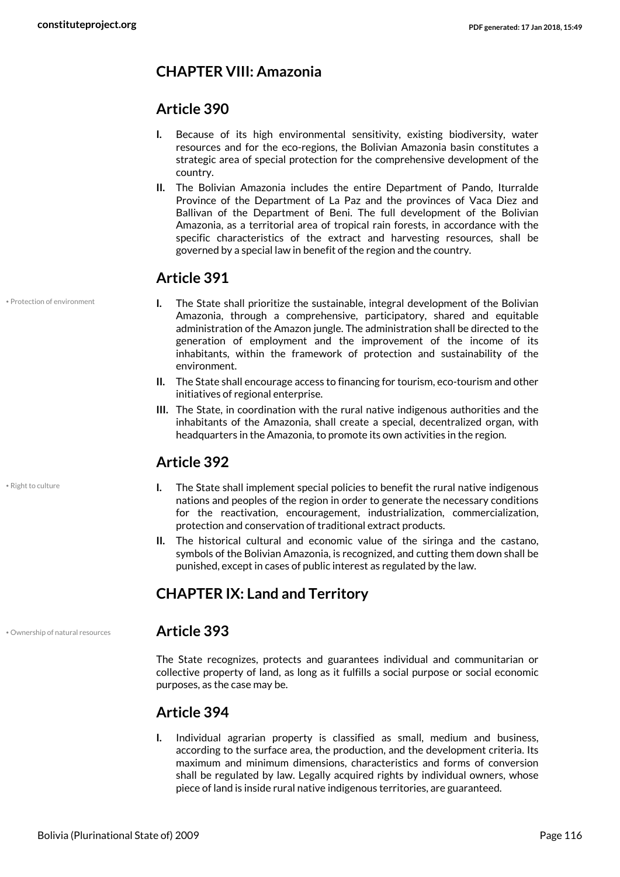#### **CHAPTER VIII: Amazonia**

#### **Article 390**

- **I.** Because of its high environmental sensitivity, existing biodiversity, water resources and for the eco-regions, the Bolivian Amazonia basin constitutes a strategic area of special protection for the comprehensive development of the country.
- **II.** The Bolivian Amazonia includes the entire Department of Pando, Iturralde Province of the Department of La Paz and the provinces of Vaca Diez and Ballivan of the Department of Beni. The full development of the Bolivian Amazonia, as a territorial area of tropical rain forests, in accordance with the specific characteristics of the extract and harvesting resources, shall be governed by a special law in benefit of the region and the country.

#### **Article 391**

- <span id="page-115-1"></span>**I.** The State shall prioritize the sustainable, integral development of the Bolivian Amazonia, through a comprehensive, participatory, shared and equitable administration of the Amazon jungle. The administration shall be directed to the generation of employment and the improvement of the income of its inhabitants, within the framework of protection and sustainability of the environment.
- **II.** The State shall encourage access to financing for tourism, eco-tourism and other initiatives of regional enterprise.
- **III.** The State, in coordination with the rural native indigenous authorities and the inhabitants of the Amazonia, shall create a special, decentralized organ, with headquarters in the Amazonia, to promote its own activities in the region.

#### **Article 392**

- **I.** The State shall implement special policies to benefit the rural native indigenous nations and peoples of the region in order to generate the necessary conditions for the reactivation, encouragement, industrialization, commercialization, protection and conservation of traditional extract products.
- **II.** The historical cultural and economic value of the siringa and the castano, symbols of the Bolivian Amazonia, is recognized, and cutting them down shall be punished, except in cases of public interest as regulated by the law.

#### **CHAPTER IX: Land and Territory**

#### • Ownership of natural resources **Article 393**

<span id="page-115-0"></span>The State recognizes, protects and guarantees individual and communitarian or collective property of land, as long as it fulfills a social purpose or social economic purposes, as the case may be.

#### **Article 394**

**I.** Individual agrarian property is classified as small, medium and business, according to the surface area, the production, and the development criteria. Its maximum and minimum dimensions, characteristics and forms of conversion shall be regulated by law. Legally acquired rights by individual owners, whose piece of land is inside rural native indigenous territories, are guaranteed.

• Protection of environment

<span id="page-115-2"></span>• Right to culture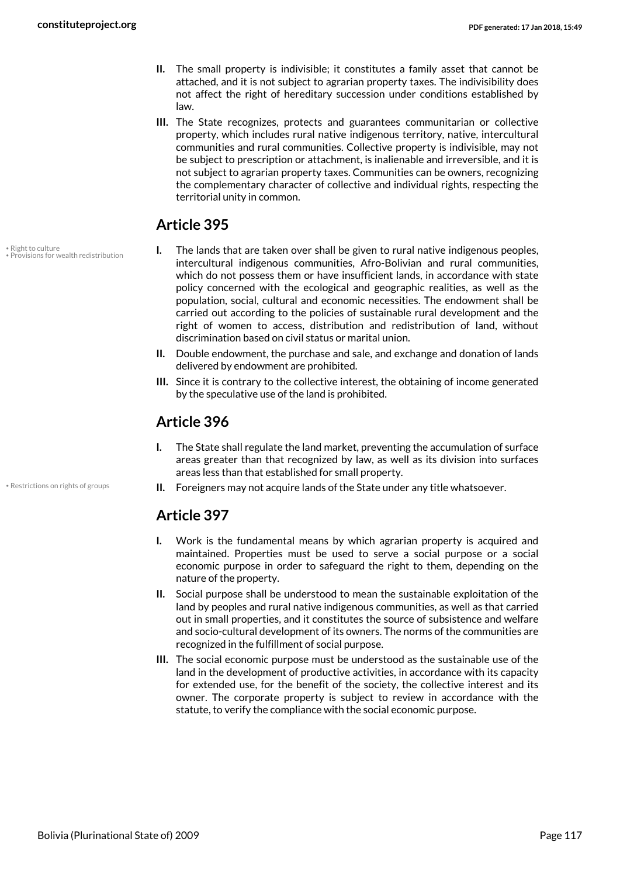- **II.** The small property is indivisible; it constitutes a family asset that cannot be attached, and it is not subject to agrarian property taxes. The indivisibility does not affect the right of hereditary succession under conditions established by law.
- **III.** The State recognizes, protects and guarantees communitarian or collective property, which includes rural native indigenous territory, native, intercultural communities and rural communities. Collective property is indivisible, may not be subject to prescription or attachment, is inalienable and irreversible, and it is not subject to agrarian property taxes. Communities can be owners, recognizing the complementary character of collective and individual rights, respecting the territorial unity in common.

- <span id="page-116-0"></span>**I.** The lands that are taken over shall be given to rural native indigenous peoples, intercultural indigenous communities, Afro-Bolivian and rural communities, which do not possess them or have insufficient lands, in accordance with state policy concerned with the ecological and geographic realities, as well as the population, social, cultural and economic necessities. The endowment shall be carried out according to the policies of sustainable rural development and the right of women to access, distribution and redistribution of land, without discrimination based on civil status or marital union.
- **II.** Double endowment, the purchase and sale, and exchange and donation of lands delivered by endowment are prohibited.
- **III.** Since it is contrary to the collective interest, the obtaining of income generated by the speculative use of the land is prohibited.

# **Article 396**

- **I.** The State shall regulate the land market, preventing the accumulation of surface areas greater than that recognized by law, as well as its division into surfaces areas less than that established for small property.
- **Restrictions on rights of groups II.** Foreigners may not acquire lands of the State under any title whatsoever.

#### <span id="page-116-1"></span>**Article 397**

- **I.** Work is the fundamental means by which agrarian property is acquired and maintained. Properties must be used to serve a social purpose or a social economic purpose in order to safeguard the right to them, depending on the nature of the property.
- **II.** Social purpose shall be understood to mean the sustainable exploitation of the land by peoples and rural native indigenous communities, as well as that carried out in small properties, and it constitutes the source of subsistence and welfare and socio-cultural development of its owners. The norms of the communities are recognized in the fulfillment of social purpose.
- **III.** The social economic purpose must be understood as the sustainable use of the land in the development of productive activities, in accordance with its capacity for extended use, for the benefit of the society, the collective interest and its owner. The corporate property is subject to review in accordance with the statute, to verify the compliance with the social economic purpose.

<span id="page-116-2"></span>• Right to culture • Provisions for wealth redistribution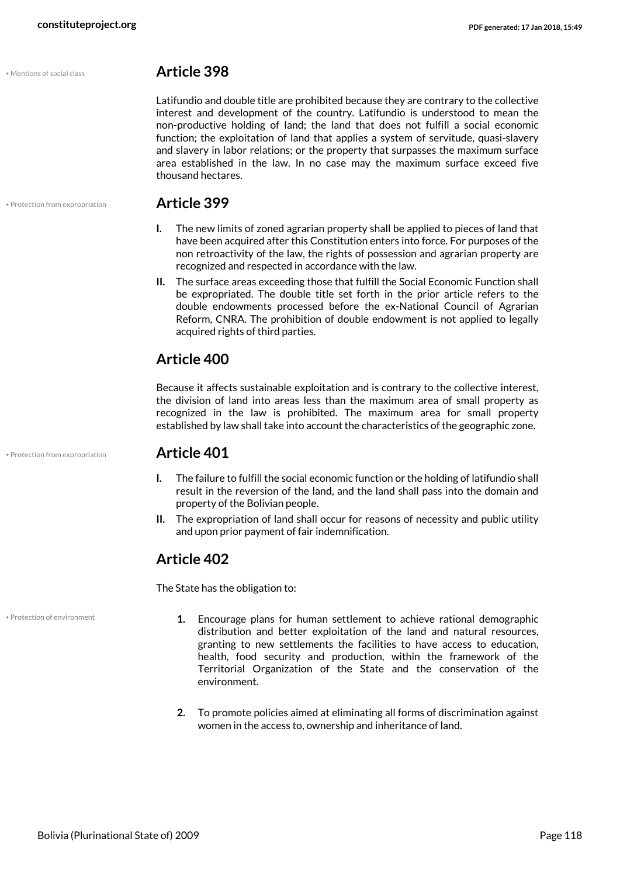#### • Mentions of social class **Article 398**

<span id="page-117-0"></span>Latifundio and double title are prohibited because they are contrary to the collective interest and development of the country. Latifundio is understood to mean the non-productive holding of land; the land that does not fulfill a social economic function; the exploitation of land that applies a system of servitude, quasi-slavery and slavery in labor relations; or the property that surpasses the maximum surface area established in the law. In no case may the maximum surface exceed five thousand hectares.

#### • Protection from expropriation **Article 399**

- **I.** The new limits of zoned agrarian property shall be applied to pieces of land that have been acquired after this Constitution enters into force. For purposes of the non retroactivity of the law, the rights of possession and agrarian property are recognized and respected in accordance with the law.
- **II.** The surface areas exceeding those that fulfill the Social Economic Function shall be expropriated. The double title set forth in the prior article refers to the double endowments processed before the ex-National Council of Agrarian Reform, CNRA. The prohibition of double endowment is not applied to legally acquired rights of third parties.

#### **Article 400**

Because it affects sustainable exploitation and is contrary to the collective interest, the division of land into areas less than the maximum area of small property as recognized in the law is prohibited. The maximum area for small property established by law shall take into account the characteristics of the geographic zone.

#### • Protection from expropriation **Article 401**

- <span id="page-117-1"></span>**I.** The failure to fulfill the social economic function or the holding of latifundio shall result in the reversion of the land, and the land shall pass into the domain and property of the Bolivian people.
- **II.** The expropriation of land shall occur for reasons of necessity and public utility and upon prior payment of fair indemnification.

#### **Article 402**

<span id="page-117-2"></span>The State has the obligation to:

• Protection of environment

- **1.** Encourage plans for human settlement to achieve rational demographic distribution and better exploitation of the land and natural resources, granting to new settlements the facilities to have access to education, health, food security and production, within the framework of the Territorial Organization of the State and the conservation of the environment.
- **2.** To promote policies aimed at eliminating all forms of discrimination against women in the access to, ownership and inheritance of land.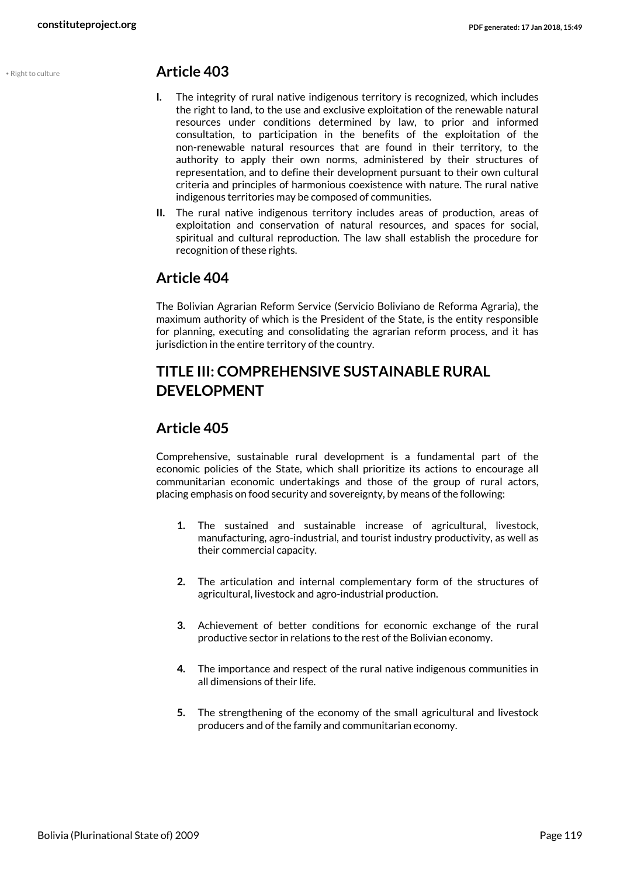<span id="page-118-0"></span>

#### • Right to culture **Article 403**

- **I.** The integrity of rural native indigenous territory is recognized, which includes the right to land, to the use and exclusive exploitation of the renewable natural resources under conditions determined by law, to prior and informed consultation, to participation in the benefits of the exploitation of the non-renewable natural resources that are found in their territory, to the authority to apply their own norms, administered by their structures of representation, and to define their development pursuant to their own cultural criteria and principles of harmonious coexistence with nature. The rural native indigenous territories may be composed of communities.
- **II.** The rural native indigenous territory includes areas of production, areas of exploitation and conservation of natural resources, and spaces for social, spiritual and cultural reproduction. The law shall establish the procedure for recognition of these rights.

#### **Article 404**

The Bolivian Agrarian Reform Service (Servicio Boliviano de Reforma Agraria), the maximum authority of which is the President of the State, is the entity responsible for planning, executing and consolidating the agrarian reform process, and it has jurisdiction in the entire territory of the country.

# **TITLE III: COMPREHENSIVE SUSTAINABLE RURAL DEVELOPMENT**

# **Article 405**

Comprehensive, sustainable rural development is a fundamental part of the economic policies of the State, which shall prioritize its actions to encourage all communitarian economic undertakings and those of the group of rural actors, placing emphasis on food security and sovereignty, by means of the following:

- **1.** The sustained and sustainable increase of agricultural, livestock, manufacturing, agro-industrial, and tourist industry productivity, as well as their commercial capacity.
- **2.** The articulation and internal complementary form of the structures of agricultural, livestock and agro-industrial production.
- **3.** Achievement of better conditions for economic exchange of the rural productive sector in relations to the rest of the Bolivian economy.
- **4.** The importance and respect of the rural native indigenous communities in all dimensions of their life.
- **5.** The strengthening of the economy of the small agricultural and livestock producers and of the family and communitarian economy.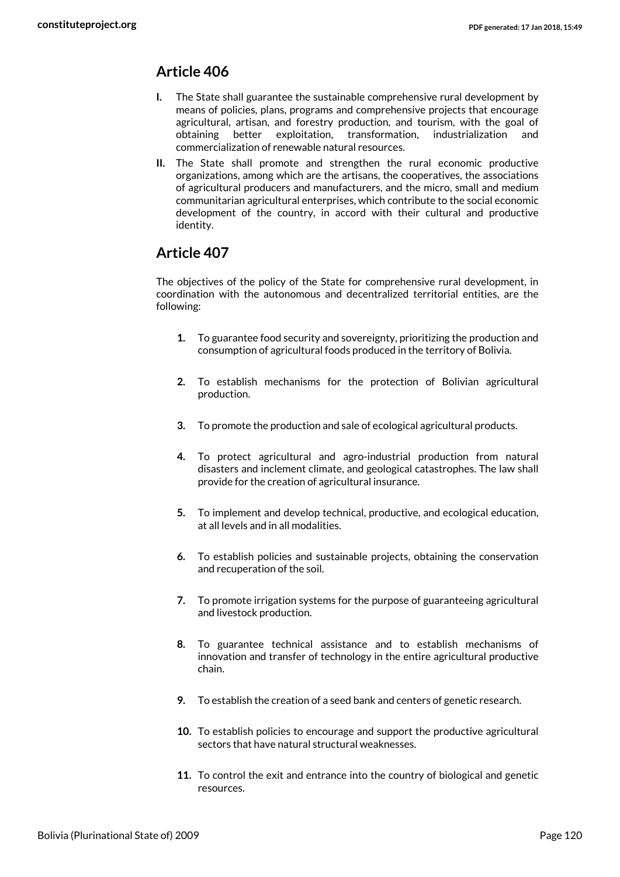- **I.** The State shall guarantee the sustainable comprehensive rural development by means of policies, plans, programs and comprehensive projects that encourage agricultural, artisan, and forestry production, and tourism, with the goal of obtaining better exploitation, transformation, industrialization and commercialization of renewable natural resources.
- **II.** The State shall promote and strengthen the rural economic productive organizations, among which are the artisans, the cooperatives, the associations of agricultural producers and manufacturers, and the micro, small and medium communitarian agricultural enterprises, which contribute to the social economic development of the country, in accord with their cultural and productive identity.

#### **Article 407**

The objectives of the policy of the State for comprehensive rural development, in coordination with the autonomous and decentralized territorial entities, are the following:

- **1.** To guarantee food security and sovereignty, prioritizing the production and consumption of agricultural foods produced in the territory of Bolivia.
- **2.** To establish mechanisms for the protection of Bolivian agricultural production.
- **3.** To promote the production and sale of ecological agricultural products.
- **4.** To protect agricultural and agro-industrial production from natural disasters and inclement climate, and geological catastrophes. The law shall provide for the creation of agricultural insurance.
- **5.** To implement and develop technical, productive, and ecological education, at all levels and in all modalities.
- **6.** To establish policies and sustainable projects, obtaining the conservation and recuperation of the soil.
- **7.** To promote irrigation systems for the purpose of guaranteeing agricultural and livestock production.
- **8.** To guarantee technical assistance and to establish mechanisms of innovation and transfer of technology in the entire agricultural productive chain.
- **9.** To establish the creation of a seed bank and centers of genetic research.
- **10.** To establish policies to encourage and support the productive agricultural sectors that have natural structural weaknesses.
- **11.** To control the exit and entrance into the country of biological and genetic resources.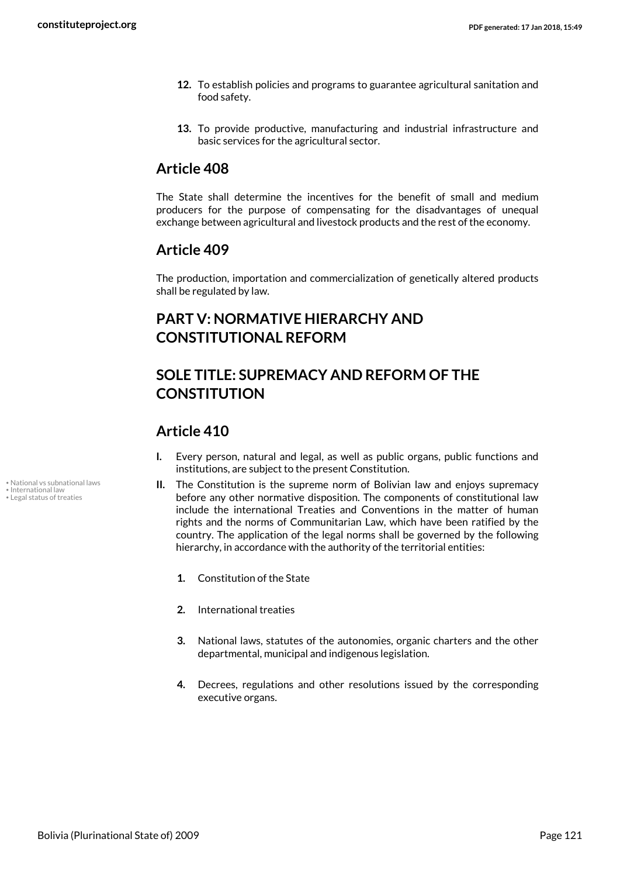- **12.** To establish policies and programs to guarantee agricultural sanitation and food safety.
- **13.** To provide productive, manufacturing and industrial infrastructure and basic services for the agricultural sector.

The State shall determine the incentives for the benefit of small and medium producers for the purpose of compensating for the disadvantages of unequal exchange between agricultural and livestock products and the rest of the economy.

# **Article 409**

The production, importation and commercialization of genetically altered products shall be regulated by law.

# **PART V: NORMATIVE HIERARCHY AND CONSTITUTIONAL REFORM**

# **SOLE TITLE: SUPREMACY AND REFORM OF THE CONSTITUTION**

# **Article 410**

- **I.** Every person, natural and legal, as well as public organs, public functions and institutions, are subject to the present Constitution.
- <span id="page-120-2"></span><span id="page-120-1"></span>**II.** The Constitution is the supreme norm of Bolivian law and enjoys supremacy before any other normative disposition. The components of constitutional law include the international Treaties and Conventions in the matter of human rights and the norms of Communitarian Law, which have been ratified by the country. The application of the legal norms shall be governed by the following hierarchy, in accordance with the authority of the territorial entities:
	- **1.** Constitution of the State
	- **2.** International treaties
	- **3.** National laws, statutes of the autonomies, organic charters and the other departmental, municipal and indigenous legislation.
	- **4.** Decrees, regulations and other resolutions issued by the corresponding executive organs.
- National vs subnational laws
- <span id="page-120-0"></span>• International law • Legal status of treaties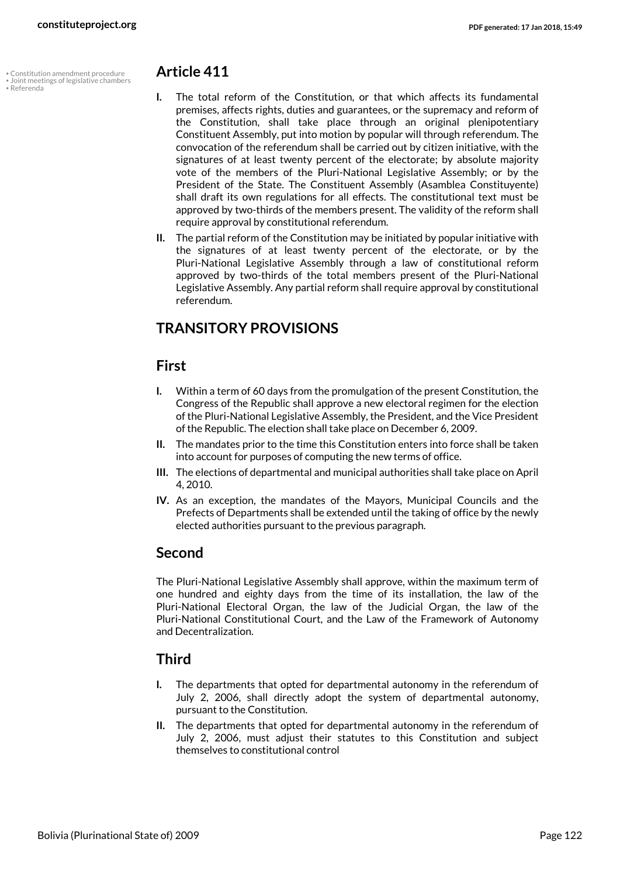- Constitution amendment procedure **Article 411** Joint meetings of legislative chambers
- <span id="page-121-2"></span>

#### • Referenda

- <span id="page-121-1"></span><span id="page-121-0"></span>**I.** The total reform of the Constitution, or that which affects its fundamental premises, affects rights, duties and guarantees, or the supremacy and reform of the Constitution, shall take place through an original plenipotentiary Constituent Assembly, put into motion by popular will through referendum. The convocation of the referendum shall be carried out by citizen initiative, with the signatures of at least twenty percent of the electorate; by absolute majority vote of the members of the Pluri-National Legislative Assembly; or by the President of the State. The Constituent Assembly (Asamblea Constituyente) shall draft its own regulations for all effects. The constitutional text must be approved by two-thirds of the members present. The validity of the reform shall require approval by constitutional referendum.
- **II.** The partial reform of the Constitution may be initiated by popular initiative with the signatures of at least twenty percent of the electorate, or by the Pluri-National Legislative Assembly through a law of constitutional reform approved by two-thirds of the total members present of the Pluri-National Legislative Assembly. Any partial reform shall require approval by constitutional referendum.

# **TRANSITORY PROVISIONS**

#### **First**

- **I.** Within a term of 60 days from the promulgation of the present Constitution, the Congress of the Republic shall approve a new electoral regimen for the election of the Pluri-National Legislative Assembly, the President, and the Vice President of the Republic. The election shall take place on December 6, 2009.
- **II.** The mandates prior to the time this Constitution enters into force shall be taken into account for purposes of computing the new terms of office.
- **III.** The elections of departmental and municipal authorities shall take place on April 4, 2010.
- **IV.** As an exception, the mandates of the Mayors, Municipal Councils and the Prefects of Departments shall be extended until the taking of office by the newly elected authorities pursuant to the previous paragraph.

#### **Second**

The Pluri-National Legislative Assembly shall approve, within the maximum term of one hundred and eighty days from the time of its installation, the law of the Pluri-National Electoral Organ, the law of the Judicial Organ, the law of the Pluri-National Constitutional Court, and the Law of the Framework of Autonomy and Decentralization.

#### **Third**

- **I.** The departments that opted for departmental autonomy in the referendum of July 2, 2006, shall directly adopt the system of departmental autonomy, pursuant to the Constitution.
- **II.** The departments that opted for departmental autonomy in the referendum of July 2, 2006, must adjust their statutes to this Constitution and subject themselves to constitutional control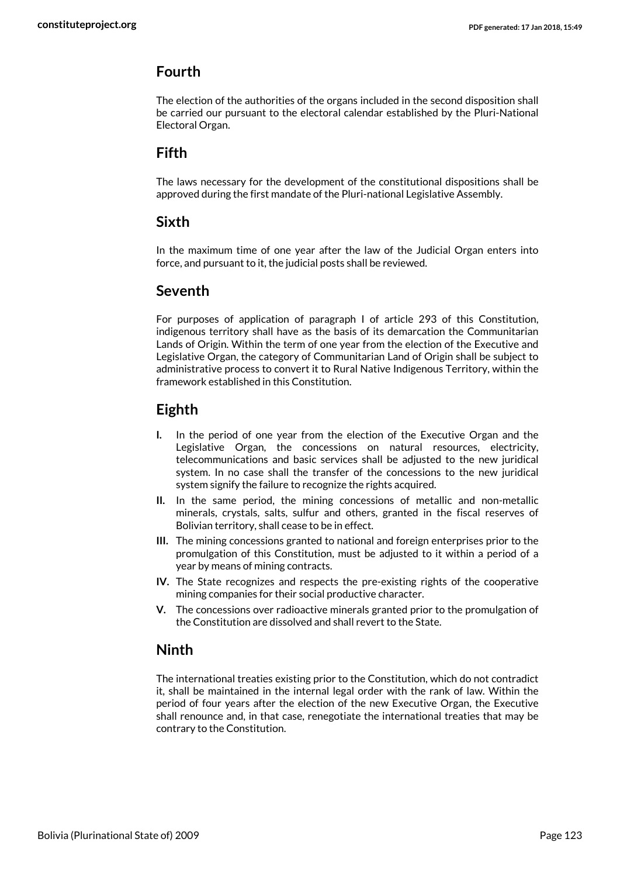#### **Fourth**

The election of the authorities of the organs included in the second disposition shall be carried our pursuant to the electoral calendar established by the Pluri-National Electoral Organ.

#### **Fifth**

The laws necessary for the development of the constitutional dispositions shall be approved during the first mandate of the Pluri-national Legislative Assembly.

#### **Sixth**

In the maximum time of one year after the law of the Judicial Organ enters into force, and pursuant to it, the judicial posts shall be reviewed.

#### **Seventh**

For purposes of application of paragraph I of article 293 of this Constitution, indigenous territory shall have as the basis of its demarcation the Communitarian Lands of Origin. Within the term of one year from the election of the Executive and Legislative Organ, the category of Communitarian Land of Origin shall be subject to administrative process to convert it to Rural Native Indigenous Territory, within the framework established in this Constitution.

# **Eighth**

- **I.** In the period of one year from the election of the Executive Organ and the Legislative Organ, the concessions on natural resources, electricity, telecommunications and basic services shall be adjusted to the new juridical system. In no case shall the transfer of the concessions to the new juridical system signify the failure to recognize the rights acquired.
- **II.** In the same period, the mining concessions of metallic and non-metallic minerals, crystals, salts, sulfur and others, granted in the fiscal reserves of Bolivian territory, shall cease to be in effect.
- **III.** The mining concessions granted to national and foreign enterprises prior to the promulgation of this Constitution, must be adjusted to it within a period of a year by means of mining contracts.
- **IV.** The State recognizes and respects the pre-existing rights of the cooperative mining companies for their social productive character.
- **V.** The concessions over radioactive minerals granted prior to the promulgation of the Constitution are dissolved and shall revert to the State.

#### **Ninth**

The international treaties existing prior to the Constitution, which do not contradict it, shall be maintained in the internal legal order with the rank of law. Within the period of four years after the election of the new Executive Organ, the Executive shall renounce and, in that case, renegotiate the international treaties that may be contrary to the Constitution.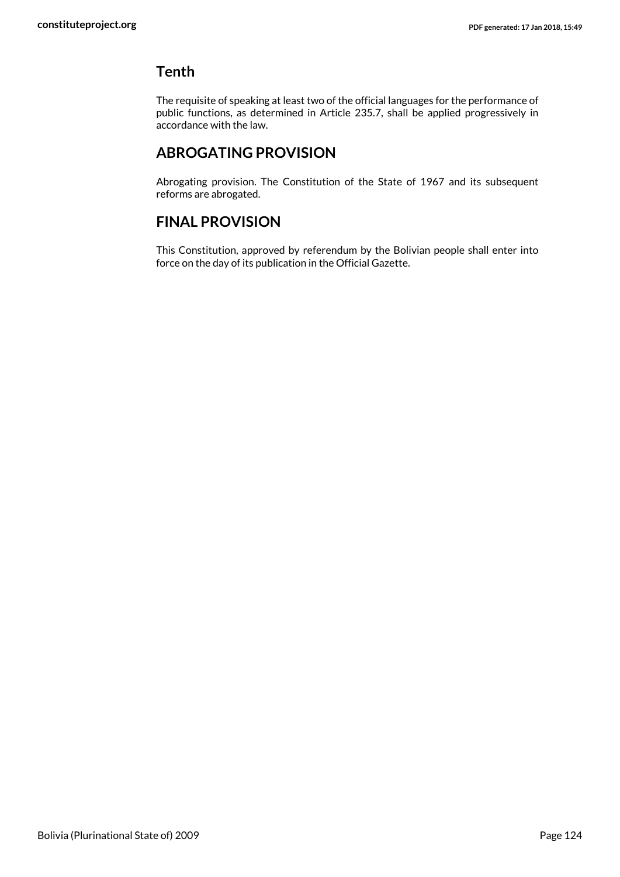#### **Tenth**

The requisite of speaking at least two of the official languages for the performance of public functions, as determined in Article 235.7, shall be applied progressively in accordance with the law.

# **ABROGATING PROVISION**

Abrogating provision. The Constitution of the State of 1967 and its subsequent reforms are abrogated.

#### **FINAL PROVISION**

This Constitution, approved by referendum by the Bolivian people shall enter into force on the day of its publication in the Official Gazette.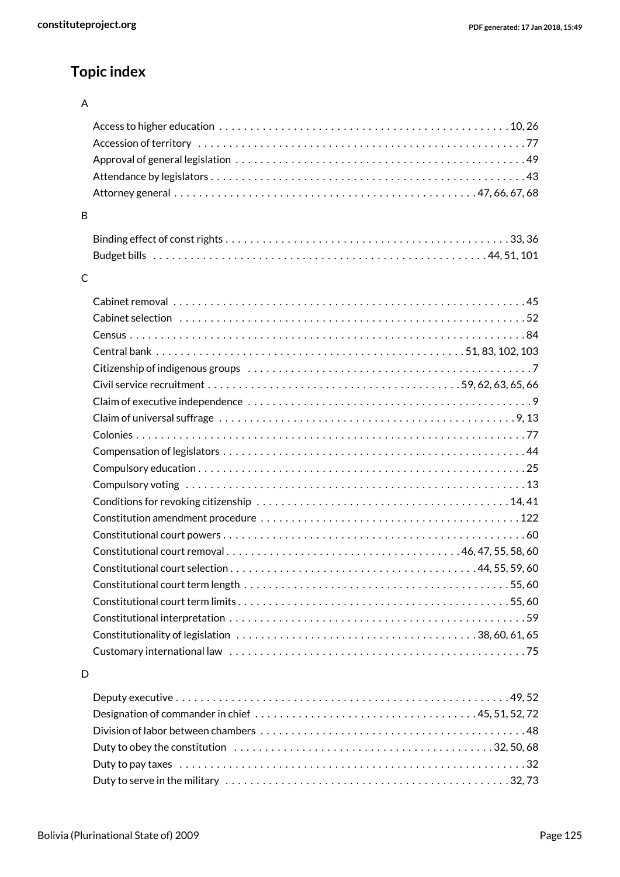# **Topic index**

#### A

| B |                                                                                                           |
|---|-----------------------------------------------------------------------------------------------------------|
|   |                                                                                                           |
|   |                                                                                                           |
| C |                                                                                                           |
|   |                                                                                                           |
|   |                                                                                                           |
|   |                                                                                                           |
|   |                                                                                                           |
|   |                                                                                                           |
|   |                                                                                                           |
|   |                                                                                                           |
|   | Claim of universal suffrage $\dots\dots\dots\dots\dots\dots\dots\dots\dots\dots\dots\dots\dots\dots\dots$ |
|   |                                                                                                           |
|   |                                                                                                           |
|   |                                                                                                           |
|   |                                                                                                           |
|   |                                                                                                           |
|   |                                                                                                           |
|   |                                                                                                           |
|   |                                                                                                           |
|   |                                                                                                           |
|   |                                                                                                           |
|   |                                                                                                           |
|   |                                                                                                           |
|   |                                                                                                           |
|   |                                                                                                           |
| D |                                                                                                           |

#### D

| Duty to pay taxes $\dots\dots\dots\dots\dots\dots\dots\dots\dots\dots\dots\dots\dots\dots\dots\dots\dots$             |  |
|-----------------------------------------------------------------------------------------------------------------------|--|
| Duty to serve in the military $\dots\dots\dots\dots\dots\dots\dots\dots\dots\dots\dots\dots\dots\dots\dots\dots32.73$ |  |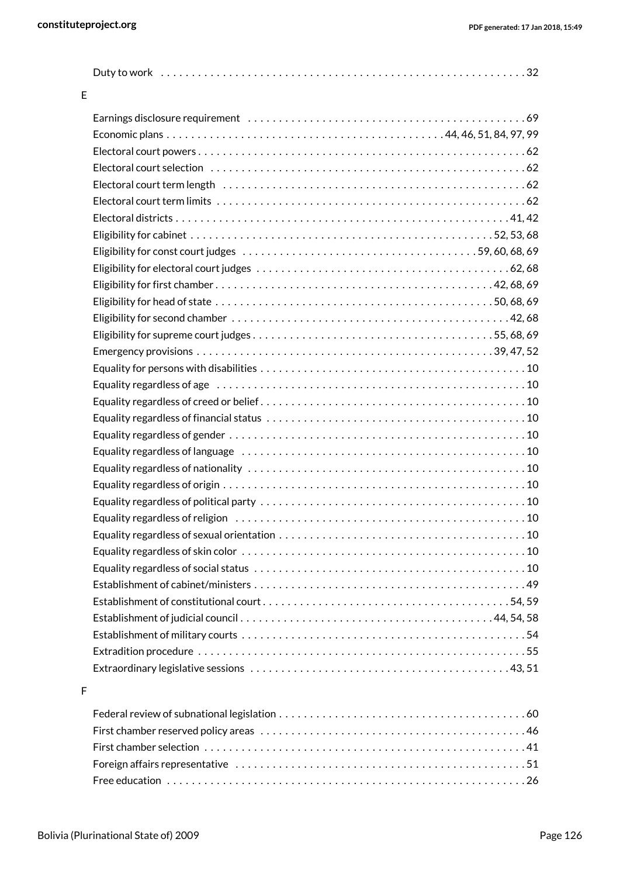| E |                                                                                                                    |  |
|---|--------------------------------------------------------------------------------------------------------------------|--|
|   |                                                                                                                    |  |
|   |                                                                                                                    |  |
|   |                                                                                                                    |  |
|   |                                                                                                                    |  |
|   |                                                                                                                    |  |
|   |                                                                                                                    |  |
|   |                                                                                                                    |  |
|   |                                                                                                                    |  |
|   |                                                                                                                    |  |
|   |                                                                                                                    |  |
|   |                                                                                                                    |  |
|   |                                                                                                                    |  |
|   |                                                                                                                    |  |
|   |                                                                                                                    |  |
|   |                                                                                                                    |  |
|   |                                                                                                                    |  |
|   |                                                                                                                    |  |
|   |                                                                                                                    |  |
|   |                                                                                                                    |  |
|   |                                                                                                                    |  |
|   |                                                                                                                    |  |
|   |                                                                                                                    |  |
|   |                                                                                                                    |  |
|   |                                                                                                                    |  |
|   | Equality regardless of religion $\dots\dots\dots\dots\dots\dots\dots\dots\dots\dots\dots\dots\dots\dots\dots\dots$ |  |
|   |                                                                                                                    |  |
|   |                                                                                                                    |  |
|   |                                                                                                                    |  |
|   |                                                                                                                    |  |
|   |                                                                                                                    |  |
|   |                                                                                                                    |  |
|   |                                                                                                                    |  |
|   |                                                                                                                    |  |
|   |                                                                                                                    |  |
| F |                                                                                                                    |  |

| ٠ |
|---|
|   |
|   |
|   |

| Free education $\dots\dots\dots\dots\dots\dots\dots\dots\dots\dots\dots\dots\dots\dots\dots\dots\dots$ |  |
|--------------------------------------------------------------------------------------------------------|--|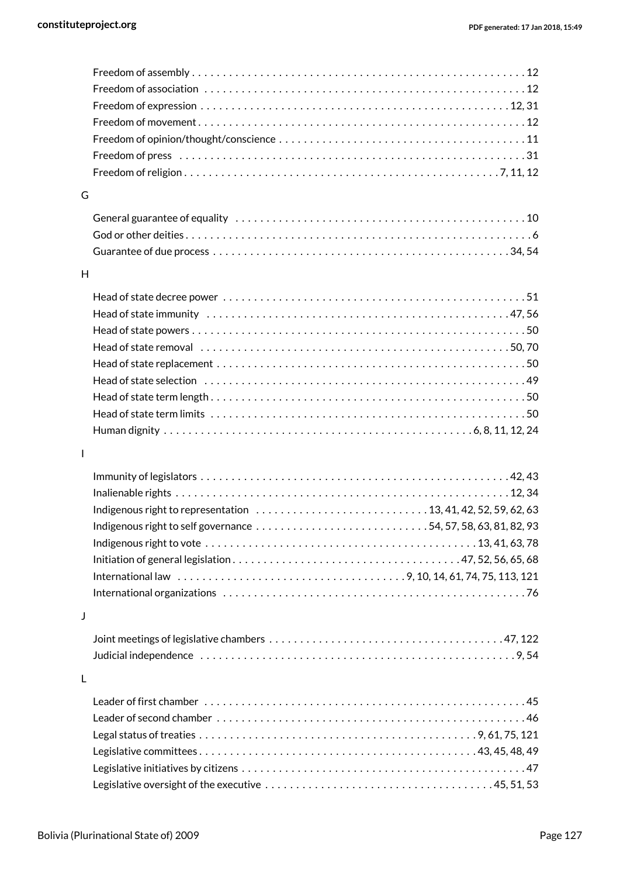| G            |                                                                                                                                                  |
|--------------|--------------------------------------------------------------------------------------------------------------------------------------------------|
|              |                                                                                                                                                  |
|              |                                                                                                                                                  |
|              |                                                                                                                                                  |
|              |                                                                                                                                                  |
| H            |                                                                                                                                                  |
|              |                                                                                                                                                  |
|              |                                                                                                                                                  |
|              |                                                                                                                                                  |
|              |                                                                                                                                                  |
|              |                                                                                                                                                  |
|              |                                                                                                                                                  |
|              |                                                                                                                                                  |
|              |                                                                                                                                                  |
|              |                                                                                                                                                  |
| $\mathbf{I}$ |                                                                                                                                                  |
|              |                                                                                                                                                  |
|              |                                                                                                                                                  |
|              |                                                                                                                                                  |
|              |                                                                                                                                                  |
|              |                                                                                                                                                  |
|              |                                                                                                                                                  |
|              | International law $\ldots \ldots \ldots \ldots \ldots \ldots \ldots \ldots \ldots \ldots \ldots \ldots \ldots$ . 9, 10, 14, 61, 74, 75, 113, 121 |
|              |                                                                                                                                                  |
|              |                                                                                                                                                  |
| J            |                                                                                                                                                  |
|              |                                                                                                                                                  |
|              |                                                                                                                                                  |
| L            |                                                                                                                                                  |
|              |                                                                                                                                                  |
|              |                                                                                                                                                  |
|              |                                                                                                                                                  |
|              |                                                                                                                                                  |
|              |                                                                                                                                                  |
|              |                                                                                                                                                  |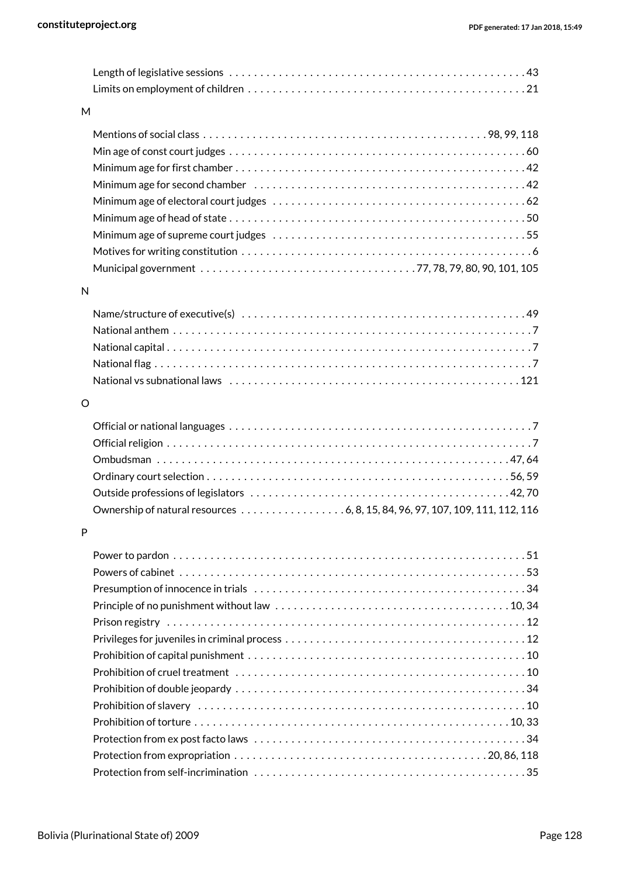| M |                                                                                                       |
|---|-------------------------------------------------------------------------------------------------------|
|   |                                                                                                       |
|   |                                                                                                       |
|   |                                                                                                       |
|   |                                                                                                       |
|   |                                                                                                       |
|   |                                                                                                       |
|   |                                                                                                       |
|   |                                                                                                       |
|   |                                                                                                       |
|   |                                                                                                       |
| N |                                                                                                       |
|   |                                                                                                       |
|   |                                                                                                       |
|   |                                                                                                       |
|   |                                                                                                       |
|   | National vs subnational laws enterpretational contracts of the subset of the set of the subset of 121 |
| O |                                                                                                       |
|   |                                                                                                       |
|   |                                                                                                       |
|   |                                                                                                       |
|   |                                                                                                       |
|   |                                                                                                       |
|   |                                                                                                       |
|   |                                                                                                       |
| P |                                                                                                       |
|   |                                                                                                       |
|   |                                                                                                       |
|   |                                                                                                       |
|   |                                                                                                       |
|   |                                                                                                       |
|   |                                                                                                       |
|   |                                                                                                       |
|   |                                                                                                       |
|   |                                                                                                       |
|   |                                                                                                       |
|   |                                                                                                       |
|   |                                                                                                       |
|   |                                                                                                       |
|   |                                                                                                       |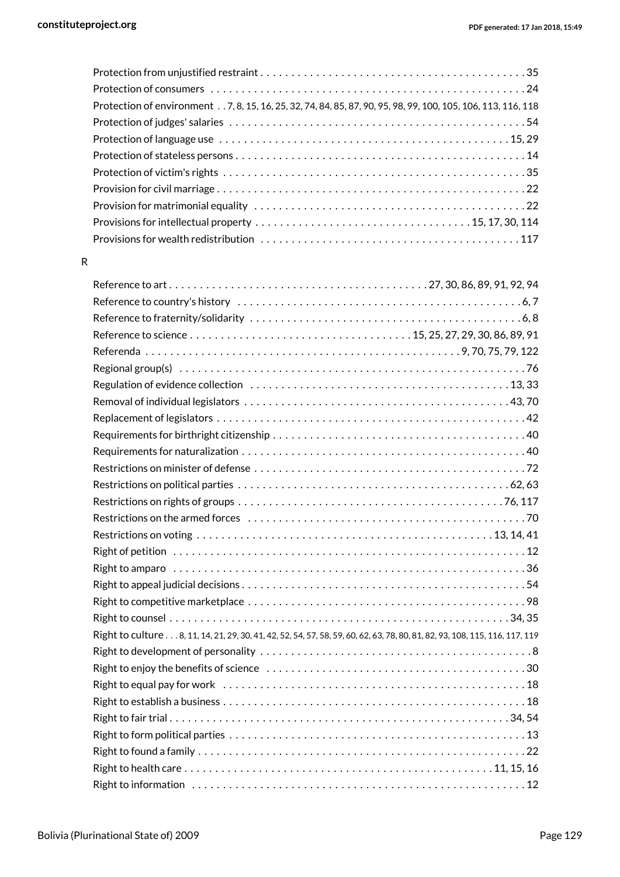| Protection of environment 7, 8, 15, 16, 25, 32, 74, 84, 85, 87, 90, 95, 98, 99, 100, 105, 106, 113, 116, 118 |  |
|--------------------------------------------------------------------------------------------------------------|--|
|                                                                                                              |  |
|                                                                                                              |  |
|                                                                                                              |  |
|                                                                                                              |  |
|                                                                                                              |  |
|                                                                                                              |  |
|                                                                                                              |  |
|                                                                                                              |  |

#### R

| Right to culture 8, 11, 14, 21, 29, 30, 41, 42, 52, 54, 57, 58, 59, 60, 62, 63, 78, 80, 81, 82, 93, 108, 115, 116, 117, 119 |  |
|-----------------------------------------------------------------------------------------------------------------------------|--|
|                                                                                                                             |  |
|                                                                                                                             |  |
|                                                                                                                             |  |
|                                                                                                                             |  |
|                                                                                                                             |  |
|                                                                                                                             |  |
|                                                                                                                             |  |
| Right to health care $\dots\dots\dots\dots\dots\dots\dots\dots\dots\dots\dots\dots\dots\dots\dots\dots$                     |  |
|                                                                                                                             |  |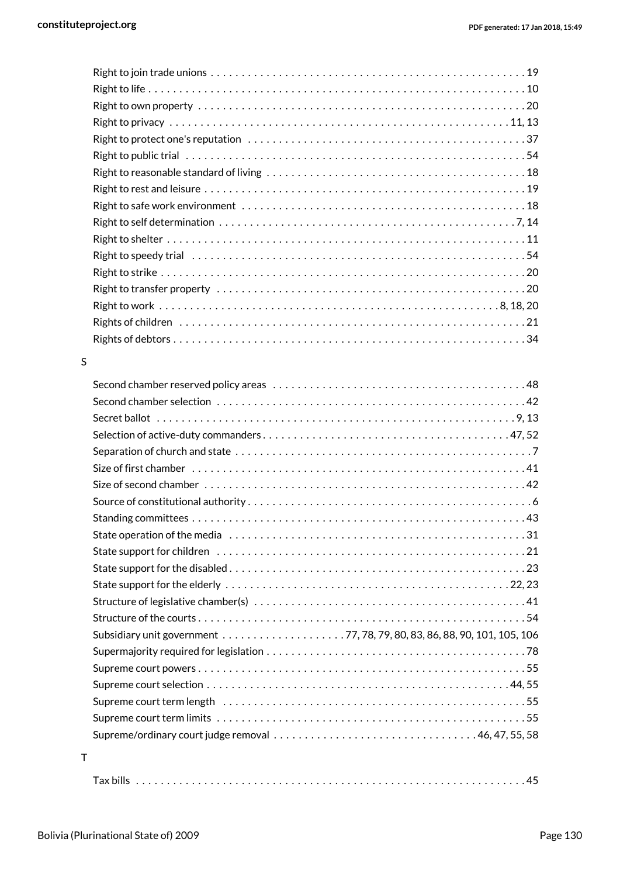|              | Rights of children $\dots\dots\dots\dots\dots\dots\dots\dots\dots\dots\dots\dots\dots\dots\dots\dots\dots$     |
|--------------|----------------------------------------------------------------------------------------------------------------|
|              |                                                                                                                |
| S            |                                                                                                                |
|              |                                                                                                                |
|              |                                                                                                                |
|              |                                                                                                                |
|              |                                                                                                                |
|              |                                                                                                                |
|              |                                                                                                                |
|              |                                                                                                                |
|              |                                                                                                                |
|              |                                                                                                                |
|              |                                                                                                                |
|              |                                                                                                                |
|              |                                                                                                                |
|              |                                                                                                                |
|              |                                                                                                                |
|              |                                                                                                                |
|              |                                                                                                                |
|              |                                                                                                                |
|              |                                                                                                                |
|              |                                                                                                                |
|              |                                                                                                                |
|              | Supreme court term length (and the content of the content of the content of the court of the content of the co |
|              |                                                                                                                |
|              |                                                                                                                |
| $\mathsf{T}$ |                                                                                                                |
|              |                                                                                                                |
|              |                                                                                                                |